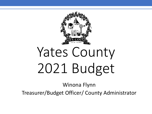

Winona Flynn

Treasurer/Budget Officer/ County Administrator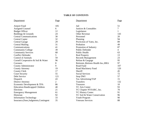# **TABLE OF CONTENTS**

| Department                             | Page           | Department                           | Page           |
|----------------------------------------|----------------|--------------------------------------|----------------|
| <b>Airport Fund</b>                    | 105            | Jail                                 | 51             |
| <b>Assigned Counsel</b>                | 6              | Justices & Constables                | 7              |
| <b>Budget Officer</b>                  | 12             | Legislature                          |                |
| Buildings & Grounds                    | 24             | <b>Other Revenue</b>                 | 143            |
| <b>Central Communications</b>          | 30             | Personnel                            | 20             |
| <b>Central Copier</b>                  | 32             | Planning                             | 94             |
| <b>Central Garage</b>                  | 29             | ProAction of Yates, Inc.             | 89             |
| <b>Central Mailing</b>                 | 31             | Probation                            | 49             |
| Communications                         | 41             | Promotion of Industry                | 87             |
| <b>Community College</b>               | 39             | <b>Public Defender</b>               | $\overline{4}$ |
| <b>Community Services</b>              | 68             | <b>Public Health</b>                 | 63             |
| <b>Conflict Defender</b>               | 5              | <b>Real Property</b>                 | 13             |
| <b>Control of Animals</b>              | 59             | <b>Records Management</b>            | 23             |
| Cornell Cooperative & Soil & Water     | 96             | Refuse & Gargage                     | 95             |
| Coroners                               | 8              | Retiremt., Retirees Health Ins., HRA | 97             |
| <b>County Administrator</b>            | 9              | Road Fund                            | 107            |
| <b>County Attorney</b>                 | 19             | Road Machinery Fund                  | 120            |
| <b>County Clerk</b>                    | 17             | Sheriff                              | 45             |
| <b>Court Security</b>                  | 55             | <b>Social Services</b>               | 72             |
| Debt Service                           | 121            | Stop DWI                             | 57             |
| Dispatch                               | 43             | Tax Advertising/TAP                  | 15             |
| <b>District Attorney</b>               | $\overline{2}$ | <b>Transfers</b>                     | 132            |
| Economic Development & TPA             | 86             | Treasurer                            | 10             |
| <b>Education-Handicapped Children</b>  | 40             | <b>YC Arts Center</b>                | 93             |
| Elections                              | 21             | YC Chapter NYSARC, Inc.              | 70             |
| <b>Emergency Management</b>            | 61             | <b>YC History Center</b>             | 91             |
| Historian                              | 92             | YC Soil & Water Conservation         | 96             |
| <b>Information Technology</b>          | 33             | Youth Program                        | 90             |
| Insurance, Dues, Judgments, Contingent | 35             | <b>Veterans Services</b>             | 88             |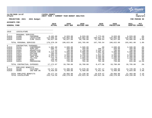|                                                                                             |                                                                                        |                                                                                                                                                             |                                                                                                           |                                                                                                            |                                                                                                              |                                                                                                         |                                                                                                            |                                                                                                            | <b>munis</b><br>a tyler erp solution                                       |
|---------------------------------------------------------------------------------------------|----------------------------------------------------------------------------------------|-------------------------------------------------------------------------------------------------------------------------------------------------------------|-----------------------------------------------------------------------------------------------------------|------------------------------------------------------------------------------------------------------------|--------------------------------------------------------------------------------------------------------------|---------------------------------------------------------------------------------------------------------|------------------------------------------------------------------------------------------------------------|------------------------------------------------------------------------------------------------------------|----------------------------------------------------------------------------|
| nflynn                                                                                      | 11/20/2020 14:07                                                                       |                                                                                                                                                             | YATES COUNTY<br>NEXT YEAR /                                                                               | CURRENT YEAR BUDGET ANALYSIS                                                                               |                                                                                                              |                                                                                                         |                                                                                                            |                                                                                                            | lР<br>  bgnyrpts                                                           |
|                                                                                             | PROJECTION: 2021                                                                       | 2021 Budget                                                                                                                                                 |                                                                                                           |                                                                                                            |                                                                                                              |                                                                                                         |                                                                                                            |                                                                                                            | FOR PERIOD 99                                                              |
| <b>ACCOUNTS FOR:</b>                                                                        |                                                                                        |                                                                                                                                                             |                                                                                                           |                                                                                                            |                                                                                                              |                                                                                                         |                                                                                                            |                                                                                                            |                                                                            |
| <b>GENERAL FUND</b>                                                                         |                                                                                        |                                                                                                                                                             | 2019<br><b>ACTUAL</b>                                                                                     | 2020<br>ORIG BUD                                                                                           | 2020<br><b>REVISED BUD</b>                                                                                   | 2020<br><b>ACTUAL</b>                                                                                   | 2020<br><b>PROJECTION</b>                                                                                  | 2021<br><b>ADOPTED</b>                                                                                     | PCT<br><b>CHANGE</b>                                                       |
|                                                                                             |                                                                                        |                                                                                                                                                             |                                                                                                           |                                                                                                            |                                                                                                              |                                                                                                         |                                                                                                            |                                                                                                            |                                                                            |
| 1010                                                                                        | LEGISLATURE                                                                            |                                                                                                                                                             |                                                                                                           |                                                                                                            |                                                                                                              |                                                                                                         |                                                                                                            |                                                                                                            |                                                                            |
| 1<br>A1010<br>A1010<br>A1010                                                                | PERSONAL SERVICES<br>51000<br>51020<br>51045                                           | CHAIRMAN<br>LEGISLATOR<br>CLRK LEGIS                                                                                                                        | 8,182.88<br>114,560.31<br>56,627.09                                                                       | 8,933.00<br>125,062.00<br>56,627.00                                                                        | 8,933.00<br>125,062.00<br>58,790.00                                                                          | 7,773.66<br>108,831.24<br>51,160.64                                                                     | 8,933.00<br>125,062.00<br>56,627.00                                                                        | 8,933.00<br>125,062.00<br>59,966.00                                                                        | .0%<br>$.0\%$<br>5.9%                                                      |
|                                                                                             | TOTAL PERSONAL SERVICES                                                                |                                                                                                                                                             | 179,370.28                                                                                                | 190,622.00                                                                                                 | 192,785.00                                                                                                   | 167,765.54                                                                                              | 190,622.00                                                                                                 | 193,961.00                                                                                                 | 1.8%                                                                       |
| 4<br>A1010<br>A1010<br>A1010<br>A1010<br>A1010<br>A1010<br>A1010<br>A1010<br>A1010<br>A1010 | 54152<br>54470<br>54501<br>54507<br>54515<br>54654<br>54660<br>54682<br>54907<br>54915 | CONTRACTUAL EXPENSES<br><b>CONFERENCE</b><br>SUPP:OFF<br>ADVERTISIN<br>COPIER CHR<br>POSTAGE<br>MILEAGE<br>TRAV EXP<br>TEL/FAX<br><b>DUES</b><br>PROCEEDING | 1,982.00<br>506.71<br>771.64<br>3, 224.35<br>186.59<br>2,506.24<br>6,372.12<br>756.70<br>150.00<br>715.72 | 2,500.00<br>350.00<br>700.00<br>4,000.00<br>200.00<br>3,000.00<br>5,400.00<br>1,680.00<br>150.00<br>720.00 | 2,500.00<br>350.00<br>1,700.00<br>4,000.00<br>200.00<br>3,200.00<br>4,128.60<br>1,680.00<br>150.00<br>791.40 | .00<br>200.31<br>1,339.14<br>1,881.65<br>177.28<br>1,032.94<br>1,504.66<br>1,400.00<br>150.00<br>791.40 | 2,500.00<br>350.00<br>700.00<br>4,000.00<br>200.00<br>3,000.00<br>5,400.00<br>1,680.00<br>150.00<br>720.00 | 2,500.00<br>350.00<br>700.00<br>4,000.00<br>200.00<br>3,000.00<br>5,400.00<br>1,680.00<br>150.00<br>815.00 | $.0\%$<br>.0%<br>.0%<br>.0%<br>.0%<br>.0%<br>$.0\%$<br>.0%<br>.0%<br>13.2% |
|                                                                                             |                                                                                        | TOTAL CONTRACTUAL EXPENSES                                                                                                                                  | 17,172.07                                                                                                 | 18,700.00                                                                                                  | 18,700.00                                                                                                    | 8,477.38                                                                                                | 18,700.00                                                                                                  | 18,795.00                                                                                                  | .5%                                                                        |
| 8<br>A1010<br>A1010                                                                         | EMPLOYEE BENEFITS<br>58100<br>58305                                                    | FICA/MED<br>INS-NON UN                                                                                                                                      | 13,717.64<br>6,459.60                                                                                     | 14,496.00<br>6,460.00                                                                                      | 14,678.30<br>6,460.00                                                                                        | 12,757.17<br>5,921.30                                                                                   | 14,496.00<br>6,460.00                                                                                      | 14,749.00<br>6,654.00                                                                                      | 1.7%<br>3.0%                                                               |
|                                                                                             | TOTAL EMPLOYEE BENEFITS<br>TOTAL LEGISLATURE                                           |                                                                                                                                                             | 20, 177. 24<br>216,719.59                                                                                 | 20,956.00<br>230,278.00                                                                                    | 21, 138.30<br>232,623.30                                                                                     | 18,678.47<br>194,921.39                                                                                 | 20,956.00<br>230, 278.00                                                                                   | 21,403.00<br>234,159.00                                                                                    | 2.1%<br>1.7%                                                               |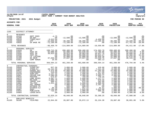|                                                                                                                                                                          |                                                                                                                                                                               |                                                                                                                                                                                                                               |                                                                                                                                                                               |                                                                                                                                                                                                       |                                                                                                                                                                                                   |                                                                                                                                                                                  |                                                                                                                                                                                                                      |                                                                                                                                                                                                         | munis<br>a tyler erp solution                                                                                             |
|--------------------------------------------------------------------------------------------------------------------------------------------------------------------------|-------------------------------------------------------------------------------------------------------------------------------------------------------------------------------|-------------------------------------------------------------------------------------------------------------------------------------------------------------------------------------------------------------------------------|-------------------------------------------------------------------------------------------------------------------------------------------------------------------------------|-------------------------------------------------------------------------------------------------------------------------------------------------------------------------------------------------------|---------------------------------------------------------------------------------------------------------------------------------------------------------------------------------------------------|----------------------------------------------------------------------------------------------------------------------------------------------------------------------------------|----------------------------------------------------------------------------------------------------------------------------------------------------------------------------------------------------------------------|---------------------------------------------------------------------------------------------------------------------------------------------------------------------------------------------------------|---------------------------------------------------------------------------------------------------------------------------|
| nflynn                                                                                                                                                                   | 11/20/2020 14:07                                                                                                                                                              |                                                                                                                                                                                                                               | YATES COUNTY<br>NEXT YEAR / CURRENT YEAR BUDGET ANALYSIS                                                                                                                      |                                                                                                                                                                                                       |                                                                                                                                                                                                   |                                                                                                                                                                                  |                                                                                                                                                                                                                      |                                                                                                                                                                                                         | l P<br>2<br>  bgnyrpts                                                                                                    |
|                                                                                                                                                                          | PROJECTION: 2021                                                                                                                                                              | 2021 Budget                                                                                                                                                                                                                   |                                                                                                                                                                               |                                                                                                                                                                                                       |                                                                                                                                                                                                   |                                                                                                                                                                                  |                                                                                                                                                                                                                      |                                                                                                                                                                                                         | FOR PERIOD 99                                                                                                             |
| <b>ACCOUNTS FOR:</b>                                                                                                                                                     |                                                                                                                                                                               |                                                                                                                                                                                                                               |                                                                                                                                                                               |                                                                                                                                                                                                       |                                                                                                                                                                                                   |                                                                                                                                                                                  |                                                                                                                                                                                                                      |                                                                                                                                                                                                         |                                                                                                                           |
| <b>GENERAL FUND</b>                                                                                                                                                      |                                                                                                                                                                               |                                                                                                                                                                                                                               | 2019<br><b>ACTUAL</b>                                                                                                                                                         | 2020<br>ORIG BUD                                                                                                                                                                                      | 2020<br>REVISED BUD                                                                                                                                                                               | 2020<br><b>ACTUAL</b>                                                                                                                                                            | 2020<br><b>PROJECTION</b>                                                                                                                                                                                            | 2021<br>ADOPTED CHANGE                                                                                                                                                                                  | PCT                                                                                                                       |
| 1165                                                                                                                                                                     | DISTRICT ATTORNEY                                                                                                                                                             |                                                                                                                                                                                                                               |                                                                                                                                                                               |                                                                                                                                                                                                       |                                                                                                                                                                                                   |                                                                                                                                                                                  |                                                                                                                                                                                                                      |                                                                                                                                                                                                         |                                                                                                                           |
| $\Omega$<br>A1165<br>A1165<br>A1165<br>A1165<br>A1165                                                                                                                    | <b>REVENUES</b><br>41233<br>41290<br>42610<br>43030<br>43032                                                                                                                  | DEPT FEES<br>DA-DWI<br>FINES, REST<br>ATP<br>DA WAGE RE                                                                                                                                                                       | $-4.75$<br>$\sim 00$<br>$-3,615.04$<br>$-22,650.00$<br>$-72,189.00$                                                                                                           | .00<br>$-12,500.00$<br>$\sim 00$<br>$-30, 200.00$<br>$-72, 189.00$                                                                                                                                    | .00<br>$-12,500.00$<br>$\overline{00}$<br>$-30, 200.00$<br>$-72,189.00$                                                                                                                           | $\begin{array}{c} .00 \\ .00 \end{array}$<br>$-4,450.00$<br>$-15, 100.00$<br>.00                                                                                                 | .00<br>$-12,500.00$<br>.00<br>$-30, 200.00$<br>$-72, 189.00$                                                                                                                                                         | .00<br>$-12,500.00$<br>.00<br>$-24,160.00$<br>$-57,751.00$                                                                                                                                              | .0%<br>.0%<br>.0%<br>$-20.0%$<br>$-20.0%$                                                                                 |
|                                                                                                                                                                          | TOTAL REVENUES                                                                                                                                                                |                                                                                                                                                                                                                               | $-98, 458.79$                                                                                                                                                                 | $-114,889.00$                                                                                                                                                                                         | $-114,889.00$                                                                                                                                                                                     | $-19,550.00$                                                                                                                                                                     | $-114,889.00$                                                                                                                                                                                                        | $-94,411.00$                                                                                                                                                                                            | $-17.8%$                                                                                                                  |
| $\mathbf{1}$<br>A1165<br>A1165<br>A1165<br>A1165<br>A1165<br>A1165<br>A1165                                                                                              | PERSONAL SERVICES<br>51010<br>51037<br>51038<br>51039<br>51108<br>51109<br>51661                                                                                              | DA<br>ASST DA<br>ASST DA<br>ASST DA<br>LE LIAISON<br>DA SECR<br>COMP NONUN                                                                                                                                                    | 199,713.38<br>82,000.00<br>39,023.00<br>$\cdot$ 00<br>.00<br>37,836.89<br>10.95                                                                                               | 200,400.00<br>82,000.00<br>39,023.00<br>60,000.00<br>42,000.00<br>37,837.00<br>.00                                                                                                                    | 200,400.00<br>83,640.00<br>39,803.00<br>60,000.00<br>42,000.00<br>37,837.00<br>.00                                                                                                                | 174,393.78<br>72,786.06<br>34,637.76<br>48,015.27<br>36,839.38<br>23,538.76<br>383.13                                                                                            | 200,400.00<br>82,000.00<br>39,023.00<br>60,000.00<br>42,000.00<br>37,837.00<br>.00                                                                                                                                   | 200,400.00<br>85, 313.00<br>40,600.00<br>69,360.00<br>42,676.00<br>38,445.00<br>.00                                                                                                                     | $.0\%$<br>4.0%<br>4.0%<br>15.6%<br>1.6%<br>1.6%<br>.0%                                                                    |
|                                                                                                                                                                          | TOTAL PERSONAL SERVICES                                                                                                                                                       |                                                                                                                                                                                                                               | 358,584.22                                                                                                                                                                    | 461,260.00                                                                                                                                                                                            | 463,680.00                                                                                                                                                                                        | 390,594.14                                                                                                                                                                       | 461,260.00                                                                                                                                                                                                           | 476,794.00                                                                                                                                                                                              | 3.4%                                                                                                                      |
| $4\overline{ }$<br>A1165<br>A1165<br>A1165<br>A1165<br>A1165<br>A1165<br>A1165<br>A1165<br>A1165<br>A1165<br>A1165<br>A1165<br>A1165<br>A1165<br>A1165<br>A1165<br>A1165 | CONTRACTUAL EXPENSES<br>54049<br>54050<br>54072<br>54152<br>54470<br>54507<br>54515<br>54572<br>54654<br>54660<br>54682<br>54740<br>54755<br>54756<br>54907<br>54916<br>54964 | STENO-CRT<br>STENO-GJ<br>EXPERT WIT<br>CONFERENCE<br>SUPP:OFF<br>COPIER CHR<br>POSTAGE<br>COMP ACCES<br>MILEAGE<br>TRAVEL EXP<br>TEL/FAX<br>SEC TRANSP<br>WITNESS FE<br>WITNESS-GJ<br><b>DUES</b><br>PUBLICATN<br>LEASE: DATA | 827.50<br>10,112.50<br>3,475.00<br>610.00<br>1,147.32<br>2,580.69<br>574.07<br>3,587.71<br>1,888.76<br>998.52<br>1,651.10<br>.00<br>.00<br>94.40<br>3,765.00<br>716.57<br>.00 | 3,000.00<br>8,200.00<br>15,000.00<br>1,500.00<br>1,500.00<br>2,300.00<br>750.00<br>2,050.00<br>1,000.00<br>1,500.00<br>1,680.00<br>2,000.00<br>600.00<br>1,000.00<br>1,000.00<br>1,000.00<br>3,960.00 | 3,000.00<br>8,200.00<br>15,000.00<br>1,500.00<br>1,500.00<br>2,300.00<br>750.00<br>2,050.00<br>1,000.00<br>875.00<br>1,680.00<br>2,042.56<br>600.00<br>957.44<br>1,625.00<br>1,000.00<br>3,960.00 | 418.00<br>7,511.20<br>11,284.60<br>817.00<br>1,431.02<br>1,905.77<br>746.25<br>1,117.77<br>678.50<br>283.80<br>1,600.00<br>2,181.18<br>.00<br>91.91<br>2,615.00<br>606.25<br>.00 | 3,000.00<br>8,200.00<br>15,000.00<br>1,500.00<br>$\overline{1}$ , 500.00<br>2,300.00<br>750.00<br>2,050.00<br>1,000.00<br>1,500.00<br>1,680.00<br>2,000.00<br>600.00<br>1,000.00<br>1,000.00<br>1,000.00<br>3,960.00 | 3,000.00<br>8,200.00<br>15,000.00<br>$1,500.00$<br>$1,500.00$<br>2,300.00<br>750.00<br>2,050.00<br>1,000.00<br>1,500.00<br>1,680.00<br>2,000.00<br>600.00<br>600.00<br>1,000.00<br>1,000.00<br>4,300.00 | .0%<br>.0%<br>.0%<br>.0%<br>.0%<br>.0%<br>.0%<br>.0%<br>.0%<br>.0%<br>.0%<br>.0%<br>.0%<br>$-40.0%$<br>.0%<br>.0%<br>8.6% |
|                                                                                                                                                                          | TOTAL CONTRACTUAL EXPENSES                                                                                                                                                    |                                                                                                                                                                                                                               | 32,029.14                                                                                                                                                                     | 48,040.00                                                                                                                                                                                             | 48,040.00                                                                                                                                                                                         | 33,288.25                                                                                                                                                                        | 48,040.00                                                                                                                                                                                                            | 47,980.00                                                                                                                                                                                               | $-18$                                                                                                                     |
| 8<br>A1165                                                                                                                                                               | EMPLOYEE BENEFITS<br>58100                                                                                                                                                    | FICA/MED                                                                                                                                                                                                                      | 22,844.69                                                                                                                                                                     | 28,887.00                                                                                                                                                                                             | 29,072.13                                                                                                                                                                                         | 26,134.30                                                                                                                                                                        | 28,887.00                                                                                                                                                                                                            | 30,601.00                                                                                                                                                                                               | 5.9%                                                                                                                      |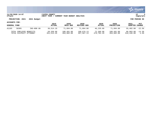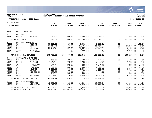|                                                                                                                   |                                                                                                                                                       |                                                                                                                                           |                                                                                                                                      |                                                                                                                                      |                                                                                                                                      |                                                                                                                           |                                                                                       |                                                                                                                                      | munis<br>a tyler erp solution                                                            |
|-------------------------------------------------------------------------------------------------------------------|-------------------------------------------------------------------------------------------------------------------------------------------------------|-------------------------------------------------------------------------------------------------------------------------------------------|--------------------------------------------------------------------------------------------------------------------------------------|--------------------------------------------------------------------------------------------------------------------------------------|--------------------------------------------------------------------------------------------------------------------------------------|---------------------------------------------------------------------------------------------------------------------------|---------------------------------------------------------------------------------------|--------------------------------------------------------------------------------------------------------------------------------------|------------------------------------------------------------------------------------------|
| nflynn                                                                                                            | 11/20/2020 14:07                                                                                                                                      |                                                                                                                                           | YATES COUNTY<br>NEXT YEAR / CURRENT YEAR BUDGET ANALYSIS                                                                             |                                                                                                                                      |                                                                                                                                      |                                                                                                                           |                                                                                       |                                                                                                                                      | l P<br>  bgnyrpts                                                                        |
|                                                                                                                   | PROJECTION: 2021                                                                                                                                      | 2021 Budget                                                                                                                               |                                                                                                                                      |                                                                                                                                      |                                                                                                                                      |                                                                                                                           |                                                                                       |                                                                                                                                      | FOR PERIOD 99                                                                            |
| <b>ACCOUNTS FOR:</b>                                                                                              |                                                                                                                                                       |                                                                                                                                           |                                                                                                                                      |                                                                                                                                      |                                                                                                                                      |                                                                                                                           |                                                                                       |                                                                                                                                      |                                                                                          |
| <b>GENERAL FUND</b>                                                                                               |                                                                                                                                                       |                                                                                                                                           | 2019<br><b>ACTUAL</b>                                                                                                                | 2020<br>ORIG BUD                                                                                                                     | 2020<br><b>REVISED BUD</b>                                                                                                           | 2020<br><b>ACTUAL</b>                                                                                                     | 2020<br><b>PROJECTION</b>                                                             | 2021<br><b>ADOPTED CHANGE</b>                                                                                                        | <b>PCT</b>                                                                               |
| 1170                                                                                                              | PUBLIC DEFENDER                                                                                                                                       |                                                                                                                                           |                                                                                                                                      |                                                                                                                                      |                                                                                                                                      |                                                                                                                           |                                                                                       |                                                                                                                                      |                                                                                          |
| 0<br>A1170                                                                                                        | <b>REVENUES</b><br>43025                                                                                                                              | INDIGENT                                                                                                                                  | $-172, 270.59$                                                                                                                       | $-97,368.00$                                                                                                                         | $-97,368.00$                                                                                                                         | $-70,621.53$                                                                                                              | $.00 \,$                                                                              | $-97, 368.00$                                                                                                                        | $.0\%$                                                                                   |
|                                                                                                                   | TOTAL REVENUES                                                                                                                                        |                                                                                                                                           | $-172, 270.59$                                                                                                                       | $-97, 368.00$                                                                                                                        | $-97, 368.00$                                                                                                                        | $-70,621.53$                                                                                                              | $.00 \,$                                                                              | $-97, 368.00$                                                                                                                        | .0 <sub>8</sub>                                                                          |
| $\mathbf{1}$<br>A1170<br>A1170<br>A1170<br>A1170<br>A1170<br>A1170                                                | PERSONAL SERVICES<br>51565<br>51566<br>51640<br>51646<br>51647<br>51661                                                                               | ASST PD<br>ASST PD<br>PD<br>SECRETARY<br>ASST PD<br>COMP NONUN                                                                            | 35,001.63<br>47,814.18<br>83, 164.48<br>37,795.49<br>.00<br>5.05                                                                     | 35,020.00<br>43,764.00<br>73,288.00<br>37,837.00<br>.00<br>.00                                                                       | 5,891.34<br>43,764.00<br>73,288.00<br>38,594.00<br>30,004.66<br>.00                                                                  | 8,937.81<br>31,830.01<br>73,481.21<br>32,712.33<br>38,308.45<br>.00                                                       | .00<br>.00<br>.00<br>.00<br>.00<br>.00                                                | 44,640.00<br>74,754.00<br>39,209.00<br>36,614.00<br>.00                                                                              | $.00 - 100.0$<br>2.0%<br>2.0%<br>3.6%<br>.0%<br>.0%                                      |
|                                                                                                                   | TOTAL PERSONAL SERVICES                                                                                                                               |                                                                                                                                           | 203,780.83                                                                                                                           | 189,909.00                                                                                                                           | 191,542.00                                                                                                                           | 185,269.81                                                                                                                | .00                                                                                   | 195,217.00                                                                                                                           | 2.8%                                                                                     |
| $\overline{4}$<br>A1170<br>A1170<br>A1170<br>A1170<br>A1170<br>A1170<br>A1170<br>A1170<br>A1170<br>A1170<br>A1170 | CONTRACTUAL EXPENSES<br>54045<br>54156<br>54470<br>54507<br>54515<br>54572<br>54654<br>54682<br>54755<br>54907<br>54941<br>TOTAL CONTRACTUAL EXPENSES | TRANSCRIPT<br>TRAINING<br>SUPP:OFF<br>COPIER CHR<br>POSTAGE<br>COMP ACCES<br>MILEAGE<br>TEL/FAX<br>WITNESS FE<br><b>DUES</b><br>IND LEGAL | 140.00<br>3,513.66<br>536.03<br>1,672.45<br>105.30<br>1,500.00<br>4,205.85<br>838.60<br>100.00<br>435.00<br>23, 254.40<br>36, 301.29 | 400.00<br>5,000.00<br>750.00<br>1,000.00<br>350.00<br>2,000.00<br>3,500.00<br>1,200.00<br>300.00<br>800.00<br>16,228.00<br>31,528.00 | 400.00<br>5,000.00<br>750.00<br>1,000.00<br>350.00<br>2,000.00<br>3,500.00<br>1,200.00<br>300.00<br>800.00<br>16,228.00<br>31,528.00 | 391.00<br>.00<br>1,075.41<br>1,632.26<br>158.00<br>1,500.00<br>267.75<br>1,000.00<br>.00<br>.00<br>21,023.04<br>27,047.46 | .00<br>.00<br>.00<br>.00<br>.00<br>.00<br>.00<br>.00<br>.00<br>$.00 \,$<br>.00<br>.00 | 400.00<br>5,000.00<br>750.00<br>1,000.00<br>200.00<br>3,750.00<br>3,500.00<br>1,200.00<br>300.00<br>800.00<br>16,228.00<br>33,128.00 | .0%<br>.0%<br>.0%<br>.0%<br>$-42.9%$<br>87.5%<br>.0%<br>.0%<br>.0%<br>.0%<br>.0%<br>5.1% |
|                                                                                                                   |                                                                                                                                                       |                                                                                                                                           |                                                                                                                                      |                                                                                                                                      |                                                                                                                                      |                                                                                                                           |                                                                                       |                                                                                                                                      |                                                                                          |
| 8<br>A1170<br>A1170                                                                                               | EMPLOYEE BENEFITS<br>58100<br>58305                                                                                                                   | FICA/MED<br>INS-NON UN                                                                                                                    | 15, 431.67<br>5,953.00                                                                                                               | 14,412.00<br>6,080.00                                                                                                                | 14,536.92<br>6,080.00                                                                                                                | 13,830.34<br>12,063.64                                                                                                    | .00<br>.00                                                                            | 14,396.00<br>18,521.00                                                                                                               | $-.1$ 8<br>204.6%                                                                        |
|                                                                                                                   | TOTAL EMPLOYEE BENEFITS<br>TOTAL PUBLIC DEFENDER                                                                                                      |                                                                                                                                           | 21,384.67<br>89,196.20                                                                                                               | 20,492.00<br>144,561.00                                                                                                              | 20,616.92<br>146, 318.92                                                                                                             | 25,893.98<br>167,589.72                                                                                                   | .00<br>.00                                                                            | 32,917.00<br>163,894.00                                                                                                              | 60.6%<br>13.4%                                                                           |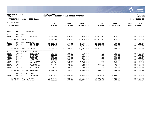|                                                                                                          |                                                                                                                                                                                                                                            |                                                                                             |                                                                                                    |                                                                                                    |                                                                       |                                                                                                    | munis<br>a tyler erp solution                                                                                                                                                 |   |
|----------------------------------------------------------------------------------------------------------|--------------------------------------------------------------------------------------------------------------------------------------------------------------------------------------------------------------------------------------------|---------------------------------------------------------------------------------------------|----------------------------------------------------------------------------------------------------|----------------------------------------------------------------------------------------------------|-----------------------------------------------------------------------|----------------------------------------------------------------------------------------------------|-------------------------------------------------------------------------------------------------------------------------------------------------------------------------------|---|
| nflynn                                                                                                   | 11/20/2020 14:07                                                                                                                                                                                                                           | YATES COUNTY<br>NEXT YEAR / CURRENT YEAR BUDGET ANALYSIS                                    |                                                                                                    |                                                                                                    |                                                                       |                                                                                                    | l P<br>  bgnyrpts                                                                                                                                                             | 5 |
|                                                                                                          | PROJECTION: 2021<br>2021 Budget                                                                                                                                                                                                            |                                                                                             |                                                                                                    |                                                                                                    |                                                                       |                                                                                                    | FOR PERIOD 99                                                                                                                                                                 |   |
| <b>ACCOUNTS FOR:</b><br><b>GENERAL FUND</b>                                                              |                                                                                                                                                                                                                                            | 2019<br><b>ACTUAL</b>                                                                       | 2020<br>ORIG BUD                                                                                   | 2020<br>REVISED BUD                                                                                | 2020<br><b>ACTUAL</b>                                                 | 2020<br><b>PROJECTION</b>                                                                          | 2021<br>PCT<br>ADOPTED CHANGE                                                                                                                                                 |   |
| 1171                                                                                                     | CONFLICT DEFENDER                                                                                                                                                                                                                          |                                                                                             |                                                                                                    |                                                                                                    |                                                                       |                                                                                                    |                                                                                                                                                                               |   |
| $\overline{0}$<br>A1171                                                                                  | <b>REVENUES</b><br>43025<br>INDIGENT                                                                                                                                                                                                       | $-15, 775.27$                                                                               | $-1,620.00$                                                                                        | $-1,620.00$                                                                                        | $-10, 755.27$                                                         | $-1,620.00$                                                                                        | $.00 - 100.0$                                                                                                                                                                 |   |
|                                                                                                          | TOTAL REVENUES                                                                                                                                                                                                                             | $-15,775.27$                                                                                | $-1,620.00$                                                                                        | $-1,620.00$                                                                                        | $-10, 755.27$                                                         | $-1,620.00$                                                                                        | $.00 - 100.0%$                                                                                                                                                                |   |
| $\mathbf{1}$<br>A1171<br>A1171                                                                           | PERSONAL SERVICES<br>CONFL DEF<br>51642<br>51646<br>SECRETARY                                                                                                                                                                              | 58, 385.47<br>12,595.43                                                                     | 49,189.00<br>8,303.00                                                                              | 49,189.00<br>8,303.00                                                                              | 21,993.75<br>6,698.36                                                 | 49,189.00<br>8,303.00                                                                              | $.00 - 100.0$<br>$.00 - 100.0$                                                                                                                                                |   |
|                                                                                                          | TOTAL PERSONAL SERVICES                                                                                                                                                                                                                    | 70,980.90                                                                                   | 57,492.00                                                                                          | 57,492.00                                                                                          | 28,692.11                                                             | 57,492.00                                                                                          | $.00 - 100.0$                                                                                                                                                                 |   |
| $\overline{4}$<br>A1171<br>A1171<br>A1171<br>A1171<br>A1171<br>A1171<br>A1171<br>A1171<br>A1171<br>A1171 | CONTRACTUAL EXPENSES<br>54045<br>TRANSCRIPT<br>54156<br>TRAINING<br>54470<br>SUPP:OFF<br>54515<br>POSTAGE<br>54516<br>PRINTING<br>54572<br>COMP ACCES<br>54654<br>MILEAGE<br>54682<br>TEL/FAX<br>54755<br>WITNESS FE<br>54916<br>PUBLICATN | 75.00<br>225.00<br>432.47<br>148.65<br>741.86<br>746.68<br>462.49<br>183.70<br>.00<br>37.41 | 150.00<br>750.00<br>500.00<br>200.00<br>300.00<br>2,075.00<br>400.00<br>240.00<br>150.00<br>100.00 | 150.00<br>750.00<br>500.00<br>200.00<br>300.00<br>2,075.00<br>400.00<br>240.00<br>150.00<br>100.00 | .00<br>.00<br>.00<br>.00<br>.00<br>.00<br>.00<br>100.00<br>.00<br>.00 | 150.00<br>750.00<br>500.00<br>200.00<br>300.00<br>2,075.00<br>400.00<br>240.00<br>150.00<br>100.00 | $.00 - 100.0%$<br>$.00 - 100.0$<br>$.00 - 100.0%$<br>$.00 - 100.0$<br>$.00 - 100.0%$<br>$.00 - 100.0%$<br>$.00 - 100.0%$<br>$.00 - 100.0%$<br>$.00 - 100.0$<br>$.00 - 100.0%$ |   |
|                                                                                                          | TOTAL CONTRACTUAL EXPENSES                                                                                                                                                                                                                 | 3,053.26                                                                                    | 4,865.00                                                                                           | 4,865.00                                                                                           | 100.00                                                                | 4,865.00                                                                                           | $.00 - 100.0$                                                                                                                                                                 |   |
| 8<br>A1171                                                                                               | EMPLOYEE BENEFITS<br>58100<br>FICA/MED                                                                                                                                                                                                     | 5,430.01                                                                                    | 4,399.00                                                                                           | 4,399.00                                                                                           | 2,194.94                                                              | 4,399.00                                                                                           | $.00 - 100.0%$                                                                                                                                                                |   |
|                                                                                                          | TOTAL EMPLOYEE BENEFITS<br>TOTAL CONFLICT DEFENDER                                                                                                                                                                                         | 5,430.01<br>63,688.90                                                                       | 4,399.00<br>65,136.00                                                                              | 4,399.00<br>65,136.00                                                                              | 2,194.94<br>20, 231.78                                                | 4,399.00<br>65,136.00                                                                              | $.00 - 100.0%$<br>$.00 - 100.0%$                                                                                                                                              |   |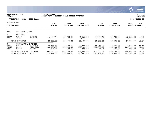|                                            |                                                      |                                                    |                                   |                                   |                                   |                                  |                                   |                                  | munis <sup>.</sup><br>a tyler erp solution |
|--------------------------------------------|------------------------------------------------------|----------------------------------------------------|-----------------------------------|-----------------------------------|-----------------------------------|----------------------------------|-----------------------------------|----------------------------------|--------------------------------------------|
| nflynn                                     | 11/20/2020 14:07                                     |                                                    | YATES COUNTY<br> NEXT YEAR /      | CURRENT YEAR BUDGET ANALYSIS      |                                   |                                  |                                   |                                  | P<br>  bgnyrpts                            |
|                                            | PROJECTION: 2021                                     | 2021 Budget                                        |                                   |                                   |                                   |                                  |                                   |                                  | FOR PERIOD 99                              |
| ACCOUNTS FOR:<br><b>GENERAL FUND</b>       |                                                      |                                                    | 2019<br><b>ACTUAL</b>             | 2020<br>ORIG BUD                  | 2020<br><b>REVISED BUD</b>        | 2020<br><b>ACTUAL</b>            | 2020<br><b>PROJECTION</b>         | 2021<br><b>ADOPTED</b>           | PCT<br><b>CHANGE</b>                       |
| 1172                                       | ASSIGNED COUNSEL                                     |                                                    |                                   |                                   |                                   |                                  |                                   |                                  |                                            |
| $\overline{0}$<br>A1172<br>A1172           | <b>REVENUES</b><br>42413<br>43025                    | RENT-AC<br>INDIGENT                                | $-2, 395.20$<br>$-18,000.00$      | $-2,395.00$<br>$-21,100.00$       | $-2,395.00$<br>$-21,100,00$       | $-2, 395.20$<br>$-32,280.98$     | $-2, 395.00$<br>$-21,100.00$      | $-2,395.00$<br>$-25,000.00$      | $.0\%$<br>18.5%                            |
|                                            | TOTAL REVENUES                                       |                                                    | $-20, 395.20$                     | $-23, 495.00$                     | $-23, 495.00$                     | $-34,676.18$                     | $-23, 495.00$                     | $-27, 395.00$                    | 16.6%                                      |
| $4\overline{ }$<br>A1172<br>A1172<br>A1172 | CONTRACTUAL<br>54003<br>54004<br>54929               | <b>EXPENSES</b><br>AC ADMIN<br>ATTY FEES<br>AC EXP | 45,500.00<br>190,975.50<br>397.08 | 13,500.00<br>185,100.00<br>500.00 | 13,500.00<br>185,100.00<br>500.00 | 46,250.00<br>204,536.35<br>44.08 | 13,500.00<br>185,100.00<br>500.00 | 7,688.00<br>224,713.00<br>500.00 | $-43.1%$<br>21.4%<br>$.0\%$                |
|                                            | TOTAL CONTRACTUAL EXPENSES<br>TOTAL ASSIGNED COUNSEL |                                                    | 236,872.58<br>216, 477.38         | 199,100.00<br>175,605.00          | 199,100.00<br>175,605.00          | 250,830.43<br>216, 154. 25       | 199,100.00<br>175,605.00          | 232,901.00<br>205,506.00         | 17.0%<br>17.0%                             |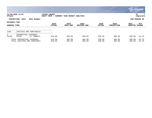|                                      |                                                            |             |                              |                                     |                     |                       |                           |                  | $\mathbb{C}$ munis<br>a tyler erp solution |
|--------------------------------------|------------------------------------------------------------|-------------|------------------------------|-------------------------------------|---------------------|-----------------------|---------------------------|------------------|--------------------------------------------|
| nflynn                               | 11/20/2020 14:07                                           |             | YATES COUNTY<br> NEXT YEAR / | <b>CURRENT YEAR BUDGET ANALYSIS</b> |                     |                       |                           |                  | 7<br>P<br>  bgnyrpts                       |
|                                      | PROJECTION: 2021                                           | 2021 Budget |                              |                                     |                     |                       |                           |                  | FOR PERIOD 99                              |
| ACCOUNTS FOR:<br><b>GENERAL FUND</b> |                                                            |             | 2019<br><b>ACTUAL</b>        | 2020<br>ORIG BUD                    | 2020<br>REVISED BUD | 2020<br><b>ACTUAL</b> | 2020<br><b>PROJECTION</b> | 2021<br>ADOPTED  | PCT<br><b>CHANGE</b>                       |
| 1180                                 | JUSTICES AND CONSTABLES                                    |             |                              |                                     |                     |                       |                           |                  |                                            |
| $4\overline{ }$<br>A1180             | CONTRACTUAL EXPENSES<br>54706                              | CT TWN&VIL  | 610.00                       | 480.00                              | 480.00              | 290.00                | 480.00                    | 400.00           | $-16.7%$                                   |
|                                      | TOTAL CONTRACTUAL EXPENSES<br>TOTAL JUSTICES AND CONSTABLE |             | 610.00<br>610.00             | 480.00<br>480.00                    | 480.00<br>480.00    | 290.00<br>290.00      | 480.00<br>480.00          | 400.00<br>400.00 | $-16.7%$<br>$-16.7%$                       |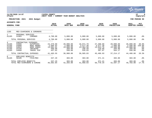|                                                |                                                                                                                                         |                                                          |                                                        |                                                        |                                                        |                                                        |                                                        | munis<br>a tyler erp solution                       |
|------------------------------------------------|-----------------------------------------------------------------------------------------------------------------------------------------|----------------------------------------------------------|--------------------------------------------------------|--------------------------------------------------------|--------------------------------------------------------|--------------------------------------------------------|--------------------------------------------------------|-----------------------------------------------------|
| nflynn                                         | 11/20/2020 14:07                                                                                                                        | YATES COUNTY<br>NEXT YEAR / CURRENT YEAR BUDGET ANALYSIS |                                                        |                                                        |                                                        |                                                        |                                                        | P<br>bgnyrpts                                       |
|                                                | PROJECTION: 2021<br>2021 Budget                                                                                                         |                                                          |                                                        |                                                        |                                                        |                                                        |                                                        | FOR PERIOD 99                                       |
| <b>ACCOUNTS FOR:</b><br><b>GENERAL FUND</b>    |                                                                                                                                         | 2019<br><b>ACTUAL</b>                                    | 2020<br>ORIG BUD                                       | 2020<br><b>REVISED BUD</b>                             | 2020<br><b>ACTUAL</b>                                  | 2020<br><b>PROJECTION</b>                              | 2021<br><b>ADOPTED</b>                                 | PCT<br><b>CHANGE</b>                                |
| 1185                                           | MED EXAMINERS & CORONERS                                                                                                                |                                                          |                                                        |                                                        |                                                        |                                                        |                                                        |                                                     |
| 1<br>A1185                                     | PERSONAL SERVICES<br>51983<br><b>CORONER</b>                                                                                            | 4,700.00                                                 | 5,000.00                                               | 5,000.00                                               | 5,000.00                                               | 5,000.00                                               | 5,000.00                                               | .0%                                                 |
|                                                | TOTAL PERSONAL SERVICES                                                                                                                 | 4,700.00                                                 | 5,000.00                                               | 5,000.00                                               | 5,000.00                                               | 5,000.00                                               | 5,000.00                                               | .0%                                                 |
| 4<br>A1185<br>A1185<br>A1185<br>A1185<br>A1185 | CONTRACTUAL<br>EXPENSES<br>54006<br>AUTOPSIES<br>54008<br>BODY REMOV<br>54023<br>HOSP CHRGS<br>54156<br>TRAINING<br>54660<br>TRAVEL EXP | 24,470.00<br>2,096.92<br>13,981.61<br>460.00<br>457.02   | 20,000.00<br>1,000.00<br>15,000.00<br>350.00<br>550.00 | 18,971.70<br>3,577.30<br>13,304.50<br>196.50<br>535.83 | 27,398.00<br>3,577.30<br>13,923.76<br>110.00<br>397.87 | 20,000.00<br>1,000.00<br>15,300.00<br>350.00<br>564.17 | 26,000.00<br>2,500.00<br>15,000.00<br>350.00<br>550.00 | 30.0%<br>150.0%<br>.0%<br>$.0\%$<br>.0 <sub>8</sub> |
|                                                | TOTAL CONTRACTUAL EXPENSES                                                                                                              | 41,465.55                                                | 36,900.00                                              | 36,585.83                                              | 45,406.93                                              | 37, 214.17                                             | 44,400.00                                              | 20.3%                                               |
| 8<br>A1185                                     | EMPLOYEE BENEFITS<br>58100<br>FICA/MED<br>TOTAL EMPLOYEE BENEFITS                                                                       | 337.29<br>337.29                                         | 383.00<br>383.00                                       | 383.00<br>383.00                                       | 371.41<br>371.41                                       | 383.00<br>383.00                                       | 383.00<br>383.00                                       | .0 <sub>8</sub><br>.0 <sub>8</sub>                  |
|                                                | TOTAL MED EXAMINERS & CORONE                                                                                                            | 46,502.84                                                | 42,283.00                                              | 41,968.83                                              | 50,778.34                                              | 42,597.17                                              | 49,783.00                                              | 17.7%                                               |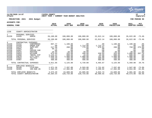|                                                                                                      |                                                                                                 |                                                                                                                                                              |                                                                                                        |                                                                                                      |                                                                                                     |                                                                                                 |                                                                                                      |                                                                                                        | <b>munis</b><br>a tyler erp solution                                                              |
|------------------------------------------------------------------------------------------------------|-------------------------------------------------------------------------------------------------|--------------------------------------------------------------------------------------------------------------------------------------------------------------|--------------------------------------------------------------------------------------------------------|------------------------------------------------------------------------------------------------------|-----------------------------------------------------------------------------------------------------|-------------------------------------------------------------------------------------------------|------------------------------------------------------------------------------------------------------|--------------------------------------------------------------------------------------------------------|---------------------------------------------------------------------------------------------------|
| nflynn                                                                                               | 11/20/2020 14:07                                                                                |                                                                                                                                                              | YATES COUNTY<br>NEXT YEAR / CURRENT YEAR BUDGET ANALYSIS                                               |                                                                                                      |                                                                                                     |                                                                                                 |                                                                                                      |                                                                                                        | lР<br>9<br>  bgnyrpts                                                                             |
|                                                                                                      | PROJECTION: 2021                                                                                | 2021 Budget                                                                                                                                                  |                                                                                                        |                                                                                                      |                                                                                                     |                                                                                                 |                                                                                                      |                                                                                                        | FOR PERIOD 99                                                                                     |
| <b>ACCOUNTS FOR:</b>                                                                                 |                                                                                                 |                                                                                                                                                              |                                                                                                        |                                                                                                      |                                                                                                     |                                                                                                 |                                                                                                      |                                                                                                        |                                                                                                   |
| <b>GENERAL FUND</b>                                                                                  |                                                                                                 |                                                                                                                                                              | 2019<br><b>ACTUAL</b>                                                                                  | 2020<br>ORIG BUD                                                                                     | 2020<br>REVISED BUD                                                                                 | 2020<br><b>ACTUAL</b>                                                                           | 2020<br><b>PROJECTION</b>                                                                            | 2021<br>ADOPTED CHANGE                                                                                 | PCT                                                                                               |
| 1230                                                                                                 |                                                                                                 | COUNTY ADMINISTRATOR                                                                                                                                         |                                                                                                        |                                                                                                      |                                                                                                     |                                                                                                 |                                                                                                      |                                                                                                        |                                                                                                   |
| $\mathbf{1}$<br>A1230                                                                                | PERSONAL SERVICES<br>51035                                                                      | ADMIN                                                                                                                                                        | 26,100.00                                                                                              | 100,000.00                                                                                           | 100,000.00                                                                                          | 22,912.14                                                                                       | 100,000.00                                                                                           | 26,622.00                                                                                              | $-73.4%$                                                                                          |
|                                                                                                      | TOTAL PERSONAL SERVICES                                                                         |                                                                                                                                                              | 26,100.00                                                                                              | 100,000.00                                                                                           | 100,000.00                                                                                          | 22,912.14                                                                                       | 100,000.00                                                                                           | 26,622.00                                                                                              | $-73.4%$                                                                                          |
| 4<br>A1230<br>A1230<br>A1230<br>A1230<br>A1230<br>A1230<br>A1230<br>A1230<br>A1230<br>A1230<br>A1230 | 54152<br>54320<br>54470<br>54501<br>54507<br>54515<br>54654<br>54660<br>54676<br>54682<br>54907 | CONTRACTUAL EXPENSES<br>CONFERENCE<br>EMERG EXP<br>SUPP:OFF<br>ADV<br>COPIER CHR<br>POSTAGE<br>MILEAGE<br>TRAVEL EXP<br>UTIL: CELL<br>TEL/FAX<br><b>DUES</b> | 897.77<br>.00<br>217.56<br>50.72<br>.05<br>18.55<br>874.64<br>1,145.22<br>1,048.34<br>258.20<br>400.00 | 1,100.00<br>.00<br>200.00<br>.00<br>.00<br>20.00<br>325.00<br>600.00<br>1,000.00<br>480.00<br>400.00 | .00<br>1,714.00<br>775.00<br>.00<br>.00<br>20.00<br>340.00<br>10.00<br>1,000.00<br>480.00<br>400.00 | .00<br>1,713.14<br>870.81<br>.00<br>.00<br>.00<br>339.84<br>10.00<br>731.88<br>400.00<br>400.00 | 1,100.00<br>.00<br>200.00<br>.00<br>.00<br>20.00<br>325.00<br>600.00<br>1,000.00<br>480.00<br>400.00 | 1,100.00<br>.00<br>750.00<br>.00<br>.00<br>20.00<br>1,000.00<br>600.00<br>1,000.00<br>480.00<br>400.00 | .0%<br>.0%<br>275.0%<br>$.0\%$<br>.0%<br>.0%<br>207.7%<br>.0%<br>.0%<br>.0 <sub>8</sub><br>$.0\%$ |
|                                                                                                      |                                                                                                 | TOTAL CONTRACTUAL EXPENSES                                                                                                                                   | 4,911.05                                                                                               | 4,125.00                                                                                             | 4,739.00                                                                                            | 4,465.67                                                                                        | 4,125.00                                                                                             | 5,350.00                                                                                               | 29.7%                                                                                             |
| 8<br>A1230<br>A1230                                                                                  | EMPLOYEE BENEFITS<br>58100<br>58305                                                             | FICA/MED<br>INS-NON UN                                                                                                                                       | 1,971.26<br>1,402.23                                                                                   | 7,207.00<br>17,402.00                                                                                | 6,593.00<br>17,402.00                                                                               | 1,731.82<br>1,290.92                                                                            | 7,207.00<br>17,402.00                                                                                | 1,947.00<br>6,654.00                                                                                   | $-73.0$ ${}^{\circ}$<br>$-61.8%$                                                                  |
|                                                                                                      | TOTAL EMPLOYEE BENEFITS                                                                         | TOTAL COUNTY ADMINISTRATOR                                                                                                                                   | 3,373.49<br>34, 384.54                                                                                 | 24,609.00<br>128,734.00                                                                              | 23,995.00<br>128,734.00                                                                             | 3,022.74<br>30,400.55                                                                           | 24,609.00<br>128,734.00                                                                              | 8,601.00<br>40,573.00                                                                                  | $-65.0%$<br>$-68.5%$                                                                              |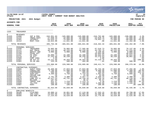|                                                                                                                    |                                                                                                                                                       |                                                                                                                                                     |                                                                                                                                    |                                                                                                                                    |                                                                                                                                        |                                                                                                                                   |                                                                                                                                    |                                                                                                                            | munis<br>a tyler erp solution                                                                               |
|--------------------------------------------------------------------------------------------------------------------|-------------------------------------------------------------------------------------------------------------------------------------------------------|-----------------------------------------------------------------------------------------------------------------------------------------------------|------------------------------------------------------------------------------------------------------------------------------------|------------------------------------------------------------------------------------------------------------------------------------|----------------------------------------------------------------------------------------------------------------------------------------|-----------------------------------------------------------------------------------------------------------------------------------|------------------------------------------------------------------------------------------------------------------------------------|----------------------------------------------------------------------------------------------------------------------------|-------------------------------------------------------------------------------------------------------------|
| nflynn                                                                                                             | 11/20/2020 14:07                                                                                                                                      |                                                                                                                                                     | YATES COUNTY<br> NEXT YEAR / CURRENT YEAR BUDGET ANALYSIS                                                                          |                                                                                                                                    |                                                                                                                                        |                                                                                                                                   |                                                                                                                                    |                                                                                                                            | ∣P<br>10<br>bgnyrpts                                                                                        |
|                                                                                                                    | PROJECTION: 2021                                                                                                                                      | 2021 Budget                                                                                                                                         |                                                                                                                                    |                                                                                                                                    |                                                                                                                                        |                                                                                                                                   |                                                                                                                                    |                                                                                                                            | FOR PERIOD 99                                                                                               |
| ACCOUNTS FOR:                                                                                                      |                                                                                                                                                       |                                                                                                                                                     |                                                                                                                                    |                                                                                                                                    |                                                                                                                                        |                                                                                                                                   |                                                                                                                                    |                                                                                                                            |                                                                                                             |
| <b>GENERAL FUND</b>                                                                                                |                                                                                                                                                       |                                                                                                                                                     | 2019<br><b>ACTUAL</b>                                                                                                              | 2020<br>ORIG BUD                                                                                                                   | 2020<br><b>REVISED BUD</b>                                                                                                             | 2020<br><b>ACTUAL</b>                                                                                                             | 2020<br><b>PROJECTION</b>                                                                                                          | 2021<br>ADOPTED CHANGE                                                                                                     | PCT                                                                                                         |
| 1325                                                                                                               | TREASURER                                                                                                                                             |                                                                                                                                                     |                                                                                                                                    |                                                                                                                                    |                                                                                                                                        |                                                                                                                                   |                                                                                                                                    |                                                                                                                            |                                                                                                             |
| $\mathbf 0$<br>A1325<br>A1325<br>A1325<br>A1325                                                                    | <b>REVENUES</b><br>41090<br>41233<br>42401<br>42412                                                                                                   | INT & PEN-<br>TREAS FEES<br>INTEREST<br>RENT-TASC                                                                                                   | $-342,951.93$<br>$-37,958.33$<br>$-94,029.12$<br>$-10,824.00$                                                                      | $-345,000.00$<br>$-34,000.00$<br>$-75,000.00$<br>$-11,041.00$                                                                      | $-345,000.00$<br>$-34,000.00$<br>$-75,000.00$<br>$-11,041.00$                                                                          | $-316,792.86$<br>$-23,018.75$<br>$-78,652.73$<br>.00                                                                              | $-345,000.00$<br>$-34,000.00$<br>$-75,000.00$<br>$-11,041.00$                                                                      | $-330,000.00$<br>$-31,000.00$<br>$-60,000.00$<br>$-11, 262.00$                                                             | $-4.3%$<br>$-8.8%$<br>$-20.0%$<br>2.0%                                                                      |
|                                                                                                                    | TOTAL REVENUES                                                                                                                                        |                                                                                                                                                     | $-485, 763.38$                                                                                                                     | $-465,041.00$                                                                                                                      | $-465,041.00$                                                                                                                          | $-418, 464.34$                                                                                                                    | $-465,041.00$                                                                                                                      | $-432, 262.00$                                                                                                             | $-7.0%$                                                                                                     |
| $\mathbf{1}$<br>A1325<br>A1325<br>A1325<br>A1325<br>A1325<br>A1325<br>A1325<br>A1325<br>A1325                      | PERSONAL SERVICES<br>51030<br>51121<br>51124<br>51150<br>51237<br>51270<br>51509<br>51651<br>51961                                                    | TREASURER<br>DEP TREAS<br>DEPUTY ADD<br>PRINC ACT<br>PR SPEC<br>SR ACT<br>COMP CSEA<br>SR ACT PT<br>35-40 HRS                                       | 76,065.00<br>48,224.00<br>6,000.00<br>.00<br>43,080.74<br>37, 343.88<br>3.00<br>15,111.00<br>153.28                                | 76,065.00<br>48,225.00<br>6,000.00<br>.00<br>44,108.00<br>38,239.00<br>.00<br>16,443.00<br>500.00                                  | 77,585.00<br>50,220.00<br>6,000.00<br>.00<br>44,108.00<br>38,239.00<br>6.00<br>16,443.00<br>494.00                                     | 67,516.73<br>43,702.75<br>5,340.95<br>29,604.00<br>38,845.03<br>33,276.63<br>5.90<br>22,119.76<br>$-0.01$                         | 76,065.00<br>48,225.00<br>6,000.00<br>.00<br>44,108.00<br>38,239.00<br>.00<br>16,443.00<br>500.00                                  | 79,137.00<br>51,225.00<br>6,000.00<br>46,834.00<br>45,822.00<br>38,861.00<br>.00<br>500.00                                 | 4.0%<br>6.2%<br>.0%<br>.0%<br>3.9%<br>1.6%<br>.0%<br>$.00 - 100.0%$<br>.0%                                  |
|                                                                                                                    | TOTAL PERSONAL SERVICES                                                                                                                               |                                                                                                                                                     | 225,980.90                                                                                                                         | 229,580.00                                                                                                                         | 233,095.00                                                                                                                             | 240, 411.74                                                                                                                       | 229,580.00                                                                                                                         | 268,379.00                                                                                                                 | 16.9%                                                                                                       |
| $4\overline{ }$<br>A1325<br>A1325<br>A1325<br>A1325<br>A1325<br>A1325<br>A1325<br>A1325<br>A1325<br>A1325<br>A1325 | CONTRACTUAL EXPENSES<br>54005<br>54011<br>54152<br>54470<br>54507<br>54515<br>54576<br>54654<br>54660<br>54682<br>54907<br>TOTAL CONTRACTUAL EXPENSES | <b>AUDIT FEES</b><br>CONSULTANT<br>CONFERENCE<br>SUPP:OFF<br>COPIER CHR<br>POSTAGE<br>COMP SFT A<br>MILEAGE<br>TRAVEL EXP<br>TEL/FAX<br><b>DUES</b> | 26,469.60<br>3,700.00<br>990.00<br>4,309.09<br>.45<br>2,761.40<br>42, 417.54<br>167.04<br>931.47<br>606.50<br>100.00<br>82, 453.09 | 27,023.00<br>11,000.00<br>485.00<br>4,750.00<br>.00<br>3,300.00<br>44,731.00<br>.00<br>1,210.00<br>1,440.00<br>100.00<br>94,039.00 | 27,023.00<br>11,000.00<br>485.00<br>4,733.50<br>21.50<br>3,257.72<br>44,758.16<br>96.37<br>1,123.75<br>1,440.00<br>100.00<br>94,039.00 | 26,734.40<br>8,500.00<br>100.00<br>1,483.82<br>44.60<br>2,299.15<br>44,758.16<br>96.37<br>4.38<br>1,200.00<br>100.00<br>85,320.88 | 27,023.00<br>11,000.00<br>485.00<br>4,750.00<br>.00<br>3,300.00<br>44,731.00<br>.00<br>1,210.00<br>1,440.00<br>100.00<br>94,039.00 | 27,292.00<br>4,300.00<br>990.00<br>5,000.00<br>.00<br>3,300.00<br>48,128.00<br>385.00<br>1,600.00<br>1,440.00<br>92,435.00 | 1.0%<br>$-60.9%$<br>104.1%<br>5.3%<br>.0%<br>.0%<br>7.6%<br>.0%<br>32.2%<br>.0%<br>$.00 - 100.0$<br>$-1.7%$ |
| 8<br>A1325<br>A1325<br>A1325                                                                                       | EMPLOYEE BENEFITS<br>58100<br>58303<br>58305                                                                                                          | FICA/MED<br>INS-CSEA<br>INS-NON UN                                                                                                                  | 16,080.14<br>23,994.00<br>17, 154.83                                                                                               | 16,851.00<br>23,994.00<br>18,620.00                                                                                                | 17,119.90<br>23,994.00<br>18,620.00                                                                                                    | 17,343.15<br>26,300.90<br>15,776.68                                                                                               | 16,851.00<br>23,994.00<br>18,620.00                                                                                                | 19,799.00<br>31,368.00<br>12,525.00                                                                                        | 17.5%<br>30.7%<br>$-32.7%$                                                                                  |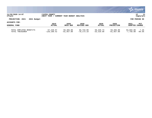|                                            |                                  |                              |                            |                           |                           |                          | $\boldsymbol{\ddot{\cdot}}$ . munis<br>a tyler erp solution |
|--------------------------------------------|----------------------------------|------------------------------|----------------------------|---------------------------|---------------------------|--------------------------|-------------------------------------------------------------|
| 11/20/2020 14:07<br>nflynn                 | YATES COUNTY<br><b>NEXT YEAR</b> | CURRENT YEAR BUDGET ANALYSIS |                            |                           |                           |                          | 11<br>P<br>bgnyrpts                                         |
| PROJECTION: 2021<br>2021 Budget            |                                  |                              |                            |                           |                           |                          | FOR PERIOD 99                                               |
| ACCOUNTS FOR:                              | 2019                             | 2020                         | 2020                       | 2020                      | 2020                      | 2021                     | <b>PCT</b>                                                  |
| <b>GENERAL FUND</b>                        | <b>ACTUAL</b>                    | ORIG BUD                     | REVISED BUD                | ACTUAL                    | <b>PROJECTION</b>         | ADOPTED CHANGE           |                                                             |
| TOTAL EMPLOYEE BENEFITS<br>TOTAL TREASURER | 57,228.97<br>$-120, 100.42$      | 59,465.00<br>$-81,957.00$    | 59,733.90<br>$-78, 173.10$ | 59,420.73<br>$-33,310.99$ | 59,465.00<br>$-81,957.00$ | 63,692.00<br>$-7,756.00$ | 7.1%<br>$-90.5%$                                            |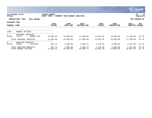|                                      |                                                 |                             |                              |                            |                       |                           |                        | <b>munis</b><br>a tyler erp solution |
|--------------------------------------|-------------------------------------------------|-----------------------------|------------------------------|----------------------------|-----------------------|---------------------------|------------------------|--------------------------------------|
| nflynn                               | 11/20/2020 14:07                                | YATES COUNTY<br>NEXT YEAR / | CURRENT YEAR BUDGET ANALYSIS |                            |                       |                           |                        | 12<br>P<br>  bgnyrpts                |
|                                      | PROJECTION: 2021<br>2021 Budget                 |                             |                              |                            |                       |                           |                        | FOR PERIOD 99                        |
| ACCOUNTS FOR:<br><b>GENERAL FUND</b> |                                                 | 2019<br><b>ACTUAL</b>       | 2020<br>ORIG BUD             | 2020<br><b>REVISED BUD</b> | 2020<br><b>ACTUAL</b> | 2020<br><b>PROJECTION</b> | 2021<br>ADOPTED CHANGE | PCT                                  |
| 1340                                 | <b>BUDGET OFFICER</b>                           |                             |                              |                            |                       |                           |                        |                                      |
| A1340                                | PERSONAL SERVICES<br>51575<br><b>BUDGET OFF</b> | 13,069.00                   | 13,069.00                    | 17,000.00                  | 14,923.55             | 13,069.00                 | 17,340.00              | 32.7%                                |
|                                      | TOTAL PERSONAL SERVICES                         | 13,069.00                   | 13,069.00                    | 17,000.00                  | 14,923.55             | 13,069.00                 | 17,340.00              | 32.7%                                |
| 8<br>A1340                           | EMPLOYEE BENEFITS<br>58100<br>FICA/MED          | 987.13                      | 1,000.00                     | 1,300.72                   | 1,128.05              | 1,000.00                  | 1,327.00               | 32.7%                                |
|                                      | TOTAL EMPLOYEE BENEFITS<br>TOTAL BUDGET OFFICER | 987.13<br>14,056.13         | 1,000.00<br>14,069.00        | 1,300.72<br>18,300.72      | 1,128.05<br>16,051.60 | 1,000.00<br>14,069.00     | 1,327.00<br>18,667.00  | 32.7%<br>32.7%                       |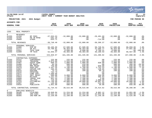|                                                                                                                                                                          |                                                                                                                                                       |                                                                                                                                                                                                                                                 |                                                                                                                                                                                   |                                                                                                                                                                                   |                                                                                                                                                                                   |                                                                                                                                                            |                                                                                                                                                                                   |                                                                                                                                                                                   | munis <sup>®</sup><br>a tyler erp solution                                                                                                           |
|--------------------------------------------------------------------------------------------------------------------------------------------------------------------------|-------------------------------------------------------------------------------------------------------------------------------------------------------|-------------------------------------------------------------------------------------------------------------------------------------------------------------------------------------------------------------------------------------------------|-----------------------------------------------------------------------------------------------------------------------------------------------------------------------------------|-----------------------------------------------------------------------------------------------------------------------------------------------------------------------------------|-----------------------------------------------------------------------------------------------------------------------------------------------------------------------------------|------------------------------------------------------------------------------------------------------------------------------------------------------------|-----------------------------------------------------------------------------------------------------------------------------------------------------------------------------------|-----------------------------------------------------------------------------------------------------------------------------------------------------------------------------------|------------------------------------------------------------------------------------------------------------------------------------------------------|
| nflynn                                                                                                                                                                   | 11/20/2020 14:07                                                                                                                                      |                                                                                                                                                                                                                                                 | <b>YATES COUNTY</b><br>NEXT YEAR / CURRENT YEAR BUDGET ANALYSIS                                                                                                                   |                                                                                                                                                                                   |                                                                                                                                                                                   |                                                                                                                                                            |                                                                                                                                                                                   |                                                                                                                                                                                   | ΙP<br>13<br>bgnyrpts                                                                                                                                 |
|                                                                                                                                                                          | PROJECTION: 2021                                                                                                                                      | 2021 Budget                                                                                                                                                                                                                                     |                                                                                                                                                                                   |                                                                                                                                                                                   |                                                                                                                                                                                   |                                                                                                                                                            |                                                                                                                                                                                   |                                                                                                                                                                                   | FOR PERIOD 99                                                                                                                                        |
| ACCOUNTS FOR:                                                                                                                                                            |                                                                                                                                                       |                                                                                                                                                                                                                                                 | 2019                                                                                                                                                                              | 2020                                                                                                                                                                              | 2020                                                                                                                                                                              | 2020                                                                                                                                                       | 2020                                                                                                                                                                              | 2021                                                                                                                                                                              | PCT                                                                                                                                                  |
| <b>GENERAL FUND</b>                                                                                                                                                      |                                                                                                                                                       |                                                                                                                                                                                                                                                 | <b>ACTUAL</b>                                                                                                                                                                     | ORIG BUD                                                                                                                                                                          | REVISED BUD                                                                                                                                                                       | <b>ACTUAL</b>                                                                                                                                              | <b>PROJECTION</b>                                                                                                                                                                 | ADOPTED CHANGE                                                                                                                                                                    |                                                                                                                                                      |
| 1355                                                                                                                                                                     | REAL PROPERTY                                                                                                                                         |                                                                                                                                                                                                                                                 |                                                                                                                                                                                   |                                                                                                                                                                                   |                                                                                                                                                                                   |                                                                                                                                                            |                                                                                                                                                                                   |                                                                                                                                                                                   |                                                                                                                                                      |
| $\mathbf 0$<br>A1355<br>A1355<br>A1355                                                                                                                                   | <b>REVENUES</b><br>41250<br>42701<br>43089                                                                                                            | RP FEES<br>PR YR RFND<br>OTHER                                                                                                                                                                                                                  | $-37,553.53$<br>$-261.16$<br>$-933.71$                                                                                                                                            | $-32,000.00$<br>.00<br>.00                                                                                                                                                        | $-32,000.00$<br>.00<br>.00                                                                                                                                                        | $-29,491.69$<br>.00<br>$-714.68$                                                                                                                           | $-32,000.00$<br>.00<br>.00                                                                                                                                                        | $-32,000.00$<br>.00<br>.00                                                                                                                                                        | . 0 %<br>.0%<br>.0%                                                                                                                                  |
|                                                                                                                                                                          | TOTAL REVENUES                                                                                                                                        |                                                                                                                                                                                                                                                 | $-38,748.40$                                                                                                                                                                      | $-32,000.00$                                                                                                                                                                      | $-32,000.00$                                                                                                                                                                      | $-30, 206.37$                                                                                                                                              | $-32,000.00$                                                                                                                                                                      | $-32,000.00$                                                                                                                                                                      | .0%                                                                                                                                                  |
| $\mathbf{1}$<br>A1355<br>A1355<br>A1355<br>A1355                                                                                                                         | PERSONAL SERVICES<br>51060<br>51271<br>51651<br>51999                                                                                                 | DIR RP<br>SR ACT<br>TECH TEMP<br>TM TECH                                                                                                                                                                                                        | 66,165.69<br>34,708.81<br>.00<br>52,946.47                                                                                                                                        | 67,500.00<br>36, 354.00<br>8,098.00<br>49,383.00                                                                                                                                  | 67,500.00<br>36, 354.00<br>8,098.00<br>49,383.00                                                                                                                                  | 58,740.51<br>31,586.77<br>4,768.21<br>46, 190.53                                                                                                           | 67,500.00<br>36, 354.00<br>8,098.00<br>49,383.00                                                                                                                                  | 68,850.00<br>37,681.00<br>50,567.00                                                                                                                                               | 2.0%<br>3.7%<br>$.00 - 100.0$<br>2.4%                                                                                                                |
|                                                                                                                                                                          | TOTAL PERSONAL SERVICES                                                                                                                               |                                                                                                                                                                                                                                                 | 153,820.97                                                                                                                                                                        | 161,335.00                                                                                                                                                                        | 161,335.00                                                                                                                                                                        | 141,286.02                                                                                                                                                 | 161,335.00                                                                                                                                                                        | 157,098.00                                                                                                                                                                        | $-2.6%$                                                                                                                                              |
| $4\overline{ }$<br>A1355<br>A1355<br>A1355<br>A1355<br>A1355<br>A1355<br>A1355<br>A1355<br>A1355<br>A1355<br>A1355<br>A1355<br>A1355<br>A1355<br>A1355<br>A1355<br>A1355 | 54152<br>54156<br>54407<br>54408<br>54426<br>54470<br>54507<br>54515<br>54516<br>54571<br>54575<br>54654<br>54660<br>54682<br>54763<br>54907<br>54916 | CONTRACTUAL EXPENSES<br>CONFERENCE<br>TRAINING<br>EQUIP AGRE<br>EO MAINT<br>MAP MAINT<br>SUPP:OFF<br>COPIER CHR<br>POSTAGE<br>PRINTING<br>COMP SOFT<br>SOFT MAINT<br>MILEAGE<br>TRAVEL EXP<br>TEL/FAX<br>PICTOMETRY<br><b>DUES</b><br>PUBLICATN | 225.00<br>2,075.00<br>998.54<br>94.50<br>750.00<br>2,447.35<br>466.35<br>73.73<br>762.79<br>7,500.00<br>500.00<br>1,231.33<br>951.44<br>716.40<br>21,750.99<br>140.00<br>1,051.00 | 225.00<br>2,525.00<br>1,000.00<br>500.00<br>750.00<br>2,700.00<br>500.00<br>100.00<br>.00<br>.00<br>8,000.00<br>1,100.00<br>1,100.00<br>1,200.00<br>19,000.00<br>315.00<br>500.00 | 225.00<br>2,525.00<br>1,000.00<br>410.00<br>840.00<br>2,700.00<br>500.00<br>100.00<br>.00<br>.00<br>8,000.00<br>1,100.00<br>1,100.00<br>1,200.00<br>19,000.00<br>315.00<br>500.00 | .00<br>.00<br>830.00<br>.00<br>840.00<br>1,742.53<br>130.65<br>60.70<br>.00<br>.00<br>250.00<br>495.83<br>3.00<br>1,000.00<br>18,807.91<br>215.00<br>39.00 | 225.00<br>2,525.00<br>1,000.00<br>500.00<br>750.00<br>2,700.00<br>500.00<br>100.00<br>.00<br>.00<br>8,000.00<br>1,100.00<br>1,100.00<br>1,200.00<br>19,000.00<br>315.00<br>500.00 | 225.00<br>2,525.00<br>1,000.00<br>400.00<br>840.00<br>2,500.00<br>500.00<br>100.00<br>.00<br>.00<br>8,000.00<br>1,100.00<br>1,100.00<br>1,200.00<br>18,808.00<br>340.00<br>650.00 | .0%<br>$.0\%$<br>.0%<br>$-20.0%$<br>12.0%<br>$-7.4%$<br>.0%<br>.0%<br>.0%<br>.0%<br>.0%<br>.0%<br>.0%<br>.0 <sub>8</sub><br>$-1.0%$<br>7.9%<br>30.0% |
|                                                                                                                                                                          | TOTAL CONTRACTUAL EXPENSES                                                                                                                            |                                                                                                                                                                                                                                                 | 41,734.42                                                                                                                                                                         | 39,515.00                                                                                                                                                                         | 39,515.00                                                                                                                                                                         | 24, 414.62                                                                                                                                                 | 39,515.00                                                                                                                                                                         | 39,288.00                                                                                                                                                                         | $-.6%$                                                                                                                                               |
| 8<br>A1355<br>A1355<br>A1355                                                                                                                                             | EMPLOYEE BENEFITS<br>58100<br>58303<br>58305                                                                                                          | FICA/MED<br>INS-CSEA<br>INS-NON UN                                                                                                                                                                                                              | 10,948.04<br>24, 441.12<br>12,159.60                                                                                                                                              | 11,224.00<br>42,423.00<br>12,160.00                                                                                                                                               | 11,224.00<br>42,423.00<br>12,160.00                                                                                                                                               | 9,802.12<br>32,054.30<br>11,146.30                                                                                                                         | 11,224.00<br>42, 423.00<br>12,160.00                                                                                                                                              | 11,051.00<br>37,584.00<br>12,525.00                                                                                                                                               | $-1.5%$<br>$-11.4%$<br>3.0%                                                                                                                          |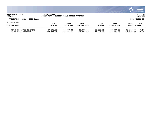|                                                |                                          |                              |                         |                         |                         |                         | $\mathbb{C}$ munist<br>a tyler erp solution |
|------------------------------------------------|------------------------------------------|------------------------------|-------------------------|-------------------------|-------------------------|-------------------------|---------------------------------------------|
| 11/20/2020 14:07<br>nflynn                     | <b>IYATES COUNTY</b><br><b>NEXT YEAR</b> | CURRENT YEAR BUDGET ANALYSIS |                         |                         |                         |                         | 14<br>l P<br>  bgnyrpts                     |
| PROJECTION: 2021<br>2021 Budget                |                                          |                              |                         |                         |                         |                         | FOR PERIOD 99                               |
| ACCOUNTS FOR:                                  | 2019                                     | 2020                         | 2020                    | 2020                    | 2020                    | 2021                    | PCT                                         |
| <b>GENERAL FUND</b>                            | <b>ACTUAL</b>                            | ORIG BUD                     | REVISED BUD             | <b>ACTUAL</b>           | <b>PROJECTION</b>       | ADOPTED CHANGE          |                                             |
| TOTAL EMPLOYEE BENEFITS<br>TOTAL REAL PROPERTY | 47,548.76<br>204, 355. 75                | 65,807.00<br>234,657.00      | 65,807.00<br>234,657.00 | 53,002.72<br>188,496.99 | 65,807.00<br>234,657.00 | 61,160.00<br>225,546.00 | $-7.1%$<br>$-3.9%$                          |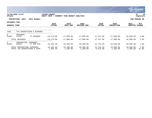|                                             |                            |                               |                             |                              |                       |                          |                           |                        | <b>munis</b><br>a tyler erp solution |
|---------------------------------------------|----------------------------|-------------------------------|-----------------------------|------------------------------|-----------------------|--------------------------|---------------------------|------------------------|--------------------------------------|
| nflynn                                      | 11/20/2020 14:07           |                               | YATES COUNTY<br>NEXT YEAR / | CURRENT YEAR BUDGET ANALYSIS |                       |                          |                           |                        | 15<br>P<br>bgnyrpts                  |
|                                             | PROJECTION: 2021           | 2021 Budget                   |                             |                              |                       |                          |                           |                        | FOR PERIOD 99                        |
| <b>ACCOUNTS FOR:</b><br><b>GENERAL FUND</b> |                            |                               | 2019<br><b>ACTUAL</b>       | 2020<br>ORIG BUD             | 2020<br>REVISED BUD   | 2020<br><b>ACTUAL</b>    | 2020<br><b>PROJECTION</b> | 2021<br><b>ADOPTED</b> | PCT<br><b>CHANGE</b>                 |
| 1362                                        |                            | TAX ADVERTISING & EXPENSE     |                             |                              |                       |                          |                           |                        |                                      |
| $\overline{0}$<br>A1362                     | REVENUES<br>41235          | TX ADV&SRC                    | $-18, 179.00$               | $-17,000.00$                 | $-17,000.00$          | $-17,247.00$             | $-17,000.00$              | $-18,000.00$           | 5.9%                                 |
|                                             | TOTAL REVENUES             |                               | $-18, 179.00$               | $-17,000.00$                 | $-17,000.00$          | $-17,247.00$             | $-17,000.00$              | $-18,000.00$           | 5.9%                                 |
| 4<br>A1362                                  | CONTRACTUAL<br>54922       | <b>EXPENSES</b><br>TX ENF EXP | 19,235.40                   | 19,200.00                    | 19,200.00             | 11,733.20                | 19,200.00                 | 19,500.00              | 1.6%                                 |
|                                             | TOTAL CONTRACTUAL EXPENSES | TOTAL TAX ADVERTISING & EXPE  | 19,235.40<br>1,056.40       | 19,200.00<br>2,200.00        | 19,200.00<br>2,200.00 | 11,733.20<br>$-5,513.80$ | 19,200.00<br>2,200.00     | 19,500.00<br>1,500.00  | 1.6%<br>$-31.8%$                     |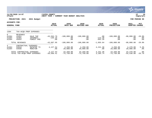|                                      |                                            |                                    |                                  |                              |                             |                                    |                                  |                                 | munis <sup>'</sup><br>a tyler erp solution |
|--------------------------------------|--------------------------------------------|------------------------------------|----------------------------------|------------------------------|-----------------------------|------------------------------------|----------------------------------|---------------------------------|--------------------------------------------|
| nflynn                               | 11/20/2020 14:07                           |                                    | YATES COUNTY<br>NEXT YEAR /      | CURRENT YEAR BUDGET ANALYSIS |                             |                                    |                                  |                                 | 16<br>P<br>bgnyrpts                        |
|                                      | PROJECTION: 2021                           | 2021 Budget                        |                                  |                              |                             |                                    |                                  |                                 | FOR PERIOD 99                              |
| ACCOUNTS FOR:<br><b>GENERAL FUND</b> |                                            |                                    | 2019<br><b>ACTUAL</b>            | 2020<br>ORIG BUD             | 2020<br><b>REVISED BUD</b>  | 2020<br><b>ACTUAL</b>              | 2020<br><b>PROJECTION</b>        | 2021<br>ADOPTED CHANGE          | PCT                                        |
| 1364                                 |                                            | TAX-ACOD PROP EXPENSES             |                                  |                              |                             |                                    |                                  |                                 |                                            |
| $\Omega$<br>A1364<br>A1364<br>A1364  | <b>REVENUES</b><br>41051<br>42401<br>42652 | SALE TAP<br>INTEREST<br>FOREST PRD | $-43,552.79$<br>$-135.16$<br>.00 | $-100,000.00$<br>.00<br>.00  | $-100,000.00$<br>.00<br>.00 | $.00 \,$<br>$-113.38$<br>$-942.26$ | $-100,000.00$<br>$.00 \,$<br>.00 | $-80,000.00$<br>$.00 \,$<br>.00 | $-20.0%$<br>.0%<br>$.0\%$                  |
|                                      | TOTAL REVENUES                             |                                    | $-43,687.95$                     | $-100,000.00$                | $-100,000.00$               | $-1,055.64$                        | $-100,000.00$                    | $-80,000.00$                    | $-20.0%$                                   |
| 4<br>A1364<br>A1364                  | CONTRACTUAL EXPENSES<br>54918<br>54936     | REF&TAP TX<br>MONITOR              | 4,127.54<br>.00                  | 4,250.00<br>20,000.00        | 4,250.00<br>20,000.00       | 4,241.38<br>.00                    | 4,250.00<br>20,000.00            | 4,470.00<br>20,000.00           | 5.2%<br>$.0\%$                             |
|                                      | TOTAL CONTRACTUAL EXPENSES                 | TOTAL TAX-ACOD PROP EXPENSES       | 4,127.54<br>$-39,560.41$         | 24,250.00<br>$-75,750.00$    | 24,250.00<br>$-75,750.00$   | 4,241.38<br>3,185.74               | 24,250.00<br>$-75,750.00$        | 24,470.00<br>$-55,530.00$       | .9%<br>$-26.7%$                            |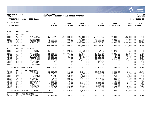|                                                                                                      |                                                                                                                         |                                                                                                                                              |                                                                                                                           |                                                                                                                           |                                                                                                                   |                                                                                                                          |                                                                                                                           |                                                                                                                           | munis<br>a tyler erp solution                                                            |
|------------------------------------------------------------------------------------------------------|-------------------------------------------------------------------------------------------------------------------------|----------------------------------------------------------------------------------------------------------------------------------------------|---------------------------------------------------------------------------------------------------------------------------|---------------------------------------------------------------------------------------------------------------------------|-------------------------------------------------------------------------------------------------------------------|--------------------------------------------------------------------------------------------------------------------------|---------------------------------------------------------------------------------------------------------------------------|---------------------------------------------------------------------------------------------------------------------------|------------------------------------------------------------------------------------------|
| nflynn                                                                                               | 11/20/2020 14:07                                                                                                        |                                                                                                                                              | <b>YATES COUNTY</b><br> NEXT YEAR / CURRENT YEAR BUDGET ANALYSIS                                                          |                                                                                                                           |                                                                                                                   |                                                                                                                          |                                                                                                                           |                                                                                                                           | 17<br>∣P<br>bgnyrpts                                                                     |
|                                                                                                      | PROJECTION: 2021                                                                                                        | 2021 Budget                                                                                                                                  |                                                                                                                           |                                                                                                                           |                                                                                                                   |                                                                                                                          |                                                                                                                           |                                                                                                                           | FOR PERIOD 99                                                                            |
| <b>ACCOUNTS FOR:</b>                                                                                 |                                                                                                                         |                                                                                                                                              |                                                                                                                           |                                                                                                                           |                                                                                                                   |                                                                                                                          |                                                                                                                           |                                                                                                                           |                                                                                          |
| <b>GENERAL FUND</b>                                                                                  |                                                                                                                         |                                                                                                                                              | 2019<br><b>ACTUAL</b>                                                                                                     | 2020<br>ORIG BUD                                                                                                          | 2020<br><b>REVISED BUD</b>                                                                                        | 2020<br><b>ACTUAL</b>                                                                                                    | 2020<br><b>PROJECTION</b>                                                                                                 | 2021<br>ADOPTED CHANGE                                                                                                    | PCT                                                                                      |
|                                                                                                      |                                                                                                                         |                                                                                                                                              |                                                                                                                           |                                                                                                                           |                                                                                                                   |                                                                                                                          |                                                                                                                           |                                                                                                                           |                                                                                          |
| 1410                                                                                                 | COUNTY CLERK                                                                                                            |                                                                                                                                              |                                                                                                                           |                                                                                                                           |                                                                                                                   |                                                                                                                          |                                                                                                                           |                                                                                                                           |                                                                                          |
| $\mathbf 0$<br>A1410<br>A1410<br>A1410<br>A1410<br>A1410                                             | <b>REVENUES</b><br>41136<br>41255<br>42410<br>42545<br>43005                                                            | AUTO TAX<br>CO CLRK FE<br>RENT-CLERK<br>PISTOL PER<br>MORTG TAX                                                                              | $-152, 599.73$<br>$-537,965.39$<br>$-3,000.00$<br>$-4,500.00$<br>$-238,090.96$                                            | $-145,000.00$<br>$-515,000.00$<br>$-3,000.00$<br>$-5,000.00$<br>$-195,000.00$                                             | $-145,000.00$<br>$-515,000.00$<br>$-3,000.00$<br>$-5,000.00$<br>$-195,000.00$                                     | $-129,658.09$<br>$-409, 363.41$<br>$-2,500.00$<br>$-3,072.00$<br>$-265,614.92$                                           | $-145,000.00$<br>$-515,000.00$<br>$-3,000.00$<br>$-5,000.00$<br>$-195,000.00$                                             | $-145,000.00$<br>$-515,000.00$<br>$-3,000.00$<br>$-4,000.00$<br>-250,000.00                                               | .0%<br>.0%<br>.0%<br>$-20.0%$<br>28.2%                                                   |
|                                                                                                      | TOTAL REVENUES                                                                                                          |                                                                                                                                              | $-936, 156.08$                                                                                                            | $-863,000.00$                                                                                                             | $-863,000.00$                                                                                                     | $-810, 208.42$                                                                                                           | $-863,000.00$                                                                                                             | $-917,000.00$                                                                                                             | 6.3%                                                                                     |
| 1<br>A1410<br>A1410<br>A1410<br>A1410<br>A1410<br>A1410<br>A1410<br>A1410<br>A1410<br>A1410          | PERSONAL SERVICES<br>51005<br>51110<br>51135<br>51235<br>51236<br>51250<br>51251<br>51508<br>51509<br>51661             | CO CLERK<br>DEP CLERK<br>MV SUPER<br>MV CASHIER<br>MV CASHIER<br>RECORD CLK<br>RECORD CLK<br>35-40 HRS<br>COMP CSEA<br>COMP NONUN            | 67,555.00<br>40,207.00<br>44,999.10<br>36, 367.81<br>36, 472.55<br>39,536.28<br>39,536.28<br>.00<br>.00<br>6.01           | 67,555.00<br>41,852.00<br>44,832.00<br>38,049.00<br>38,197.00<br>40,477.00<br>40,477.00<br>.00<br>.00<br>.00              | 69,938.00<br>43,720.00<br>47,097.12<br>38,049.00<br>38,197.00<br>40,477.00<br>40,477.00<br>.00<br>.00<br>.00      | 60,862.09<br>38,046.40<br>40,985.29<br>31,687.21<br>34,632.44<br>35, 223. 79<br>35, 223. 73<br>119.89<br>139.87<br>33.56 | 67,555.00<br>41,852.00<br>44,832.00<br>38,049.00<br>38,197.00<br>40, 477.00<br>40,477.00<br>.00<br>.00<br>.00             | 71,337.00<br>44,595.00<br>47,856.00<br>38,861.00<br>38,861.00<br>41,476.00<br>41,126.00<br>.00<br>.00<br>.00              | 5.6%<br>6.6%<br>6.7%<br>2.1%<br>1.7%<br>2.5%<br>1.6%<br>$.0\%$<br>.0 <sub>8</sub><br>.0% |
|                                                                                                      | TOTAL PERSONAL SERVICES                                                                                                 |                                                                                                                                              | 304,680.03                                                                                                                | 311,439.00                                                                                                                | 317,955.12                                                                                                        | 276,954.27                                                                                                               | 311,439.00                                                                                                                | 324,112.00                                                                                                                | 4.1%                                                                                     |
| 4<br>A1410<br>A1410<br>A1410<br>A1410<br>A1410<br>A1410<br>A1410<br>A1410<br>A1410<br>A1410<br>A1410 | CONTRACTUAL EXPENSES<br>54002<br>54470<br>54471<br>54507<br>54515<br>54516<br>54660<br>54682<br>54907<br>54916<br>54964 | ARCHIVAL<br>SUPP:OFF<br>SUPP: PHOTO<br>COPIER CHR<br>POSTAGE<br>PRINTING<br>TRAVEL EXP<br>TEL/FAX<br><b>DUES</b><br>PUBLICATN<br>LEASE: DATA | 44,910.00<br>2,931.90<br>463.78<br>1,395.45<br>2,582.44<br>517.50<br>300.00<br>1,276.70<br>225.00<br>1,808.17<br>1,248.45 | 45,540.00<br>3,300.00<br>475.00<br>1,500.00<br>2,600.00<br>600.00<br>740.00<br>2,640.00<br>225.00<br>2,100.00<br>1,350.00 | 45,540.00<br>3,300.00<br>475.00<br>1,500.00<br>4,972.45<br>.00<br>.00<br>2,640.00<br>225.00<br>2,100.00<br>317.55 | 33,340.00<br>2,661.18<br>.00<br>982.60<br>4,482.42<br>.00<br>.00<br>2,200.00<br>225.00<br>1,729.35<br>317.55             | 45,540.00<br>3,300.00<br>475.00<br>1,500.00<br>2,600.00<br>600.00<br>740.00<br>2,640.00<br>225.00<br>2,100.00<br>1,350.00 | 40,800.00<br>3,300.00<br>475.00<br>1,500.00<br>3,500.00<br>600.00<br>740.00<br>2,640.00<br>225.00<br>2,250.00<br>1,350.00 | $-10.4%$<br>.0%<br>.0%<br>$.0%$<br>34.6%<br>.0%<br>.0%<br>$.0\%$<br>.0%<br>7.1%<br>.0%   |
|                                                                                                      | TOTAL CONTRACTUAL EXPENSES                                                                                              |                                                                                                                                              | 57,659.39                                                                                                                 | 61,070.00                                                                                                                 | 61,070.00                                                                                                         | 45,938.10                                                                                                                | 61,070.00                                                                                                                 | 57,380.00                                                                                                                 | $-6.0%$                                                                                  |
| 8<br>A1410                                                                                           | EMPLOYEE BENEFITS<br>58100                                                                                              | FICA/MED                                                                                                                                     | 21,822.83                                                                                                                 | 22,890.00                                                                                                                 | 23,388.48                                                                                                         | 19,999.29                                                                                                                | 22,890.00                                                                                                                 | 23,831.00                                                                                                                 | 4.1%                                                                                     |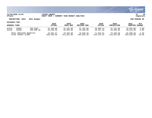

### **11/20/2020 14:07 |YATES COUNTY |P 18 nflynn |NEXT YEAR / CURRENT YEAR BUDGET ANALYSIS |bgnyrpts**

# **PROJECTION: 2021 2021 Budget FOR PERIOD 99**

| <b>GENERAL FUND</b>     |       |               | 2019<br><b>ACTUAL</b> | 2020<br>ORIG BUD | 2020<br><b>REVISED BUD</b> | 2020<br><b>ACTUAL</b> | 2020<br><b>PROJECTION</b> | 2021<br><b>ADOPTED</b> | PCT<br>CHANGE |
|-------------------------|-------|---------------|-----------------------|------------------|----------------------------|-----------------------|---------------------------|------------------------|---------------|
| A1410                   | 58303 | INS-CSEA      | 31,100.88             | 31,101.00        | 31,101.00                  | 28,509.14             | 31,101.00                 | 32,034.00              | 3.0%          |
| A1410                   | 58305 | INS-NON UN    | 25,458.96             | 25,459.00        | 25,459.00                  | 23,337.38             | 25,459.00                 | 26, 223, 00            | 3.0%          |
| TOTAL EMPLOYEE BENEFITS |       | 78,382.67     | 79,450.00             | 79,948.48        | 71,845.81                  | 79,450.00             | 82,088.00                 | 3.3%                   |               |
| TOTAL COUNTY CLERK      |       | $-495.433.99$ | $-411.041.00$         | $-404.026.40$    | -415,470.24                | $-411,041.00$         | $-453.420.00$             | 10.3%                  |               |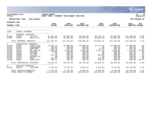|                                                                                             |                                                                                        |                                                                                                                                                              |                                                                                                |                                                                                                       |                                                                                                       |                                                                                          |                                                                                                       |                                                                                                       | munis<br>a tyler erp solution                                                            |
|---------------------------------------------------------------------------------------------|----------------------------------------------------------------------------------------|--------------------------------------------------------------------------------------------------------------------------------------------------------------|------------------------------------------------------------------------------------------------|-------------------------------------------------------------------------------------------------------|-------------------------------------------------------------------------------------------------------|------------------------------------------------------------------------------------------|-------------------------------------------------------------------------------------------------------|-------------------------------------------------------------------------------------------------------|------------------------------------------------------------------------------------------|
| nflynn                                                                                      | 11/20/2020 14:07                                                                       |                                                                                                                                                              | YATES COUNTY<br>NEXT YEAR / CURRENT YEAR BUDGET ANALYSIS                                       |                                                                                                       |                                                                                                       |                                                                                          |                                                                                                       |                                                                                                       | l P<br>19<br>  bgnyrpts                                                                  |
|                                                                                             | PROJECTION: 2021                                                                       | 2021 Budget                                                                                                                                                  |                                                                                                |                                                                                                       |                                                                                                       |                                                                                          |                                                                                                       |                                                                                                       | FOR PERIOD 99                                                                            |
| <b>ACCOUNTS FOR:</b>                                                                        |                                                                                        |                                                                                                                                                              |                                                                                                |                                                                                                       |                                                                                                       |                                                                                          |                                                                                                       |                                                                                                       |                                                                                          |
| <b>GENERAL FUND</b>                                                                         |                                                                                        |                                                                                                                                                              | 2019<br><b>ACTUAL</b>                                                                          | 2020<br>ORIG BUD                                                                                      | 2020<br><b>REVISED BUD</b>                                                                            | 2020<br><b>ACTUAL</b>                                                                    | 2020<br><b>PROJECTION</b>                                                                             | 2021<br><b>ADOPTED CHANGE</b>                                                                         | <b>PCT</b>                                                                               |
| 1420                                                                                        | COUNTY ATTORNEY                                                                        |                                                                                                                                                              |                                                                                                |                                                                                                       |                                                                                                       |                                                                                          |                                                                                                       |                                                                                                       |                                                                                          |
| $\mathbf{1}$<br>A1420<br>A1420                                                              | PERSONAL SERVICES<br>51590<br>51644                                                    | CO ATTY<br>SECR-ATTY                                                                                                                                         | 97,097.00<br>30,164.81                                                                         | 97,097.00<br>30,094.00                                                                                | 99,039.00<br>30,811.20                                                                                | 86,186.73<br>26,854.80                                                                   | 97,097.00<br>30,094.00                                                                                | 101,020.00<br>31,428.00                                                                               | 4.0%<br>4.4%                                                                             |
|                                                                                             | TOTAL PERSONAL SERVICES                                                                |                                                                                                                                                              | 127, 261.81                                                                                    | 127,191.00                                                                                            | 129,850.20                                                                                            | 113,041.53                                                                               | 127,191.00                                                                                            | 132,448.00                                                                                            | 4.1%                                                                                     |
| 4<br>A1420<br>A1420<br>A1420<br>A1420<br>A1420<br>A1420<br>A1420<br>A1420<br>A1420<br>A1420 | 54025<br>54152<br>54470<br>54512<br>54515<br>54654<br>54682<br>54755<br>54907<br>54916 | CONTRACTUAL EXPENSES<br>LEGAL ASST<br>CONFERENCE<br>SUPP:OFF<br>ON LINE DA<br>POSTAGE<br>MILEAGE<br>TEL/FAX<br><b>WITNESS FE</b><br><b>DUES</b><br>PUBLICATN | 70,529.15<br>150.00<br>504.10<br>2,160.80<br>90.00<br>.00<br>307.30<br>.00<br>254.00<br>108.11 | 45,000.00<br>200.00<br>385.00<br>3,168.00<br>100.00<br>200.00<br>960.00<br>150.00<br>300.00<br>300.00 | 45,000.00<br>200.00<br>385.00<br>3,168.00<br>100.00<br>200.00<br>960.00<br>150.00<br>300.00<br>300.00 | 57,579.40<br>.00<br>27.63<br>2,247.92<br>.00<br>.00<br>800.00<br>.00<br>254.00<br>109.20 | 45,000.00<br>200.00<br>385.00<br>3,168.00<br>100.00<br>200.00<br>960.00<br>150.00<br>300.00<br>300.00 | 45,000.00<br>200.00<br>385.00<br>2,470.00<br>100.00<br>200.00<br>960.00<br>150.00<br>300.00<br>100.00 | .0 <sub>8</sub><br>.0%<br>.0%<br>$-22.0%$<br>.0%<br>.0%<br>.0%<br>.0%<br>.0%<br>$-66.7%$ |
|                                                                                             |                                                                                        | TOTAL CONTRACTUAL EXPENSES                                                                                                                                   | 74,103.46                                                                                      | 50,763.00                                                                                             | 50,763.00                                                                                             | 61,018.15                                                                                | 50,763.00                                                                                             | 49,865.00                                                                                             | $-1.8%$                                                                                  |
| 8<br>A1420                                                                                  | EMPLOYEE BENEFITS<br>58100                                                             | FICA/MED                                                                                                                                                     | 9,763.26                                                                                       | 9,731.00                                                                                              | 9,934.43                                                                                              | 8,619.85                                                                                 | 9,731.00                                                                                              | 10,133.00                                                                                             | 4.1%                                                                                     |
|                                                                                             | TOTAL EMPLOYEE BENEFITS<br>TOTAL COUNTY ATTORNEY                                       |                                                                                                                                                              | 9,763.26<br>211, 128.53                                                                        | 9,731.00<br>187,685.00                                                                                | 9,934.43<br>190,547.63                                                                                | 8,619.85<br>182,679.53                                                                   | 9,731.00<br>187,685.00                                                                                | 10,133.00<br>192,446.00                                                                               | 4.1%<br>2.5%                                                                             |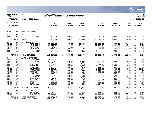|                                                                                                                                                                          |                                                                                                                                                                               |                                                                                                                                                                                                                            |                                                                                                                                                                                              |                                                                                                                                                                                                      |                                                                                                                                                                                        |                                                                                                                                                                                       |                                                                                                                                                                                                                |                                                                                                                                                                                   | munis<br>a tyler erp solution                                                                                                                             |
|--------------------------------------------------------------------------------------------------------------------------------------------------------------------------|-------------------------------------------------------------------------------------------------------------------------------------------------------------------------------|----------------------------------------------------------------------------------------------------------------------------------------------------------------------------------------------------------------------------|----------------------------------------------------------------------------------------------------------------------------------------------------------------------------------------------|------------------------------------------------------------------------------------------------------------------------------------------------------------------------------------------------------|----------------------------------------------------------------------------------------------------------------------------------------------------------------------------------------|---------------------------------------------------------------------------------------------------------------------------------------------------------------------------------------|----------------------------------------------------------------------------------------------------------------------------------------------------------------------------------------------------------------|-----------------------------------------------------------------------------------------------------------------------------------------------------------------------------------|-----------------------------------------------------------------------------------------------------------------------------------------------------------|
| nflynn                                                                                                                                                                   | 11/20/2020 14:07                                                                                                                                                              |                                                                                                                                                                                                                            | <b>YATES COUNTY</b><br>NEXT YEAR / CURRENT YEAR BUDGET ANALYSIS                                                                                                                              |                                                                                                                                                                                                      |                                                                                                                                                                                        |                                                                                                                                                                                       |                                                                                                                                                                                                                |                                                                                                                                                                                   | l P<br>20<br>  bgnyrpts                                                                                                                                   |
|                                                                                                                                                                          | PROJECTION: 2021                                                                                                                                                              | 2021 Budget                                                                                                                                                                                                                |                                                                                                                                                                                              |                                                                                                                                                                                                      |                                                                                                                                                                                        |                                                                                                                                                                                       |                                                                                                                                                                                                                |                                                                                                                                                                                   | FOR PERIOD 99                                                                                                                                             |
| ACCOUNTS FOR:                                                                                                                                                            |                                                                                                                                                                               |                                                                                                                                                                                                                            | 2019                                                                                                                                                                                         | 2020                                                                                                                                                                                                 | 2020                                                                                                                                                                                   | 2020                                                                                                                                                                                  | 2020                                                                                                                                                                                                           | 2021                                                                                                                                                                              | PCT                                                                                                                                                       |
| <b>GENERAL FUND</b>                                                                                                                                                      |                                                                                                                                                                               |                                                                                                                                                                                                                            | <b>ACTUAL</b>                                                                                                                                                                                | ORIG BUD                                                                                                                                                                                             | REVISED BUD                                                                                                                                                                            | <b>ACTUAL</b>                                                                                                                                                                         | <b>PROJECTION</b>                                                                                                                                                                                              | <b>ADOPTED CHANGE</b>                                                                                                                                                             |                                                                                                                                                           |
| 1430                                                                                                                                                                     | PERSONNEL DEPARTMENT                                                                                                                                                          |                                                                                                                                                                                                                            |                                                                                                                                                                                              |                                                                                                                                                                                                      |                                                                                                                                                                                        |                                                                                                                                                                                       |                                                                                                                                                                                                                |                                                                                                                                                                                   |                                                                                                                                                           |
| $0 \qquad \qquad$<br>A1430                                                                                                                                               | <b>REVENUES</b><br>41260                                                                                                                                                      | PERSONNEL                                                                                                                                                                                                                  | $-12,100.94$                                                                                                                                                                                 | $-8,000.00$                                                                                                                                                                                          | $-8,000.00$                                                                                                                                                                            | $-6,829.12$                                                                                                                                                                           | $-8,000.00$                                                                                                                                                                                                    | $-8,000.00$                                                                                                                                                                       | .0%                                                                                                                                                       |
|                                                                                                                                                                          | TOTAL REVENUES                                                                                                                                                                |                                                                                                                                                                                                                            | $-12,100.94$                                                                                                                                                                                 | $-8,000.00$                                                                                                                                                                                          | $-8,000.00$                                                                                                                                                                            | $-6,829.12$                                                                                                                                                                           | $-8,000.00$                                                                                                                                                                                                    | $-8,000.00$                                                                                                                                                                       | .0%                                                                                                                                                       |
| $\mathbf{1}$<br>A1430<br>A1430<br>A1430<br>A1430<br>A1430<br>A1430                                                                                                       | PERSONAL SERVICES<br>51080<br>51140<br>51505<br>51615<br>51661<br>51961                                                                                                       | PERS OFFCR<br>PERS ASSIS<br>OVERTIME<br>EXAM MNTR<br>COMP NONUN<br>35-40 HRS                                                                                                                                               | 69,656.87<br>39.351.01<br>39,351.01<br>18.84<br>776.95<br>1,680.11<br>753.84                                                                                                                 | 69,657.00<br>39,351.00<br>500<br>500.00<br>1,300.00<br>500.00                                                                                                                                        | 69,657.00<br>40,138.00<br>41.03<br>458.97<br>1,613.65<br>500.00                                                                                                                        | 60,617.69<br>26,502.80<br>41.03<br>204.85<br>1,533.65<br>202.44                                                                                                                       | 69,657.00<br>39,351.00<br>.00<br>500.00<br>1,300.00<br>500.00                                                                                                                                                  | 71,051.00<br>40,775.00<br>.00<br>500.00<br>400.00                                                                                                                                 | 2.0%<br>3.6%<br>.0%<br>$.0\%$<br>$.00 - 100.0%$<br>$-20.0$ °                                                                                              |
|                                                                                                                                                                          | TOTAL PERSONAL SERVICES                                                                                                                                                       |                                                                                                                                                                                                                            | 112, 237.62                                                                                                                                                                                  | 111,308.00                                                                                                                                                                                           | 112,408.65                                                                                                                                                                             | 89,102.46                                                                                                                                                                             | 111,308.00                                                                                                                                                                                                     | 112,726.00                                                                                                                                                                        | 1.3%                                                                                                                                                      |
| $4\overline{ }$<br>A1430<br>A1430<br>A1430<br>A1430<br>A1430<br>A1430<br>A1430<br>A1430<br>A1430<br>A1430<br>A1430<br>A1430<br>A1430<br>A1430<br>A1430<br>A1430<br>A1430 | CONTRACTUAL EXPENSES<br>54005<br>54011<br>54019<br>54034<br>54156<br>54470<br>54501<br>54507<br>54515<br>54516<br>54572<br>54575<br>54660<br>54682<br>54903<br>54907<br>54920 | <b>AUDIT FEES</b><br>CONSULTANT<br>EAP<br>PHYSICALS<br>TRAINING<br>SUPP:OFF<br>ADVERTISIN<br>COPIER CHR<br>POSTAGE<br>PRINTING<br>COMP ACCES<br>SOFT MAINT<br>TRAVEL EXP<br>TEL/FAX<br>AWARDS<br><b>DUES</b><br>STATE FEES | 4,000.00<br>52,280.91<br>3,617.60<br>6,564.11<br>3,133.25<br>955.46<br>2,607.54<br>1,389.15<br>269.41<br>411.87<br>.00<br>5,870.00<br>$519.96$<br>$416.60$<br>1,043.53<br>369.00<br>2,481.50 | $\overline{00}$<br>12,000.00<br>3,750.00<br>3,750.00<br>2,200.00<br>850.00<br>5,000.00<br>1,600.00<br>350.00<br>200.00<br>200.00<br>6,050.00<br>1,000.00<br>720.00<br>1,300.00<br>355.00<br>2,500.00 | .00<br>12,000.00<br>3,591.00<br>3,750.00<br>2,200.00<br>850.00<br>4,900.00<br>1,600.00<br>350.00<br>150.00<br>143.35<br>6,050.00<br>950.00<br>720.00<br>1,300.00<br>355.00<br>2,602.00 | $10^{-100}$<br>9,486.00<br>3,591.00<br>3,092.41<br>1,500.00<br>279.84<br>1,225.50<br>1,108.30<br>227.35<br>.00<br>.00<br>6,050.00<br>.00<br>600.00<br>$\ddotsc$<br>319.00<br>2,602.00 | .00<br>12,000.00<br>$\frac{3}{3}, \frac{750}{300}$<br>3,750.00<br>2,200.00<br>850.00<br>5,000.00<br>1,600.00<br>350.00<br>200.00<br>200.00<br>6,050.00<br>1,000.00<br>720.00<br>1,300.00<br>355.00<br>2,500.00 | .00<br>10,000.00<br>3,750.00<br>$3,750.00$<br>2,200.00<br>850.00<br>3,500.00<br>1,600.00<br>350.00<br>300.00<br>6, 230.00<br>1,000.00<br>720.00<br>1,450.00<br>355.00<br>2,500.00 | $.0\%$<br>$-16.7%$<br>$.0\%$<br>.0%<br>.0%<br>.0%<br>$-30.0%$<br>.0%<br>.0%<br>50.0%<br>$.00 - 100.0%$<br>3.0%<br>$.0\%$<br>.0%<br>11.5%<br>.0%<br>$.0\%$ |
|                                                                                                                                                                          | TOTAL CONTRACTUAL EXPENSES                                                                                                                                                    |                                                                                                                                                                                                                            | 85,929.89                                                                                                                                                                                    | 41,825.00                                                                                                                                                                                            | 41,511.35                                                                                                                                                                              | 30,081.40                                                                                                                                                                             | 41,825.00                                                                                                                                                                                                      | 38,555.00                                                                                                                                                                         | $-7.8%$                                                                                                                                                   |
| 8<br>A1430<br>A1430                                                                                                                                                      | EMPLOYEE BENEFITS<br>58100<br>58305                                                                                                                                           | FICA/MED<br>INS-NON UN                                                                                                                                                                                                     | 7,898.16<br>38, 283. 24                                                                                                                                                                      | 7,894.00<br>38,284.00                                                                                                                                                                                | 7,954.21<br>38,284.00                                                                                                                                                                  | 6,279.14<br>35,092.97                                                                                                                                                                 | 7,894.00<br>38,284.00                                                                                                                                                                                          | 7,984.00<br>39,432.00                                                                                                                                                             | 1.1%<br>3.0%                                                                                                                                              |
|                                                                                                                                                                          | TOTAL EMPLOYEE BENEFITS<br>TOTAL PERSONNEL DEPARTMENT                                                                                                                         |                                                                                                                                                                                                                            | 46,181.40<br>232, 247.97                                                                                                                                                                     | 46,178.00<br>191,311.00                                                                                                                                                                              | 46,238.21<br>192, 158. 21                                                                                                                                                              | 41,372.11<br>153,726.85                                                                                                                                                               | 46,178.00<br>191,311.00                                                                                                                                                                                        | 47,416.00<br>190,697.00                                                                                                                                                           | 2.7%<br>$-.3%$                                                                                                                                            |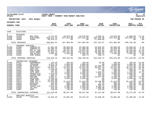|                                                                                                                                                                                  |                                                                                                                                                                                        |                                                                                                                                                                                                                                      |                                                                                                                                                                                                         |                                                                                                                                                                                                       |                                                                                                                                                                                                       |                                                                                                                                                                                               |                                                                                                                                                                                                       |                                                                                                                                                                                                        | <b>munis</b><br>a tyler erp solution                                                                                                                                                            |
|----------------------------------------------------------------------------------------------------------------------------------------------------------------------------------|----------------------------------------------------------------------------------------------------------------------------------------------------------------------------------------|--------------------------------------------------------------------------------------------------------------------------------------------------------------------------------------------------------------------------------------|---------------------------------------------------------------------------------------------------------------------------------------------------------------------------------------------------------|-------------------------------------------------------------------------------------------------------------------------------------------------------------------------------------------------------|-------------------------------------------------------------------------------------------------------------------------------------------------------------------------------------------------------|-----------------------------------------------------------------------------------------------------------------------------------------------------------------------------------------------|-------------------------------------------------------------------------------------------------------------------------------------------------------------------------------------------------------|--------------------------------------------------------------------------------------------------------------------------------------------------------------------------------------------------------|-------------------------------------------------------------------------------------------------------------------------------------------------------------------------------------------------|
| nflynn                                                                                                                                                                           | 11/20/2020 14:07                                                                                                                                                                       |                                                                                                                                                                                                                                      | <b>YATES COUNTY</b><br> NEXT YEAR / CURRENT YEAR BUDGET ANALYSIS                                                                                                                                        |                                                                                                                                                                                                       |                                                                                                                                                                                                       |                                                                                                                                                                                               |                                                                                                                                                                                                       |                                                                                                                                                                                                        | l P<br>21<br>bgnyrpts                                                                                                                                                                           |
|                                                                                                                                                                                  | PROJECTION: 2021                                                                                                                                                                       | 2021 Budget                                                                                                                                                                                                                          |                                                                                                                                                                                                         |                                                                                                                                                                                                       |                                                                                                                                                                                                       |                                                                                                                                                                                               |                                                                                                                                                                                                       |                                                                                                                                                                                                        | FOR PERIOD 99                                                                                                                                                                                   |
| ACCOUNTS FOR:                                                                                                                                                                    |                                                                                                                                                                                        |                                                                                                                                                                                                                                      |                                                                                                                                                                                                         |                                                                                                                                                                                                       |                                                                                                                                                                                                       |                                                                                                                                                                                               |                                                                                                                                                                                                       |                                                                                                                                                                                                        |                                                                                                                                                                                                 |
| <b>GENERAL FUND</b>                                                                                                                                                              |                                                                                                                                                                                        |                                                                                                                                                                                                                                      | 2019<br><b>ACTUAL</b>                                                                                                                                                                                   | 2020<br>ORIG BUD                                                                                                                                                                                      | 2020<br>REVISED BUD                                                                                                                                                                                   | 2020<br><b>ACTUAL</b>                                                                                                                                                                         | 2020<br><b>PROJECTION</b>                                                                                                                                                                             | 2021<br><b>ADOPTED CHANGE</b>                                                                                                                                                                          | PCT                                                                                                                                                                                             |
| 1450                                                                                                                                                                             | <b>ELECTIONS</b>                                                                                                                                                                       |                                                                                                                                                                                                                                      |                                                                                                                                                                                                         |                                                                                                                                                                                                       |                                                                                                                                                                                                       |                                                                                                                                                                                               |                                                                                                                                                                                                       |                                                                                                                                                                                                        |                                                                                                                                                                                                 |
|                                                                                                                                                                                  |                                                                                                                                                                                        |                                                                                                                                                                                                                                      |                                                                                                                                                                                                         |                                                                                                                                                                                                       |                                                                                                                                                                                                       |                                                                                                                                                                                               |                                                                                                                                                                                                       |                                                                                                                                                                                                        |                                                                                                                                                                                                 |
| $\mathbf 0$<br>A1450<br>A1450<br>A1450                                                                                                                                           | <b>REVENUES</b><br>41289<br>42210<br>43089                                                                                                                                             | BOE FEES<br><b>ELECTIONS</b><br>OTHER                                                                                                                                                                                                | $-3,773.65$<br>$-305, 813.14$<br>$-48, 414.22$                                                                                                                                                          | $-10,070.00$<br>$-317,913.00$<br>.00                                                                                                                                                                  | $-10,070.00$<br>$-317,913.00$<br>.00                                                                                                                                                                  | $-2,682.51$<br>$-307, 470.46$<br>$-27,009.60$                                                                                                                                                 | $-10,070.00$<br>$-317, 913.00$<br>.00                                                                                                                                                                 | $-2,808.00$<br>$-327,983.00$<br>.00                                                                                                                                                                    | $-72.1%$<br>3.2%<br>.0%                                                                                                                                                                         |
|                                                                                                                                                                                  | TOTAL REVENUES                                                                                                                                                                         |                                                                                                                                                                                                                                      | $-358,001.01$                                                                                                                                                                                           | $-327,983.00$                                                                                                                                                                                         | $-327,983.00$                                                                                                                                                                                         | $-337, 162.57$                                                                                                                                                                                | $-327,983.00$                                                                                                                                                                                         | $-330,791.00$                                                                                                                                                                                          | .9%                                                                                                                                                                                             |
| $\mathbf{1}$<br>A1450<br>A1450<br>A1450<br>A1450<br>A1450<br>A1450                                                                                                               | PERSONAL SERVICES<br>51050<br>51051<br>51595<br>51596<br>51660<br>51661                                                                                                                | COMMISS-EL<br>COMMISS-EL<br>DEP EL COM<br>ELECT WORK<br>INS BUYOUT<br>COMP NONUN                                                                                                                                                     | 47,581.85<br>45,389.32<br>52,945.41<br>71,933.73<br>2,583.84<br>.00                                                                                                                                     | 50,850.00<br>50,850.00<br>68,327.00<br>153,723.00<br>2,584.00<br>.00                                                                                                                                  | 52,900.00<br>52,900.00<br>74,661.60<br>153,514.26<br>2,584.00<br>208.74                                                                                                                               | 46,035.03<br>46,035.02<br>70,919.54<br>86,962.89<br>2,368.52<br>208.74                                                                                                                        | 50,850.00<br>50,850.00<br>68,327.00<br>153,723.00<br>2,584.00<br>.00                                                                                                                                  | 53,958.00<br>53,958.00<br>76,155.00<br>90,490.00<br>2,662.00<br>.00                                                                                                                                    | 6.1%<br>6.1%<br>11.5%<br>$-41.1%$<br>3.0%<br>.0%                                                                                                                                                |
|                                                                                                                                                                                  | TOTAL PERSONAL SERVICES                                                                                                                                                                |                                                                                                                                                                                                                                      | 220, 434.15                                                                                                                                                                                             | 326,334.00                                                                                                                                                                                            | 336,768.60                                                                                                                                                                                            | 252,529.74                                                                                                                                                                                    | 326, 334.00                                                                                                                                                                                           | 277, 223.00                                                                                                                                                                                            | $-15.0%$                                                                                                                                                                                        |
| $\overline{4}$<br>A1450<br>A1450<br>A1450<br>A1450<br>A1450<br>A1450<br>A1450<br>A1450<br>A1450<br>A1450<br>A1450<br>A1450<br>A1450<br>A1450<br>A1450<br>A1450<br>A1450<br>A1450 | CONTRACTUAL EXPENSES<br>54152<br>54156<br>54408<br>54461<br>54470<br>54481<br>54484<br>54501<br>54507<br>54515<br>54516<br>54571<br>54576<br>54653<br>54654<br>54660<br>54682<br>54907 | CONFERENCE<br>TRAINING<br>EQ MAINT<br>SUPP: ELECT<br>SUPP:OFF<br>TRNG SUPP<br>VOTE SUPP<br>ADVERTISIN<br>COPIER CHR<br>POSTAGE<br>PRINTING<br>COMP SOFT<br>COMP SFT A<br>GASOLINE<br>MILEAGE<br>TRAVEL EXP<br>TEL/FAX<br><b>DUES</b> | 120.00<br>5,074.78<br>3,880.07<br>54,924.17<br>2,408.98<br>119.91<br>972.63<br>2,434.80<br>698.17<br>3,904.17<br>2,936.64<br>12,456.00<br>27,019.00<br>166.00<br>631.04<br>2,918.63<br>615.00<br>140.00 | 200.00<br>3,000.00<br>4,684.00<br>32,924.00<br>1,200.00<br>400.00<br>1,800.00<br>2,000.00<br>750.00<br>8,500.00<br>3,500.00<br>.00<br>31,919.00<br>900.00<br>500.00<br>3,800.00<br>2,400.00<br>140.00 | 200.00<br>3,000.00<br>4,684.00<br>32,924.00<br>1,200.00<br>400.00<br>1,800.00<br>2,000.00<br>750.00<br>8,500.00<br>3,500.00<br>.00<br>31,919.00<br>900.00<br>500.00<br>3,800.00<br>2,400.00<br>140.00 | 60.00<br>.00<br>12,299.25<br>30,947.19<br>656.29<br>$\ddotsc 00$<br>1,085.43<br>353.04<br>753.10<br>14,617.98<br>.00<br>.00<br>26,169.00<br>37.40<br>505.44<br>1,488.76<br>2,000.00<br>140.00 | 200.00<br>3,000.00<br>4,684.00<br>32,924.00<br>1,200.00<br>400.00<br>1,800.00<br>2,000.00<br>750.00<br>8,500.00<br>3,500.00<br>.00<br>31,919.00<br>900.00<br>500.00<br>3,800.00<br>2,400.00<br>140.00 | 180.00<br>4,000.00<br>3,404.00<br>18,113.00<br>1,000.00<br>400.00<br>2,100.00<br>2,000.00<br>750.00<br>7,500.00<br>3,200.00<br>.00<br>26, 169.00<br>500.00<br>615.00<br>3,800.00<br>2,400.00<br>140.00 | $-10.0%$<br>33.3%<br>$-27.3%$<br>$-45.0%$<br>$-16.7%$<br>.0%<br>16.7%<br>.0%<br>.0%<br>$-11.8%$<br>$-8.6%$<br>.0%<br>$-18.0%$<br>$-44.4%$<br>23.0%<br>.0 <sub>8</sub><br>.0%<br>.0 <sub>8</sub> |
|                                                                                                                                                                                  | TOTAL CONTRACTUAL EXPENSES                                                                                                                                                             |                                                                                                                                                                                                                                      | 121, 419.99                                                                                                                                                                                             | 98,617.00                                                                                                                                                                                             | 98,617.00                                                                                                                                                                                             | 91,112.88                                                                                                                                                                                     | 98,617.00                                                                                                                                                                                             | 76,271.00                                                                                                                                                                                              | $-22.7%$                                                                                                                                                                                        |
| 8<br>A1450                                                                                                                                                                       | EMPLOYEE BENEFITS<br>58100                                                                                                                                                             | FICA/MED                                                                                                                                                                                                                             | 13,810.35                                                                                                                                                                                               | 24,881.00                                                                                                                                                                                             | 25,679.26                                                                                                                                                                                             | 15,930.49                                                                                                                                                                                     | 24,881.00                                                                                                                                                                                             | $21,208.00 -14.8$                                                                                                                                                                                      |                                                                                                                                                                                                 |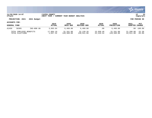

### **11/20/2020 14:07 |YATES COUNTY |P 22 nflynn |NEXT YEAR / CURRENT YEAR BUDGET ANALYSIS |bgnyrpts**

# **PROJECTION: 2021 2021 Budget FOR PERIOD 99**

| <b>GENERAL FUND</b> |                                            |            | 2019<br><b>ACTUAL</b>   | 2020<br>ORIG BUD        | 2020<br>REVISED BUD     | 2020<br><b>ACTUAL</b>  | 2020<br><b>PROJECTION</b> | 2021<br>ADOPTED CHANGE | PCT                  |
|---------------------|--------------------------------------------|------------|-------------------------|-------------------------|-------------------------|------------------------|---------------------------|------------------------|----------------------|
| A1450               | 58305                                      | INS-NON UN | 3,993.84                | 6,460.00                | 6,460.00                | .00                    | 6,460.00                  |                        | $.00 - 100.0$ %      |
|                     | TOTAL EMPLOYEE BENEFITS<br>TOTAL ELECTIONS |            | 17.804.19<br>. . 657.32 | 31,341.00<br>128,309.00 | 32,139.26<br>139,541.86 | 15,930.49<br>22,410.54 | 31,341.00<br>128,309.00   | 21,208.00<br>43,911.00 | $-32.3%$<br>$-65.8%$ |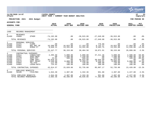|                                                                  |                                                             |                                                                                                                   |                                                                       |                                                                       |                                                                             |                                                                       |                                                                             |                                                                       | munis<br>a tyler erp solution                                  |
|------------------------------------------------------------------|-------------------------------------------------------------|-------------------------------------------------------------------------------------------------------------------|-----------------------------------------------------------------------|-----------------------------------------------------------------------|-----------------------------------------------------------------------------|-----------------------------------------------------------------------|-----------------------------------------------------------------------------|-----------------------------------------------------------------------|----------------------------------------------------------------|
| nflynn                                                           | 11/20/2020 14:07                                            |                                                                                                                   | YATES COUNTY<br>NEXT YEAR /                                           | CURRENT YEAR BUDGET ANALYSIS                                          |                                                                             |                                                                       |                                                                             |                                                                       | lР<br>23<br>  bgnyrpts                                         |
|                                                                  | PROJECTION: 2021                                            | 2021 Budget                                                                                                       |                                                                       |                                                                       |                                                                             |                                                                       |                                                                             |                                                                       | FOR PERIOD 99                                                  |
| <b>ACCOUNTS FOR:</b>                                             |                                                             |                                                                                                                   |                                                                       |                                                                       |                                                                             |                                                                       |                                                                             |                                                                       |                                                                |
| <b>GENERAL FUND</b>                                              |                                                             |                                                                                                                   | 2019<br><b>ACTUAL</b>                                                 | 2020<br>ORIG BUD                                                      | 2020<br>REVISED BUD                                                         | 2020<br><b>ACTUAL</b>                                                 | 2020<br><b>PROJECTION</b>                                                   | 2021<br>ADOPTED CHANGE                                                | <b>PCT</b>                                                     |
| 1460                                                             | RECORDS MANAGEMENT                                          |                                                                                                                   |                                                                       |                                                                       |                                                                             |                                                                       |                                                                             |                                                                       |                                                                |
| $\mathbf 0$<br>A1460                                             | <b>REVENUES</b><br>43089                                    | <b>OTHER</b>                                                                                                      | $-74, 192.00$                                                         | .00                                                                   | $-36, 915.00$                                                               | $-27,649.00$                                                          | $-36, 915.00$                                                               | .00                                                                   | .0%                                                            |
|                                                                  | TOTAL REVENUES                                              |                                                                                                                   | $-74, 192.00$                                                         | .00                                                                   | $-36, 915.00$                                                               | $-27,649.00$                                                          | $-36, 915.00$                                                               | .00                                                                   | .0%                                                            |
| $\mathbf{1}$<br>A1460<br>A1460<br>A1460                          | PERSONAL SERVICES<br>51221<br>51581<br>51641                | <b>CLERK</b><br>REC MGT OF<br>RCRDS PT                                                                            | .00<br>16,599.66<br>8,848.11                                          | .00<br>16,822.00<br>13,331.00                                         | .00<br>17,153.50<br>13,331.00                                               | 776.89<br>8,732.27<br>9,562.75                                        | .00<br>16,822.00<br>13,331.00                                               | .00<br>17,564.00<br>11,535.00                                         | .0%<br>4.4%<br>$-13.5%$                                        |
|                                                                  | TOTAL PERSONAL SERVICES                                     |                                                                                                                   | 25, 447. 77                                                           | 30,153.00                                                             | 30,484.50                                                                   | 19,071.91                                                             | 30,153.00                                                                   | 29,099.00                                                             | $-3.5%$                                                        |
| 4<br>A1460<br>A1460<br>A1460<br>A1460<br>A1460<br>A1460<br>A1460 | 54011<br>54451<br>54470<br>54571<br>54575<br>54682<br>54964 | CONTRACTUAL EXPENSES<br>CONSULTANT<br>SUPP: ARCH<br>SUPP:OFF<br>COMP SOFT<br>SOFT MAINT<br>TEL/FAX<br>LEASE: DATA | 2,495.50<br>.00<br>23.01<br>36,018.54<br>4,540.00<br>112.90<br>724.62 | 5,000.00<br>1,500.00<br>500.00<br>.00<br>8,000.00<br>720.00<br>100.00 | 5,000.00<br>1,249.09<br>500.00<br>36,915.00<br>8,250.91<br>720.00<br>100.00 | 37, 411.46<br>.00<br>.00<br>38,644.80<br>8,250.91<br>600.00<br>100.00 | 5,000.00<br>1,500.00<br>500.00<br>36,915.00<br>8,000.00<br>720.00<br>100.00 | 2,500.00<br>1,000.00<br>100.00<br>.00<br>9,000.00<br>720.00<br>100.00 | $-50.0%$<br>$-33.3%$<br>$-80.0%$<br>.0%<br>12.5%<br>.0%<br>.0% |
|                                                                  | TOTAL CONTRACTUAL EXPENSES                                  |                                                                                                                   | 43, 914.57                                                            | 15,820.00                                                             | 52,735.00                                                                   | 85,007.17                                                             | 52,735.00                                                                   | 13,420.00                                                             | $-15.2%$                                                       |
| 8<br>A1460                                                       | EMPLOYEE BENEFITS<br>58100                                  | FICA/MED                                                                                                          | 1,944.30                                                              | 2,307.00                                                              | 2,332.36                                                                    | 951.80                                                                | 2,307.00                                                                    | 2,227.00                                                              | $-3.5%$                                                        |
|                                                                  | TOTAL EMPLOYEE BENEFITS<br>TOTAL RECORDS MANAGEMENT         |                                                                                                                   | 1,944.30<br>$-2,885.36$                                               | 2,307.00<br>48,280.00                                                 | 2,332.36<br>48,636.86                                                       | 951.80<br>77,381.88                                                   | 2,307.00<br>48,280.00                                                       | 2,227.00<br>44,746.00                                                 | $-3.5%$<br>$-7.3%$                                             |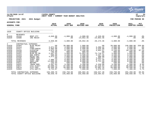|                                                                                                                                                   |                                                                                                                                                             |                                                                                                                                                                                                                                             |                                                                                                                                                                                 |                                                                                                                                                                                             |                                                                                                                                                                                             |                                                                                                                                                                                |                                                                                                                                                                                             |                                                                                                                                                                                               | <b>munis</b><br>a tyler erp solution                                                                                                                      |
|---------------------------------------------------------------------------------------------------------------------------------------------------|-------------------------------------------------------------------------------------------------------------------------------------------------------------|---------------------------------------------------------------------------------------------------------------------------------------------------------------------------------------------------------------------------------------------|---------------------------------------------------------------------------------------------------------------------------------------------------------------------------------|---------------------------------------------------------------------------------------------------------------------------------------------------------------------------------------------|---------------------------------------------------------------------------------------------------------------------------------------------------------------------------------------------|--------------------------------------------------------------------------------------------------------------------------------------------------------------------------------|---------------------------------------------------------------------------------------------------------------------------------------------------------------------------------------------|-----------------------------------------------------------------------------------------------------------------------------------------------------------------------------------------------|-----------------------------------------------------------------------------------------------------------------------------------------------------------|
| nflynn                                                                                                                                            | 11/20/2020 14:07                                                                                                                                            |                                                                                                                                                                                                                                             | YATES COUNTY<br>NEXT YEAR / CURRENT YEAR BUDGET ANALYSIS                                                                                                                        |                                                                                                                                                                                             |                                                                                                                                                                                             |                                                                                                                                                                                |                                                                                                                                                                                             |                                                                                                                                                                                               | lР<br>24<br>  bgnyrpts                                                                                                                                    |
|                                                                                                                                                   | PROJECTION: 2021                                                                                                                                            | 2021 Budget                                                                                                                                                                                                                                 |                                                                                                                                                                                 |                                                                                                                                                                                             |                                                                                                                                                                                             |                                                                                                                                                                                |                                                                                                                                                                                             |                                                                                                                                                                                               | FOR PERIOD 99                                                                                                                                             |
| <b>ACCOUNTS FOR:</b>                                                                                                                              |                                                                                                                                                             |                                                                                                                                                                                                                                             |                                                                                                                                                                                 |                                                                                                                                                                                             |                                                                                                                                                                                             |                                                                                                                                                                                |                                                                                                                                                                                             |                                                                                                                                                                                               |                                                                                                                                                           |
| <b>GENERAL FUND</b>                                                                                                                               |                                                                                                                                                             |                                                                                                                                                                                                                                             | 2019<br><b>ACTUAL</b>                                                                                                                                                           | 2020<br>ORIG BUD                                                                                                                                                                            | 2020<br>REVISED BUD                                                                                                                                                                         | 2020<br><b>ACTUAL</b>                                                                                                                                                          | 2020<br><b>PROJECTION</b>                                                                                                                                                                   | 2021<br><b>ADOPTED CHANGE</b>                                                                                                                                                                 | PCT                                                                                                                                                       |
| 1620                                                                                                                                              |                                                                                                                                                             | COUNTY OFFICE BUILDING                                                                                                                                                                                                                      |                                                                                                                                                                                 |                                                                                                                                                                                             |                                                                                                                                                                                             |                                                                                                                                                                                |                                                                                                                                                                                             |                                                                                                                                                                                               |                                                                                                                                                           |
| 0<br>A1620<br>A1620                                                                                                                               | <b>REVENUES</b><br>42416<br>42680                                                                                                                           | RENT-CTY<br>INS RECOV                                                                                                                                                                                                                       | $-4,840.00$<br>.00                                                                                                                                                              | $-4,800.00$<br>.00                                                                                                                                                                          | $-4,800.00$<br>$-24,852.46$                                                                                                                                                                 | $-4,320.00$<br>$-24,853.46$                                                                                                                                                    | $-4.800.00$<br>.00                                                                                                                                                                          | $-4,800.00$<br>.00                                                                                                                                                                            | $.0\%$<br>.0%                                                                                                                                             |
|                                                                                                                                                   | TOTAL REVENUES                                                                                                                                              |                                                                                                                                                                                                                                             | $-4,840.00$                                                                                                                                                                     | $-4,800.00$                                                                                                                                                                                 | $-29,652.46$                                                                                                                                                                                | $-29, 173.46$                                                                                                                                                                  | $-4,800.00$                                                                                                                                                                                 | $-4,800.00$                                                                                                                                                                                   | .0 <sub>8</sub>                                                                                                                                           |
| 4<br>A1620<br>A1620<br>A1620<br>A1620<br>A1620<br>A1620<br>A1620<br>A1620<br>A1620<br>A1620<br>A1620<br>A1620<br>A1620<br>A1620<br>A1620<br>A1620 | CONTRACTUAL<br>54404<br>54414<br>54417<br>54418<br>54420<br>54422<br>54423<br>54429<br>54435<br>54453<br>54464<br>54511<br>54521<br>54677<br>54678<br>54684 | EXPENSES<br><b>BLDG MAINT</b><br><b>HVAC</b><br>FIRE/SPRIN<br>ELEVATOR<br>WINDOWS<br>BLDG EO MA<br><b>B&amp;G PARTS</b><br>MAINT-SEC<br>EMERG GEN<br>SUPP: B&G<br>SUBP:JAN<br>MOTORS<br>TRASH REM<br>UTIL: ELECT<br>UTIL:GAS<br>UTIL: WAT/S | .00<br>3,871.65<br>4,003.00<br>4,875.30<br>795.00<br>2,947.65<br>989.80<br>4,672.53<br>.00<br>7,980.13<br>11,003.46<br>155.04<br>2,567.03<br>32,508.14<br>20,366.10<br>6,753.87 | 39,000.00<br>4,000.00<br>5,600.00<br>5,150.00<br>800.00<br>3,000.00<br>4,500.00<br>2,000.00<br>1,500.00<br>9,000.00<br>8,000.00<br>500.00<br>3,200.00<br>37,500.00<br>20,000.00<br>7,000.00 | 1,000.00<br>4,000.00<br>5,600.00<br>5,150.00<br>800.00<br>75,852.46<br>4,500.00<br>2,600.00<br>3,900.00<br>9,000.00<br>8,000.00<br>500.00<br>3,200.00<br>34,500.00<br>20,000.00<br>7,000.00 | .00<br>3,389.42<br>3,535.00<br>4,952.57<br>.00<br>73,718.57<br>2,427.35<br>499.90<br>3,885.47<br>6,121.49<br>4,711.59<br>.00<br>2,320.00<br>31,418.63<br>15,881.16<br>5,676.33 | 39,000.00<br>4,000.00<br>5,600.00<br>5,150.00<br>800.00<br>3,000.00<br>4,500.00<br>2,000.00<br>1,500.00<br>9,000.00<br>8,000.00<br>500.00<br>3,200.00<br>37,500.00<br>20,000.00<br>7,000.00 | 140,000.00<br>4,000.00<br>5,600.00<br>10,150.00<br>800.00<br>3,000.00<br>4,500.00<br>2,000.00<br>1,500.00<br>9,000.00<br>8,000.00<br>500.00<br>3,500.00<br>35,000.00<br>20,500.00<br>7,400.00 | 259.0%<br>.0%<br>$.0\%$<br>97.1%<br>.0 <sub>8</sub><br>.0%<br>.0%<br>$.0\%$<br>.0 <sub>8</sub><br>$.0\%$<br>.0%<br>.0%<br>9.4%<br>$-6.7%$<br>2.5%<br>5.7% |
|                                                                                                                                                   | TOTAL CONTRACTUAL EXPENSES                                                                                                                                  | TOTAL COUNTY OFFICE BUILDING                                                                                                                                                                                                                | 103,488.70<br>98,648.70                                                                                                                                                         | 150,750.00<br>145,950.00                                                                                                                                                                    | 185,602.46<br>155,950.00                                                                                                                                                                    | 158,537.48<br>129,364.02                                                                                                                                                       | 150,750.00<br>145,950.00                                                                                                                                                                    | 255,450.00<br>250,650.00                                                                                                                                                                      | 69.5%<br>71.7%                                                                                                                                            |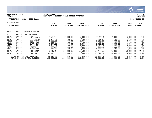|                                                                                                               |                                                                                                                         |                                                                                                                                                                                                   |                                                                                                                                             |                                                                                                                                                 |                                                                                                                                                 |                                                                                                                                          |                                                                                                                                                 | <b><i>S.S. MUNIS</i></b>                                                                                                                        | a tyler erp solution                                                                                    |
|---------------------------------------------------------------------------------------------------------------|-------------------------------------------------------------------------------------------------------------------------|---------------------------------------------------------------------------------------------------------------------------------------------------------------------------------------------------|---------------------------------------------------------------------------------------------------------------------------------------------|-------------------------------------------------------------------------------------------------------------------------------------------------|-------------------------------------------------------------------------------------------------------------------------------------------------|------------------------------------------------------------------------------------------------------------------------------------------|-------------------------------------------------------------------------------------------------------------------------------------------------|-------------------------------------------------------------------------------------------------------------------------------------------------|---------------------------------------------------------------------------------------------------------|
| nflynn                                                                                                        | 11/20/2020 14:07                                                                                                        |                                                                                                                                                                                                   | YATES COUNTY<br>NEXT YEAR /                                                                                                                 | CURRENT YEAR BUDGET ANALYSIS                                                                                                                    |                                                                                                                                                 |                                                                                                                                          |                                                                                                                                                 |                                                                                                                                                 | 25<br>ΙP<br>bgnyrpts                                                                                    |
|                                                                                                               | PROJECTION: 2021                                                                                                        | 2021 Budget                                                                                                                                                                                       |                                                                                                                                             |                                                                                                                                                 |                                                                                                                                                 |                                                                                                                                          |                                                                                                                                                 |                                                                                                                                                 | FOR PERIOD 99                                                                                           |
| <b>ACCOUNTS FOR:</b>                                                                                          |                                                                                                                         |                                                                                                                                                                                                   | 2019                                                                                                                                        | 2020                                                                                                                                            | 2020                                                                                                                                            | 2020                                                                                                                                     | 2020                                                                                                                                            | 2021                                                                                                                                            | PCT                                                                                                     |
| <b>GENERAL FUND</b>                                                                                           |                                                                                                                         |                                                                                                                                                                                                   | <b>ACTUAL</b>                                                                                                                               | ORIG BUD                                                                                                                                        | <b>REVISED BUD</b>                                                                                                                              | <b>ACTUAL</b>                                                                                                                            | <b>PROJECTION</b>                                                                                                                               | <b>ADOPTED</b>                                                                                                                                  | <b>CHANGE</b>                                                                                           |
| 1621                                                                                                          |                                                                                                                         | PUBLIC SAFETY BUILDING                                                                                                                                                                            |                                                                                                                                             |                                                                                                                                                 |                                                                                                                                                 |                                                                                                                                          |                                                                                                                                                 |                                                                                                                                                 |                                                                                                         |
| 4<br>A1621<br>A1621<br>A1621<br>A1621<br>A1621<br>A1621<br>A1621<br>A1621<br>A1621<br>A1621<br>A1621<br>A1621 | CONTRACTUAL<br>54414<br>54417<br>54422<br>54423<br>54435<br>54453<br>54464<br>54511<br>54521<br>54677<br>54678<br>54684 | <b>EXPENSES</b><br><b>HVAC</b><br>FIRE/SPRIN<br>BLDG EQ MA<br><b>B&amp;G PARTS</b><br><b>EMERG GEN</b><br>SUPP: B&G<br>SUPP: JAN<br>MOTORS<br>TRASH REM<br>UTIL: ELECT<br>UTIL:GAS<br>UTIL: WAT/S | 6,220.33<br>150.00<br>9,465.37<br>4,853.61<br>417.24<br>9,374.37<br>5,899.75<br>538.18<br>1,560.00<br>25,746.48<br>13, 211. 17<br>30,998.66 | 5,000.00<br>1,000.00<br>7,200.00<br>5,000.00<br>1,200.00<br>6,500.00<br>5,500.00<br>1,000.00<br>1,680.00<br>31,500.00<br>13,000.00<br>35,000.00 | 5,000.00<br>1,000.00<br>7,200.00<br>5,000.00<br>1,200.00<br>6,500.00<br>5,500.00<br>1,000.00<br>1,680.00<br>31,500.00<br>13,000.00<br>35,000.00 | 2,621.84<br>362.38<br>6,012.21<br>1,619.25<br>20.47<br>3,702.99<br>3,982.75<br>711.40<br>1,400.00<br>23,766.07<br>10,037.19<br>25,574.74 | 5,000.00<br>1,000.00<br>7,200.00<br>5,000.00<br>1,200.00<br>6,500.00<br>5,500.00<br>1,000.00<br>1,680.00<br>31,500.00<br>13,000.00<br>35,000.00 | 5,000.00<br>1,000.00<br>9,200.00<br>5,000.00<br>1,200.00<br>6,500.00<br>5,500.00<br>1,000.00<br>1,680.00<br>30,000.00<br>13,500.00<br>36,000.00 | $.0\%$<br>.0%<br>27.8%<br>.0%<br>$.0\%$<br>.0%<br>$.0\%$<br>$.0\%$<br>$.0\%$<br>$-4.8%$<br>3.8%<br>2.9% |
|                                                                                                               | TOTAL CONTRACTUAL EXPENSES                                                                                              | TOTAL PUBLIC SAFETY BUILDING                                                                                                                                                                      | 108,435.16<br>108,435.16                                                                                                                    | 113,580.00<br>113,580.00                                                                                                                        | 113,580.00<br>113,580.00                                                                                                                        | 79,811.29<br>79,811.29                                                                                                                   | 113,580.00<br>113,580.00                                                                                                                        | 115,580.00<br>115,580.00                                                                                                                        | 1.8%<br>1.8%                                                                                            |

 $\mathcal{L}^{\bullet}$  .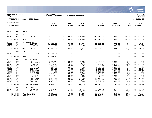|                                                                                                                                 |                                                                                                                            |                                                                                                                                                                                                            |                                                                                                                                                             |                                                                                                                                                                      |                                                                                                                                                                    |                                                                                                                                                              |                                                                                                                                                                      |                                                                                                                                                                               | munis<br>a tyler erp solution                                                                                          |
|---------------------------------------------------------------------------------------------------------------------------------|----------------------------------------------------------------------------------------------------------------------------|------------------------------------------------------------------------------------------------------------------------------------------------------------------------------------------------------------|-------------------------------------------------------------------------------------------------------------------------------------------------------------|----------------------------------------------------------------------------------------------------------------------------------------------------------------------|--------------------------------------------------------------------------------------------------------------------------------------------------------------------|--------------------------------------------------------------------------------------------------------------------------------------------------------------|----------------------------------------------------------------------------------------------------------------------------------------------------------------------|-------------------------------------------------------------------------------------------------------------------------------------------------------------------------------|------------------------------------------------------------------------------------------------------------------------|
| nflynn                                                                                                                          | 11/20/2020 14:07                                                                                                           |                                                                                                                                                                                                            | <b>YATES COUNTY</b><br>NEXT YEAR / CURRENT YEAR BUDGET ANALYSIS                                                                                             |                                                                                                                                                                      |                                                                                                                                                                    |                                                                                                                                                              |                                                                                                                                                                      |                                                                                                                                                                               | ΙP<br>26<br>  bgnyrpts                                                                                                 |
|                                                                                                                                 | PROJECTION: 2021                                                                                                           | 2021 Budget                                                                                                                                                                                                |                                                                                                                                                             |                                                                                                                                                                      |                                                                                                                                                                    |                                                                                                                                                              |                                                                                                                                                                      |                                                                                                                                                                               | FOR PERIOD 99                                                                                                          |
| <b>ACCOUNTS FOR:</b>                                                                                                            |                                                                                                                            |                                                                                                                                                                                                            | 2019                                                                                                                                                        | 2020                                                                                                                                                                 | 2020                                                                                                                                                               | 2020                                                                                                                                                         | 2020                                                                                                                                                                 | 2021                                                                                                                                                                          | PCT                                                                                                                    |
| <b>GENERAL FUND</b>                                                                                                             |                                                                                                                            |                                                                                                                                                                                                            | <b>ACTUAL</b>                                                                                                                                               | ORIG BUD                                                                                                                                                             | <b>REVISED BUD</b>                                                                                                                                                 | <b>ACTUAL</b>                                                                                                                                                | <b>PROJECTION</b>                                                                                                                                                    | ADOPTED CHANGE                                                                                                                                                                |                                                                                                                        |
| 1623                                                                                                                            | COURTHOUSE                                                                                                                 |                                                                                                                                                                                                            |                                                                                                                                                             |                                                                                                                                                                      |                                                                                                                                                                    |                                                                                                                                                              |                                                                                                                                                                      |                                                                                                                                                                               |                                                                                                                        |
| $\Omega$<br>A1623                                                                                                               | <b>REVENUES</b><br>43022                                                                                                   | CT FAC                                                                                                                                                                                                     | $-75,683.00$                                                                                                                                                | $-82,000.00$                                                                                                                                                         | $-82,000.00$                                                                                                                                                       | $-49,928.00$                                                                                                                                                 | $-82,000.00$                                                                                                                                                         | $-65,600.00 -20.0%$                                                                                                                                                           |                                                                                                                        |
|                                                                                                                                 | TOTAL REVENUES                                                                                                             |                                                                                                                                                                                                            | $-75,683.00$                                                                                                                                                | $-82,000.00$                                                                                                                                                         | $-82,000.00$                                                                                                                                                       | $-49,928.00$                                                                                                                                                 | $-82,000.00$                                                                                                                                                         | $-65,600.00$                                                                                                                                                                  | $-20.0%$                                                                                                               |
| $\mathbf{1}$<br>A1623<br>A1623                                                                                                  | PERSONAL SERVICES<br>51166<br>51510                                                                                        | CLEANER<br>CLOTHING                                                                                                                                                                                        | 31,169.95<br>.00                                                                                                                                            | 34,774.00<br>250.00                                                                                                                                                  | 34,774.00<br>250.00                                                                                                                                                | 33, 316. 32<br>.00                                                                                                                                           | 34,774.00<br>250.00                                                                                                                                                  | 40,991.00<br>250.00                                                                                                                                                           | 17.9%<br>$.0\%$                                                                                                        |
| TOTAL PERSONAL SERVICES                                                                                                         |                                                                                                                            | 31,169.95                                                                                                                                                                                                  | 35,024.00                                                                                                                                                   | 35,024.00                                                                                                                                                            | 33, 316.32                                                                                                                                                         | 35,024.00                                                                                                                                                    | 41,241.00                                                                                                                                                            | 17.8%                                                                                                                                                                         |                                                                                                                        |
| $\overline{a}$<br>A1623                                                                                                         | EQUIPMENT<br>52515                                                                                                         | SEC EQUIP                                                                                                                                                                                                  | 41,770.32                                                                                                                                                   | .00                                                                                                                                                                  | .00                                                                                                                                                                | .00                                                                                                                                                          | .00                                                                                                                                                                  | .00                                                                                                                                                                           | .0%                                                                                                                    |
|                                                                                                                                 | TOTAL EQUIPMENT                                                                                                            |                                                                                                                                                                                                            | 41,770.32                                                                                                                                                   | .00                                                                                                                                                                  | .00                                                                                                                                                                | .00                                                                                                                                                          | .00                                                                                                                                                                  | .00                                                                                                                                                                           | .0%                                                                                                                    |
| 4<br>A1623<br>A1623<br>A1623<br>A1623<br>A1623<br>A1623<br>A1623<br>A1623<br>A1623<br>A1623<br>A1623<br>A1623<br>A1623<br>A1623 | 54414<br>54417<br>54418<br>54420<br>54422<br>54423<br>54429<br>54435<br>54453<br>54464<br>54511<br>54677<br>54678<br>54684 | CONTRACTUAL EXPENSES<br>HVAC<br>FIRE/SPRIN<br><b>ELEVATOR</b><br>WINDOWS<br>BLDG EQ MA<br>B&G PARTS<br>MAINT-SEC<br>EMERG GEN<br>SUPP: B&G<br>SUPP: JAN<br>MOTORS<br>UTIL: ELECT<br>UTIL:GAS<br>UTIL:WAT/S | 3,942.70<br>3,995.00<br>5,852.70<br>1,200.00<br>2,323.57<br>984.00<br>7,549.06<br>.00<br>6, 136.11<br>6,800.00<br>.00<br>19,366.72<br>13,767.40<br>4,486.53 | 4,000.00<br>6,400.00<br>6,020.00<br>1,200.00<br>5,500.00<br>1,500.00<br>6,500.00<br>1,500.00<br>6,000.00<br>5,000.00<br>500.00<br>22,500.00<br>14,500.00<br>4,000.00 | 4,000.00<br>6,400.00<br>6,020.00<br>723.00<br>5,500.00<br>1,500.00<br>6,500.00<br>3,977.00<br>6,000.00<br>5,000.00<br>500.00<br>20,500.00<br>14,500.00<br>4,000.00 | 923.58<br>3,401.00<br>5,709.27<br>.00<br>1,805.16<br>1,005.52<br>2,220.58<br>3,976.09<br>3,182.80<br>3,320.79<br>40.00<br>18,978.43<br>10,345.53<br>3,342.46 | 4,000.00<br>6,400.00<br>6,020.00<br>1,200.00<br>5,500.00<br>1,500.00<br>6,500.00<br>1,500.00<br>6,000.00<br>5,000.00<br>500.00<br>22,500.00<br>14,500.00<br>4,000.00 | 4,000.00<br>6,400.00<br>86,020.00 1328.9%<br>1,200.00<br>5,500.00<br>2,000.00<br>5,000.00<br>1,500.00<br>6,000.00<br>5,000.00<br>500.00<br>21,000.00<br>14,500.00<br>4,000.00 | .0%<br>.0%<br>$.0\%$<br>.0%<br>33.3%<br>$-23.1%$<br>.0 <sub>8</sub><br>.0%<br>.0%<br>.0%<br>$-6.7%$<br>$.0\%$<br>. 0 % |
|                                                                                                                                 | TOTAL CONTRACTUAL EXPENSES                                                                                                 |                                                                                                                                                                                                            | 76,403.79                                                                                                                                                   | 85,120.00                                                                                                                                                            | 85,120.00                                                                                                                                                          | 58,251.21                                                                                                                                                    | 85,120.00                                                                                                                                                            | 162,620.00                                                                                                                                                                    | 91.0%                                                                                                                  |
| 8<br>A1623<br>A1623                                                                                                             | EMPLOYEE BENEFITS<br>58100<br>58303                                                                                        | FICA/MED<br>INS-CSEA                                                                                                                                                                                       | 2,182.25<br>7,758.05                                                                                                                                        | 2,527.00<br>6,731.00                                                                                                                                                 | 2,527.00<br>11,731.00                                                                                                                                              | 2,347.34<br>11,193.50                                                                                                                                        | 2,527.00<br>6,731.00                                                                                                                                                 | 2,977.00<br>13,308.00                                                                                                                                                         | 17.8%<br>97.7%                                                                                                         |
|                                                                                                                                 | TOTAL EMPLOYEE BENEFITS<br>TOTAL COURTHOUSE                                                                                |                                                                                                                                                                                                            | 9,940.30<br>83,601.36                                                                                                                                       | 9,258.00<br>47,402.00                                                                                                                                                | 14,258.00<br>52,402.00                                                                                                                                             | 13,540.84<br>55,180.37                                                                                                                                       | 9,258.00<br>47,402.00                                                                                                                                                | 16,285.00<br>154,546.00                                                                                                                                                       | 75.9%<br>226.0%                                                                                                        |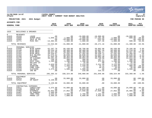|                                                                                                                                          |                                                                                                                                                          |                                                                                                                                                                                          |                                                                                                                                                                          |                                                                                                                                                                            |                                                                                                                                                                               |                                                                                                                                                                   |                                                                                                                                                                            |                                                                                                                                                                            | munis<br>a tyler erp solution                                                                                                             |
|------------------------------------------------------------------------------------------------------------------------------------------|----------------------------------------------------------------------------------------------------------------------------------------------------------|------------------------------------------------------------------------------------------------------------------------------------------------------------------------------------------|--------------------------------------------------------------------------------------------------------------------------------------------------------------------------|----------------------------------------------------------------------------------------------------------------------------------------------------------------------------|-------------------------------------------------------------------------------------------------------------------------------------------------------------------------------|-------------------------------------------------------------------------------------------------------------------------------------------------------------------|----------------------------------------------------------------------------------------------------------------------------------------------------------------------------|----------------------------------------------------------------------------------------------------------------------------------------------------------------------------|-------------------------------------------------------------------------------------------------------------------------------------------|
| nflynn                                                                                                                                   | 11/20/2020 14:07                                                                                                                                         |                                                                                                                                                                                          | YATES COUNTY<br>NEXT YEAR / CURRENT YEAR BUDGET ANALYSIS                                                                                                                 |                                                                                                                                                                            |                                                                                                                                                                               |                                                                                                                                                                   |                                                                                                                                                                            |                                                                                                                                                                            | ∣ P<br>27<br>  bgnyrpts                                                                                                                   |
|                                                                                                                                          | PROJECTION: 2021                                                                                                                                         | 2021 Budget                                                                                                                                                                              |                                                                                                                                                                          |                                                                                                                                                                            |                                                                                                                                                                               |                                                                                                                                                                   |                                                                                                                                                                            |                                                                                                                                                                            | FOR PERIOD 99                                                                                                                             |
| ACCOUNTS FOR:                                                                                                                            |                                                                                                                                                          |                                                                                                                                                                                          | 2019                                                                                                                                                                     | 2020                                                                                                                                                                       | 2020                                                                                                                                                                          | 2020                                                                                                                                                              | 2020                                                                                                                                                                       | 2021                                                                                                                                                                       | PCT                                                                                                                                       |
| <b>GENERAL FUND</b>                                                                                                                      |                                                                                                                                                          |                                                                                                                                                                                          | <b>ACTUAL</b>                                                                                                                                                            | ORIG BUD                                                                                                                                                                   | REVISED BUD                                                                                                                                                                   | <b>ACTUAL</b>                                                                                                                                                     | <b>PROJECTION</b>                                                                                                                                                          | <b>ADOPTED CHANGE</b>                                                                                                                                                      |                                                                                                                                           |
|                                                                                                                                          |                                                                                                                                                          |                                                                                                                                                                                          |                                                                                                                                                                          |                                                                                                                                                                            |                                                                                                                                                                               |                                                                                                                                                                   |                                                                                                                                                                            |                                                                                                                                                                            |                                                                                                                                           |
| 1625                                                                                                                                     | BUILDINGS & GROUNDS                                                                                                                                      |                                                                                                                                                                                          |                                                                                                                                                                          |                                                                                                                                                                            |                                                                                                                                                                               |                                                                                                                                                                   |                                                                                                                                                                            |                                                                                                                                                                            |                                                                                                                                           |
| $\Omega$<br>A1625<br>A1625<br>A1625<br>A1625                                                                                             | <b>REVENUES</b><br>42410<br>42650<br>42665<br>42771                                                                                                      | LEASE<br>SCRAP SALE<br>SALE OF EQ<br>MISC REV                                                                                                                                            | $\sim$ 00<br>$-1,049.14$<br>$\overline{00}$<br>$-14, 484.95$                                                                                                             | .00<br>$-1,000.00$<br>$-29,000.00$<br>$-1,000.00$                                                                                                                          | $-10,000.00$<br>$-1,000.00$<br>$-29,000.00$<br>$-1,000.00$                                                                                                                    | $-10,000.00$<br>$-17,191.30$<br>$-552.50$<br>$-427.36$                                                                                                            | .00<br>$-1,000.00$<br>$-29,000.00$<br>$-1,000.00$                                                                                                                          | $-10,000.00$<br>$-800.00 - 20.08$<br>$-500.00 - 50.0$                                                                                                                      | .0%<br>$.00 - 100.08$                                                                                                                     |
|                                                                                                                                          | TOTAL REVENUES                                                                                                                                           |                                                                                                                                                                                          | $-15,534.09$                                                                                                                                                             | $-31,000.00$                                                                                                                                                               | $-41,000.00$                                                                                                                                                                  | $-28, 171.16$                                                                                                                                                     | $-31,000.00$                                                                                                                                                               | $-11,300.00 - 63.5$                                                                                                                                                        |                                                                                                                                           |
| 1<br>A1625<br>A1625<br>A1625<br>A1625<br>A1625<br>A1625<br>A1625<br>A1625<br>A1625<br>A1625<br>A1625<br>A1625<br>A1625<br>A1625<br>A1625 | PERSONAL SERVICES<br>51040<br>51160<br>51161<br>51162<br>51163<br>51166<br>51170<br>51500<br>51501<br>51502<br>51504<br>51505<br>51509<br>51510<br>51520 | BLDG SUPER<br>BLDG MECH<br>BLDG MECH<br>BLDG MECH<br>BLD HELPER<br>CLEANER<br>SR CLEANER<br>CB CSEA<br>DIFF CSEA<br>HOLIDAY OT<br>ON CALL<br>OVERTIME<br>COMP CSEA<br>CLOTHING<br>INS BO | 62,297.78<br>49,233.16<br>49,227.05<br>20,310.07<br>31, 575.62<br>37, 455.20<br>39,391.36<br>140.36<br>1,195.80<br>.00<br>2,629.68<br>358.66<br>75.58<br>1,375.00<br>.00 | 66,430.00<br>50,409.00<br>50,409.00<br>47,202.00<br>36,038.00<br>39,363.00<br>40,993.00<br>300.00<br>1,280.00<br>25.00<br>3,115.00<br>1,250.00<br>10.00<br>1,500.00<br>.00 | 68,790.00<br>50,409.00<br>50,409.00<br>47,202.00<br>36,038.00<br>39,363.00<br>40,993.00<br>300.00<br>1,280.00<br>25.00<br>3,115.00<br>1,239.00<br>21.00<br>1,500.00<br>216.00 | 59,862.98<br>43,867.26<br>36,305.17<br>39,438.72<br>22,662.74<br>29,003.30<br>26,740.58<br>161.17<br>471.60<br>.00<br>2,221.49<br>75.32<br>20.43<br>.00<br>215.32 | 66,430.00<br>50,409.00<br>50,409.00<br>47,202.00<br>36,038.00<br>39,363.00<br>40,993.00<br>300.00<br>1,280.00<br>25.00<br>3,115.00<br>1,250.00<br>10.00<br>1,500.00<br>.00 | 70,166.00<br>51, 219.00<br>44, 427.00<br>47,305.00<br>35,640.00<br>35,604.00<br>41,844.00<br>300.00<br>1,280.00<br>25.00<br>3,115.00<br>900.00<br>35.00<br>1,500.00<br>.00 | 5.6%<br>1.6%<br>$-11.9%$<br>.2%<br>$-1.1%$<br>$-9.5%$<br>2.1%<br>.0%<br>.0%<br>.0%<br>.0%<br>$-28.0%$<br>250.0%<br>.0 <sub>8</sub><br>.0% |
|                                                                                                                                          |                                                                                                                                                          |                                                                                                                                                                                          | TOTAL PERSONAL SERVICES 295,265.32                                                                                                                                       | 338,324.00                                                                                                                                                                 | 340,900.00                                                                                                                                                                    | 261,046.08                                                                                                                                                        | 338,324.00                                                                                                                                                                 | 333,360.00                                                                                                                                                                 | $-1.5%$                                                                                                                                   |
| 2<br>A1625<br>A1625                                                                                                                      | EQUIPMENT<br>52314<br>52516                                                                                                                              |                                                                                                                                                                                          | TRUCK .00<br>SM EQUIP 6,139.00                                                                                                                                           | 33,000.00<br>.00                                                                                                                                                           | 33,000.00<br>.00                                                                                                                                                              | .00<br>.00                                                                                                                                                        | 33,000.00<br>.00                                                                                                                                                           | .00                                                                                                                                                                        | $.00 - 100.0$<br>.0 <sub>8</sub>                                                                                                          |
|                                                                                                                                          | TOTAL EOUIPMENT                                                                                                                                          |                                                                                                                                                                                          | 6, 139.00                                                                                                                                                                | 33,000.00                                                                                                                                                                  | 33,000.00                                                                                                                                                                     | .00                                                                                                                                                               | 33,000.00                                                                                                                                                                  |                                                                                                                                                                            | $.00 - 100.0%$                                                                                                                            |
| $4\overline{ }$<br>A1625<br>A1625<br>A1625<br>A1625<br>A1625<br>A1625                                                                    | CONTRACTUAL EXPENSES<br>54011<br>54320<br>54402<br>54407<br>54415<br>54416                                                                               | CONSULTANT<br>EMERG EXP<br><b>WTS&amp;MEAS</b><br>EQ AGREEMT<br>YARD-TREE<br>PRKNG LOT                                                                                                   | 5,375.00<br>.00<br>26,042.00<br>2,460.00<br>3,544.51<br>5,369.25                                                                                                         | 44,000.00<br>$\overline{00}$<br>27,052.00<br>4,000.00<br>7,000.00                                                                                                          | 38,000.00<br>6,074.00<br>27,940.00<br>.00<br>2,780.00<br>6,608.00                                                                                                             | $6,073.09$<br>27.020.09<br>.00<br>1,162.32<br>4,635.59                                                                                                            | 44,000.00<br>.00<br>27,052.00<br>$00.00$<br>4,000.00<br>9,232.54                                                                                                           | 24,000.00<br>$\sim$ 00<br>25,985.00<br>.00<br>4,000.00<br>7,000.00                                                                                                         | $-45.5%$<br>$.0\%$<br>$-3.9%$<br>$.0\%$<br>.0%<br>.0%                                                                                     |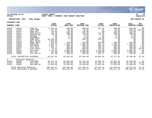

#### **11/20/2020 14:07 |YATES COUNTY |P 28 nflynn |NEXT YEAR / CURRENT YEAR BUDGET ANALYSIS |bgnyrpts**

### **PROJECTION: 2021 2021 Budget FOR PERIOD 99**

|       | <b>GENERAL FUND</b>        |             | 2019<br><b>ACTUAL</b> | 2020<br>ORIG BUD | 2020<br><b>REVISED BUD</b> | 2020<br><b>ACTUAL</b> | 2020<br><b>PROJECTION</b> | 2021<br>ADOPTED | <b>PCT</b><br>CHANGE |
|-------|----------------------------|-------------|-----------------------|------------------|----------------------------|-----------------------|---------------------------|-----------------|----------------------|
| A1625 | 54419                      | YARD EO     | 8,432.59              | 400.00           | 400.00                     | 297.43                | 400.00                    | 400.00          | .0%                  |
| A1625 | 54457                      | SUPP: COMP  | 167.81                | 50.00            | 50.00                      | .00                   | 50.00                     | 150.00          | $200.0$ <sup>8</sup> |
| A1625 | 54470                      | SUPP:OFF    | 69.64                 | 125.00           | 125.00                     | .00                   | 125.00                    | 125.00          | .0%                  |
| A1625 | 54474                      | SUPP: SAFTY | 613.15                | 500.00           | 758.00                     | 757.69                | 500.00                    | 500.00          | .0%                  |
| A1625 | 54507                      | COPIER CHR  | 55.30                 | 60.00            | 60.00                      | 41.35                 | 60.00                     | 60.00           | .0%                  |
| A1625 | 54515                      | POSTAGE     | .00                   | 3.00             | 3.00                       | .00                   | 3.00                      | 3.00            | $.0\%$               |
| A1625 | 54522                      | SHIPMENTS   | 7.35                  | 15.00            | 15.00                      | 31.00                 | 15.00                     | 15.00           | .0%                  |
| A1625 | 54571                      | COMP SOFT   | 20,392.00             | .00              | 392.00                     | 392.00                | .00                       | .00             | .0%                  |
| A1625 | 54575                      | SOFT MAINT  | 1,820.00              | .00              | .00                        | .00                   | .00                       | .00             | $.0\%$               |
| A1625 | 54616                      | HAND TOOLS  | 973.02                | 450.00           | 450.00                     | 450.00                | 450.00                    | 450.00          | $.0\%$               |
| A1625 | 54653                      | GASOLINE    | 1,030.72              | 1,200.00         | 1,200.00                   | 464.33                | 1,200.00                  | 1,200.00        | .0%                  |
| A1625 | 54661                      | VEH MAINT   | 1,922.74              | 500.00           | 500.00                     | 363.33                | 500.00                    | 500.00          | .0 <sub>8</sub>      |
| A1625 | 54676                      | UTIL: CELL  | 393.71                | 390.00           | 390.00                     | 295.70                | 390.00                    | 400.00          | 2.6%                 |
| A1625 | 54677                      | UTIL: ELECT | 10.24                 | 500.00           | 500.00                     | 142.69                | 500.00                    | 250.00          | $-50.0$ %            |
| A1625 | 54678                      | UTIL:GAS    | 1,772.31              | 2,000.00         | 2,000.00                   | 1,132.56              | 2,000.00                  | 2,000.00        | $.0\%$               |
| A1625 | 54682                      | TEL/FAX     | 257.90                | 2,880.00         | 2,880.00                   | 2,400.00              | 2,880.00                  | 2,880.00        | $.0\%$               |
| A1625 | 54684                      | UTIL: WAT/S | 327.80                | 380.00           | 380.00                     | 323.77                | 380.00                    | 350.00          | $-7.9%$              |
|       | TOTAL CONTRACTUAL EXPENSES |             | 81,037.04             | 91,505.00        | 91,505.00                  | 46,902.35             | 93,737.54                 | 70,268.00       | $-23.2%$             |
| 8     | EMPLOYEE BENEFITS          |             |                       |                  |                            |                       |                           |                 |                      |
| A1625 | 58100                      | FICA/MED    | 20,747.15             | 24,561.00        | 24,741.54                  | 19,255.34             | 24,561.00                 | 24,504.00       | $-0.2\%$             |
| A1625 | 58303                      | INS-CSEA    | 72,876.14             | 85,005.00        | 79,789.00                  | 31,045.72             | 85,005.00                 | 52,740.00       | $-38.0%$             |
| A1625 | 58305                      | INS-NON UN  | 12,919.68             | 12,920.00        | 12,920.00                  | 11,843.04             | 12,920.00                 | 13,308.00       | 3.0%                 |
|       | TOTAL EMPLOYEE BENEFITS    |             | 106,542.97            | 122,486.00       | 117,450.54                 | 62,144.10             | 122,486.00                | 90,552.00       | $-26.1%$             |
|       | TOTAL BUILDINGS & GROUNDS  |             | 473,450.24            | 554,315.00       | 541,855.54                 | 341,921.37            | 556,547.54                | 482,880.00      | $-12.9%$             |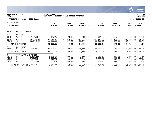|                                             |                                                          |                                                           |                                                             |                                                            |                                                             |                                                         |                                                   |                                            | munis<br>a tyler erp solution                    |
|---------------------------------------------|----------------------------------------------------------|-----------------------------------------------------------|-------------------------------------------------------------|------------------------------------------------------------|-------------------------------------------------------------|---------------------------------------------------------|---------------------------------------------------|--------------------------------------------|--------------------------------------------------|
| nflynn                                      | 11/20/2020 14:07                                         |                                                           | YATES COUNTY<br>NEXT YEAR /                                 | CURRENT YEAR BUDGET ANALYSIS                               |                                                             |                                                         |                                                   |                                            | ΙP<br>29<br>  bgnyrpts                           |
|                                             | PROJECTION: 2021                                         | 2021 Budget                                               |                                                             |                                                            |                                                             |                                                         |                                                   |                                            | FOR PERIOD 99                                    |
| <b>ACCOUNTS FOR:</b><br><b>GENERAL FUND</b> |                                                          |                                                           | 2019<br><b>ACTUAL</b>                                       | 2020<br>ORIG BUD                                           | 2020<br><b>REVISED BUD</b>                                  | 2020<br><b>ACTUAL</b>                                   | 2020<br><b>PROJECTION</b>                         | 2021<br><b>ADOPTED</b>                     | PCT<br><b>CHANGE</b>                             |
| 1640                                        | CENTRAL GARAGE                                           |                                                           |                                                             |                                                            |                                                             |                                                         |                                                   |                                            |                                                  |
| 0<br>A1640<br>A1640<br>A1640<br>A1640       | <b>REVENUES</b><br>41276<br>41277<br>41789<br>42665      | GASOLINE<br>$E-Z$ PASS<br>MILE REIMB<br><b>EOUIP SALE</b> | $-1, 175.71$<br>$-1,121.94$<br>$-48,712.46$<br>$-11,650.00$ | $-1, 200.00$<br>$-768.00$<br>$-47,525.00$<br>$-15, 200.00$ | $-1, 200, 00$<br>$-768.00$<br>$-47,525.00$<br>$-15, 200.00$ | $-222.31$<br>$-419.83$<br>$-15,470.50$<br>$-16, 100.00$ | .00<br>$-768.00$<br>$-47,525.00$<br>$-15, 200.00$ | $-768.00$<br>$-45, 360.00$<br>$-18,600.00$ | $.00 - 100.0$<br>$.0\%$<br>$-4.6%$<br>22.4%      |
|                                             | TOTAL REVENUES                                           |                                                           | $-62,660.11$                                                | $-64,693.00$                                               | $-64,693.00$                                                | $-32, 212.64$                                           | $-63, 493.00$                                     | $-64,728.00$                               | .1%                                              |
| 2<br>A1640                                  | EOUIPMENT<br>52180                                       | VEHICLE                                                   | 39,220.81                                                   | 64,600.00                                                  | 64,600.00                                                   | 64,373.70                                               | 64,600.00                                         | 42,500.00                                  | $-34.2%$                                         |
|                                             | TOTAL EOUIPMENT                                          |                                                           | 39,220.81                                                   | 64,600.00                                                  | 64,600.00                                                   | 64,373.70                                               | 64,600.00                                         | 42,500.00                                  | $-34.2%$                                         |
| 4<br>A1640<br>A1640<br>A1640<br>A1640       | CONTRACTUAL EXPENSES<br>54411<br>54653<br>54663<br>54664 | PARTS/REP<br>GASOLINE<br>USER FEE<br>$E-Z & AAA$          | 2,998.70<br>6,332.21<br>316.14<br>1,623.87                  | 1,500.00<br>8,500.00<br>320.00<br>900.00                   | 1,500.00<br>8,500.00<br>320.00<br>900.00                    | 571.97<br>2,080.76<br>77.35<br>454.41                   | 1,500.00<br>8,500.00<br>320.00<br>900.00          | 1,500.00<br>7,500.00<br>280.00<br>900.00   | . 0 %<br>$-11.8%$<br>$-12.5%$<br>.0 <sub>8</sub> |
|                                             | TOTAL CONTRACTUAL EXPENSES<br>TOTAL CENTRAL GARAGE       |                                                           | 11,270.92<br>$-12, 168.38$                                  | 11,220.00<br>11,127.00                                     | 11,220.00<br>11,127.00                                      | 3,184.49<br>35, 345.55                                  | 11,220.00<br>12,327.00                            | 10,180.00<br>$-12,048.00 -208.3$           | $-9.3%$                                          |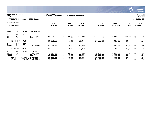|                                             |                                                   |                                         |                             |                              |                         |                           |                           |                         | munis <sup>.</sup><br>a tyler erp solution |
|---------------------------------------------|---------------------------------------------------|-----------------------------------------|-----------------------------|------------------------------|-------------------------|---------------------------|---------------------------|-------------------------|--------------------------------------------|
| nflynn                                      | 11/20/2020 14:07                                  |                                         | YATES COUNTY<br>NEXT YEAR / | CURRENT YEAR BUDGET ANALYSIS |                         |                           |                           |                         | 30<br>ΙP<br>  bgnyrpts                     |
|                                             | PROJECTION: 2021                                  | 2021 Budget                             |                             |                              |                         |                           |                           |                         | FOR PERIOD 99                              |
| <b>ACCOUNTS FOR:</b><br><b>GENERAL FUND</b> |                                                   |                                         | 2019<br><b>ACTUAL</b>       | 2020<br>ORIG BUD             | 2020<br>REVISED BUD     | 2020<br><b>ACTUAL</b>     | 2020<br><b>PROJECTION</b> | 2021<br>ADOPTED CHANGE  | <b>PCT</b>                                 |
| 1650                                        | APP-CENTRAL COMM SYSTEM                           |                                         |                             |                              |                         |                           |                           |                         |                                            |
| 0<br>A1650<br>A1650                         | <b>REVENUES</b><br>41275<br>42401                 | TEL CHRGS<br>INTEREST                   | $-49,601.80$<br>.00         | $-80,640.00$<br>$-5.00$      | $-80,640.00$<br>$-5.00$ | $-67, 360.00$<br>.00      | $-80,640.00$<br>$-5.00$   | $-80,640,00$<br>$-5.00$ | .0%<br>$.0\%$                              |
|                                             | TOTAL REVENUES                                    |                                         | $-49,601.80$                | $-80,645.00$                 | $-80,645.00$            | $-67,360.00$              | $-80,645.00$              | $-80,645.00$            | $.0\%$                                     |
| 2<br>A1650                                  | EQUIPMENT<br>52115                                | COMP HRDWR                              | 40,000.00                   | 53,640.00                    | 53,640.00               | .00                       | 53,640.00                 | 53,640.00               | $.0\%$                                     |
|                                             | TOTAL EQUIPMENT                                   |                                         | 40,000.00                   | 53,640.00                    | 53,640.00               | .00                       | 53,640.00                 | 53,640.00               | .0%                                        |
| 4<br>A1650<br>A1650                         | CONTRACTUAL<br>54577<br>54682                     | <b>EXPENSES</b><br>COMP TECH<br>TEL/FAX | 10,225.00<br>16,200.09      | 5,000.00<br>22,005.00        | 5.000.00<br>22,005.00   | 2,750.00<br>14,653.80     | 5,000.00<br>22,005.00     | 5,000.00<br>22,005.00   | $.0\%$<br>$.0\%$                           |
|                                             | TOTAL CONTRACTUAL<br>TOTAL APP-CENTRAL COMM SYSTE | EXPENSES                                | 26,425.09<br>16,823.29      | 27,005.00<br>.00             | 27,005.00<br>.00        | 17,403.80<br>$-49,956.20$ | 27,005.00<br>.00          | 27,005.00<br>.00        | $.0\%$<br>.0%                              |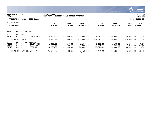|                                             |                                                     |                                                      |                              |                                 |                                 |                                 |                                 |                                   | <b>munis</b><br>a tyler erp solution |
|---------------------------------------------|-----------------------------------------------------|------------------------------------------------------|------------------------------|---------------------------------|---------------------------------|---------------------------------|---------------------------------|-----------------------------------|--------------------------------------|
| nflynn                                      | 11/20/2020 14:07                                    |                                                      | YATES COUNTY<br>NEXT YEAR /  | CURRENT YEAR BUDGET ANALYSIS    |                                 |                                 |                                 |                                   | 31<br>Р<br>  bgnyrpts                |
|                                             | 2021<br>PROJECTION:                                 | 2021 Budget                                          |                              |                                 |                                 |                                 |                                 |                                   | FOR PERIOD 99                        |
| <b>ACCOUNTS FOR:</b><br><b>GENERAL FUND</b> |                                                     |                                                      | 2019<br><b>ACTUAL</b>        | 2020<br>ORIG BUD                | 2020<br><b>REVISED BUD</b>      | 2020<br><b>ACTUAL</b>           | 2020<br><b>PROJECTION</b>       | 2021<br><b>ADOPTED</b>            | PCT<br><b>CHANGE</b>                 |
| 1670                                        | CENTRAL MAILING                                     |                                                      |                              |                                 |                                 |                                 |                                 |                                   |                                      |
| $\overline{0}$<br>A1670                     | REVENUES<br>41272                                   | CNTRL MAIL                                           | $-29, 128.99$                | $-30,000.00$                    | $-30,000.00$                    | $-31,045.83$                    | $-30,000.00$                    | $-30,000.00$                      | $.0\%$                               |
|                                             | TOTAL REVENUES                                      |                                                      | $-29, 128.99$                | $-30,000.00$                    | $-30,000.00$                    | $-31,045.83$                    | $-30,000.00$                    | $-30,000.00$                      | $.0\%$                               |
| 4<br>A1670<br>A1670<br>A1670                | CONTRACTUAL<br>54407<br>54470<br>54515              | <b>EXPENSES</b><br>EQUIP AGRE<br>SUPP:OFF<br>POSTAGE | 1,400.00<br>.00<br>29,895.00 | 1,190.00<br>600.00<br>30,000.00 | 1,190.00<br>600.00<br>30,000.00 | 1,190.00<br>446.00<br>26,071.24 | 1,190.00<br>600.00<br>30,000.00 | 1,280.00<br>1,080.00<br>30,000.00 | 7.6%<br>80.0%<br>$.0\%$              |
|                                             | TOTAL CONTRACTUAL EXPENSES<br>TOTAL CENTRAL MAILING |                                                      | 31,295.00<br>2,166.01        | 31,790.00<br>1,790.00           | 31,790.00<br>1,790.00           | 27,707.24<br>$-3,338.59$        | 31,790.00<br>1,790.00           | 32,360.00<br>2,360.00             | 1.8%<br>31.8%                        |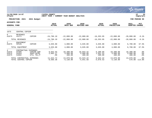|                                             |                                                    |                                                     |                             |                                 |                                 |                                |                                 |                                 | <b>munis</b><br>a tyler erp solution |
|---------------------------------------------|----------------------------------------------------|-----------------------------------------------------|-----------------------------|---------------------------------|---------------------------------|--------------------------------|---------------------------------|---------------------------------|--------------------------------------|
| nflynn                                      | 11/20/2020 14:07                                   |                                                     | YATES COUNTY<br>NEXT YEAR / | CURRENT YEAR BUDGET ANALYSIS    |                                 |                                |                                 |                                 | P<br>32<br>bgnyrpts                  |
|                                             | PROJECTION: 2021                                   | 2021 Budget                                         |                             |                                 |                                 |                                |                                 |                                 | FOR PERIOD 99                        |
| <b>ACCOUNTS FOR:</b><br><b>GENERAL FUND</b> |                                                    |                                                     | 2019<br><b>ACTUAL</b>       | 2020<br>ORIG BUD                | 2020<br><b>REVISED BUD</b>      | 2020<br><b>ACTUAL</b>          | 2020<br><b>PROJECTION</b>       | 2021<br><b>ADOPTED</b>          | <b>PCT</b><br><b>CHANGE</b>          |
| 1675                                        | CENTRAL COPIER                                     |                                                     |                             |                                 |                                 |                                |                                 |                                 |                                      |
| $\Omega$<br>A1675                           | <b>REVENUES</b><br>41271                           | COPIER                                              | $-24,786.10$                | $-22.000.00$                    | $-22.000.00$                    | $-16, 353.95$                  | $-22,000.00$                    | $-20,000.00$                    | $-9.1$ $8$                           |
|                                             | TOTAL REVENUES                                     |                                                     | $-24,786.10$                | $-22,000.00$                    | $-22,000.00$                    | $-16, 353.95$                  | $-22,000.00$                    | $-20,000.00$                    | $-9.1%$                              |
| $\overline{2}$<br>A1675                     | EOUIPMENT<br>52120                                 | COPIER                                              | 3,635.00                    | 4,000.00                        | 3,635.00                        | 3,635.00                       | 4,000.00                        | 6,700.00                        | 67.5%                                |
|                                             | TOTAL EQUIPMENT                                    |                                                     | 3,635.00                    | 4,000.00                        | 3,635.00                        | 3,635.00                       | 4,000.00                        | 6,700.00                        | 67.5%                                |
| 4<br>A1675<br>A1675<br>A1675                | CONTRACTUAL<br>54406<br>54454<br>54682             | EXPENSES<br>COPIER AGR<br>SUPP: CNTRL<br>UTIL TEL/F | 9,042.55<br>2,602.17<br>.00 | 10,390.00<br>3,000.00<br>480.00 | 10,043.42<br>3,000.00<br>480.00 | 6,290.89<br>1,951.53<br>400.00 | 10,390.00<br>3,000.00<br>480.00 | 10,390.00<br>3,000.00<br>480.00 | $.0\%$<br>$.0\%$<br>.0%              |
|                                             | TOTAL CONTRACTUAL EXPENSES<br>TOTAL CENTRAL COPIER |                                                     | 11,644.72<br>$-9,506.38$    | 13,870.00<br>$-4, 130.00$       | 13,523.42<br>$-4,841.58$        | 8,642.42<br>$-4,076.53$        | 13,870.00<br>$-4, 130.00$       | 13,870.00                       | .0%<br>$570.00 - 113.8$              |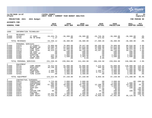|                                                                                             |                                                                                                    |                                                                                                                                                   |                                                                                                      |                                                                                                               |                                                                                                               |                                                                                             |                                                                                                               |                                                                                                     | munis<br>a tyler erp solution                                                                                             |  |
|---------------------------------------------------------------------------------------------|----------------------------------------------------------------------------------------------------|---------------------------------------------------------------------------------------------------------------------------------------------------|------------------------------------------------------------------------------------------------------|---------------------------------------------------------------------------------------------------------------|---------------------------------------------------------------------------------------------------------------|---------------------------------------------------------------------------------------------|---------------------------------------------------------------------------------------------------------------|-----------------------------------------------------------------------------------------------------|---------------------------------------------------------------------------------------------------------------------------|--|
| nflynn                                                                                      | 11/20/2020 14:07                                                                                   |                                                                                                                                                   | <b>IYATES COUNTY</b><br>NEXT YEAR / CURRENT YEAR BUDGET ANALYSIS                                     |                                                                                                               |                                                                                                               |                                                                                             |                                                                                                               |                                                                                                     | ∣ P<br>33<br>bgnyrpts                                                                                                     |  |
|                                                                                             | PROJECTION: 2021                                                                                   | 2021 Budget                                                                                                                                       |                                                                                                      |                                                                                                               |                                                                                                               |                                                                                             |                                                                                                               |                                                                                                     | FOR PERIOD 99                                                                                                             |  |
| <b>ACCOUNTS FOR:</b>                                                                        |                                                                                                    |                                                                                                                                                   | 2019                                                                                                 | 2020                                                                                                          | 2020                                                                                                          | 2020                                                                                        | 2020                                                                                                          | 2021                                                                                                | PCT                                                                                                                       |  |
| <b>GENERAL FUND</b>                                                                         |                                                                                                    |                                                                                                                                                   | <b>ACTUAL</b>                                                                                        | ORIG BUD                                                                                                      | REVISED BUD                                                                                                   | <b>ACTUAL</b>                                                                               | <b>PROJECTION</b>                                                                                             | <b>ADOPTED CHANGE</b>                                                                               |                                                                                                                           |  |
| 1680                                                                                        |                                                                                                    | INFORMATION TECHNOLOGY                                                                                                                            |                                                                                                      |                                                                                                               |                                                                                                               |                                                                                             |                                                                                                               |                                                                                                     |                                                                                                                           |  |
| $\Omega$<br>A1680<br>A1680                                                                  | <b>REVENUES</b><br>42230<br>42701                                                                  | IT SERV<br>PR YR RFND                                                                                                                             | $-34, 434.75$<br>$-1.37$                                                                             | $-36,380.00$<br>.00                                                                                           | $-36,380.00$<br>.00                                                                                           | -26,726.36<br>673.92-                                                                       | $-36,380.00$<br>.00                                                                                           | $-36,380.00$<br>.00                                                                                 | . 0 %<br>.0 <sub>8</sub>                                                                                                  |  |
|                                                                                             | TOTAL REVENUES                                                                                     |                                                                                                                                                   | $-34, 436.12$                                                                                        | $-36, 380.00$                                                                                                 | $-36,380.00$                                                                                                  | $-27,400.28$                                                                                | $-36,380.00$                                                                                                  | $-36, 380.00$                                                                                       | .0%                                                                                                                       |  |
| 1<br>A1680<br>A1680<br>A1680<br>A1680<br>A1680<br>A1680<br>A1680<br>A1680<br>A1680          | PERSONAL SERVICES<br>51076<br>51077<br>51078<br>51079<br>51500<br>51502<br>51505<br>51508<br>51509 | IT DIRECT<br>NETWORK AD<br>COMP SUPP<br>COMP TECH<br>CB CSEA<br>HOLIDAY OT<br>OVERTIME<br>35-40 HRS<br>COMP CSEA                                  | 76,909.00<br>59,580.78<br>45,551.54<br>48, 323.54<br>.00<br>.00<br>122.33<br>662.40<br>180.67        | 76,909.00<br>61,018.00<br>47,809.00<br>49,720.00<br>500.00<br>500.00<br>2,000.00<br>1,500.00<br>.00           | 78,447.00<br>61,018.00<br>47,809.00<br>49,720.00<br>500.00<br>500.00<br>2,000.00<br>1,493.35<br>6.65          | 68,266.69<br>53,098.98<br>41,508.26<br>43,267.60<br>$\sim 00$<br>.00<br>.00<br>8.32<br>6.65 | 76,909.00<br>61,018.00<br>47,809.00<br>49,720.00<br>500.00<br>500.00<br>2,000.00<br>1,500.00<br>$.00 \,$      | 80,016.00<br>62,009.00<br>49,944.00<br>50,517.00<br>500.00<br>500.00<br>2,000.00<br>1,500.00<br>.00 | 4.0%<br>1.6%<br>4.5%<br>1.6%<br>.0%<br>.0%<br>.0%<br>.0%<br>.0 <sub>8</sub>                                               |  |
|                                                                                             | TOTAL PERSONAL SERVICES                                                                            |                                                                                                                                                   | 231,330.26                                                                                           | 239,956.00                                                                                                    | 241,494.00                                                                                                    | 206,156.50                                                                                  | 239,956.00                                                                                                    | 246,986.00                                                                                          | 2.9%                                                                                                                      |  |
| 2<br>A1680<br>A1680<br>A1680<br>A1680<br>A1680<br>A1680                                     | EOUIPMENT<br>52115<br>52125<br>52126<br>52127<br>52128<br>52431                                    | COMP HRDWR<br><b>DESKTOPS</b><br>LAPTOPS<br>PRINTERS<br>COMP SUPP<br>TIME CLOCK                                                                   | 78,422.69<br>36, 130.40<br>$00$<br>2,406.16<br>6,363.70<br>.00                                       | 55,000.00<br>10,500.00<br>6, 250.00<br>8,000.00<br>4,000.00<br>3,400.00                                       | 55,000.00<br>10,500.00<br>6, 250.00<br>8,000.00<br>4,000.00<br>3,400.00                                       | 2,215.65<br>945.90<br>.00<br>1,164.27<br>3,733.54<br>.00                                    | 55,000.00<br>10,500.00<br>6, 250.00<br>8,000.00<br>4,000.00<br>3,400.00                                       | 120,000.00<br>27,300.00<br>12,500.00<br>4,000.00<br>4,000.00<br>3,400.00                            | 118.2%<br>160.0%<br>100.0%<br>$-50.0%$<br>.0%<br>.0%                                                                      |  |
|                                                                                             | TOTAL EQUIPMENT                                                                                    |                                                                                                                                                   | 123,322.95                                                                                           | 87,150.00                                                                                                     | 87,150.00                                                                                                     | 8,059.36                                                                                    | 87,150.00                                                                                                     | 171,200.00                                                                                          | 96.4%                                                                                                                     |  |
| 4<br>A1680<br>A1680<br>A1680<br>A1680<br>A1680<br>A1680<br>A1680<br>A1680<br>A1680<br>A1680 | 54011<br>54152<br>54407<br>54455<br>54470<br>54501<br>54507<br>54515<br>54571<br>54575             | CONTRACTUAL EXPENSES<br>CONSULTANT<br>CONFERENCE<br>EQUIP AGRE<br>SUPP: IT<br>SUPP:OFF<br>ADV<br>COPIER CHR<br>POSTAGE<br>COMP SOFT<br>SOFT MAINT | 1,725.00<br>902.00<br>67,185.68<br>998.55<br>112.98<br>.00<br>66.10<br>.00<br>18,304.35<br>71,439.96 | 2,000.00<br>1,000.00<br>18,600.00<br>1,000.00<br>200.00<br>30.00<br>200.00<br>100.00<br>2,500.00<br>87,481.00 | 2,000.00<br>1,000.00<br>16,755.00<br>1,000.00<br>200.00<br>30.00<br>200.00<br>100.00<br>2,500.00<br>87,481.00 | .00<br>.00<br>12,108.48<br>454.94<br>51.51<br>.00<br>33.45<br>.00<br>3,228.23<br>76,959.43  | 2,000.00<br>1,000.00<br>18,600.00<br>1,000.00<br>200.00<br>30.00<br>200.00<br>100.00<br>2,500.00<br>87,481.00 | 1,000.00<br>23,300.00<br>1,000.00<br>100.00<br>100.00<br>95,125.00                                  | $.00 - 100.0$<br>.0%<br>25.3%<br>.0%<br>$-50.0%$<br>$.00 - 100.0$<br>$-50.0\%$<br>$.00 - 100.0$<br>$.00 - 100.0%$<br>8.7% |  |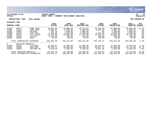

#### **11/20/2020 14:07 |YATES COUNTY |P 34 nflynn |NEXT YEAR / CURRENT YEAR BUDGET ANALYSIS |bgnyrpts**

**PROJECTION: 2021 2021 Budget FOR PERIOD 99**

| <b>GENERAL FUND</b>          |                            |             | 2019<br><b>ACTUAL</b> | 2020<br>ORIG BUD | 2020<br>REVISED BUD | 2020<br><b>ACTUAL</b> | 2020<br><b>PROJECTION</b> | 2021<br>ADOPTED | <b>PCT</b><br><b>CHANGE</b> |
|------------------------------|----------------------------|-------------|-----------------------|------------------|---------------------|-----------------------|---------------------------|-----------------|-----------------------------|
| A1680                        | 54577                      | COMP TECH   | 35,501.00             | 36,000.00        | 36,725.00           | 39,725,00             | 36,000.00                 | 40,000.00       | 11.1%                       |
| A1680                        | 54583                      | COMP SUPP   | 3,866.67              | 3,000.00         | 3,000.00            | 2,991.42              | 3,000.00                  | 3,000.00        | $.0\%$                      |
| A1680                        | 54654                      | MILEAGE     | 651.70                | 1,000.00         | 1,000.00            | .00                   | 1,000.00                  | 1,000.00        | . 0%                        |
| A1680                        | 54676                      | UTIL: CELL  | 2,235.85              | 2,600.00         | 2,600.00            | 2,032.89              | 2,600.00                  | 2,600.00        | .0 <sub>8</sub>             |
| A1680                        | 54679                      | UTIL: INTER | 19,139.06             | 26,600.00        | 27,720.00           | 24,323.92             | 26,600.00                 | 26,760.00       | .6%                         |
| A1680                        | 54682                      | TEL/FAX     | 1,102.60              | 960.00           | 960.00              | 800.00                | 960.00                    | 960.00          | . 0%                        |
| A1680                        | 54907                      | DUES        | 50.00                 | 50.00            | 50.00               | 50.00                 | 50.00                     | 50.00           | $.0\%$                      |
|                              | TOTAL CONTRACTUAL EXPENSES |             | 223, 281.50           | 183,321.00       | 183, 321, 00        | 162,759.27            | 183,321.00                | 194,995.00      | 6.4%                        |
| 8                            | EMPLOYEE                   | BENEFITS    |                       |                  |                     |                       |                           |                 |                             |
| A1680                        | 58100                      | FICA/MED    | 16,298.87             | 17,489.00        | 17,606.66           | 15,154.92             | 17,489.00                 | 17,855.00       | 2.1%                        |
| A1680                        | 58303                      | INS-CSEA    | 40,758.11             | 40,839.00        | 40,839.00           | 40,837.17             | 40,839.00                 | 49,710.00       | 21.7%                       |
| A1680                        | 58305                      | INS-NON UN  | 6.459.60              | 6,460.00         | 6,460.00            | 5,921.30              | 6,460.00                  | 6,654.00        | 3.0%                        |
| TOTAL EMPLOYEE BENEFITS      |                            | 63,516.58   | 64,788.00             | 64,905.66        | 61,913.39           | 64,788.00             | 74,219.00                 | 14.6%           |                             |
| TOTAL INFORMATION TECHNOLOGY |                            |             | 607,015.17            | 538,835.00       | 540,490.66          | 411,488.24            | 538,835.00                | 651,020.00      | 20.8%                       |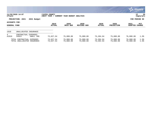|                                      |                                                 |                              |                                   |         |                        |                        |                        |                           |                        | <b>munis</b><br>a tyler erp solution |
|--------------------------------------|-------------------------------------------------|------------------------------|-----------------------------------|---------|------------------------|------------------------|------------------------|---------------------------|------------------------|--------------------------------------|
| nflynn                               | 11/20/2020 14:07                                |                              | YATES COUNTY<br><b> NEXT YEAR</b> | CURRENT | YEAR BUDGET ANALYSIS   |                        |                        |                           |                        | 35<br>P<br>  bgnyrpts                |
|                                      | PROJECTION: 2021                                | 2021 Budget                  |                                   |         |                        |                        |                        |                           |                        | FOR PERIOD 99                        |
| ACCOUNTS FOR:<br><b>GENERAL FUND</b> |                                                 |                              | 2019<br><b>ACTUAL</b>             |         | 2020<br>ORIG BUD       | 2020<br>REVISED BUD    | 2020<br>ACTUAL         | 2020<br><b>PROJECTION</b> | 2021<br>ADOPTED        | PCT<br><b>CHANGE</b>                 |
| 1910                                 | UNALLOCATED INSURANCE                           |                              |                                   |         |                        |                        |                        |                           |                        |                                      |
| 4<br>A1910                           | CONTRACTUAL<br>54923                            | <b>EXPENSES</b><br>UNALL INS | 72,627.54                         |         | 75,000.00              | 75,000.00              | 73,204.94              | 75,000.00                 | 76,000.00              | 1.3%                                 |
|                                      | TOTAL CONTRACTUAL EXPENSES<br>TOTAL UNALLOCATED | INSURANCE                    | 72,627.54<br>72,627.54            |         | 75,000.00<br>75,000.00 | 75,000.00<br>75,000.00 | 73,204.94<br>73,204.94 | 75,000.00<br>75,000.00    | 76,000.00<br>76,000.00 | 1.3%<br>1.3%                         |

 $\bullet$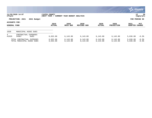|                               |                                                          |                             |                              |                            |                       |                           |                        | $\mathbb{C}$ munis $\mathbb{C}$<br>a tyler erp solution |
|-------------------------------|----------------------------------------------------------|-----------------------------|------------------------------|----------------------------|-----------------------|---------------------------|------------------------|---------------------------------------------------------|
| nflynn                        | 11/20/2020 14:07                                         | YATES COUNTY<br>NEXT YEAR / | CURRENT YEAR BUDGET ANALYSIS |                            |                       |                           |                        | 36<br>P<br>  bgnyrpts                                   |
|                               | PROJECTION: 2021<br>2021 Budget                          |                             |                              |                            |                       |                           |                        | FOR PERIOD 99                                           |
| ACCOUNTS FOR:<br>GENERAL FUND |                                                          | 2019<br><b>ACTUAL</b>       | 2020<br>ORIG BUD             | 2020<br><b>REVISED BUD</b> | 2020<br><b>ACTUAL</b> | 2020<br><b>PROJECTION</b> | 2021<br><b>ADOPTED</b> | PCT<br><b>CHANGE</b>                                    |
| 1920                          | MUNICIPAL ASSOC DUES                                     |                             |                              |                            |                       |                           |                        |                                                         |
| $4^{\circ}$<br>A1920          | CONTRACTUAL EXPENSES<br>54907<br><b>DUES</b>             | 6,032.00                    | 6,143.00                     | 6,143.00                   | 6,143.00              | 6, 143.00                 | 5,636.00               | $-8.3%$                                                 |
|                               | TOTAL CONTRACTUAL EXPENSES<br>TOTAL MUNICIPAL ASSOC DUES | 6,032.00<br>6,032.00        | 6,143.00<br>6,143.00         | 6, 143.00<br>6, 143.00     | 6,143.00<br>6,143.00  | 6, 143.00<br>6,143.00     | 5,636.00<br>5,636.00   | $-8.3%$<br>$-8.3%$                                      |

 $\bullet$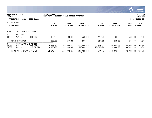|                                             |                                                         |                                          |                             |                              |                            |                        |                           |                        | <u>munis l</u><br>a tyler erp solution |
|---------------------------------------------|---------------------------------------------------------|------------------------------------------|-----------------------------|------------------------------|----------------------------|------------------------|---------------------------|------------------------|----------------------------------------|
| nflynn                                      | 11/20/2020 14:07                                        |                                          | YATES COUNTY<br>NEXT YEAR / | CURRENT YEAR BUDGET ANALYSIS |                            |                        |                           |                        | 37<br>P<br>  bgnyrpts                  |
|                                             | 2021<br>PROJECTION:                                     | 2021 Budget                              |                             |                              |                            |                        |                           |                        | FOR PERIOD 99                          |
| <b>ACCOUNTS FOR:</b><br><b>GENERAL FUND</b> |                                                         |                                          | 2019<br><b>ACTUAL</b>       | 2020<br>ORIG BUD             | 2020<br><b>REVISED BUD</b> | 2020<br><b>ACTUAL</b>  | 2020<br><b>PROJECTION</b> | 2021<br>ADOPTED CHANGE | PCT                                    |
| 1930                                        | JUDGEMENTS & CLAIMS                                     |                                          |                             |                              |                            |                        |                           |                        |                                        |
| $\mathbf{0}$<br>A1930<br>A1930              | REVENUES<br>42401<br>42402                              | INTEREST<br>INTEREST                     | $-153.66$<br>$-100.03$      | $-150.00$<br>$-100.00$       | $-150.00$<br>$-100.00$     | $-128.10$<br>$-86.49$  | $-150.00$<br>$-100.00$    | $-150.00$<br>$-100.00$ | $.0\%$<br>$.0\%$                       |
|                                             | TOTAL REVENUES                                          |                                          | $-253.69$                   | $-250.00$                    | $-250.00$                  | $-214.59$              | $-250.00$                 | $-250.00$              | $.0\%$                                 |
| 4<br>A1930<br>A1930                         | CONTRACTUAL<br>54927<br>54928                           | <b>EXPENSES</b><br>INS RES<br>UNEMPL INS | 14,736.81<br>9,978.25       | 100,000.00<br>20,000.00      | 100,000.00<br>20,000.00    | 9,175.32<br>46,516.73  | 100,000.00<br>20,000.00   | 60,000.00<br>20,000.00 | $-40.0%$<br>.0%                        |
|                                             | TOTAL CONTRACTUAL EXPENSES<br>TOTAL JUDGEMENTS & CLAIMS |                                          | 24,715.06<br>24,461.37      | 120,000.00<br>119,750.00     | 120,000.00<br>119,750.00   | 55,692.05<br>55,477.46 | 120,000.00<br>119,750.00  | 80,000.00<br>79,750.00 | $-33.3%$<br>$-33.4%$                   |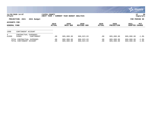|                                      |                                                        |                             |                              |                            |                       |                           |                          | $\sim$ munis i<br>a tyler erp solution |
|--------------------------------------|--------------------------------------------------------|-----------------------------|------------------------------|----------------------------|-----------------------|---------------------------|--------------------------|----------------------------------------|
| nflynn                               | 11/20/2020 14:07                                       | YATES COUNTY<br>NEXT YEAR / | CURRENT YEAR BUDGET ANALYSIS |                            |                       |                           |                          | 38<br>P<br>  bgnyrpts                  |
|                                      | PROJECTION: 2021<br>2021 Budget                        |                             |                              |                            |                       |                           |                          | FOR PERIOD 99                          |
| ACCOUNTS FOR:<br><b>GENERAL FUND</b> |                                                        | 2019<br><b>ACTUAL</b>       | 2020<br>ORIG BUD             | 2020<br><b>REVISED BUD</b> | 2020<br><b>ACTUAL</b> | 2020<br><b>PROJECTION</b> | 2021<br><b>ADOPTED</b>   | PCT<br><b>CHANGE</b>                   |
| 1990                                 | CONTINGENT ACCOUNT                                     |                             |                              |                            |                       |                           |                          |                                        |
| 4<br>A1990                           | CONTRACTUAL EXPENSES<br>54905<br>CONTINGENT            | .00                         | 885,000.00                   | 806,023.03                 | .00                   | 885,000.00                | 869,000.00               | $-1.8%$                                |
|                                      | TOTAL CONTRACTUAL EXPENSES<br>TOTAL CONTINGENT ACCOUNT | .00<br>.00                  | 885,000.00<br>885,000.00     | 806,023.03<br>806,023.03   | $.00 \,$<br>.00       | 885,000.00<br>885,000.00  | 869,000.00<br>869,000.00 | $-1.8%$<br>$-1.8%$                     |

<u>and the state of the state of the state of the state of the state of the state of the state of the state of the state of the state of the state of the state of the state of the state of the state of the state of the state</u>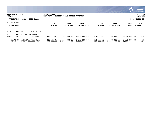|                               |                                                            |                              |                                     |                              |                          |                              |                              | $\mathbb{C}$ munis<br>a tyler erp solution |
|-------------------------------|------------------------------------------------------------|------------------------------|-------------------------------------|------------------------------|--------------------------|------------------------------|------------------------------|--------------------------------------------|
| nflynn                        | 11/20/2020 14:07                                           | YATES COUNTY<br> NEXT YEAR / | <b>CURRENT YEAR BUDGET ANALYSIS</b> |                              |                          |                              |                              | 39<br>P<br>  bgnyrpts                      |
|                               | PROJECTION: 2021<br>2021 Budget                            |                              |                                     |                              |                          |                              |                              | FOR PERIOD 99                              |
| ACCOUNTS FOR:<br>GENERAL FUND |                                                            | 2019<br><b>ACTUAL</b>        | 2020<br>ORIG BUD                    | 2020<br>REVISED BUD          | 2020<br><b>ACTUAL</b>    | 2020<br><b>PROJECTION</b>    | 2021<br>ADOPTED              | PCT<br><b>CHANGE</b>                       |
| 2490                          | COMMUNITY COLLEGE TUITION                                  |                              |                                     |                              |                          |                              |                              |                                            |
| 4<br>A2490                    | CONTRACTUAL EXPENSES<br>54151<br>COMM COLL                 | 868,590.23                   | 1,150,000.00                        | 1,150,000.00                 | 534,338.79               | 1,150,000.00                 | 1,150,000.00                 | $.0\%$                                     |
|                               | TOTAL CONTRACTUAL EXPENSES<br>TOTAL COMMUNITY COLLEGE TUIT | 868,590.23<br>868,590.23     | 1,150,000.00<br>1,150,000.00        | 1,150,000.00<br>1,150,000.00 | 534,338.79<br>534,338.79 | 1,150,000.00<br>1,150,000.00 | 1,150,000.00<br>1,150,000.00 | $.0\%$<br>.0%                              |

**CO**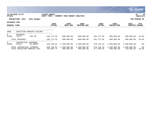|                                      |                                                            |                             |                              |                            |                          |                            |                            | <u>munis l</u><br>a tyler erp solution |
|--------------------------------------|------------------------------------------------------------|-----------------------------|------------------------------|----------------------------|--------------------------|----------------------------|----------------------------|----------------------------------------|
| nflynn                               | 11/20/2020 14:07                                           | YATES COUNTY<br>NEXT YEAR / | CURRENT YEAR BUDGET ANALYSIS |                            |                          |                            |                            | 40<br>ΙP<br>bgnyrpts                   |
|                                      | PROJECTION: 2021<br>2021 Budget                            |                             |                              |                            |                          |                            |                            | FOR PERIOD 99                          |
| ACCOUNTS FOR:<br><b>GENERAL FUND</b> |                                                            | 2019<br><b>ACTUAL</b>       | 2020<br>ORIG BUD             | 2020<br>REVISED BUD        | 2020<br><b>ACTUAL</b>    | 2020<br><b>PROJECTION</b>  | 2021<br>ADOPTED            | PCT<br><b>CHANGE</b>                   |
| 2960                                 | EDUCATION HANDCPD CHILDRN                                  |                             |                              |                            |                          |                            |                            |                                        |
| $\Omega$<br>A2960                    | <b>REVENUES</b><br>PHC ED<br>43277                         | $-185,712.20$               | $-600,000.00$                | $-600.000.00$              | $-201,727.06$            | $-600,000.00$              | $-480,000.00$              | $-20.0%$                               |
|                                      | TOTAL REVENUES                                             | $-185,712.20$               | $-600,000.00$                | $-600,000.00$              | $-201,727.06$            | $-600,000.00$              | $-480,000.00$              | $-20.0$ °                              |
| 4<br>A2960                           | CONTRACTUAL<br>EXPENSES<br>54154<br>ED HNDCP               | 940,798.94                  | 1,200,000.00                 | 1,200,000.00               | 679,136.10               | 1,200,000.00               | 1,200,000.00               | $.0\%$                                 |
|                                      | TOTAL CONTRACTUAL EXPENSES<br>TOTAL EDUCATION HANDCPD CHIL | 940,798.94<br>755,086.74    | 1,200,000.00<br>600,000.00   | 1,200,000.00<br>600,000.00 | 679,136.10<br>477,409.04 | 1,200,000.00<br>600,000.00 | 1,200,000.00<br>720,000.00 | $.0\%$<br>20.0%                        |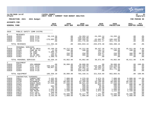|                                                                                                                            |                                                                                                                                  |                                                                                                                                                                |                                                                                                                                      |                                                                                                                                      |                                                                                                                                      |                                                                                                                                   |                                                                                                                                      |                                                                                                                                      | munis <sup>®</sup><br>a tyler erp solution                                                                                        |
|----------------------------------------------------------------------------------------------------------------------------|----------------------------------------------------------------------------------------------------------------------------------|----------------------------------------------------------------------------------------------------------------------------------------------------------------|--------------------------------------------------------------------------------------------------------------------------------------|--------------------------------------------------------------------------------------------------------------------------------------|--------------------------------------------------------------------------------------------------------------------------------------|-----------------------------------------------------------------------------------------------------------------------------------|--------------------------------------------------------------------------------------------------------------------------------------|--------------------------------------------------------------------------------------------------------------------------------------|-----------------------------------------------------------------------------------------------------------------------------------|
| nflynn                                                                                                                     | 11/20/2020 14:07                                                                                                                 |                                                                                                                                                                | <b>IYATES COUNTY</b><br>NEXT YEAR / CURRENT YEAR BUDGET ANALYSIS                                                                     |                                                                                                                                      |                                                                                                                                      |                                                                                                                                   |                                                                                                                                      |                                                                                                                                      | ∣ P<br>41<br>  bgnyrpts                                                                                                           |
|                                                                                                                            | PROJECTION: 2021                                                                                                                 | 2021 Budget                                                                                                                                                    |                                                                                                                                      |                                                                                                                                      |                                                                                                                                      |                                                                                                                                   |                                                                                                                                      |                                                                                                                                      | FOR PERIOD 99                                                                                                                     |
| <b>ACCOUNTS FOR:</b>                                                                                                       |                                                                                                                                  |                                                                                                                                                                | 2019                                                                                                                                 | 2020                                                                                                                                 | 2020                                                                                                                                 | 2020                                                                                                                              | 2020                                                                                                                                 | 2021                                                                                                                                 |                                                                                                                                   |
| <b>GENERAL FUND</b>                                                                                                        |                                                                                                                                  |                                                                                                                                                                | <b>ACTUAL</b>                                                                                                                        | ORIG BUD                                                                                                                             | REVISED BUD                                                                                                                          | <b>ACTUAL</b>                                                                                                                     | <b>PROJECTION</b>                                                                                                                    | ADOPTED CHANGE                                                                                                                       | PCT                                                                                                                               |
| 3020                                                                                                                       |                                                                                                                                  | PUBLIC SAFETY COMM SYSTMS                                                                                                                                      |                                                                                                                                      |                                                                                                                                      |                                                                                                                                      |                                                                                                                                   |                                                                                                                                      |                                                                                                                                      |                                                                                                                                   |
| $\Omega$<br>A3020<br>A3020<br>A3020<br>A3020                                                                               | REVENUES<br>43322<br>43323<br>43327<br>43328                                                                                     | SICG FY16<br>SICG FY19<br>SICG FY17<br>SICG FY18                                                                                                               | 59,110.56<br>.00<br>$-170,605.04$<br>.00                                                                                             | .00<br>.00<br>.00<br>.00                                                                                                             | -34,283.14<br>$-328, 425.00$<br>$-180, 349.02$<br>$-351,776.00$                                                                      | -34,283.14<br>$\overline{0}$ .<br>$-63,082.07$<br>$-166, 511.17$                                                                  | $-34, 283.14$<br>$\sim$ 00.<br>$-180, 349.02$<br>$-351,776.00$                                                                       | .00<br>.00<br>.00<br>.00                                                                                                             | . 0 %<br>.0 <sub>8</sub><br>.0%<br>.0 <sub>8</sub>                                                                                |
|                                                                                                                            | TOTAL REVENUES                                                                                                                   |                                                                                                                                                                | $-111, 494.48$                                                                                                                       | .00                                                                                                                                  | $-894, 833.16$                                                                                                                       | $-263,876.38$                                                                                                                     | $-566, 408.16$                                                                                                                       | .00                                                                                                                                  | .0 <sub>8</sub>                                                                                                                   |
| $\mathbf{1}$<br>A3020<br>A3020<br>A3020<br>A3020<br>A3020<br>A3020                                                         | PERSONAL SERVICES<br>51780<br>51949<br>51952<br>51953<br>51961<br>51962                                                          | SR CO MECH<br>COMP BO 82<br>OT CO82<br>CB CO82<br>35-40 HRS<br>SICG 17 OT                                                                                      | 43,190.29<br>11.59<br>$-1,388.75$<br>$744.37$<br>389<br>389.91<br>1,388.75                                                           | 44,212.00<br>100.00<br>.00<br>250.00<br>300.00<br>.00                                                                                | 44,212.00<br>100.00<br>.00<br>250.00<br>300.00<br>.00                                                                                | 38,437.28<br>183.13<br>117.49<br>429.57<br>504.22<br>.00                                                                          | 44,212.00<br>100.00<br>.00<br>250.00<br>300.00<br>.00                                                                                | 45,911.00<br>100.00<br>.00<br>300.00<br>300.00<br>.00                                                                                | 3.8%<br>.0%<br>$.0\%$<br>20.0%<br>.0 <sub>8</sub><br>.0%                                                                          |
|                                                                                                                            | TOTAL PERSONAL SERVICES                                                                                                          |                                                                                                                                                                | 44,336.16                                                                                                                            | 44,862.00                                                                                                                            | 44,862.00                                                                                                                            | 39,671.69                                                                                                                         | 44,862.00                                                                                                                            | 46,611.00                                                                                                                            | 3.9%                                                                                                                              |
| $\overline{a}$<br>A3020<br>A3020<br>A3020<br>A3020<br>A3020                                                                | EQUIPMENT<br>52216<br>52948<br>52949<br>52951<br>52954                                                                           | VEH-UNMARK<br>FY17 SICG<br>SICG FY16<br>SICG FY18<br>SICG FY19                                                                                                 | .00<br>169, 216. 23<br>$-68,857.95$<br>.00<br>.00                                                                                    | 30,000.00<br>$\ldots$ 00<br>.00<br>.00<br>.00                                                                                        | 30,000.00<br>142,349.02<br>$-69,391.71$<br>351,776.00<br>328, 425.00                                                                 | .00<br>120,195.86<br>34,283.14<br>166,537.69<br>.00                                                                               | 30,000.00<br>142,349.02<br>137,957.99<br>351,776.00<br>$.00 \,$                                                                      | .00<br>.00<br>.00<br>.00                                                                                                             | $.00 - 100.0$<br>.0 <sub>8</sub><br>.0%<br>.0%<br>.0 <sub>8</sub>                                                                 |
|                                                                                                                            | TOTAL EQUIPMENT                                                                                                                  |                                                                                                                                                                | 100,358.28                                                                                                                           | 30,000.00                                                                                                                            | 783,158.31                                                                                                                           | 321,016.69                                                                                                                        | 662,083.01                                                                                                                           |                                                                                                                                      | $.00 - 100.0$                                                                                                                     |
| $\overline{4}$<br>A3020<br>A3020<br>A3020<br>A3020<br>A3020<br>A3020<br>A3020<br>A3020<br>A3020<br>A3020<br>A3020<br>A3020 | CONTRACTUAL EXPENSES<br>54011<br>54066<br>54230<br>54231<br>54463<br>54470<br>54522<br>54653<br>54661<br>54676<br>54680<br>54681 | CONSULTANT<br>PEST CNTRL<br>MICROWAVE<br>RADIO MAIN<br>SUPP: INSTA<br>SUPP:OFF<br>SHIPMENTS<br>GASOLINE<br>VEH MAINT<br>UTIL: CELL<br>UTIL:RS-EL<br>UTIL:RS-PR | 2,432.65<br>1,905.50<br>41,953.00<br>37,548.00<br>.00<br>505.69<br>70.40<br>1,650.29<br>1,579.35<br>209.98<br>9, 413. 14<br>2,169.26 | 7,000.00<br>1,950.00<br>50,600.00<br>37,550.00<br>600.00<br>200.00<br>150.00<br>1,600.00<br>1,150.00<br>.00<br>10,500.00<br>2,000.00 | 4,378.69<br>1,950.00<br>53,189.00<br>38,521.89<br>632.31<br>200.00<br>150.00<br>1,600.00<br>1,449.70<br>.00<br>10,127.75<br>2,000.00 | 3,674.35<br>1,905.50<br>53,189.00<br>38,521.89<br>632.31<br>39.86<br>92.00<br>1,045.58<br>1,072.25<br>.00<br>7,151.02<br>1,041.28 | 7,000.00<br>1,950.00<br>50,600.00<br>37,550.00<br>600.00<br>200.00<br>150.00<br>1,600.00<br>1,222.55<br>.00<br>10,500.00<br>2,000.00 | 6,000.00<br>1,950.00<br>50,600.00<br>37,550.00<br>800.00<br>200.00<br>150.00<br>1,600.00<br>1,150.00<br>.00<br>10,500.00<br>2,000.00 | $-14.3%$<br>.0 <sup>8</sup><br>.0 <sub>8</sub><br>.0%<br>33.3%<br>.0%<br>$.0\%$<br>.0%<br>$.0\%$<br>.0%<br>.0%<br>.0 <sub>8</sub> |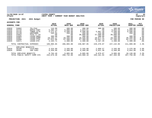

### **11/20/2020 14:07 |YATES COUNTY |P 42 nflynn |NEXT YEAR / CURRENT YEAR BUDGET ANALYSIS |bgnyrpts**

# **PROJECTION: 2021 2021 Budget FOR PERIOD 99**

| GENERAL FUND |                            | 2019<br><b>ACTUAL</b>        | 2020<br>ORIG BUD | 2020<br><b>REVISED BUD</b> | 2020<br><b>ACTUAL</b> | 2020<br><b>PROJECTION</b> | 2021<br><b>ADOPTED</b> | <b>PCT</b><br><b>CHANGE</b> |                 |
|--------------|----------------------------|------------------------------|------------------|----------------------------|-----------------------|---------------------------|------------------------|-----------------------------|-----------------|
| A3020        | 54682                      | TEL/FAX                      | 144.00           | 480.00                     | 480.00                | 400.00                    | 480.00                 | 480.00                      | . 0%            |
| A3020        | 54734                      | RADIO PART                   | 5,285.14         | 6,000.00                   | 2,023.61              | .00                       | 9,004.50               | 6,000.00                    | .0 <sub>8</sub> |
| A3020        | 54735                      | TOWER SITE                   | 5,271.67         | 6,500.00                   | 6,500.00              | 5,887.40                  | 6.500.00               | 6,500.00                    | .0 <sub>8</sub> |
| A3020        | 54749                      | <b>UNIFORMS</b>              | 265.94           | 350.00                     | 350.00                | 125.90                    | 350.00                 | 350.00                      | .0 <sub>8</sub> |
| A3020        | 54952                      | SICG 17 CO                   | .00              | .00.                       | 38,000.00             | 37,500.00                 | 38,000.00              | .00                         | .0 <sub>8</sub> |
| A3020        | 54965                      | LEASE: ANGU                  | 300.00           | 300.00                     | 300.00                | 300.00                    | 300.00                 | 300.00                      | .0 <sub>8</sub> |
| A3020        | 54967                      | LEASE: DUND                  | 19,104.17        | 19,435.00                  | 19,435.00             | 19,677.31                 | 19,435.00              | 20,268.00                   | 4.3%            |
| A3020        | 54968                      | LEASE: ITAL                  | 57,912.96        | 57,300.00                  | 57,300.00             | 55,047.13                 | 57,300.00              | 62,211.00                   | 8.6%            |
| A3020        | 54971                      | LEASE: STH                   | 2,164.71         | 2,400.00                   | 2,400.00              | 2,167.29                  | 2,400.00               | 2,400.00                    | .0%             |
|              | TOTAL CONTRACTUAL EXPENSES |                              | 189,885.85       | 206,065.00                 | 240,987.95            | 229,470.07                | 247,142.05             | 211,009.00                  | 2.4%            |
| 8            | EMPLOYEE                   | BENEFITS                     |                  |                            |                       |                           |                        |                             |                 |
| A3020        | 58100                      | FICA/MED                     | 3,324.89         | 3,345.00                   | 3,345.00              | 2,958.57                  | 3,345.00               | 3,476.00                    | 3.9%            |
| A3020        | 58304                      | INS CO82                     | 6,459.60         | 6,460.00                   | 6,460.00              | 5,921.30                  | 6.460.00               | 6,654.00                    | 3.0%            |
|              | TOTAL EMPLOYEE BENEFITS    |                              | 9,784.49         | 9,805.00                   | 9,805.00              | 8,879.87                  | 9,805.00               | 10,130.00                   | 3.3%            |
|              |                            | TOTAL PUBLIC SAFETY COMM SYS | 232,870.30       | 290,732.00                 | 183,980.10            | 335, 161.94               | 397,483.90             | 267,750.00                  | $-7.9%$         |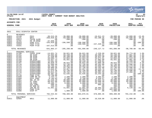|                                                                                                                                                                                                                                               |                                                                                                                                                                                                                                                    |                                                                                                                                                                                                                                                                                                                                                                         |                                                                                                                                                                                                                                                                                                                   |                                                                                                                                                                                                                                                                                                       |                                                                                                                                                                                                                                                                                                                   |                                                                                                                                                                                                                                                                                                                |                                                                                                                                                                                                                                                                                                              |                                                                                                                                                                                                                                                                                            | munis<br>a tyler erp solution                                                                                                                                                                                                                                    |
|-----------------------------------------------------------------------------------------------------------------------------------------------------------------------------------------------------------------------------------------------|----------------------------------------------------------------------------------------------------------------------------------------------------------------------------------------------------------------------------------------------------|-------------------------------------------------------------------------------------------------------------------------------------------------------------------------------------------------------------------------------------------------------------------------------------------------------------------------------------------------------------------------|-------------------------------------------------------------------------------------------------------------------------------------------------------------------------------------------------------------------------------------------------------------------------------------------------------------------|-------------------------------------------------------------------------------------------------------------------------------------------------------------------------------------------------------------------------------------------------------------------------------------------------------|-------------------------------------------------------------------------------------------------------------------------------------------------------------------------------------------------------------------------------------------------------------------------------------------------------------------|----------------------------------------------------------------------------------------------------------------------------------------------------------------------------------------------------------------------------------------------------------------------------------------------------------------|--------------------------------------------------------------------------------------------------------------------------------------------------------------------------------------------------------------------------------------------------------------------------------------------------------------|--------------------------------------------------------------------------------------------------------------------------------------------------------------------------------------------------------------------------------------------------------------------------------------------|------------------------------------------------------------------------------------------------------------------------------------------------------------------------------------------------------------------------------------------------------------------|
| nflynn                                                                                                                                                                                                                                        | 11/20/2020 14:07                                                                                                                                                                                                                                   |                                                                                                                                                                                                                                                                                                                                                                         | <b>IYATES COUNTY</b><br>NEXT YEAR / CURRENT YEAR BUDGET ANALYSIS                                                                                                                                                                                                                                                  |                                                                                                                                                                                                                                                                                                       |                                                                                                                                                                                                                                                                                                                   |                                                                                                                                                                                                                                                                                                                |                                                                                                                                                                                                                                                                                                              |                                                                                                                                                                                                                                                                                            | ΙP<br>43<br>  bgnyrpts                                                                                                                                                                                                                                           |
|                                                                                                                                                                                                                                               | PROJECTION: 2021                                                                                                                                                                                                                                   | 2021 Budget                                                                                                                                                                                                                                                                                                                                                             |                                                                                                                                                                                                                                                                                                                   |                                                                                                                                                                                                                                                                                                       |                                                                                                                                                                                                                                                                                                                   |                                                                                                                                                                                                                                                                                                                |                                                                                                                                                                                                                                                                                                              |                                                                                                                                                                                                                                                                                            | FOR PERIOD 99                                                                                                                                                                                                                                                    |
| ACCOUNTS FOR:                                                                                                                                                                                                                                 |                                                                                                                                                                                                                                                    |                                                                                                                                                                                                                                                                                                                                                                         |                                                                                                                                                                                                                                                                                                                   |                                                                                                                                                                                                                                                                                                       |                                                                                                                                                                                                                                                                                                                   |                                                                                                                                                                                                                                                                                                                |                                                                                                                                                                                                                                                                                                              |                                                                                                                                                                                                                                                                                            |                                                                                                                                                                                                                                                                  |
| <b>GENERAL FUND</b>                                                                                                                                                                                                                           |                                                                                                                                                                                                                                                    |                                                                                                                                                                                                                                                                                                                                                                         | 2019<br><b>ACTUAL</b>                                                                                                                                                                                                                                                                                             | 2020<br>ORIG BUD                                                                                                                                                                                                                                                                                      | 2020<br><b>REVISED BUD</b>                                                                                                                                                                                                                                                                                        | 2020<br><b>ACTUAL</b>                                                                                                                                                                                                                                                                                          | 2020<br><b>PROJECTION</b>                                                                                                                                                                                                                                                                                    | 2021<br>ADOPTED CHANGE                                                                                                                                                                                                                                                                     | PCT                                                                                                                                                                                                                                                              |
| 3021                                                                                                                                                                                                                                          | E911 DISPATCH CENTER                                                                                                                                                                                                                               |                                                                                                                                                                                                                                                                                                                                                                         |                                                                                                                                                                                                                                                                                                                   |                                                                                                                                                                                                                                                                                                       |                                                                                                                                                                                                                                                                                                                   |                                                                                                                                                                                                                                                                                                                |                                                                                                                                                                                                                                                                                                              |                                                                                                                                                                                                                                                                                            |                                                                                                                                                                                                                                                                  |
| $\overline{0}$<br>A3021<br>A3021<br>A3021<br>A3021<br>A3021<br>A3021<br>A3021                                                                                                                                                                 | <b>REVENUES</b><br>41140<br>41141<br>42612<br>42701<br>43324<br>43329<br>43331                                                                                                                                                                     | E911<br><b>W911</b><br>FALSE ALRM<br>PR YR RFND<br>PSAP FY17<br>PSAP FY19<br>PSAP FY18                                                                                                                                                                                                                                                                                  | $-30, 513.26$<br>$-250, 818.52$<br>$\sim 00$<br>$-37,940.40$<br>$-155,018.09$<br>.00<br>$-167, 513.00$                                                                                                                                                                                                            | $-39,000.00$<br>$-59,500.00$<br>$-200.00$<br>.00<br>$-196,598.00$<br>.00<br>.00                                                                                                                                                                                                                       | $-39,000.00$<br>$-59,500.00$<br>$-200.00$<br>.00<br>$-196,598.00$<br>$-196, 598.00$<br>.00                                                                                                                                                                                                                        | $-19,611.23$<br>$-63, 196.25$<br>.00<br>.00<br>.00<br>$-157, 320.24$<br>.00                                                                                                                                                                                                                                    | $-39,000.00$<br>$-59,500.00$<br>$-200.00$<br>.00<br>$-196,598.00$<br>$-196, 598.00$<br>.00                                                                                                                                                                                                                   | $-33,000.00$<br>$-65,500.00$<br>$-200.00$<br>.00<br>$.00 \,$<br>.00<br>.00                                                                                                                                                                                                                 | $-15.4%$<br>10.1%<br>.0%<br>.0%<br>$-100.0%$<br>.0 <sub>8</sub><br>.0%                                                                                                                                                                                           |
|                                                                                                                                                                                                                                               | TOTAL REVENUES                                                                                                                                                                                                                                     |                                                                                                                                                                                                                                                                                                                                                                         | $-641,803.27$                                                                                                                                                                                                                                                                                                     | $-295, 298.00$                                                                                                                                                                                                                                                                                        | $-491,896.00$                                                                                                                                                                                                                                                                                                     | $-240, 127.72$                                                                                                                                                                                                                                                                                                 | $-491,896.00$                                                                                                                                                                                                                                                                                                | $-98,700.00$                                                                                                                                                                                                                                                                               | $-66.6%$                                                                                                                                                                                                                                                         |
| $\mathbf{1}$<br>A3021<br>A3021<br>A3021<br>A3021<br>A3021<br>A3021<br>A3021<br>A3021<br>A3021<br>A3021<br>A3021<br>A3021<br>A3021<br>A3021<br>A3021<br>A3021<br>A3021<br>A3021<br>A3021<br>A3021<br>A3021<br>A3021<br>A3021<br>A3021<br>A3021 | PERSONAL SERVICES<br>51700<br>51701<br>51702<br>51703<br>51704<br>51706<br>51707<br>51710<br>51712<br>51713<br>51714<br>51715<br>51716<br>51717<br>51718<br>51949<br>51950<br>51951<br>51952<br>51953<br>51955<br>51956<br>51958<br>51963<br>51986 | CHIEF DISP<br>SR DISP<br>SR DISP<br>SR DISP<br>SR DISP<br><b>DISPATCHER</b><br><b>DISPATCHER</b><br><b>DISPATCHER</b><br><b>DISPATCHER</b><br><b>DISPATCHER</b><br>DISPATCHER<br>DISPATCHER<br>DISPATCHER<br><b>DISPATCHER</b><br>PSAP FY18<br>COMP BO 82<br>DIFF CO82<br>HOL OT 82<br>OT CO82<br>CB CO82<br>OIC CO82<br>ED BON 82<br>INS BO 82<br>PSAP FY18<br>DISP PT | $-14,031.74$<br>54,894.00<br>47,438.09<br>50,089.74<br>53,657.14<br>12,561.10<br>46,820.76<br>51,568.50<br>46,756.12<br>50,900.56<br>25,826.07<br>51, 573.36<br>38,621.22<br>50,487.10<br>78,730.00<br>2,753.71<br>8,704.03<br>41,428.10<br>60,932.68<br>10,488.77<br>508.25<br>236.15<br>11,601.12<br>.00<br>.00 | 58,821.00<br>56,160.00<br>56,160.00<br>52,663.00<br>55,561.00<br>.00<br>48,622.00<br>52,746.00<br>49,304.00<br>52,746.00<br>52,357.00<br>52,746.00<br>45,762.00<br>52,535.00<br>.00<br>2,200.00<br>5,700.00<br>30,000.00<br>55,000.00<br>6,000.00<br>325.00<br>300.00<br>11,601.00<br>.00<br>1,000.00 | 58,821.00<br>56,160.00<br>16,043.60<br>52,663.00<br>55,561.00<br>40,116.40<br>48,622.00<br>52,746.00<br>49,304.00<br>52,746.00<br>52,357.00<br>52,746.00<br>45,762.00<br>52,535.00<br>.00<br>2,200.00<br>5,700.00<br>30,000.00<br>55,000.00<br>6,000.00<br>325.00<br>300.00<br>11,601.00<br>66,567.01<br>1,000.00 | $-2, 229.69$<br>48,499.61<br>28,912.40<br>45,971.91<br>47,902.80<br>31,239.01<br>41,899.30<br>46,292.00<br>42,556.71<br>46, 292.00<br>30,245.76<br>45,803.10<br>40,301.50<br>33,253.40<br>.00<br>3,383.01<br>8,320.57<br>31,642.33<br>33,998.40<br>10,123.44<br>965.38<br>.00<br>10,364.56<br>53,147.85<br>.00 | 58,821.00<br>56,160.00<br>56,160.00<br>52,663.00<br>55,561.00<br>.00<br>48,622.00<br>52,746.00<br>49,304.00<br>52,746.00<br>52,357.00<br>52,746.00<br>45,762.00<br>52,535.00<br>.00<br>2,200.00<br>5,700.00<br>30,000.00<br>55,000.00<br>6,000.00<br>325.00<br>300.00<br>11,601.00<br>101,000.00<br>1,000.00 | 59,774.00<br>57,081.00<br>57,081.00<br>53, 513.00<br>57,081.00<br>46, 229.00<br>50,173.00<br>53,596.00<br>50,173.00<br>53,596.00<br>46,229.00<br>53,596.00<br>47,456.00<br>.00<br>.00<br>2,200.00<br>5,700.00<br>30,000.00<br>55,000.00<br>6,000.00<br>325.00<br>300.00<br>9,139.00<br>.00 | 1.6%<br>1.6%<br>1.6%<br>1.6%<br>2.7%<br>.0%<br>3.2%<br>1.6%<br>1.8%<br>1.6%<br>$-11.7%$<br>1.6%<br>3.7%<br>$-100.0$ <sup>8</sup><br>.0 <sub>8</sub><br>.0%<br>.0%<br>.0%<br>.0 <sub>8</sub><br>.0%<br>.0%<br>.0%<br>$-21.2%$<br>.0 <sub>8</sub><br>$.00 - 100.0$ |
|                                                                                                                                                                                                                                               | TOTAL PERSONAL SERVICES                                                                                                                                                                                                                            |                                                                                                                                                                                                                                                                                                                                                                         | 782,544.83                                                                                                                                                                                                                                                                                                        | 798,309.00                                                                                                                                                                                                                                                                                            | 864,876.01                                                                                                                                                                                                                                                                                                        | 678,885.35                                                                                                                                                                                                                                                                                                     | 899,309.00                                                                                                                                                                                                                                                                                                   | 794,242.00                                                                                                                                                                                                                                                                                 | $-.5%$                                                                                                                                                                                                                                                           |
| $\overline{a}$<br>A3021                                                                                                                                                                                                                       | EQUIPMENT<br>52504                                                                                                                                                                                                                                 | <b>W911</b>                                                                                                                                                                                                                                                                                                                                                             | 11,000.00                                                                                                                                                                                                                                                                                                         | 11,000.00                                                                                                                                                                                                                                                                                             | 11,000.00                                                                                                                                                                                                                                                                                                         | 10,520.00                                                                                                                                                                                                                                                                                                      | 11,000.00                                                                                                                                                                                                                                                                                                    | 11,000.00                                                                                                                                                                                                                                                                                  | .0 <sub>8</sub>                                                                                                                                                                                                                                                  |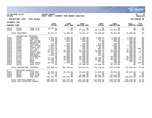

### **11/20/2020 14:07 |YATES COUNTY |P 44 nflynn |NEXT YEAR / CURRENT YEAR BUDGET ANALYSIS |bgnyrpts**

**PROJECTION: 2021 2021 Budget FOR PERIOD 99**

| <b>GENERAL FUND</b> |                         |                            | 2019<br><b>ACTUAL</b> | 2020<br>ORIG BUD | 2020<br><b>REVISED BUD</b> | 2020<br><b>ACTUAL</b> | 2020<br><b>PROJECTION</b> | 2021<br>ADOPTED CHANGE | <b>PCT</b>       |
|---------------------|-------------------------|----------------------------|-----------------------|------------------|----------------------------|-----------------------|---------------------------|------------------------|------------------|
| A3021<br>A3021      | 52952<br>52959          | PSAP FY18<br>PSAP FY19     | 19,107.91<br>.00      | .00<br>.00       | .00<br>67,531.16           | .00<br>43,116.00      | $.00 \,$<br>15,019.00     | .00<br>.00             | $.0\%$<br>$.0\%$ |
|                     | TOTAL EOUIPMENT         |                            | 30,107.91             | 11,000.00        | 78,531.16                  | 53,636.00             | 26,019.00                 | 11,000.00              | .0 <sub>8</sub>  |
| $4\degree$          | CONTRACTUAL             | EXPENSES                   |                       |                  |                            |                       |                           |                        |                  |
| A3021               | 54156                   | TRAINING                   | 3,097.93              | 2,000.00         | 1,980.00                   | 1,159.97              | 2,020.00                  | 2,000.00               | $.0\%$           |
| A3021               | 54470                   | SUPP:OFF                   | 3,392.36              | 3,000.00         | 3,000.00                   | 875.13                | 3,000.00                  | 3,000.00               | $.0\%$           |
| A3021               | 54505                   | DRY CLEANG                 | 638.00                | 600.00           | 600.00                     | 34.00                 | 600.00                    | 600.00                 | $.0\%$           |
| A3021               | 54507                   | COPIER CHR                 | .00                   | .00              | .00                        | .00                   | .00                       | 600.00                 | $.0\%$           |
| A3021               | 54516                   | PRINTING                   | 313.00                | 400.00           | 400.00                     | 240.00                | 400.00                    | 400.00                 | $.0\%$           |
| A3021               | 54575                   | SOFT MAINT                 | 1,695.00              | 1,695.00         | 1,695.00                   | 1,695.00              | 1,695.00                  | 1,695.00               | $.0\%$           |
| A3021               | 54660                   | TRAVEL EXP                 | 1,051.31              | 400.00           | 400.00                     | 81.94                 | 400.00                    | 400.00                 | .0 <sub>8</sub>  |
| A3021               | 54676                   | UTIL: CELL                 | 1,022.88              | 300.00           | 958.00                     | 938.25                | 300.00                    | 1,200.00               | 300.0%           |
| A3021               | 54682                   | TEL/FAX                    | 12,612.45             | 14,100.00        | 13,442.00                  | 12,381.94             | 14,100.00                 | 14,100.00              | .0%              |
| A3021               | 54701                   | ACCESS 911                 | 12,137.70             | 13,000.00        | 13,000.00                  | 3,658.73              | 13,000.00                 | 10,000.00              | $-23.1%$         |
| A3021               | 54734                   | RADIO PART                 | 500.00                | 500.00           | 500.00                     | 285.00                | 500.00                    | 500.00                 | $.0\%$           |
| A3021               | 54749                   | UNIFORMS                   | 1,699.44              | 800.00           | 800.00                     | 248.10                | 800.00                    | 800.00                 | .0%              |
| A3021               | 54763                   | PICTOMETRY                 | .00                   | 19,000.00        | 19,000.00                  | .00                   | 19,000.00                 | 18,808.00              | $-1.0$ $8$       |
| A3021               | 54770                   | E911 EXP                   | 18,731.68             | 26,000.00        | 26,000.00                  | 19,498.29             | 26,000.00                 | 23,000.00              | $-11.5%$         |
| A3021               | 54771                   | <b>W911</b>                | 43,988.75             | 48,500.00        | 48,500.00                  | 44,294.84             | 48,500.00                 | 54,500.00              | 12.4%            |
| A3021               | 54907                   | DUES                       | 25.00                 | 300.00           | 300.00                     | 284.00                | 300.00                    | 300.00                 | $.0\%$           |
| A3021               | 54951                   | PSAP CONSO                 | 30,954.92             | 71,750.00        | 71,750.00                  | .00                   | 71,750.00                 |                        | $.00 - 100.0$    |
| A3021               | 54955                   | PSAP FY19                  | .00                   | .00              | 32,499.83                  | 32,499.83             | 32,157.00                 | .00                    | $.0\%$           |
|                     |                         | TOTAL CONTRACTUAL EXPENSES | 131,860.42            | 202,345.00       | 234,824.83                 | 118,175.02            | 234,522.00                | 131,903.00             | $-34.8\%$        |
| 8                   | EMPLOYEE BENEFITS       |                            |                       |                  |                            |                       |                           |                        |                  |
| A3021               | 58100                   | FICA/MED                   | 19,293.20             | 59,618.00        | 59,618.00                  | 21,086.62             | 59,618.00                 | 58,549.00              | $-1.8%$          |
| A3021               | 58101                   | PSAP FY18                  | 38,715.18             | .00              | .00                        | .00                   | .00                       | .00                    | .0%              |
| A3021               | 58102                   | PSAP FY19                  | .00                   | .00              | 30,000.00                  | 28,556.56             | 48,422.00                 | .00                    | $.0\%$           |
| A3021               | 58304                   | INS CO82                   | 102,294.47            | 102,538.00       | 102,538.00                 | 84,358.97             | 102,538.00                | 126,684.00             | 23.5%            |
|                     | TOTAL EMPLOYEE BENEFITS |                            | 160,302.85            | 162,156.00       | 192,156.00                 | 134,002.15            | 210,578.00                | 185,233.00             | 14.2%            |
|                     |                         | TOTAL E911 DISPATCH CENTER | 463,012.74            | 878,512.00       | 878,492.00                 | 744,570.80            | 878,532.00                | 1,023,678.00           | 16.5%            |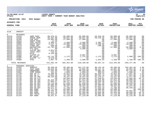|                                                                                                                                                                              |                                                                                                                                                                                              |                                                                                                                                                                                                                                                        |                                                                                                                                                                                                                                                |                                                                                                                                                                                                                                                    |                                                                                                                                                                                                                                                      |                                                                                                                                                                                                                                                     |                                                                                                                                                                                                                                                    |                                                                                                                                                                                                                                        | munis<br>a tyler erp solution                                                                                                                                           |
|------------------------------------------------------------------------------------------------------------------------------------------------------------------------------|----------------------------------------------------------------------------------------------------------------------------------------------------------------------------------------------|--------------------------------------------------------------------------------------------------------------------------------------------------------------------------------------------------------------------------------------------------------|------------------------------------------------------------------------------------------------------------------------------------------------------------------------------------------------------------------------------------------------|----------------------------------------------------------------------------------------------------------------------------------------------------------------------------------------------------------------------------------------------------|------------------------------------------------------------------------------------------------------------------------------------------------------------------------------------------------------------------------------------------------------|-----------------------------------------------------------------------------------------------------------------------------------------------------------------------------------------------------------------------------------------------------|----------------------------------------------------------------------------------------------------------------------------------------------------------------------------------------------------------------------------------------------------|----------------------------------------------------------------------------------------------------------------------------------------------------------------------------------------------------------------------------------------|-------------------------------------------------------------------------------------------------------------------------------------------------------------------------|
| nflynn                                                                                                                                                                       | 11/20/2020 14:07                                                                                                                                                                             |                                                                                                                                                                                                                                                        | <b>IYATES COUNTY</b><br>NEXT YEAR / CURRENT YEAR BUDGET ANALYSIS                                                                                                                                                                               |                                                                                                                                                                                                                                                    |                                                                                                                                                                                                                                                      |                                                                                                                                                                                                                                                     |                                                                                                                                                                                                                                                    |                                                                                                                                                                                                                                        | ∣P<br>45<br>  bgnyrpts                                                                                                                                                  |
|                                                                                                                                                                              | PROJECTION: 2021                                                                                                                                                                             | 2021 Budget                                                                                                                                                                                                                                            |                                                                                                                                                                                                                                                |                                                                                                                                                                                                                                                    |                                                                                                                                                                                                                                                      |                                                                                                                                                                                                                                                     |                                                                                                                                                                                                                                                    |                                                                                                                                                                                                                                        | FOR PERIOD 99                                                                                                                                                           |
| ACCOUNTS FOR:                                                                                                                                                                |                                                                                                                                                                                              |                                                                                                                                                                                                                                                        |                                                                                                                                                                                                                                                |                                                                                                                                                                                                                                                    |                                                                                                                                                                                                                                                      |                                                                                                                                                                                                                                                     |                                                                                                                                                                                                                                                    |                                                                                                                                                                                                                                        |                                                                                                                                                                         |
| <b>GENERAL FUND</b>                                                                                                                                                          |                                                                                                                                                                                              |                                                                                                                                                                                                                                                        | 2019<br><b>ACTUAL</b>                                                                                                                                                                                                                          | 2020<br>ORIG BUD                                                                                                                                                                                                                                   | 2020<br><b>REVISED BUD</b>                                                                                                                                                                                                                           | 2020<br><b>ACTUAL</b>                                                                                                                                                                                                                               | 2020<br><b>PROJECTION</b>                                                                                                                                                                                                                          | 2021<br>ADOPTED CHANGE                                                                                                                                                                                                                 | PCT                                                                                                                                                                     |
| 3110                                                                                                                                                                         | <b>SHERIFF</b>                                                                                                                                                                               |                                                                                                                                                                                                                                                        |                                                                                                                                                                                                                                                |                                                                                                                                                                                                                                                    |                                                                                                                                                                                                                                                      |                                                                                                                                                                                                                                                     |                                                                                                                                                                                                                                                    |                                                                                                                                                                                                                                        |                                                                                                                                                                         |
| $\mathbf 0$<br>A3110<br>A3110<br>A3110<br>A3110<br>A3110<br>A3110<br>A3110<br>A3110<br>A3110<br>A3110<br>A3110<br>A3110<br>A3110<br>A3110<br>A3110<br>A3110                  | <b>REVENUES</b><br>41510<br>41528<br>42260<br>42616<br>42655<br>42665<br>42770<br>43315<br>43319<br>43321<br>43325<br>43326<br>44304<br>44306<br>44307<br>44388                              | SHER FEES<br>FRAUD INVE<br>PUB SAFE<br>HNDCP PKNG<br>FUEL SALES<br><b>EQUIP SALE</b><br>FINES ART<br>NAVIGATION<br>PTS 2021<br>SLETPP REV<br>LEGIS INIT<br><b>DCJS</b><br>SLETPP 19<br>BP VESTS<br>SLETPP '17<br><b>GTSC</b>                           | $-86, 879.52$<br>$-55,407.00$<br>$-25,083.90$<br>$-12.50$<br>$-3,950.27$<br>$-5,347.76$<br>$-200.00$<br>$-32,792.00$<br>.00<br>$-2,022.84$<br>$-724.63$<br>$-8, 165.00$<br>.00<br>$-10,731.49$<br>$-8,676.88$<br>$-1,897.70$                   | $-65,000.00$<br>$-56,627.00$<br>$-17,500.00$<br>.00<br>$-3,500.00$<br>$-10,000.00$<br>$-300.00$<br>$-47,000.00$<br>.00<br>.00<br>.00<br>.00<br>.00<br>$-1, 175.00$<br>.00<br>$-1,350.00$                                                           | $-65,000.00$<br>$-56,627.00$<br>$-17,500.00$<br>.00<br>$-3,500.00$<br>$-10,000.00$<br>$-300.00$<br>$-47,000.00$<br>$-4,600.00$<br>.00<br>.00<br>.00<br>$-9,997.00$<br>$-1, 175.00$<br>.00<br>$-2,500.00$                                             | $-40, 426.28$<br>$-46, 219.32$<br>.00<br>.00<br>$-2,382.72$<br>$-2, 260.00$<br>$-100.00$<br>.00<br>.00<br>.00<br>.00<br>.00<br>.00<br>$-1, 175.00$<br>.00<br>$-1,033.92$                                                                            | $-65,000.00$<br>$-56,627.00$<br>$-17,500.00$<br>.00<br>$-3,500.00$<br>$-10,000.00$<br>$-300.00$<br>$-47,000.00$<br>.00<br>.00<br>$.00 \,$<br>$.00 \,$<br>$-9,997.00$<br>$-1, 175.00$<br>.00<br>$-1, 350.00$                                        | $-65,000.00$<br>$-56,627.00$<br>$-17,500.00$<br>.00<br>$-3,500.00$<br>$-10,000.00$<br>$-300.00$<br>$-50,000.00$<br>$-4,600.00$<br>.00<br>.00<br>.00<br>.00<br>2,900.00 -346.8%<br>.00<br>1,150.00 -185.2%                              | $.0\%$<br>$.0\%$<br>.0%<br>.0%<br>.0%<br>.0%<br>.0%<br>6.4%<br>.0%<br>.0%<br>.0%<br>.0%<br>.0%<br>.0%                                                                   |
|                                                                                                                                                                              | TOTAL REVENUES                                                                                                                                                                               |                                                                                                                                                                                                                                                        | $-241,891.49$                                                                                                                                                                                                                                  | $-202, 452.00$                                                                                                                                                                                                                                     | $-218, 199.00$                                                                                                                                                                                                                                       | $-93,597.24$                                                                                                                                                                                                                                        | $-212, 449.00$                                                                                                                                                                                                                                     | $-203, 477.00$                                                                                                                                                                                                                         | .5%                                                                                                                                                                     |
| 1<br>A3110<br>A3110<br>A3110<br>A3110<br>A3110<br>A3110<br>A3110<br>A3110<br>A3110<br>A3110<br>A3110<br>A3110<br>A3110<br>A3110<br>A3110<br>A3110<br>A3110<br>A3110<br>A3110 | PERSONAL SERVICES<br>51025<br>51105<br>51155<br>51661<br>51730<br>51731<br>51734<br>51735<br>51736<br>51737<br>51739<br>51740<br>51742<br>51743<br>51750<br>51751<br>51752<br>51753<br>51754 | SHERIFF<br>ASST SHER<br>UNDERSHER<br>COMP NONUN<br>DEP SH LT<br>DEP SH LT<br>DEP SH INV<br>DEP SH F/S<br>DEP SH INV<br>DEP SH INV<br>DEP SH SGT<br>DEP SH SGT<br>DEP SH SGT<br>DEP SH SGT<br>DEP SHER<br>DEP SHER<br>DEP SHER<br>DEP YOUTH<br>DEP SHER | 99,288.06<br>40,026.66<br>77,942.96<br>181.62<br>73,596.06<br>73,551.28<br>68,233.88<br>.00<br>65, 423.40<br>67,064.57<br>64,713.99<br>65,693.06<br>67,935.61<br>69,371.57<br>66,757.60<br>58, 445.45<br>58,911.78<br>61, 314.07<br>30, 357.57 | 99,288.00<br>44,907.00<br>77,943.00<br>1,000.00<br>75,813.00<br>75,792.00<br>70,447.00<br>54,548.00<br>67,911.00<br>69,127.00<br>67,240.00<br>68,839.00<br>70,447.00<br>71,788.00<br>65,500.00<br>62,332.00<br>62,493.00<br>47,119.00<br>47,119.00 | 101,275.00<br>44,962.00<br>80, 533.00<br>1,000.00<br>75,813.00<br>75,792.00<br>70,447.00<br>54,548.00<br>67,911.00<br>69,127.00<br>67,240.00<br>68,839.00<br>70,447.00<br>71,788.00<br>10,608.00<br>62,332.00<br>62,493.00<br>36,928.29<br>47,119.00 | 88,132.49<br>39, 127.31<br>70,082.28<br>898.64<br>65,829.43<br>66,191.14<br>61,170.27<br>57,540.01<br>59,616.00<br>60, 353.40<br>59,027.20<br>59,409.60<br>61,842.42<br>57,932.10<br>10,608.00<br>54, 372.02<br>35,995.90<br>48,881.06<br>42,996.38 | 99,288.00<br>44,907.00<br>77,943.00<br>1,000.00<br>75,813.00<br>75,792.00<br>70,447.00<br>54,548.00<br>67,911.00<br>69,127.00<br>67,240.00<br>68,839.00<br>70,447.00<br>71,788.00<br>65,500.00<br>62,332.00<br>62,493.00<br>47,119.00<br>47,119.00 | 103,301.00<br>45,862.00<br>82,144.00<br>1,000.00<br>77,027.00<br>77,027.00<br>71,577.00<br>72,955.00<br>69,009.00<br>70,241.00<br>68,320.00<br>70,241.00<br>71,577.00<br>68,320.00<br>63,601.00<br>50,810.00<br>66,935.00<br>52,132.00 | 4.0%<br>2.1%<br>5.4%<br>.0%<br>1.6%<br>1.6%<br>1.6%<br>33.7%<br>1.6%<br>1.6%<br>1.6%<br>2.0%<br>1.6%<br>$-4.8%$<br>$.00 - 100.0%$<br>2.0%<br>$-18.7%$<br>42.1%<br>10.6% |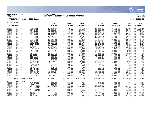

### **11/20/2020 14:07 |YATES COUNTY |P 46 nflynn |NEXT YEAR / CURRENT YEAR BUDGET ANALYSIS |bgnyrpts**

**PROJECTION: 2021 2021 Budget FOR PERIOD 99**

| <b>GENERAL FUND</b> |                         |                       | 2019<br><b>ACTUAL</b> | 2020<br>ORIG BUD | 2020<br><b>REVISED BUD</b> | 2020<br><b>ACTUAL</b> | 2020<br><b>PROJECTION</b> | 2021<br>ADOPTED CHANGE | <b>PCT</b>    |
|---------------------|-------------------------|-----------------------|-----------------------|------------------|----------------------------|-----------------------|---------------------------|------------------------|---------------|
| A3110               | 51755                   | DEP SHER              | 51,941.23             | 55,776.00        | 55,776.00                  | 48,212.67             | 55,776.00                 | 63,094.00              | 13.1%         |
| A3110               | 51756                   | DEP SHER              | 34,022.94             | 2,500.00         | 57,392.00                  | 30,033.60             | 2,500.00                  | 52,310.00 1992.4%      |               |
| A3110               | 51757                   | DEP SHER              | 52,711.80             | 60,234.00        | 60,234.00                  | 51,782.70             | 60,234.00                 | 63,463.00              | 5.4%          |
| A3110               | 51758                   | DEP SHER              | 60,141.23             | 62,587.00        | 62,587.00                  | 54,942.40             | 62,587.00                 | 63,601.00              | 1.6%          |
| A3110               | 51759                   | DEP SHER              | 34,486.73             | 51,451.00        | 51,451.00                  | 44,572.80             | 51,451.00                 | 53,528.00              | 4.0%          |
| A3110               | 51761                   | DEP SHER              | 50,646.83             | 52,789.00        | 52,789.00                  | 46,321.62             | 52,789.00                 | 54,575.00              | 3.4%          |
| A3110               | 51762                   | DEP SHER              | 50,307.18             | 52,677.00        | 52,677.00                  | 47, 417.20            | 52,677.00                 | 54,446.00              | 3.4%          |
| A3110               | 51763                   | DEP SHER              | 63,740.44             | 65,836.00        | 65,836.00                  | 56,985.60             | 65,836.00                 | 66,900.00              | 1.6%          |
| A3110               | 51764                   | DEP SHER              | 63,365.61             | 65,836.00        | 65,836.00                  | 57,794.54             | 65,836.00                 | 66,900.00              | 1.6%          |
| A3110               | 51765                   | DEP SHER              | 62,044.18             | 64,369.00        | 64,369.00                  | 56,506.50             | 64,369.00                 | 65,397.00              | 1.6%          |
| A3110               | 51770                   | SECR SHER             | 37,788.86             | 37,790.00        | 38,546.00                  | 33,543.75             | 37,790.00                 | 39,153.00              | 3.6%          |
| A3110               | 51771                   | ACT                   | 35,809.20             | 37,592.00        | 37,592.00                  | 32,679.67             | 37,592.00                 | 38,660.00              | 2.8%          |
| A3110               | 51773                   | TYPIST                | 32,922.54             | 33,874.00        | 33,874.00                  | 29,478.16             | 33,874.00                 | 35,573.00              | 5.0%          |
| A3110               | 51939                   | COMP BO 82            | 2,152.75              | 1,000.00         | 1,000.00                   | 4,573.76              | 1,000.00                  | 1,000.00               | .0%           |
| A3110               | 51940                   | DIFF CO82             | 8,696.40              | 8,000.00         | 8,000.00                   | 7,010.55              | 8,000.00                  | 8,000.00               | $.0\%$        |
| A3110               | 51941                   | HOL OT82              | 86,525.08             | 70,000.00        | 70,000.00                  | 72,917.66             | 70,000.00                 | 70,000.00              | .0%           |
| A3110               | 51942                   | OT CO82               | 193,966.84            | 150,000.00       | 150,000.00                 | 108,917.86            | 150,000.00                | 150,000.00             | .0%           |
| A3110               | 51943                   | CB CO82               | 20,050.00             | 14,000.00        | 14,000.00                  | 12,861.98             | 14,000.00                 | 14,000.00              | .0%           |
| A3110               | 51944                   | FIT OT 82             | 622.01                | 800.00           | 800.00                     | 1,491.97              | 800.00                    | 800.00                 | .0%           |
| A3110               | 51945                   | OIC CO82              | 663.50                | 500.00           | 500.00                     | 389.01                | 500.00                    | 500.00                 | .0%           |
| A3110               | 51946                   | ED BON 82             | 1,725.65              | 3,300.00         | 3,300.00                   | .00                   | 3,300.00                  | 3,300.00               | .0%           |
| A3110               | 51947                   | CANINE 82             | 14,031.90             | 12,000.00        | 12,000.00                  | 12,858.84             | 12,000.00                 | 12,000.00              | $.0\%$        |
| A3110               | 51948                   | INS BO 82             | 19,000.00             | 19,000.00        | 19,000.00                  | 18,461.52             | 19,000.00                 | 21,348.00              | 12.4%         |
| A3110               | 51949<br>51952          | COMP BO 82<br>OT CO82 | .00                   | 50.00<br>100.00  | 50.00                      | 11.75<br>79.95        | 50.00                     | 50.00<br>100.00        | $.0\%$        |
| A3110               | 51960                   | OT PT                 | 1,108.98              | 100.00           | 100.00<br>100.00           |                       | 100.00<br>100.00          | 100.00                 | .0%           |
| A3110<br>A3110      | 51961                   | 35-40 HRS             | 289.32<br>406.83      | 700.00           | 700.00                     | .00<br>371.15         | 700.00                    | 700.00                 | .0%<br>.0%    |
| A3110               | 51964                   | PTSOT 2021            | .00                   | .00              | 4,600.00                   | .00                   | .00                       | 4,600.00               | $.0\%$        |
| A3110               | 51985                   | DEP SH PT             | 13,302.74             | 20,000.00        | 20,000.00                  | 13, 417.95            | 20,000.00                 | 20,000.00              | .0%           |
| A3110               | 51995                   | MAR OFF PT            | 41,390.66             | 49,000.00        | 50,350.26                  | 50,947.38             | 49,000.00                 | 52,000.00              | 6.1%          |
| A3110               | 51997                   | CLERK PT              | 19,501.03             | 15,083.00        | 13,732.74                  | 7,488.69              | 15,083.00                 | 16,705.00              | 10.8%         |
|                     |                         |                       |                       |                  |                            |                       |                           |                        |               |
|                     | TOTAL PERSONAL SERVICES |                       | 2,162,171.65          | 2,206,597.00     | 2,206,394.29               | 1,902,076.88          | 2,206,597.00              | 2,274,882.00           | 3.1%          |
| 2                   | EOUIPMENT               |                       |                       |                  |                            |                       |                           |                        |               |
| A3110               | 52110                   | FURNITURE             | 535.98                | 750.00           | 750.00                     | 545.00                | 750.00                    | 750.00                 | . 0 %         |
| A3110               | 52111                   | <b>DESK</b>           | 376.60                | 500.00           | 500.00                     | .00                   | 500.00                    |                        | $.00 - 100.0$ |
| A3110               | 52213                   | VEH-MARKED            | 161,708.22            | 134,000.00       | 146,252.59                 | 46,110.00             | 134,000.00                | 134,000.00             | .0%           |
| A3110               | 52214                   | PUSH BUMP             | .00                   | 1,000.00         | .00                        | .00                   | 1,000.00                  | 1,000.00               | .0%           |
| A3110               | 52215                   | VEH SCREEN            | .00                   | 1,500.00         | .00                        | .00                   | 1,500.00                  | 1,500.00               | $.0\%$        |
| A3110               | 52216                   | VEH-UNMARK            | 33,698.37             | 32,000.00        | 30,339.68                  | 15,550.03             | 32,000.00                 | 32,000.00              | .0%           |
| A3110               | 52410                   | RADAR                 | .00                   | 2,600.00         | 5,025.00                   | 2,600.00              | 2,600.00                  | 4,200.00               | 61.5%         |
| A3110               | 52413                   | SIREN                 | .00                   | 3,000.00         | .00                        | .00                   | 3,000.00                  | 3,000.00               | $.0\%$        |
| A3110               | 52415                   | WEAPONS               | 22,095.00             | 21,094.00        | 21,094.00                  | 16,537.75             | 21,094.00                 | 42,100.00              | 99.6%         |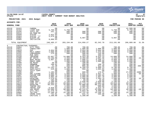

### **11/20/2020 14:07 |YATES COUNTY |P 47 nflynn |NEXT YEAR / CURRENT YEAR BUDGET ANALYSIS |bgnyrpts**

**PROJECTION: 2021 2021 Budget FOR PERIOD 99**

| <b>GENERAL FUND</b>     |                         |                                 | 2019<br><b>ACTUAL</b>     | 2020<br>ORIG BUD          | 2020<br><b>REVISED BUD</b> | 2020<br><b>ACTUAL</b> | 2020<br><b>PROJECTION</b> | 2021<br>ADOPTED CHANGE          | <b>PCT</b>                    |
|-------------------------|-------------------------|---------------------------------|---------------------------|---------------------------|----------------------------|-----------------------|---------------------------|---------------------------------|-------------------------------|
| A3110<br>A3110<br>A3110 | 52422<br>52424<br>52435 | CAMERA<br>LIGHT BAR<br>YCFIT EQ | .00<br>5,750.00<br>251.75 | .00<br>5,750.00<br>500.00 | .00<br>.00<br>500.00       | .00<br>.00<br>500.00  | .00<br>5,750.00<br>500.00 | 41,589.00<br>5,750.00<br>500.00 | .0%<br>.0 <sub>8</sub><br>.0% |
| A3110<br>A3110          | 52514<br>52949          | EO-TRNG RM<br>SLETPP            | .00<br>2,022.84           | 500.00<br>.00             | 500.00<br>.00              | 500.00<br>.00         | 500.00<br>.00             | 500.00<br>.00                   | .0 <sub>8</sub><br>$.0\%$     |
| A3110                   | 52953                   | SLETPP '17                      | 5,076.88                  | .00                       | .00                        | .00                   | .00                       | .00                             | $.0\%$                        |
| A3110<br>A3110          | 52962<br>52965          | SLETPP 19<br>INITIATIVE         | .00<br>8,889.63           | .00<br>.00                | 9,997.00<br>.00            | .00<br>.00            | 9,997.00<br>.00           | $.00 \,$<br>.00                 | . 0 %<br>.0%                  |
|                         | TOTAL EQUIPMENT         |                                 | 240,405.27                | 203,194.00                | 214,958.27                 | 82,342.78             | 213,191.00                | 266,889.00                      | 31.3%                         |
| $4\degree$              | CONTRACTUAL EXPENSES    |                                 |                           |                           |                            |                       |                           |                                 |                               |
| A3110<br>A3110          | 54004<br>54011          | ATTY FEES<br>CONSULTANT         | .00<br>.00                | 700.00<br>1,000.00        | 700.00<br>1,000.00         | .00<br>1,000.00       | 700.00<br>1,000.00        | 700.00<br>1,000.00              | .0 <sub>8</sub><br>.0%        |
| A3110                   | 54019                   | EAP                             | 3,654.90                  | 3,850.00                  | 3,654.90                   | 3,654.90              | 3,850.00                  | 3,850.00                        | .0 <sub>8</sub>               |
| A3110                   | 54056                   | POLY CONST                      | 1,650.00                  | 2,000.00                  | 2,000.00                   | 1,375.00              | 2,000.00                  | 2,000.00                        | .0 <sub>8</sub>               |
| A3110                   | 54152                   | CONFERENCE                      | 275.00                    | 500.00                    | 500.00                     | 235.00                | 500.00                    | 500.00                          | .0 <sub>8</sub>               |
| A3110<br>A3110          | 54155<br>54156          | PUB INFO<br>TRAINING            | .00<br>15,667.13          | .00<br>14,000.00          | 469.33<br>9,423.39         | 469.33<br>6,615.14    | .00<br>14,000.00          | .00<br>14,000.00                | .0%<br>.0%                    |
| A3110                   | 54306                   | BP VESTS                        | 13,169.80                 | 2,350.00                  | 2,350.00                   | 1,881.40              | 2,350.00                  | 2,900.00                        | 23.4%                         |
| A3110                   | 54401                   | BOAT MAINT                      | 5,967.47                  | 8,000.00                  | 7,990.51                   | 5,348.13              | 8,009.49                  | 8,000.00                        | .0%                           |
| A3110                   | 54407                   | EQUIP AGRE                      | .00                       | 1,000.00                  | 1,000.00                   | 1,000.00              | 1,000.00                  | 1,000.00                        | $.0\%$                        |
| A3110                   | 54408                   | EO MAINT                        | 50.00                     | 100.00                    | 100.00                     | .00                   | 100.00                    | 100.00                          | .0%                           |
| A3110                   | 54424                   | SNOWMOB                         | 198.82                    | 200.00                    | 200.00                     | 108.79                | 200.00                    | 200.00                          | .0%                           |
| A3110                   | 54457                   | SUPP: COMP                      | 21.38<br>11,242.11        | 250.00                    | 805.38                     | 611.50<br>5,899.13    | 250.00<br>8,700.00        | 900.00<br>8,700.00              | 260.0%                        |
| A3110<br>A3110          | 54470<br>54474          | SUPP:OFF<br>SUPP: SAFTY         | 429.60                    | 8,700.00<br>1,000.00      | 8,160.59<br>968.25         | 1,065.03              | 1,000.00                  | 1,000.00                        | .0 <sub>8</sub><br>.0%        |
| A3110                   | 54483                   | YCFIT SUPP                      | .00                       | 200.00                    | .00                        | .00                   | 200.00                    | 200.00                          | .0%                           |
| A3110                   | 54485                   | AED                             | 1,185.00                  | 600.00                    | 600.00                     | 176.67                | 600.00                    | 27,000.00 4400.0%               |                               |
| A3110                   | 54505                   | DRY CLEANG                      | 1,665.95                  | 1,000.00                  | 1,031.75                   | 1,031.75              | 1,000.00                  | 1,500.00                        | 50.0%                         |
| A3110                   | 54507                   | COPIER CHR                      | 3,086.75                  | 3,600.00                  | 3,600.00                   | 2,401.55              | 3,600.00                  | 3,600.00                        | .0%                           |
| A3110                   | 54515                   | POSTAGE                         | 3,865.39                  | 3,000.00                  | 3,000.00                   | 1,867.78              | 3,000.00                  | 3,000.00                        | $.0\%$                        |
| A3110<br>A3110          | 54516<br>54522          | PRINTING<br>SHIPMENTS           | 1,570.01<br>185.80        | 1,500.00<br>200.00        | 1,500.00<br>89.00          | 1,393.79<br>16.50     | 1,500.00<br>200.00        | 1,750.00<br>200.00              | 16.7%<br>.0%                  |
| A3110                   | 54571                   | COMP SOFT                       | 2,100.00                  | 2,100.00                  | 2,030.00                   | 2,030.00              | 2,100.00                  | 2,100.00                        | .0%                           |
| A3110                   | 54576                   | COMP SFT A                      | 23,983.64                 | 23,800.00                 | 23,779.10                  | 23,083.49             | 23,820.90                 | 23,850.00                       | .2%                           |
| A3110                   | 54653                   | GASOLINE                        | 94,333.61                 | 75,000.00                 | 75,000.00                  | 60,213.80             | 75,000.00                 | 75,000.00                       | .0%                           |
| A3110                   | 54658                   | TOWING VEH                      | .00                       | 1,000.00                  | 1,000.00                   | 800.00                | 1,000.00                  | 1,000.00                        | .0%                           |
| A3110                   | 54660                   | TRAVEL EXP                      | 6,829.83                  | 5,000.00                  | 3,291.26                   | 2,624.78              | 5,000.00                  | 5,000.00                        | $.0\%$                        |
| A3110                   | 54661                   | VEH MAINT                       | 54,689.33                 | 50,000.00                 | 45,114.07                  | 32,696.21             | 54,499.03                 | 45,000.00                       | $-10.0%$                      |
| A3110                   | 54676                   | UTIL: CELL                      | 11,470.79                 | 7,000.00                  | 8,033.30                   | 8,508.81              | 7,000.00                  | 7,000.00                        | .0%                           |
| A3110<br>A3110          | 54682<br>54707          | TEL/FAX<br>CRIME SCEN           | 12,100.29<br>731.91       | 15,190.00<br>800.00       | 14,722.44<br>641.75        | 13,246.71<br>266.08   | 15,190.00<br>800.00       | 15,190.00<br>800.00             | .0%<br>$.0\%$                 |
| A3110                   | 54708                   | CRITICAL I                      | 2,200.00                  | 2,200.00                  | 2,200.00                   | .00                   | 2,200.00                  | 2,200.00                        | $.0\%$                        |

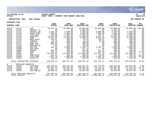

### **11/20/2020 14:07 |YATES COUNTY |P 48 nflynn |NEXT YEAR / CURRENT YEAR BUDGET ANALYSIS |bgnyrpts**

# **PROJECTION: 2021 2021 Budget FOR PERIOD 99**

|       | <b>GENERAL FUND</b>                      |             | 2019<br><b>ACTUAL</b> | 2020<br>ORIG BUD | 2020<br><b>REVISED BUD</b> | 2020<br><b>ACTUAL</b> | 2020<br><b>PROJECTION</b> | 2021<br><b>ADOPTED</b> | <b>PCT</b><br><b>CHANGE</b> |
|-------|------------------------------------------|-------------|-----------------------|------------------|----------------------------|-----------------------|---------------------------|------------------------|-----------------------------|
| A3110 | 54727                                    | LAB         | 34,034.14             | 20,000.00        | 25,899.00                  | 25,899.00             | 20,000.00                 | 40,000.00              | $100.0$ %                   |
| A3110 | 54730                                    | PROTECT CL  | .00                   | .00              | $-1,003.00$                | .00                   | 1,003.00                  | .00                    | .0%                         |
| A3110 | 54731                                    | PROTECT EQ  | 1,433.76              | 2,500.00         | 2,500.00                   | 2,500.00              | 2,500.00                  | 2,500.00               | $.0\%$                      |
| A3110 | 54734                                    | RADIO PART  | 1,500.00              | 1,500.00         | 1,886.90                   | 1,886.90              | 1,500.00                  | 1,500.00               | $.0\%$                      |
| A3110 | 54744                                    | STAR UNIT   | 990.00                | 2,000.00         | 2,000.00                   | 139.45                | 2,000.00                  | 2,000.00               | $.0\%$                      |
| A3110 | 54749                                    | UNIFORMS    | 13,340.00             | 11,000.00        | 11,000.00                  | 8,247.91              | 11,000.00                 | 11,000.00              | $.0\%$                      |
| A3110 | 54752                                    | AMMO        | 3,841.03              | 4,950.00         | 4,899.03                   | 3,903.49              | 4,950.00                  | 4,950.00               | $.0\%$                      |
| A3110 | 54753                                    | WEAP MAIN   | 405.92                | 400.00           | 50.97                      | 50.97                 | 400.00                    | 400.00                 | $.0\%$                      |
| A3110 | 54754                                    | TARGETS     | 25.26                 | 500.00           | 30.39                      | 30.39                 | 500.00                    | 500.00                 | .0%                         |
| A3110 | 54757                                    | BOAT EQ     | 801.48                | 900.00           | 900.00                     | .00                   | 900.00                    | 900.00                 | $.0\%$                      |
| A3110 | 54761                                    | DARE EXP    | 700.00                | 700.00           | 700.00                     | .00                   | 700.00                    | 700.00                 | $.0\%$                      |
| A3110 | 54765                                    | HNDCPPD ED  | $.00 \,$              | 100.00           | 100.00                     | .00                   | 100.00                    | 100.00                 | . 0%                        |
| A3110 | 54850                                    | DOG EXP     | 486.25                | 3,000.00         | 3,196.72                   | 3,196.72              | 3,000.00                  | 3,000.00               | $.0\%$                      |
| A3110 | 54899                                    | ADM HEAR    | .00                   | 500.00           | 471.28                     | .00                   | 500.00                    | 500.00                 | $.0\%$                      |
| A3110 | 54903                                    | AWARDS      | 409.30                | 500.00           | 500.00                     | 497.75                | 500.00                    | 500.00                 | $.0\%$                      |
| A3110 | 54907                                    | <b>DUES</b> | 871.31                | 450.00           | 614.00                     | 614.00                | 450.00                    | 650.00                 | 44.4%                       |
| A3110 | 54911                                    | INS         | 112,105.83            | 115,469.00       | 113,959.00                 | 112,621.32            | 115,469.00                | 116,000.00             | .5%                         |
| A3110 | 54916                                    | PUBLICATN   | 514.15                | 900.00           | 900.00                     | 26.95                 | 900.00                    | 600.00                 | $-33.3%$                    |
| A3110 | 54954                                    | GTSC-SUPP   | 1,897.70              | 1,000.00         | 2,500.00                   | 2,138.10              | 1,000.00                  | 1,150.00               | 15.0%                       |
| A3110 | 54963                                    | LEASE: ID   | 408.00                | 408.00           | 408.00                     | 408.00                | 408.00                    | 408.00                 | $.0\%$                      |
|       | TOTAL CONTRACTUAL EXPENSES               |             | 446,088.64            | 402,617.00       | 396,467.31                 | 341,782.22            | 408,149.42                | 446,598.00             | 10.9%                       |
| 8     | EMPLOYEE BENEFITS                        |             |                       |                  |                            |                       |                           |                        |                             |
| A3110 | 58100                                    | FICA/MED    | 160,286.07            | 163,821.00       | 163,497.87                 | 141,779.39            | 163,821.00                | 170,012.00             | 3.8%                        |
| A3110 | 58302                                    | INS CO82    | 219,819.99            | 248,901.00       | 248,901.00                 | 175,722.22            | 248,901.00                | 212,226.00             | $-14.7%$                    |
| A3110 | 58304                                    | INS CO82    | 25,086.73             | 18,295.00        | 18,295.00                  | 16,865.85             | 18,295.00                 | 18,843.00              | 3.0%                        |
| A3110 | 58305                                    | INS-NON UN  | 29,800.46             | 32,642.00        | 32,642.00                  | 29,921.21             | 32,642.00                 | 33,621.00              | 3.0%                        |
|       |                                          |             | 434,993.25            | 463,659.00       | 463,335.87                 | 364,288.67            | 463,659.00                | 434,702.00             | $-6.2%$                     |
|       | TOTAL EMPLOYEE BENEFITS<br>TOTAL SHERIFF |             | 3,041,767.32          | 3,073,615.00     | 3,062,956.74               | 2,596,893.31          | 3,079,147.42              | 3,219,594.00           | 4.7%                        |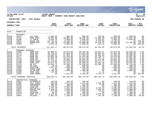|                                                                                                                                                     |                                                                                                                                                          |                                                                                                                                                                                        |                                                                                                                                                                                     |                                                                                                                                                                                              |                                                                                                                                                                                     |                                                                                                                                                                             |                                                                                                                                                                                             |                                                                                                                                                                      | <b>munis</b><br>a tyler erp solution                                                                                         |
|-----------------------------------------------------------------------------------------------------------------------------------------------------|----------------------------------------------------------------------------------------------------------------------------------------------------------|----------------------------------------------------------------------------------------------------------------------------------------------------------------------------------------|-------------------------------------------------------------------------------------------------------------------------------------------------------------------------------------|----------------------------------------------------------------------------------------------------------------------------------------------------------------------------------------------|-------------------------------------------------------------------------------------------------------------------------------------------------------------------------------------|-----------------------------------------------------------------------------------------------------------------------------------------------------------------------------|---------------------------------------------------------------------------------------------------------------------------------------------------------------------------------------------|----------------------------------------------------------------------------------------------------------------------------------------------------------------------|------------------------------------------------------------------------------------------------------------------------------|
| nflynn                                                                                                                                              | 11/20/2020 14:07                                                                                                                                         |                                                                                                                                                                                        | <b>YATES COUNTY</b><br> NEXT YEAR / CURRENT YEAR BUDGET ANALYSIS                                                                                                                    |                                                                                                                                                                                              |                                                                                                                                                                                     |                                                                                                                                                                             |                                                                                                                                                                                             |                                                                                                                                                                      | l P<br>49<br>bgnyrpts                                                                                                        |
|                                                                                                                                                     | PROJECTION: 2021                                                                                                                                         | 2021 Budget                                                                                                                                                                            |                                                                                                                                                                                     |                                                                                                                                                                                              |                                                                                                                                                                                     |                                                                                                                                                                             |                                                                                                                                                                                             |                                                                                                                                                                      | FOR PERIOD 99                                                                                                                |
| <b>ACCOUNTS FOR:</b>                                                                                                                                |                                                                                                                                                          |                                                                                                                                                                                        |                                                                                                                                                                                     |                                                                                                                                                                                              |                                                                                                                                                                                     |                                                                                                                                                                             |                                                                                                                                                                                             |                                                                                                                                                                      |                                                                                                                              |
| <b>GENERAL FUND</b>                                                                                                                                 |                                                                                                                                                          |                                                                                                                                                                                        | 2019<br><b>ACTUAL</b>                                                                                                                                                               | 2020<br>ORIG BUD                                                                                                                                                                             | 2020<br>REVISED BUD                                                                                                                                                                 | 2020<br><b>ACTUAL</b>                                                                                                                                                       | 2020<br><b>PROJECTION</b>                                                                                                                                                                   | 2021<br>ADOPTED CHANGE                                                                                                                                               | PCT                                                                                                                          |
| 3140                                                                                                                                                | PROBATION                                                                                                                                                |                                                                                                                                                                                        |                                                                                                                                                                                     |                                                                                                                                                                                              |                                                                                                                                                                                     |                                                                                                                                                                             |                                                                                                                                                                                             |                                                                                                                                                                      |                                                                                                                              |
| $\Omega$<br>A3140<br>A3140<br>A3140<br>A3140<br>A3140<br>A3140                                                                                      | <b>REVENUES</b><br>41515<br>41527<br>41580<br>43031<br>43310<br>43389                                                                                    | ATI FEES<br>PROB FEES<br>CT SURCH<br>RAISE AGE<br>PROBATION<br>ATI                                                                                                                     | $-2,063.65$<br>$-18,945.00$<br>$-4,004.16$<br>$-24,728.22$<br>$-57,136.78$<br>$-4,516.36$                                                                                           | $-800.00$<br>$-20,825.00$<br>$-3,000.00$<br>$-9,250.00$<br>$-53,000.00$<br>$-4,000.00$                                                                                                       | $-800.00$<br>$-20,825.00$<br>$-3,000.00$<br>$-9,250.00$<br>$-53,000.00$<br>$-4,000.00$                                                                                              | $-759.50$<br>-15,925.00<br>$-2,200.64$<br>$-9,310.00$<br>$-16,278.51$<br>$-785.44$                                                                                          | $-800.00$<br>$-20,825.00$<br>$-3,000.00$<br>$-9,250.00$<br>$-53,000.00$<br>$-4,000.00$                                                                                                      | $-800.00$<br>$-20,825.00$<br>$-3,000.00$<br>$-42, 400.00$                                                                                                            | $.0\%$<br>.0%<br>.0%<br>$.00 - 100.0$ %<br>$-20.0$ °<br>$.00 - 100.0$                                                        |
|                                                                                                                                                     | TOTAL REVENUES                                                                                                                                           |                                                                                                                                                                                        | $-111, 394.17$                                                                                                                                                                      | $-90,875.00$                                                                                                                                                                                 | $-90,875.00$                                                                                                                                                                        | $-45, 259.09$                                                                                                                                                               | $-90,875.00$                                                                                                                                                                                | $-67,025.00$                                                                                                                                                         | $-26.2%$                                                                                                                     |
| $\mathbf{1}$<br>A3140<br>A3140<br>A3140<br>A3140<br>A3140<br>A3140<br>A3140<br>A3140<br>A3140<br>A3140<br>A3140<br>A3140<br>A3140<br>A3140<br>A3140 | PERSONAL SERVICES<br>51090<br>51175<br>51176<br>51177<br>51178<br>51179<br>51180<br>51190<br>51270<br>51500<br>51505<br>51506<br>51508<br>51509<br>51661 | PROB DIR<br>PROB OFF<br>PROB OFF<br>PROB OFF<br>PROB OFF<br>PROB OFF<br>PROB SUPER<br>PROB ASST<br>SR ACT<br>CB CSEA<br>OVERTIME<br>PHONE WORK<br>35-40 HRS<br>COMP CSEA<br>COMP NONUN | 65,869.97<br>55,760.04<br>55,050.53<br>50,882.58<br>52,935.16<br>$47,672.11$<br>61,478.66<br>24,872.96<br>41,052.73<br>10.00<br>$1,837.92$<br>$11.00$<br>$1,729.58$<br>83.48<br>.00 | 65,870.00<br>57,093.00<br>57,093.00<br>53,192.00<br>54,214.00<br>49,985.00<br>62,943.00<br>34,418.00<br>42,036.00<br>500.00<br>1,500.00<br>200.00<br>1,800.00<br>$\overline{00}$<br>2,525.00 | 68,220.00<br>57,093.00<br>57,093.00<br>53,192.00<br>54, 214.00<br>49,985.00<br>62,943.00<br>34,400.59<br>42,036.00<br>500.00<br>1,500.00<br>200.00<br>1,800.00<br>17.41<br>2,525.00 | 59,367.07<br>49,683.53<br>49,683.50<br>35, 118.74<br>35, 797. 16<br>43, 375.66<br>54, 774.72<br>29, 382. 38<br>36, 580. 32<br>.00<br>.00<br>.00<br>.00<br>17.41<br>2,523.75 | 65,870.00<br>57,093.00<br>57,093.00<br>$\frac{53}{192.00}$<br>54, 214.00<br>49,985.00<br>62,943.00<br>34,418.00<br>42,036.00<br>500.00<br>1,500.00<br>200.00<br>1,800.00<br>.00<br>2,525.00 | 69,585.00<br>58,008.00<br>58,008.00<br>54,061.00<br>55,085.00<br>51,995.00<br>63,945.00<br>34,902.00<br>42,716.00<br>500.00<br>1,500.00<br>200.00<br>1,800.00<br>.00 | 5.6%<br>1.6%<br>1.6%<br>1.6%<br>1.6%<br>4.0%<br>1.6%<br>1.4%<br>1.6%<br>$.0\%$<br>.0%<br>.0%<br>.0%<br>.0%<br>$.00 - 100.0%$ |
|                                                                                                                                                     | TOTAL PERSONAL SERVICES                                                                                                                                  |                                                                                                                                                                                        | 459, 246.72                                                                                                                                                                         | 483,369.00                                                                                                                                                                                   | 485,719.00                                                                                                                                                                          | 396,304.24                                                                                                                                                                  | 483,369.00                                                                                                                                                                                  | 492,305.00                                                                                                                                                           | 1.8%                                                                                                                         |
| 4<br>A3140<br>A3140<br>A3140<br>A3140<br>A3140<br>A3140<br>A3140<br>A3140<br>A3140<br>A3140                                                         | CONTRACTUAL EXPENSES<br>54024<br>54056<br>54152<br>54156<br>54195<br>54507<br>54515<br>54516<br>54576<br>54654                                           | INTERPRETR<br>POLY CONST<br>CONFERENCE<br>TRAINING<br>SUPPLIES<br>COPIER CHR<br>POSTAGE<br>PRINTING<br>COMP SFT A<br>MILEAGE                                                           | 140.00<br>825.00<br>300.00<br>2,298.25<br>1,793.38<br>2,928.35<br>879.89<br>56.00<br>6,370.02<br>5,081.38                                                                           | 420.00<br>1,375.00<br>350.00<br>2,300.00<br>2,565.00<br>3,000.00<br>1,600.00<br>400.00<br>6,500.00<br>7,100.00                                                                               | 420.00<br>1,375.00<br>350.00<br>2,300.00<br>2,565.00<br>3,000.00<br>1,600.00<br>400.00<br>6,500.00<br>7,100.00                                                                      | .00<br>1,375.00<br>75.00<br>.00<br>1,431.44<br>1,545.85<br>716.60<br>.00<br>6,370.02<br>762.48                                                                              | 420.00<br>1,375.00<br>350.00<br>2,300.00<br>2,565.00<br>3,000.00<br>1,600.00<br>400.00<br>6,500.00<br>7,100.00                                                                              | 420.00<br>1,375.00<br>350.00<br>2,300.00<br>2,565.00<br>3,000.00<br>1,600.00<br>400.00<br>6,800.00<br>5,000.00                                                       | .0%<br>.0%<br>.0%<br>.0%<br>.0%<br>.0%<br>.0%<br>.0%<br>4.6%<br>$-29.6%$                                                     |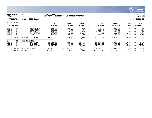

### **11/20/2020 14:07 |YATES COUNTY |P 50 nflynn |NEXT YEAR / CURRENT YEAR BUDGET ANALYSIS |bgnyrpts**

**PROJECTION: 2021 2021 Budget FOR PERIOD 99**

|                                            | <b>GENERAL FUND</b>                       |                                                                  | 2019<br><b>ACTUAL</b>                            | 2020<br>ORIG BUD                                   | 2020<br><b>REVISED BUD</b>                         | 2020<br><b>ACTUAL</b>                       | 2020<br><b>PROJECTION</b>                          | 2021<br>ADOPTED                                    | <b>PCT</b><br><b>CHANGE</b>                                            |
|--------------------------------------------|-------------------------------------------|------------------------------------------------------------------|--------------------------------------------------|----------------------------------------------------|----------------------------------------------------|---------------------------------------------|----------------------------------------------------|----------------------------------------------------|------------------------------------------------------------------------|
| A3140<br>A3140<br>A3140<br>A3140<br>A3140  | 54660<br>54676<br>54682<br>54803<br>54907 | TRAVEL EXP<br>UTIL: CELL<br>TEL/FAX<br>EL MONITOR<br><b>DUES</b> | 997.13<br>435.99<br>1,621.20<br>482.00<br>600.00 | 850.00<br>450.00<br>2,640.00<br>2,600.00<br>700.00 | 850.00<br>450.00<br>2,640.00<br>2,600.00<br>700.00 | 3.71<br>326.45<br>2,200.00<br>.00<br>700.00 | 850.00<br>450.00<br>2,640.00<br>2,600.00<br>700.00 | 850.00<br>450.00<br>2,640.00<br>2,600.00<br>760.00 | . 0 %<br>.0 <sub>8</sub><br>.0 <sub>8</sub><br>.0 <sub>8</sub><br>8.6% |
| TOTAL CONTRACTUAL EXPENSES                 |                                           | 24,808.59                                                        | 32,850.00                                        | 32,850.00                                          | 15,506.55                                          | 32,850.00                                   | 31,110.00                                          | $-5.3%$                                            |                                                                        |
| 8<br>A3140<br>A3140<br>A3140               | EMPLOYEE<br>58100<br>58303<br>58305       | BENEFITS<br>FICA/MED<br>INS-CSEA<br>INS-NON UN                   | 33,727.03<br>60,308.08<br>6,459.60               | 36,000.00<br>63,475.00<br>6,460.00                 | 36,179.78<br>63,475.00<br>6,460.00                 | 29,167.58<br>61,224.89<br>5,921.30          | 36,000.00<br>63,475.00<br>6,460.00                 | 36,535.00<br>71,641.00<br>6,654.00                 | 1.5%<br>12.9%<br>3.0%                                                  |
| TOTAL EMPLOYEE BENEFITS<br>TOTAL PROBATION |                                           |                                                                  | 100,494.71<br>473, 155.85                        | 105,935.00<br>531,279.00                           | 106, 114, 78<br>533,808.78                         | 96, 313. 77<br>462,865.47                   | 105,935.00<br>531,279.00                           | 114,830.00<br>571,220.00                           | 8.4%<br>7.5%                                                           |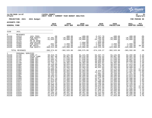|                                                                                                                                                                                                                                                        |                                                                                                                                                                                                                                                             |                                                                                                                                                                                                                                                                                                                       |                                                                                                                                                                                                                                                                                                                                                      |                                                                                                                                                                                                                                                                                                                                                |                                                                                                                                                                                                                                                                                                                                                |                                                                                                                                                                                                                                                                                                                                           |                                                                                                                                                                                                                                                                                                                                                  |                                                                                                                                                                                                                                                                                                                                                 | <b>munis</b><br>a tyler erp solution                                                                                                                                                                                                                                   |
|--------------------------------------------------------------------------------------------------------------------------------------------------------------------------------------------------------------------------------------------------------|-------------------------------------------------------------------------------------------------------------------------------------------------------------------------------------------------------------------------------------------------------------|-----------------------------------------------------------------------------------------------------------------------------------------------------------------------------------------------------------------------------------------------------------------------------------------------------------------------|------------------------------------------------------------------------------------------------------------------------------------------------------------------------------------------------------------------------------------------------------------------------------------------------------------------------------------------------------|------------------------------------------------------------------------------------------------------------------------------------------------------------------------------------------------------------------------------------------------------------------------------------------------------------------------------------------------|------------------------------------------------------------------------------------------------------------------------------------------------------------------------------------------------------------------------------------------------------------------------------------------------------------------------------------------------|-------------------------------------------------------------------------------------------------------------------------------------------------------------------------------------------------------------------------------------------------------------------------------------------------------------------------------------------|--------------------------------------------------------------------------------------------------------------------------------------------------------------------------------------------------------------------------------------------------------------------------------------------------------------------------------------------------|-------------------------------------------------------------------------------------------------------------------------------------------------------------------------------------------------------------------------------------------------------------------------------------------------------------------------------------------------|------------------------------------------------------------------------------------------------------------------------------------------------------------------------------------------------------------------------------------------------------------------------|
| nflynn                                                                                                                                                                                                                                                 | 11/20/2020 14:07                                                                                                                                                                                                                                            |                                                                                                                                                                                                                                                                                                                       | <b>YATES COUNTY</b><br>NEXT YEAR / CURRENT YEAR BUDGET ANALYSIS                                                                                                                                                                                                                                                                                      |                                                                                                                                                                                                                                                                                                                                                |                                                                                                                                                                                                                                                                                                                                                |                                                                                                                                                                                                                                                                                                                                           |                                                                                                                                                                                                                                                                                                                                                  |                                                                                                                                                                                                                                                                                                                                                 | l P<br>51<br>  bgnyrpts                                                                                                                                                                                                                                                |
|                                                                                                                                                                                                                                                        | PROJECTION: 2021                                                                                                                                                                                                                                            | 2021 Budget                                                                                                                                                                                                                                                                                                           |                                                                                                                                                                                                                                                                                                                                                      |                                                                                                                                                                                                                                                                                                                                                |                                                                                                                                                                                                                                                                                                                                                |                                                                                                                                                                                                                                                                                                                                           |                                                                                                                                                                                                                                                                                                                                                  |                                                                                                                                                                                                                                                                                                                                                 | FOR PERIOD 99                                                                                                                                                                                                                                                          |
| ACCOUNTS FOR:                                                                                                                                                                                                                                          |                                                                                                                                                                                                                                                             |                                                                                                                                                                                                                                                                                                                       |                                                                                                                                                                                                                                                                                                                                                      |                                                                                                                                                                                                                                                                                                                                                |                                                                                                                                                                                                                                                                                                                                                |                                                                                                                                                                                                                                                                                                                                           |                                                                                                                                                                                                                                                                                                                                                  |                                                                                                                                                                                                                                                                                                                                                 |                                                                                                                                                                                                                                                                        |
| <b>GENERAL FUND</b>                                                                                                                                                                                                                                    |                                                                                                                                                                                                                                                             |                                                                                                                                                                                                                                                                                                                       | 2019<br><b>ACTUAL</b>                                                                                                                                                                                                                                                                                                                                | 2020<br>ORIG BUD                                                                                                                                                                                                                                                                                                                               | 2020<br><b>REVISED BUD</b>                                                                                                                                                                                                                                                                                                                     | 2020<br><b>ACTUAL</b>                                                                                                                                                                                                                                                                                                                     | 2020<br><b>PROJECTION</b>                                                                                                                                                                                                                                                                                                                        | 2021<br>ADOPTED CHANGE                                                                                                                                                                                                                                                                                                                          | PCT                                                                                                                                                                                                                                                                    |
| 3150                                                                                                                                                                                                                                                   | JAIL                                                                                                                                                                                                                                                        |                                                                                                                                                                                                                                                                                                                       |                                                                                                                                                                                                                                                                                                                                                      |                                                                                                                                                                                                                                                                                                                                                |                                                                                                                                                                                                                                                                                                                                                |                                                                                                                                                                                                                                                                                                                                           |                                                                                                                                                                                                                                                                                                                                                  |                                                                                                                                                                                                                                                                                                                                                 |                                                                                                                                                                                                                                                                        |
| $\mathbf 0$<br>A3150<br>A3150<br>A3150<br>A3150<br>A3150<br>A3150<br>A3150<br>A3150                                                                                                                                                                    | <b>REVENUES</b><br>41513<br>42260<br>42450<br>42701<br>43325<br>43389<br>44306<br>44389                                                                                                                                                                     | <b>JAIL FEES</b><br>PUB SAFETY<br>VEND/TEL<br>PR YR RFND<br>INITIATIVE<br>PUB SAFETY<br>BP VESTS<br>PUB SAFETY                                                                                                                                                                                                        | .00<br>$-47, 491.00$<br>$-31,643.83$<br>.00<br>.00<br>$-802.91$<br>$-1, 125.00$<br>$-309, 512.08$                                                                                                                                                                                                                                                    | $-400.00$<br>$-20,000.00$<br>$-34,000.00$<br>.00<br>.00<br>$-2,000.00$<br>$-1, 125.00$<br>$-325,000.00$                                                                                                                                                                                                                                        | $-400.00$<br>$-20,000.00$<br>$-34,000.00$<br>.00<br>$-7,050.00$<br>$-2,000.00$<br>$-1, 125.00$<br>$-325,000.00$                                                                                                                                                                                                                                | $-3,227.78$<br>$-4,190.00$<br>$-34,756.98$<br>$-244.40$<br>$-7,050.00$<br>$-4,854.86$<br>$-1,586.95$<br>$-318, 215.30$                                                                                                                                                                                                                    | $-400.00$<br>$-20,000.00$<br>$-34,000.00$<br>.00<br>.00<br>$-2,000.00$<br>$-1, 125.00$<br>$-325,000.00$                                                                                                                                                                                                                                          | $-400.00$<br>$-20,000.00$<br>$-34,000.00$<br>.00<br>.00<br>$-2,000.00$<br>$-2,192.00$<br>$-325,000.00$                                                                                                                                                                                                                                          | .0%<br>.0%<br>.0%<br>.0%<br>.0%<br>.0%<br>94.8%<br>.0%                                                                                                                                                                                                                 |
|                                                                                                                                                                                                                                                        | TOTAL REVENUES                                                                                                                                                                                                                                              |                                                                                                                                                                                                                                                                                                                       | $-390,574.82$                                                                                                                                                                                                                                                                                                                                        | $-382,525.00$                                                                                                                                                                                                                                                                                                                                  | $-389,575.00$                                                                                                                                                                                                                                                                                                                                  | $-374, 126.27$                                                                                                                                                                                                                                                                                                                            | $-382,525.00$                                                                                                                                                                                                                                                                                                                                    | $-383,592.00$                                                                                                                                                                                                                                                                                                                                   | .3%                                                                                                                                                                                                                                                                    |
| $\mathbf{1}$<br>A3150<br>A3150<br>A3150<br>A3150<br>A3150<br>A3150<br>A3150<br>A3150<br>A3150<br>A3150<br>A3150<br>A3150<br>A3150<br>A3150<br>A3150<br>A3150<br>A3150<br>A3150<br>A3150<br>A3150<br>A3150<br>A3150<br>A3150<br>A3150<br>A3150<br>A3150 | PERSONAL SERVICES<br>51790<br>51791<br>51795<br>51796<br>51797<br>51799<br>51800<br>51801<br>51802<br>51803<br>51804<br>51805<br>51806<br>51807<br>51808<br>51809<br>51810<br>51811<br>51812<br>51813<br>51814<br>51815<br>51816<br>51817<br>51818<br>51819 | CORR LT<br>CHIEF CORR<br>CORR SGT<br>CORR SGT<br>CORR SGT<br>CORR SGT<br>CORR OFF<br>CORR OFF<br>CORR OFF<br>CORR OFF<br>CORR OFF<br>CORR OFF<br>CORR OFF<br>CORR OFF<br>CORR OFF<br>CORR OFF<br>CORR OFF<br>CORR OFF<br>CORR OFF<br>CORR OFF<br>CORR OFF<br>CORR OFF<br>CORR OFF<br>CORR OFF<br>CORR OFF<br>CORR OFF | 58, 513.76<br>65,867.00<br>55, 591.78<br>55,694.52<br>54,813.79<br>53,745.12<br>49, 418.08<br>47,203.92<br>53,733.39<br>38,808.02<br>53,933.04<br>49, 316.80<br>20,732.32<br>48,164.64<br>49,879.44<br>43,617.20<br>51,678.00<br>52,624.01<br>50, 571.36<br>49,506.49<br>53,618.28<br>53,594.96<br>52,826.40<br>54,067.61<br>45, 156.16<br>51,876.00 | 61,141.00<br>65,867.00<br>57,640.00<br>57,640.00<br>57,640.00<br>56,402.00<br>50,933.00<br>49,511.00<br>55,503.00<br>53,176.00<br>55,503.00<br>50,933.00<br>46,259.00<br>50,490.00<br>50,933.00<br>54,350.00<br>54,000.00<br>54,350.00<br>52,044.00<br>50,933.00<br>55,503.00<br>55,503.00<br>54,350.00<br>55,503.00<br>48,497.00<br>53,418.00 | 61,141.00<br>68,216.00<br>57,640.00<br>57,640.00<br>57,640.00<br>56,402.00<br>50,933.00<br>49,511.00<br>55,503.00<br>53,176.00<br>55,503.00<br>50,933.00<br>46,259.00<br>50,490.00<br>50,933.00<br>54,350.00<br>54,000.00<br>54,350.00<br>52,044.00<br>50,933.00<br>55,503.00<br>55,503.00<br>54,350.00<br>55,503.00<br>48,497.00<br>53,418.00 | 52, 447.74<br>59, 363.54<br>50, 160.00<br>50,160.00<br>48,950.05<br>48,854.81<br>44,697.84<br>43,020.16<br>46,551.84<br>.00<br>6,424.16<br>44,517.60<br>7,062.40<br>43,686.00<br>44,128.80<br>43,977.30<br>46,748.40<br>47,088.88<br>45,289.92<br>44,128.80<br>39,533.04<br>12,074.88<br>47,296.32<br>47,875.84<br>42,313.04<br>46,364.48 | 61,141.00<br>65,867.00<br>57,640.00<br>57,640.00<br>57,640.00<br>56,402.00<br>50,933.00<br>49,511.00<br>55,503.00<br>53,176.00<br>55,503.00<br>50,933.00<br>46, 259.00<br>50,490.00<br>50,933.00<br>54,350.00<br>54,000.00<br>54,350.00<br>52,044.00<br>50, 933.00<br>55,503.00<br>55,503.00<br>54,350.00<br>55,503.00<br>48,497.00<br>53,418.00 | 62,432.00<br>69,581.00<br>59,554.00<br>58,861.00<br>60,038.00<br>57,713.00<br>52,013.00<br>51,516.00<br>56,669.00<br>47,231.00<br>47,231.00<br>52,967.00<br>47,231.00<br>52,013.00<br>52,013.00<br>55,500.00<br>55,500.00<br>56,158.00<br>53, 140.00<br>52,319.00<br>48,563.00<br>47,231.00<br>55,500.00<br>56,669.00<br>50,498.00<br>55,500.00 | 2.1%<br>5.6%<br>3.3%<br>$2.1%$<br>$4.2%$<br>$2.3%$<br>2.1%<br>4.0%<br>2.1%<br>$-11.2%$<br>$-14.9%$<br>4.0%<br>2.1%<br>$3.0%$<br>$2.1%$<br>2.1%<br>2.8%<br>3.3%<br>2.1%<br>$\overline{2.7}$ $\overline{8}$<br>$-12.5%$<br>$-14.9%$<br>2.1%<br>$\frac{2.1}{4.1}$<br>3.9% |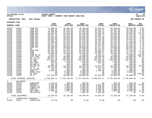

### **11/20/2020 14:07 |YATES COUNTY |P 52 nflynn |NEXT YEAR / CURRENT YEAR BUDGET ANALYSIS |bgnyrpts**

**PROJECTION: 2021 2021 Budget FOR PERIOD 99**

| <b>GENERAL FUND</b>                                                                                                                                                                                                           |                                                                                                                                                                                                                               |                                                                                                                                                                                                                                                                                                              | 2019<br><b>ACTUAL</b>                                                                                                                                                                                                                                                                                                      | 2020<br>ORIG BUD                                                                                                                                                                                                                                                                                                           | 2020<br><b>REVISED BUD</b>                                                                                                                                                                                                                                                                                                 | 2020<br><b>ACTUAL</b>                                                                                                                                                                                                                                                                                                     | 2020<br><b>PROJECTION</b>                                                                                                                                                                                                                                                                                                  | 2021<br><b>ADOPTED CHANGE</b>                                                                                                                                                                                                                                                                                                | PCT                                                                                                                                                                                                            |
|-------------------------------------------------------------------------------------------------------------------------------------------------------------------------------------------------------------------------------|-------------------------------------------------------------------------------------------------------------------------------------------------------------------------------------------------------------------------------|--------------------------------------------------------------------------------------------------------------------------------------------------------------------------------------------------------------------------------------------------------------------------------------------------------------|----------------------------------------------------------------------------------------------------------------------------------------------------------------------------------------------------------------------------------------------------------------------------------------------------------------------------|----------------------------------------------------------------------------------------------------------------------------------------------------------------------------------------------------------------------------------------------------------------------------------------------------------------------------|----------------------------------------------------------------------------------------------------------------------------------------------------------------------------------------------------------------------------------------------------------------------------------------------------------------------------|---------------------------------------------------------------------------------------------------------------------------------------------------------------------------------------------------------------------------------------------------------------------------------------------------------------------------|----------------------------------------------------------------------------------------------------------------------------------------------------------------------------------------------------------------------------------------------------------------------------------------------------------------------------|------------------------------------------------------------------------------------------------------------------------------------------------------------------------------------------------------------------------------------------------------------------------------------------------------------------------------|----------------------------------------------------------------------------------------------------------------------------------------------------------------------------------------------------------------|
| A3150<br>A3150<br>A3150<br>A3150<br>A3150<br>A3150<br>A3150<br>A3150<br>A3150<br>A3150<br>A3150<br>A3150<br>A3150<br>A3150<br>A3150<br>A3150<br>A3150<br>A3150<br>A3150<br>A3150<br>A3150<br>A3150<br>A3150<br>A3150<br>A3150 | 51821<br>51822<br>51823<br>51824<br>51825<br>51826<br>51827<br>51828<br>51829<br>51830<br>51831<br>51832<br>51833<br>51843<br>51844<br>51846<br>51847<br>51949<br>51950<br>51951<br>51952<br>51953<br>51955<br>51956<br>51958 | CORR OFF<br>CORR OFF<br>CORR OFF<br>CORR OFF<br>CORR OFF<br>CORR OFF<br>CORR OFF<br>CORR OFF<br>CORR OFF<br>CORR OFF<br>CORR OFF<br>CORR OFF<br>CORR OFF<br><b>RN</b><br>COOK MGR<br><b>COOK</b><br>COOK<br>COMP BO 82<br>DIFF CO82<br>HOL OT 82<br>OT CO82<br>CB CO82<br>OIC CO82<br>ED BON 82<br>INS BO 82 | 11,306.95<br>9,989.92<br>49,408.80<br>52,624.01<br>49,602.56<br>50,571.36<br>46,898.80<br>48,661.89<br>50,265.48<br>51,480.00<br>50,571.36<br>49, 316.80<br>46,450.00<br>55,961.05<br>35,466.45<br>22,542.80<br>19,838.48<br>1,681.95<br>33, 361.45<br>99,517.46<br>387, 225.58<br>805.97<br>213.50<br>932.38<br>24,006.03 | 46,259.00<br>46,259.00<br>52,044.00<br>54,649.00<br>52,044.00<br>52,044.00<br>49,388.00<br>50,933.00<br>52,044.00<br>53,176.00<br>52,044.00<br>50,933.00<br>48,899.00<br>57,588.00<br>36,846.00<br>31,215.00<br>26,990.00<br>1,500.00<br>30,000.00<br>95,000.00<br>225,000.00<br>1,750.00<br>200.00<br>500.00<br>22,306.00 | 46,259.00<br>46,259.00<br>52,044.00<br>54,649.00<br>52,044.00<br>52,044.00<br>49,388.00<br>50,933.00<br>52,044.00<br>53,176.00<br>52,044.00<br>50,933.00<br>48,899.00<br>57,588.00<br>36,846.00<br>31,215.00<br>26,990.00<br>1,500.00<br>30,000.00<br>95,000.00<br>225,000.00<br>1,750.00<br>200.00<br>500.00<br>22,306.00 | 33,546.41<br>40,234.01<br>44,296.75<br>18,539.95<br>44,296.73<br>45,091.31<br>42,713.20<br>43,934.40<br>45,764.88<br>46, 477.85<br>45,294.80<br>44,517.60<br>42,717.84<br>50, 114.40<br>32,063.67<br>19,966.94<br>23,550.17<br>3,362.22<br>29,960.56<br>68,486.76<br>192,419.68<br>1,354.83<br>155.25<br>.00<br>31,033.04 | 46,259.00<br>46,259.00<br>52,044.00<br>54,649.00<br>52,044.00<br>52,044.00<br>49,388.00<br>50,933.00<br>52,044.00<br>53,176.00<br>52,044.00<br>50,933.00<br>48,899.00<br>57,588.00<br>36,846.00<br>31,215.00<br>26,990.00<br>1,500.00<br>30,000.00<br>95,000.00<br>225,000.00<br>1,750.00<br>200.00<br>500.00<br>22,306.00 | 48,844.00<br>49,325.00<br>53,140.00<br>46,083.00<br>53,914.00<br>53,140.00<br>51,387.00<br>52,013.00<br>47,231.00<br>54,288.00<br>53,140.00<br>52, 315.00<br>50,890.00<br>58,812.00<br>37,618.00<br>27,719.00<br>28, 232.00<br>3,000.00<br>35,000.00<br>95,000.00<br>225,000.00<br>1,750.00<br>200.00<br>500.00<br>34,936.00 | 5.6%<br>6.6%<br>2.1%<br>$-15.7%$<br>3.6%<br>2.1%<br>4.0%<br>2.1%<br>$-9.2%$<br>2.1%<br>2.1%<br>2.7%<br>4.1%<br>2.1%<br>2.1%<br>$-11.2%$<br>4.6%<br>100.0%<br>16.7%<br>.0%<br>.0%<br>.0%<br>.0%<br>.0%<br>56.6% |
| A3150<br>A3150<br>A3150<br>A3150<br>A3150<br>A3150                                                                                                                                                                            | 51960<br>51961<br>51975<br>51979<br>51980<br>51990                                                                                                                                                                            | OT PT<br>35-40 HRS<br>COOK PT<br>NURSE TEMP<br>CO TEMP<br>CO PT                                                                                                                                                                                                                                              | 32, 279.99<br>780.32<br>5,604.23<br>.00<br>.00<br>124,018.50                                                                                                                                                                                                                                                               | 10,500.00<br>400.00<br>5,000.00<br>3,000.00<br>1,000.00<br>60,000.00                                                                                                                                                                                                                                                       | 10,500.00<br>400.00<br>5,000.00<br>3,000.00<br>1,000.00<br>60,000.00                                                                                                                                                                                                                                                       | 9,317.93<br>373.29<br>2,409.40<br>.00<br>.00<br>83,864.89                                                                                                                                                                                                                                                                 | 10,500.00<br>400.00<br>5,000.00<br>3,000.00<br>1,000.00<br>60,000.00                                                                                                                                                                                                                                                       | 10,500.00<br>400.00<br>5,000.00<br>3,000.00<br>60,000.00                                                                                                                                                                                                                                                                     | $.0\%$<br>.0%<br>.0%<br>.0%<br>$.00 - 100.0%$<br>.0 <sub>8</sub>                                                                                                                                               |
|                                                                                                                                                                                                                               | TOTAL PERSONAL SERVICES                                                                                                                                                                                                       |                                                                                                                                                                                                                                                                                                              | 2,759,350.73                                                                                                                                                                                                                                                                                                               | 2,725,186.00                                                                                                                                                                                                                                                                                                               | 2,727,535.00                                                                                                                                                                                                                                                                                                               | 2,180,834.71                                                                                                                                                                                                                                                                                                              | 2,725,186.00                                                                                                                                                                                                                                                                                                               | 2,755,889.00                                                                                                                                                                                                                                                                                                                 | 1.1%                                                                                                                                                                                                           |
| 2<br>A3150<br>A3150<br>A3150<br>A3150<br>A3150<br>A3150<br>A3150                                                                                                                                                              | EOUIPMENT<br>52110<br>52415<br>52420<br>52421<br>52506<br>52515<br>52965                                                                                                                                                      | FURNITURE<br>WEAPONS<br>CAMERA-IN<br>CAMERA-OUT<br>CORR EQ<br>SEC EQUIP<br>INITIATIVE                                                                                                                                                                                                                        | 1,418.29<br>3,139.90<br>3,000.00<br>4,000.00<br>4,508.74<br>7,500.00<br>.00                                                                                                                                                                                                                                                | 650.00<br>5,000.00<br>3,000.00<br>4,000.00<br>3,000.00<br>7,500.00<br>.00                                                                                                                                                                                                                                                  | 650.00<br>5,000.00<br>3,000.00<br>4,000.00<br>3,000.00<br>7,500.00<br>7,050.00                                                                                                                                                                                                                                             | .00<br>2,197.69<br>3,000.00<br>3,640.00<br>3,000.00<br>6,765.00<br>7,050.00                                                                                                                                                                                                                                               | 650.00<br>5,000.00<br>3,000.00<br>4,000.00<br>3,000.00<br>7,500.00<br>.00                                                                                                                                                                                                                                                  | 650.00<br>4,000.00<br>3,000.00<br>4,000.00<br>3,000.00<br>6,500.00<br>.00                                                                                                                                                                                                                                                    | $.0\%$<br>$-20.0%$<br>.0%<br>.0%<br>$.0\%$<br>$-13.3%$<br>.0%                                                                                                                                                  |
|                                                                                                                                                                                                                               | TOTAL EOUIPMENT                                                                                                                                                                                                               |                                                                                                                                                                                                                                                                                                              | 23,566.93                                                                                                                                                                                                                                                                                                                  | 23,150.00                                                                                                                                                                                                                                                                                                                  | 30,200.00                                                                                                                                                                                                                                                                                                                  | 25,652.69                                                                                                                                                                                                                                                                                                                 | 23,150.00                                                                                                                                                                                                                                                                                                                  | 21,150.00                                                                                                                                                                                                                                                                                                                    | $-8.6%$                                                                                                                                                                                                        |
| $4\overline{ }$<br>A3150                                                                                                                                                                                                      | 54011                                                                                                                                                                                                                         | CONTRACTUAL EXPENSES<br>CONSULTANT                                                                                                                                                                                                                                                                           | 275.00                                                                                                                                                                                                                                                                                                                     | .00                                                                                                                                                                                                                                                                                                                        | 75.00                                                                                                                                                                                                                                                                                                                      | 75.00                                                                                                                                                                                                                                                                                                                     | .00                                                                                                                                                                                                                                                                                                                        | $.00 \,$                                                                                                                                                                                                                                                                                                                     | .0%                                                                                                                                                                                                            |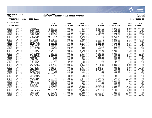

### **11/20/2020 14:07 |YATES COUNTY |P 53 nflynn |NEXT YEAR / CURRENT YEAR BUDGET ANALYSIS |bgnyrpts**

### **PROJECTION: 2021 2021 Budget FOR PERIOD 99**

| <b>GENERAL FUND</b> |                |                          | 2019<br><b>ACTUAL</b> | 2020<br>ORIG BUD   | 2020<br><b>REVISED BUD</b> | 2020<br><b>ACTUAL</b> | 2020<br><b>PROJECTION</b> | 2021<br><b>ADOPTED CHANGE</b> | PCT                    |
|---------------------|----------------|--------------------------|-----------------------|--------------------|----------------------------|-----------------------|---------------------------|-------------------------------|------------------------|
| A3150               | 54016          | DENTAL                   | 6,306.56              | 8,000.00           | 7,925.00                   | 2,034.20              | 8,000.00                  | 6,000.00                      | $-25.0%$               |
| A3150               | 54021          | SUBSTANCE                | 3,352.00              | 3,500.00           | 986.00                     | 2,514.00              | 6,014.00                  | 3,500.00                      | .0%                    |
| A3150               | 54023          | HOSP CHRGS               | 31,888.50             | 40,000.00          | 39,955.14                  | 9,963.66              | 40,044.86                 | 38,000.00                     | $-5.0%$                |
| A3150               | 54030          | OPTOMETRST               | 1,469.48              | 2,000.00           | 2,000.00                   | 472.09                | 2,000.00                  | 1,500.00                      | $-25.0%$               |
| A3150               | 54034          | PHYSICALS                | 7,524.00              | 4,000.00           | 3,582.00                   | 3,762.00              | 4,418.00                  | 4,000.00                      | .0%                    |
| A3150               | 54035          | PHYSICIAN                | 34,503.82             | 34,560.00          | 34,503.82                  | 28,800.00             | 34,616.18                 | 34,560.00                     | .0%                    |
| A3150               | 54156          | TRAINING                 | 2,635.59              | 2,500.00           | 1,645.30                   | 887.96                | 2,500.00                  | 2,500.00                      | .0 <sup>8</sup>        |
| A3150               | 54196          | PUB GOODS                | 4,001.00              | 5,000.00           | 5,000.00                   | .00                   | 5,000.00                  |                               | $.00 - 100.0$          |
| A3150               | 54306          | BP VESTS                 | 3,234.00              | 2,250.00           | 3,104.70                   | 2,622.46              | 2,250.00                  | 2,192.00                      | $-2.6%$                |
| A3150               | 54320          | EMERG EXP                | .00                   | .00                | .00                        | 211.30                | .00                       | .00                           | .0%                    |
| A3150               | 54407          | EQUIP AGRE               | 4,500.00              | 5,273.00           | 5,219.44                   | 1,000.00              | 5,273.00                  | 5,273.00                      | .0%                    |
| A3150               | 54409          | JAIL MAINT               | 12,000.00             | 6,000.00           | $-17,515.00$               | 1,425.50              | 29,515.00                 | 5,000.00                      | $-16.7%$               |
| A3150               | 54462          | SUPP: GARAG              | 705.01                | 500.00             | 383.19                     | 54.15                 | 500.00                    | 500.00                        | .0%                    |
| A3150               | 54465          | SUPP: KITCH              | 261.88                | 350.00             | 566.37                     | 566.37                | 350.00                    | 350.00                        | .0 <sup>8</sup>        |
| A3150               | 54470          | SUPP:OFF                 | 3,245.00              | 3,500.00           | 2,500.00                   | 1,311.26              | 3,500.00                  | 3,500.00                      | .0%                    |
| A3150               | 54472          | SUPP: PRIS               | 1,429.70              | 4,500.00           | 5,040.52                   | 4,770.26              | 4,500.00                  | 4,500.00                      | .0%                    |
| A3150               | 54482          | CLN & LAUN               | 2,996.00              | 3,500.00           | 1,953.40                   | 1,070.28              | 3,500.00                  | 3,500.00                      | .0%                    |
| A3150               | 54505          | DRY CLEANG               | 1,930.25              | 3,000.00           | 2,553.50                   | 979.50                | 3,446.50                  | 2,000.00                      | $-33.3%$               |
| A3150               | 54507          | COPIER CHR               | 4,884.70              | 4,000.00           | 4,000.00                   | 3,507.00              | 4,000.00                  | 4,000.00                      | .0 <sub>8</sub>        |
| A3150               | 54515          | POSTAGE                  | 8.30                  | 500.00             | 500.00                     | 300.00                | 500.00                    | 500.00                        | $.0\%$                 |
| A3150               | 54516          | PRINTING                 | 95.00                 | 400.00             | 400.00                     | .00                   | 400.00                    | 400.00                        | .0%                    |
| A3150               | 54522          | SHIPMENTS                | .00                   | 50.00              | 50.00                      | .00                   | 50.00                     | 50.00                         | .0%                    |
| A3150               | 54571          | COMP SOFT                | 5,399.89              | 7,195.00           | 7,195.00                   | 2,090.00              | 7,195.00                  | 7,195.00                      | .0%                    |
| A3150               | 54653          | GASOLINE                 | 5,151.08              | 4,000.00           | 2,852.03                   | 1,657.48              | 4,000.00                  | 4,000.00                      | .0%                    |
| A3150               | 54660          | TRAVEL EXP               | 2,705.40              | 2,000.00           | 1,252.20                   | 261.13                | 2,000.00                  | 2,000.00                      | .0%                    |
| A3150<br>A3150      | 54661<br>54676 | VEH MAINT<br>UTIL: CELL  | 5,110.18<br>1,177.54  | 4,000.00<br>900.00 | 6,817.35<br>2,631.71       | 6,907.25<br>2,849.84  | 4,089.90<br>900.00        | 4,000.00<br>2,500.00          | .0%<br>177.8%          |
|                     |                |                          |                       |                    |                            |                       |                           |                               |                        |
| A3150               | 54682          | TEL/FAX                  | 3,102.20              | 4,080.00           | 4,080.00<br>100.00         | 3,400.00              | 4,080.00                  | 4,080.00                      | .0%                    |
| A3150<br>A3150      | 54711<br>54720 | EVACUATION<br>FORENSIC U | .00<br>106,266.87     | 100.00<br>.00      | .00                        | .00<br>.00            | 100.00                    | 100.00<br>.00                 | .0 <sub>8</sub>        |
| A3150               | 54722          | HANDCUFFS                | .00                   | 100.00             | 100.00                     | .00                   | .00<br>100.00             | 100.00                        | .0%<br>.0 <sub>8</sub> |
| A3150               | 54725          | MAG LIGHTS               | .00                   | 100.00             | 100.00                     | .00                   | 100.00                    | 100.00                        | .0%                    |
| A3150               | 54734          | RADIO PART               | .00                   | 100.00             | 411.20                     | 411.20                | 100.00                    | 100.00                        | .0%                    |
| A3150               | 54749          | UNIFORMS                 | 10,890.73             | 10,000.00          | 8,144.02                   | 9,493.73              | 11,855.98                 | 10,000.00                     | .0%                    |
| A3150               | 54752          | AMMO                     | 3,000.00              | 3,000.00           | 3,000.00                   | 3,000.00              | 3,000.00                  | 3,000.00                      | $.0\%$                 |
| A3150               | 54753          | WEAP MAIN                | 152.13                | 200.00             | 200.00                     | .00                   | 200.00                    | 200.00                        | .0%                    |
| A3150               | 54754          | TARGETS                  | 200.00                | 200.00             | 200.00                     | .00                   | 200.00                    | 200.00                        | .0%                    |
| A3150               | 54809          | CLOTHING                 | 2,181.69              | 2,000.00           | 2,000.00                   | 1,518.48              | 2,000.00                  | 2,000.00                      | .0%                    |
| A3150               | 54810          | <b>DRUGS</b>             | 53,978.50             | 40,000.00          | 40,000.00                  | 25,950.15             | 40,000.00                 | 37,000.00                     | $-7.5%$                |
| A3150               | 54811          | FOOD                     | 94,266.32             | 75,000.00          | 74,741.41                  | 62,135.38             | 75,258.59                 | 75,000.00                     | .0%                    |
| A3150               | 54812          | JAIL MINIS               | 1,500.00              | 1,500.00           | 1,500.00                   | 1,500.00              | 1,500.00                  | 1,500.00                      | .0%                    |
| A3150               | 54813          | LINENS/MAT               | 1,868.97              | 1,000.00           | 1,000.00                   | .00                   | 1,000.00                  | 1,000.00                      | $.0\%$                 |
| A3150               | 54815          | CORR EXP                 | 21, 244.49            | 31,000.00          | 29,905.69                  | 10,489.54             | 31,000.00                 | 31,000.00                     | .0%                    |
| A3150               | 54916          | PUBLICATN                | 4,565.18              | 4,500.00           | 4,500.00                   | 2,913.86              | 4,500.00                  | 3,500.00                      | $-22.2$                |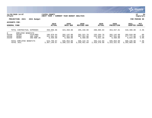

### **11/20/2020 14:07 |YATES COUNTY |P 54 nflynn |NEXT YEAR / CURRENT YEAR BUDGET ANALYSIS |bgnyrpts**

**PROJECTION: 2021 2021 Budget FOR PERIOD 99**

| <b>GENERAL FUND</b>                   |                                                                                                                            |                              | 2019<br><b>ACTUAL</b>      | 2020<br>ORIG BUD                     | 2020<br>REVISED BUD                  | 2020<br>ACTUAL                       | 2020<br><b>PROJECTION</b>            | 2021<br><b>ADOPTED</b>               | <b>PCT</b><br>CHANGE   |
|---------------------------------------|----------------------------------------------------------------------------------------------------------------------------|------------------------------|----------------------------|--------------------------------------|--------------------------------------|--------------------------------------|--------------------------------------|--------------------------------------|------------------------|
|                                       |                                                                                                                            | TOTAL CONTRACTUAL EXPENSES   | 450,006.96                 | 324,358.00                           | 295,158.99                           | 200,905.03                           | 353,557.01                           | 310,400.00                           | $-4.3%$                |
| 8<br>A3150<br>A3150<br>A3150          | EMPLOYEE BENEFITS<br>196,978.64<br>58100<br>FICA/MED<br>58304<br>321,361.63<br>INS CO82<br>58305<br>6,459.60<br>INS-NON UN |                              |                            | 202,142.00<br>387,351,00<br>6,460.00 | 202,321.70<br>387,351,00<br>6,460.00 | 155,264.76<br>231,926.77<br>5,921.30 | 202,142.00<br>387,351.00<br>6,460.00 | 203,810.00<br>377,772.00<br>6.654.00 | .8%<br>$-2.5%$<br>3.0% |
| TOTAL EMPLOYEE BENEFITS<br>TOTAL JAIL |                                                                                                                            | 524,799.87<br>3, 367, 149.67 | 595,953,00<br>3,286,122.00 | 596,132.70<br>3, 259, 451.69         | 393,112.83<br>2,426,378.99           | 595,953.00<br>3,315,321.01           | 588,236.00<br>3,292,083.00           | $-1.3%$<br>.2%                       |                        |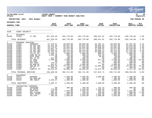|                                                                                                                                                                       |                                                                                                                                                                            |                                                                                                                                                                                                                        |                                                                                                                                                                                                       |                                                                                                                                                                                                     |                                                                                                                                                                                                       |                                                                                                                                                                                   |                                                                                                                                                                                                        |                                                                                                                                                                                                     | munis<br>a tyler erp solution                                                                                                                                       |
|-----------------------------------------------------------------------------------------------------------------------------------------------------------------------|----------------------------------------------------------------------------------------------------------------------------------------------------------------------------|------------------------------------------------------------------------------------------------------------------------------------------------------------------------------------------------------------------------|-------------------------------------------------------------------------------------------------------------------------------------------------------------------------------------------------------|-----------------------------------------------------------------------------------------------------------------------------------------------------------------------------------------------------|-------------------------------------------------------------------------------------------------------------------------------------------------------------------------------------------------------|-----------------------------------------------------------------------------------------------------------------------------------------------------------------------------------|--------------------------------------------------------------------------------------------------------------------------------------------------------------------------------------------------------|-----------------------------------------------------------------------------------------------------------------------------------------------------------------------------------------------------|---------------------------------------------------------------------------------------------------------------------------------------------------------------------|
| nflynn                                                                                                                                                                | 11/20/2020 14:07                                                                                                                                                           |                                                                                                                                                                                                                        | <b>IYATES COUNTY</b><br>NEXT YEAR / CURRENT YEAR BUDGET ANALYSIS                                                                                                                                      |                                                                                                                                                                                                     |                                                                                                                                                                                                       |                                                                                                                                                                                   |                                                                                                                                                                                                        |                                                                                                                                                                                                     | l P<br>55<br>  bgnyrpts                                                                                                                                             |
|                                                                                                                                                                       | PROJECTION: 2021                                                                                                                                                           | 2021 Budget                                                                                                                                                                                                            |                                                                                                                                                                                                       |                                                                                                                                                                                                     |                                                                                                                                                                                                       |                                                                                                                                                                                   |                                                                                                                                                                                                        |                                                                                                                                                                                                     | FOR PERIOD 99                                                                                                                                                       |
| ACCOUNTS FOR:                                                                                                                                                         |                                                                                                                                                                            |                                                                                                                                                                                                                        |                                                                                                                                                                                                       |                                                                                                                                                                                                     |                                                                                                                                                                                                       |                                                                                                                                                                                   |                                                                                                                                                                                                        |                                                                                                                                                                                                     |                                                                                                                                                                     |
| <b>GENERAL FUND</b>                                                                                                                                                   |                                                                                                                                                                            |                                                                                                                                                                                                                        | 2019<br><b>ACTUAL</b>                                                                                                                                                                                 | 2020<br>ORIG BUD                                                                                                                                                                                    | 2020<br><b>REVISED BUD</b>                                                                                                                                                                            | 2020<br><b>ACTUAL</b>                                                                                                                                                             | 2020<br><b>PROJECTION</b>                                                                                                                                                                              | 2021<br>ADOPTED CHANGE                                                                                                                                                                              | PCT                                                                                                                                                                 |
| 3190                                                                                                                                                                  | COURT SECURITY                                                                                                                                                             |                                                                                                                                                                                                                        |                                                                                                                                                                                                       |                                                                                                                                                                                                     |                                                                                                                                                                                                       |                                                                                                                                                                                   |                                                                                                                                                                                                        |                                                                                                                                                                                                     |                                                                                                                                                                     |
| $\mathbf 0$<br>A3190                                                                                                                                                  | <b>REVENUES</b><br>43330                                                                                                                                                   | CT SEC                                                                                                                                                                                                                 | $-457, 329.35$                                                                                                                                                                                        | $-491,778.00$                                                                                                                                                                                       | $-491,778.00$                                                                                                                                                                                         | -380,521.91                                                                                                                                                                       | -491,778.00                                                                                                                                                                                            | $-455,746.00$                                                                                                                                                                                       | $-7.3%$                                                                                                                                                             |
|                                                                                                                                                                       | TOTAL REVENUES                                                                                                                                                             |                                                                                                                                                                                                                        | $-457, 329.35$                                                                                                                                                                                        | $-491,778.00$                                                                                                                                                                                       | $-491,778.00$                                                                                                                                                                                         | $-380, 521.91$                                                                                                                                                                    | $-491,778.00$                                                                                                                                                                                          | $-455,746.00$                                                                                                                                                                                       | $-7.3%$                                                                                                                                                             |
| $\mathbf{1}$<br>A3190<br>A3190<br>A3190<br>A3190<br>A3190<br>A3190<br>A3190<br>A3190<br>A3190<br>A3190<br>A3190<br>A3190<br>A3190<br>A3190<br>A3190<br>A3190<br>A3190 | PERSONAL SERVICES<br>51859<br>51860<br>51861<br>51862<br>51863<br>51864<br>51944<br>51949<br>51950<br>51951<br>51952<br>51953<br>51955<br>51956<br>51958<br>51960<br>51981 | SERGEANT<br>CO CRT SEC<br>CO CRT SEC<br>CO CRT SEC<br>CO CRT SEC<br>CO CRT SEC<br>FIT OT 82<br>COMP BO 82<br>DIFF CO82<br>HOL OT 82<br>OT CO82<br>CB CO82<br>OIC CO82<br>ED BON 82<br>INS BO 82<br>OT PT<br>CORR/CT PT | 57,570.67<br>52, 325.28<br>52, 179.37<br>51,861.70<br>54, 530.22<br>31,141.76<br>1,346.12<br>1,056.48<br>0.21.90<br>921.60<br>2,508.08<br>.00<br>170.13<br>814.07<br>10,944.79<br>294.61<br>30,815.62 | 60,093.00<br>53,847.00<br>52,642.00<br>54,971.00<br>56,131.00<br>53,474.00<br>1,000.00<br>800.00<br>50.00<br>300.00<br>4,500.00<br>150.00<br>500.00<br>1,000.00<br>12,753.00<br>500.00<br>40,000.00 | 60,093.00<br>53,847.00<br>52,642.00<br>54, 971.00<br>56, 131.00<br>53,474.00<br>1,000.00<br>800.00<br>50.00<br>300.00<br>4,500.00<br>150.00<br>500.00<br>1,000.00<br>12,753.00<br>500.00<br>40,000.00 | 52,294.11<br>46,653.04<br>46,858.56<br>47,830.81<br>48,846.72<br>47,880.02<br>600.51<br>310.29<br>20.65<br>.00<br>971.25<br>.00<br>111.75<br>.00<br>12,863.62<br>.00<br>12,673.38 | 60,093.00<br>53,847.00<br>52,642.00<br>54, 971.00<br>56, 131.00<br>53, 474.00<br>1,000.00<br>800.00<br>50.00<br>300.00<br>4,500.00<br>150.00<br>500.00<br>1,000.00<br>12,753.00<br>500.00<br>40,000.00 | 61,367.00<br>54,978.00<br>54,978.00<br>56,189.00<br>57,316.00<br>57,316.00<br>1,000.00<br>800.00<br>50.00<br>300.00<br>2,500.00<br>150.00<br>500.00<br>1,000.00<br>14,454.00<br>500.00<br>6, 157.00 | 2.1%<br>2.1%<br>4.4%<br>2.2%<br>$\overline{2.1}$ $\overline{8}$<br>7.2%<br>.0%<br>.0%<br>.0%<br>.0%<br>$-44.4%$<br>.0%<br>$.0\%$<br>.0%<br>13.3%<br>.0%<br>$-84.6%$ |
|                                                                                                                                                                       | TOTAL PERSONAL SERVICES                                                                                                                                                    |                                                                                                                                                                                                                        | 348,480.50                                                                                                                                                                                            | 392,711.00                                                                                                                                                                                          | 392,711.00                                                                                                                                                                                            | 317,914.71                                                                                                                                                                        | 392,711.00                                                                                                                                                                                             | 369,555.00                                                                                                                                                                                          | $-5.9%$                                                                                                                                                             |
| 2<br>A3190<br>A3190<br>A3190                                                                                                                                          | EQUIPMENT<br>52415<br>52514<br>52515                                                                                                                                       | WEAPONS<br>EQ-TRNG RM<br>SEC EOUIP                                                                                                                                                                                     | .00<br>.00<br>2,335.17                                                                                                                                                                                | 1,500.00<br>400.00<br>1,500.00                                                                                                                                                                      | 1,500.00<br>400.00<br>1,500.00                                                                                                                                                                        | 1,500.00<br>.00<br>.00                                                                                                                                                            | 1,500.00<br>400.00<br>1,500.00                                                                                                                                                                         | 1,500.00<br>400.00<br>1,500.00                                                                                                                                                                      | .0%<br>.0%<br>$.0\%$                                                                                                                                                |
|                                                                                                                                                                       | TOTAL EQUIPMENT                                                                                                                                                            |                                                                                                                                                                                                                        | 2,335.17                                                                                                                                                                                              | 3,400.00                                                                                                                                                                                            | 3,400.00                                                                                                                                                                                              | 1,500.00                                                                                                                                                                          | 3,400.00                                                                                                                                                                                               | 3,400.00                                                                                                                                                                                            | .0%                                                                                                                                                                 |
| 4<br>A3190<br>A3190<br>A3190<br>A3190<br>A3190<br>A3190                                                                                                               | CONTRACTUAL EXPENSES<br>54156<br>54306<br>54470<br>54505<br>54575<br>54682                                                                                                 | TRAINING<br>BP VESTS<br>SUPP:OFF<br>DRY CLEANG<br>SOFT MAINT<br>TEL/FAX                                                                                                                                                | .00<br>775.00<br>818.49<br>582.95<br>1,695.00<br>384.30                                                                                                                                               | 500.00<br>.00<br>1,554.00<br>450.00<br>1,695.00<br>1,920.00                                                                                                                                         | 199.50<br>2,419.20<br>1,538.25<br>750.50<br>1,695.00<br>1,920.00                                                                                                                                      | $123.75$<br>2,419.20<br>185.25<br>750.50<br>1,695.00<br>1,600.00                                                                                                                  | 500.00<br>2,419.20<br>1,538.25<br>450.00<br>1,695.00<br>1,920.00                                                                                                                                       | 500.00<br>.00<br>1,554.00<br>800.00<br>1,695.00<br>1,920.00                                                                                                                                         | .0%<br>$.0\%$<br>$.0\%$<br>77.8%<br>.0%<br>.0 <sub>8</sub>                                                                                                          |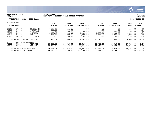

### **11/20/2020 14:07 |YATES COUNTY |P 56 nflynn |NEXT YEAR / CURRENT YEAR BUDGET ANALYSIS |bgnyrpts**

# **PROJECTION: 2021 2021 Budget FOR PERIOD 99**

|                                                                                       | <b>GENERAL FUND</b>                                |                                                                         | 2019<br><b>ACTUAL</b>                                  | 2020<br>ORIG BUD                                         | 2020<br><b>REVISED BUD</b>                            | 2020<br><b>ACTUAL</b>                              | 2020<br><b>PROJECTION</b>                             | 2021<br>ADOPTED                                               | <b>PCT</b><br><b>CHANGE</b>                                                               |
|---------------------------------------------------------------------------------------|----------------------------------------------------|-------------------------------------------------------------------------|--------------------------------------------------------|----------------------------------------------------------|-------------------------------------------------------|----------------------------------------------------|-------------------------------------------------------|---------------------------------------------------------------|-------------------------------------------------------------------------------------------|
| A3190<br>A3190<br>A3190<br>A3190<br>A3190<br>A3190                                    | 54730<br>54731<br>54734<br>54749<br>54752<br>54916 | PROTECT CL<br>PROTECT EO<br>RADIO PART<br>UNIFORMS<br>AMMO<br>PUBLICATN | 1,084.00<br>260.00<br>.00<br>1,199.10<br>700.00<br>.00 | .00<br>600.00<br>200.00<br>4,000.00<br>2,000.00<br>50.00 | .00<br>.00<br>200.00<br>2,180.80<br>2,000.00<br>65.75 | .00<br>.00<br>.00<br>1,733.72<br>2,000.00<br>65.75 | .00<br>.00<br>200.00<br>2,180.80<br>2,000.00<br>65.75 | 1,121.00<br>600.00<br>200.00<br>4,000.00<br>2,000.00<br>50.00 | $.0\%$<br>.0 <sub>8</sub><br>.0 <sub>8</sub><br>.0 <sub>8</sub><br>.0 <sub>8</sub><br>.0% |
|                                                                                       | TOTAL CONTRACTUAL EXPENSES                         |                                                                         | 7,498.84                                               | 12,969.00                                                | 12,969.00                                             | 10,573.17                                          | 12,969.00                                             | 14,440.00                                                     | 11.3%                                                                                     |
| 8<br>EMPLOYEE<br>BENEFITS<br>A3190<br>58100<br>FICA/MED<br>A3190<br>58304<br>INS CO82 |                                                    | 25,686.82<br>38,549.42                                                  | 29,510.00<br>39,444.00                                 | 29,510.00<br>39,444.00                                   | 23,409.85<br>36,051.93                                | 29,510.00<br>39,444.00                             | 27,724.00<br>40,627.00                                | $-6.1%$<br>3.0%                                               |                                                                                           |
| TOTAL EMPLOYEE BENEFITS<br>TOTAL COURT SECURITY                                       |                                                    |                                                                         | 64,236.24<br>$-34,778.60$                              | 68,954.00<br>$-13,744.00$                                | 68,954.00<br>$-13,744.00$                             | 59,461.78<br>8,927.75                              | 68,954.00<br>$-13,744.00$                             | 68,351.00<br>$.00 \,$                                         | -.9%<br>$-100.0\%$                                                                        |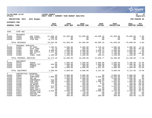|                                                                                                                                               |                                                                                                                                                    |                                                                                                                                                                                  |                                                                                                                            |                                                                                                                                                     |                                                                                                                                                     |                                                                                                                                                  |                                                                                                                                                      |                                                                                                                                                     | munis <sup>®</sup><br>a tyler erp solution                                                                                                   |
|-----------------------------------------------------------------------------------------------------------------------------------------------|----------------------------------------------------------------------------------------------------------------------------------------------------|----------------------------------------------------------------------------------------------------------------------------------------------------------------------------------|----------------------------------------------------------------------------------------------------------------------------|-----------------------------------------------------------------------------------------------------------------------------------------------------|-----------------------------------------------------------------------------------------------------------------------------------------------------|--------------------------------------------------------------------------------------------------------------------------------------------------|------------------------------------------------------------------------------------------------------------------------------------------------------|-----------------------------------------------------------------------------------------------------------------------------------------------------|----------------------------------------------------------------------------------------------------------------------------------------------|
| nflynn                                                                                                                                        | 11/20/2020 14:07                                                                                                                                   |                                                                                                                                                                                  | <b>IYATES COUNTY</b><br>NEXT YEAR / CURRENT YEAR BUDGET ANALYSIS                                                           |                                                                                                                                                     |                                                                                                                                                     |                                                                                                                                                  |                                                                                                                                                      |                                                                                                                                                     | ∣ P<br>57<br>bgnyrpts                                                                                                                        |
|                                                                                                                                               | PROJECTION: 2021                                                                                                                                   | 2021 Budget                                                                                                                                                                      |                                                                                                                            |                                                                                                                                                     |                                                                                                                                                     |                                                                                                                                                  |                                                                                                                                                      |                                                                                                                                                     | FOR PERIOD 99                                                                                                                                |
| <b>ACCOUNTS FOR:</b>                                                                                                                          |                                                                                                                                                    |                                                                                                                                                                                  | 2019                                                                                                                       | 2020                                                                                                                                                | 2020                                                                                                                                                | 2020                                                                                                                                             | 2020                                                                                                                                                 | 2021                                                                                                                                                | PCT                                                                                                                                          |
| <b>GENERAL FUND</b>                                                                                                                           |                                                                                                                                                    |                                                                                                                                                                                  | <b>ACTUAL</b>                                                                                                              | ORIG BUD                                                                                                                                            | REVISED BUD                                                                                                                                         | <b>ACTUAL</b>                                                                                                                                    | <b>PROJECTION</b>                                                                                                                                    | ADOPTED CHANGE                                                                                                                                      |                                                                                                                                              |
| 3350                                                                                                                                          | STOP DWI                                                                                                                                           |                                                                                                                                                                                  |                                                                                                                            |                                                                                                                                                     |                                                                                                                                                     |                                                                                                                                                  |                                                                                                                                                      |                                                                                                                                                     |                                                                                                                                              |
| $\Omega$<br>A3350<br>A3350<br>A3350                                                                                                           | <b>REVENUES</b><br>42615<br>43389<br>43615                                                                                                         | DWI FINES<br>PUB SAFETY<br>STOP DWI                                                                                                                                              | $-67,608.78$<br>$-500.00$<br>$-8, 175.28$                                                                                  | $-81,950.00$<br>.00<br>.00                                                                                                                          | $-81,950.00$<br>.00<br>.00                                                                                                                          | $-40,606.16$<br>.00<br>.00                                                                                                                       | $-81,950.00$<br>.00<br>.00                                                                                                                           | $-79,000.00$<br>.00<br>.00                                                                                                                          | $-3.6%$<br>$.0\%$<br>.0%                                                                                                                     |
|                                                                                                                                               | TOTAL REVENUES                                                                                                                                     |                                                                                                                                                                                  | $-76, 284.06$                                                                                                              | $-81,950.00$                                                                                                                                        | $-81,950.00$                                                                                                                                        | $-40,606.16$                                                                                                                                     | $-81,950.00$                                                                                                                                         | $-79,000.00$                                                                                                                                        | $-3.6%$                                                                                                                                      |
| $1 \quad \blacksquare$<br>A3350<br>A3350<br>A3350<br>A3350<br>A3350<br>A3350                                                                  | PERSONAL SERVICES<br>51942<br>51950<br>51987<br>51989<br>51994<br>51998                                                                            | OT CO82<br>DIFF CO82<br>DWI COOR<br>DWI FISCAL<br>MEO PT<br>PANEL COOR                                                                                                           | 7,205.81<br>41.18<br>$4,600.00$<br>2,225.19<br>$00 \\ 1,100.00$                                                            | 5,500.00<br>200.00<br>4,600.00<br>$2,700.00$<br>1,100.00<br>1,100.00                                                                                | 5,500.00<br>200.00<br>4,600.00<br>2,700.00<br>1,100.00<br>1,100.00                                                                                  | 5, 216. 44<br>35. 36<br>4, 038. 11<br>2, 370. 15<br>25.17<br>965.54                                                                              | 5,500.00<br>200.00<br>4,600.00<br>2,700.00<br>1,100.00<br>1,100.00                                                                                   | 5,000.00<br>100.00<br>4,600.00<br>2,900.00<br>400.00<br>1,100.00                                                                                    | $-9.1%$<br>$-50.0%$<br>.0%<br>7.4%<br>$-63.6%$<br>.0%                                                                                        |
|                                                                                                                                               | TOTAL PERSONAL SERVICES                                                                                                                            |                                                                                                                                                                                  | 15,172.18                                                                                                                  | 15,200.00                                                                                                                                           | 15,200.00                                                                                                                                           | 12,650.77                                                                                                                                        | 15,200.00                                                                                                                                            | 14,100.00                                                                                                                                           | $-7.2%$                                                                                                                                      |
| $\overline{a}$<br>A3350<br>A3350<br>A3350<br>A3350                                                                                            | EQUIPMENT<br>52410<br>52419<br>52422<br>52426                                                                                                      | RADAR<br>BREATH TST<br>CAMERA<br>PYPD                                                                                                                                            | .00<br>640.00<br>.00<br>750.00                                                                                             | 2,600.00<br>1,600.00<br>400.00<br>2,000.00                                                                                                          | 2,600.00<br>1,600.00<br>400.00<br>2,000.00                                                                                                          | 2,600.00<br>$1,600.00$<br>400.00<br>1,621.35                                                                                                     | 2,600.00<br>1,600.00<br>400.00<br>2,000.00                                                                                                           | 4,200.00<br>1,400.00<br>721.00<br>1,800.00                                                                                                          | 61.5%<br>$-12.5%$<br>80.3%<br>$-10.0%$                                                                                                       |
|                                                                                                                                               | TOTAL EQUIPMENT                                                                                                                                    |                                                                                                                                                                                  | 1,390.00                                                                                                                   | 6,600.00                                                                                                                                            | 6,600.00                                                                                                                                            | 6,221.35                                                                                                                                         | 6,600.00                                                                                                                                             | 8,121.00                                                                                                                                            | 23.0%                                                                                                                                        |
| $4\overline{ }$<br>A3350<br>A3350<br>A3350<br>A3350<br>A3350<br>A3350<br>A3350<br>A3350<br>A3350<br>A3350<br>A3350<br>A3350<br>A3350<br>A3350 | CONTRACTUAL EXPENSES<br>54004<br>54021<br>54040<br>54152<br>54155<br>54156<br>54408<br>54460<br>54470<br>54474<br>54501<br>54507<br>54515<br>54658 | ATTY FEES<br>SUBSTANCE<br>SEC DA<br>CONFERENCE<br>PUB INFO<br>TRAINING<br>EQ MAINT<br>SUPP: DRUG<br>SUPP:OFF<br>SUPP: SAFTY<br>ADVERTISIN<br>COPIER CHR<br>POSTAGE<br>TOWING VEH | .00<br>7,800.00<br>.00<br>516.00<br>$-100.00$<br>109.99<br>.00<br>674.00<br>207.40<br>.00<br>3,016.98<br>.00<br>.00<br>.00 | 9,000.00<br>7,800.00<br>3,500.00<br>300.00<br>2,000.00<br>500.00<br>250.00<br>1,450.00<br>350.00<br>250.00<br>3,000.00<br>50.00<br>150.00<br>400.00 | 9,000.00<br>1,950.00<br>3,500.00<br>300.00<br>1,955.00<br>380.00<br>250.00<br>1,450.00<br>330.00<br>250.00<br>2,869.10<br>50.00<br>150.00<br>400.00 | .00<br>5,850.00<br>.00<br>265.00<br>1,398.67<br>$-9.99$<br>.00<br>302.42<br>$\ldots$ <sup>00</sup><br>250.00<br>2,980.49<br>.00<br>.00<br>200.00 | 9,000.00<br>13,650.00<br>3,500.00<br>300.00<br>2,045.00<br>500.00<br>250.00<br>1,450.00<br>350.00<br>250.00<br>3,130.90<br>50.00<br>150.00<br>400.00 | 9,000.00<br>7,800.00<br>3,500.00<br>250.00<br>1,600.00<br>350.00<br>200.00<br>1,200.00<br>300.00<br>200.00<br>2,500.00<br>50.00<br>150.00<br>350.00 | .0%<br>.0%<br>.0%<br>$-16.7%$<br>$-20.0%$<br>$-30.0%$<br>$-20.0%$<br>$-17.2$ %<br>$-14.3%$<br>$-20.0%$<br>$-16.7%$<br>.0%<br>.0%<br>$-12.5%$ |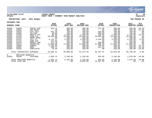

### **11/20/2020 14:07 |YATES COUNTY |P 58 nflynn |NEXT YEAR / CURRENT YEAR BUDGET ANALYSIS |bgnyrpts**

# **PROJECTION: 2021 2021 Budget FOR PERIOD 99**

| <b>GENERAL FUND</b> |                            |            | 2019<br><b>ACTUAL</b> | 2020<br>ORIG BUD | 2020<br>REVISED BUD | 2020<br><b>ACTUAL</b> | 2020<br><b>PROJECTION</b> | 2021<br><b>ADOPTED</b> | <b>PCT</b><br>CHANGE |
|---------------------|----------------------------|------------|-----------------------|------------------|---------------------|-----------------------|---------------------------|------------------------|----------------------|
| A3350               | 54660                      | TRAVEL EXP | 934.72                | 300.00           | 300.00              | 112.28                | 300.00                    | 250.00                 | $-16.7%$             |
| A3350               | 54661                      | VEH MAINT  | .00                   | 400.00           | 400.00              | .00                   | 400.00                    | 350.00                 | $-12.5%$             |
| A3350               | 54676                      | UTIL: CELL | 821.18                | 700.00           | 700.00              | 526.08                | 700.00                    | 700.00                 | $.0\%$               |
| A3350               | 54682                      | TEL/FAX    | 48.00                 | 100.00           | 240.00              | 200.00                | 100.00                    | 100.00                 | .0%                  |
| A3350               | 54703                      | BREATH ACC | 96.00                 | 1,300.00         | 1,300.00            | 228.00                | 1,300.00                  | 1,100.00               | $-15.4%$             |
| A3350               | 54705                      | COUN ALC   | 10,000.00             | 10,000.00        | 10,000.00           | 10,000.00             | 10,000.00                 | 10,000.00              | $.0\%$               |
| A3350               | 54743                      | SMART OPER | .00                   | 200.00           | 200.00              | .00                   | 200.00                    | 200.00                 | $.0\%$               |
| A3350               | 54751                      | VILL PY    | 4,715.17              | 3,500.00         | 3,500.00            | 2,333.80              | 3,500.00                  | 3,200.00               | $-8.6%$              |
| A3350               | 54761                      | DARE EXP   | 313.88                | 350.00           | 350.00              | .00                   | 350.00                    | 350.00                 | $.0\%$               |
| A3350               | 54764                      | IMPACT PAN | 171.10                | 250.00           | 250.00              | 200.00                | 250.00                    | 250.00                 | .0%                  |
| A3350               | 54814                      | PROBATION  | 11,000.00             | 11,000.00        | 11,000.00           | 11,000.00             | 11,000.00                 | 11,000.00              | .0%                  |
| A3350               | 54903                      | AWARDS     | 1,706.00              | 300.00           | 300.00              | 199.50                | 300.00                    | 250.00                 | $-16.7%$             |
| A3350               | 54907                      | DUES       | 306.71                | 350.00           | 350.00              | 161.62                | 350.00                    | 300.00                 | $-14.3%$             |
| A3350               | 54916                      | PUBLICATN  | 28.99                 | 250.00           | 250.00              | .00                   | 250.00                    | 200.00                 | $-20.0$ °            |
|                     | TOTAL CONTRACTUAL EXPENSES |            | 42,366.12             | 58,000.00        | 51,974.10           | 36,197.87             | 64,025.90                 | 55,700.00              | $-4.0\%$             |
| 8                   | EMPLOYEE BENEFITS          |            |                       |                  |                     |                       |                           |                        |                      |
| A3350               | 58100                      | FICA/MED   | 1,095.74              | 2,150.00         | 2,150.00            | 934.05                | 2,150.00                  | 1,079.00               | $-49.8%$             |
|                     | TOTAL EMPLOYEE BENEFITS    |            | 1,095.74              | 2,150.00         | 2,150.00            | 934.05                | 2,150.00                  | 1,079.00               | $-49.8%$             |
|                     | TOTAL STOP DWI             |            | $-16,260.02$          | .00              | $-6,025.90$         | 15,397.88             | 6,025.90                  | .00                    | $.0\%$               |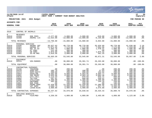|                                                                                                                                     |                                                                                                                                                                         |                                                                                                                                                                     |                                                                                                                                                              |                                                                                                                                                          |                                                                                                                                                       |                                                                                                                                                 |                                                                                                                                                          |                                                                                                                                                          | <b>munis</b><br>a tyler erp solution                                                                       |
|-------------------------------------------------------------------------------------------------------------------------------------|-------------------------------------------------------------------------------------------------------------------------------------------------------------------------|---------------------------------------------------------------------------------------------------------------------------------------------------------------------|--------------------------------------------------------------------------------------------------------------------------------------------------------------|----------------------------------------------------------------------------------------------------------------------------------------------------------|-------------------------------------------------------------------------------------------------------------------------------------------------------|-------------------------------------------------------------------------------------------------------------------------------------------------|----------------------------------------------------------------------------------------------------------------------------------------------------------|----------------------------------------------------------------------------------------------------------------------------------------------------------|------------------------------------------------------------------------------------------------------------|
| nflynn                                                                                                                              | 11/20/2020 14:07                                                                                                                                                        |                                                                                                                                                                     | <b>YATES COUNTY</b><br>NEXT YEAR / CURRENT YEAR BUDGET ANALYSIS                                                                                              |                                                                                                                                                          |                                                                                                                                                       |                                                                                                                                                 |                                                                                                                                                          |                                                                                                                                                          | ΙP<br>59<br>  bgnyrpts                                                                                     |
|                                                                                                                                     | PROJECTION: 2021                                                                                                                                                        | 2021 Budget                                                                                                                                                         |                                                                                                                                                              |                                                                                                                                                          |                                                                                                                                                       |                                                                                                                                                 |                                                                                                                                                          |                                                                                                                                                          | FOR PERIOD 99                                                                                              |
| <b>ACCOUNTS FOR:</b>                                                                                                                |                                                                                                                                                                         |                                                                                                                                                                     | 2019                                                                                                                                                         | 2020                                                                                                                                                     | 2020                                                                                                                                                  | 2020                                                                                                                                            | 2020                                                                                                                                                     | 2021                                                                                                                                                     | PCT                                                                                                        |
| <b>GENERAL FUND</b>                                                                                                                 |                                                                                                                                                                         |                                                                                                                                                                     | <b>ACTUAL</b>                                                                                                                                                | ORIG BUD                                                                                                                                                 | <b>REVISED BUD</b>                                                                                                                                    | <b>ACTUAL</b>                                                                                                                                   | <b>PROJECTION</b>                                                                                                                                        | ADOPTED CHANGE                                                                                                                                           |                                                                                                            |
| 3510                                                                                                                                | CONTROL OF ANIMALS                                                                                                                                                      |                                                                                                                                                                     |                                                                                                                                                              |                                                                                                                                                          |                                                                                                                                                       |                                                                                                                                                 |                                                                                                                                                          |                                                                                                                                                          |                                                                                                            |
| $\Omega$<br>A3510<br>A3510                                                                                                          | <b>REVENUES</b><br>41550<br>42268                                                                                                                                       | DOG FEES<br>ANIMAL LIC                                                                                                                                              | $-2,277.00$<br>$-11,522.00$                                                                                                                                  | $-3,000.00$<br>$-12,000.00$                                                                                                                              | $-3,000.00$<br>$-12,000.00$                                                                                                                           | $-819.00$<br>$-9, 135.00$                                                                                                                       | $-3,000.00$<br>$-12,000.00$                                                                                                                              | $-3,000.00$<br>$-12,000.00$                                                                                                                              | $.0\%$<br>.0%                                                                                              |
|                                                                                                                                     | TOTAL REVENUES                                                                                                                                                          |                                                                                                                                                                     | $-13,799.00$                                                                                                                                                 | $-15,000.00$                                                                                                                                             | $-15,000.00$                                                                                                                                          | $-9,954.00$                                                                                                                                     | $-15,000.00$                                                                                                                                             | $-15,000.00$                                                                                                                                             | .0%                                                                                                        |
| $\mathbf{1}$<br>A3510<br>A3510<br>A3510<br>A3510<br>A3510<br>A3510                                                                  | PERSONAL SERVICES<br>51036<br>51551<br>51951<br>51952<br>51953<br>51961                                                                                                 | ANIMAL CNT<br>ANIMAL PT<br>HOL OT 82<br>OT CO82<br>CB CO82<br>35-40 HRS                                                                                             | 39,627.63<br>11,971.45<br>1,992.78<br>211.48<br>1,073.69<br>1,816.56                                                                                         | 40,770.00<br>7,175.00<br>1,000.00<br>300.00<br>1,300.00<br>3,000.00                                                                                      | 40,770.00<br>7,175.00<br>1,000.00<br>300.00<br>1,300.00<br>3,000.00                                                                                   | 35,634.69<br>7,921.56<br>1,478.31<br>.00<br>1,075.42<br>561.33                                                                                  | 40,770.00<br>7,175.00<br>1,000.00<br>300.00<br>1,300.00<br>3,000.00                                                                                      | 41,638.00<br>7,319.00<br>1,500.00<br>300.00<br>1,300.00<br>3,000.00                                                                                      | 2.1%<br>2.0%<br>50.0%<br>.0%<br>.0%<br>.0 <sub>8</sub>                                                     |
|                                                                                                                                     | TOTAL PERSONAL SERVICES                                                                                                                                                 |                                                                                                                                                                     | 56,693.59                                                                                                                                                    | 53,545.00                                                                                                                                                | 53,545.00                                                                                                                                             | 46,671.31                                                                                                                                       | 53,545.00                                                                                                                                                | 55,057.00                                                                                                                                                | 2.8%                                                                                                       |
| $\overline{a}$<br>A3510                                                                                                             | EQUIPMENT<br>52213                                                                                                                                                      | VEH-MARKED                                                                                                                                                          | .00                                                                                                                                                          | 30,000.00                                                                                                                                                | 29,391.74                                                                                                                                             | 29,263.00                                                                                                                                       | 30,000.00                                                                                                                                                |                                                                                                                                                          | $.00 - 100.08$                                                                                             |
|                                                                                                                                     | TOTAL EQUIPMENT                                                                                                                                                         |                                                                                                                                                                     | .00                                                                                                                                                          | 30,000.00                                                                                                                                                | 29,391.74                                                                                                                                             | 29,263.00                                                                                                                                       | 30,000.00                                                                                                                                                |                                                                                                                                                          | $.00 - 100.0$                                                                                              |
| $\overline{4}$<br>A3510<br>A3510<br>A3510<br>A3510<br>A3510<br>A3510<br>A3510<br>A3510<br>A3510<br>A3510<br>A3510<br>A3510<br>A3510 | CONTRACTUAL EXPENSES<br>54156<br>54470<br>54474<br>54653<br>54661<br>54676<br>54682<br>54685<br>54749<br>54852<br>54858<br>54859<br>54966<br>TOTAL CONTRACTUAL EXPENSES | TRAINING<br>SUPP:OFF<br>SUPP: SAFTY<br>GASOLINE<br>VEH MAINT<br>UTIL: CELL<br>TEL/FAX<br>UTILITIES<br>UNIFORMS<br>DOG FOOD<br>POUND SERV<br>VET SERV<br>LEASE: BLDG | .00<br>105.79<br>200.00<br>8,502.06<br>3,835.96<br>1,114.33<br>597.81<br>2,400.00<br>492.88<br>$\cdot$ 00<br>12,420.00<br>1,668.79<br>3,900.00<br>35, 237.62 | 200.00<br>100.00<br>200.00<br>8,000.00<br>2,000.00<br>800.00<br>600.00<br>2,400.00<br>250.00<br>100.00<br>12,420.00<br>4,000.00<br>3,900.00<br>34,970.00 | .00<br>100.00<br>200.00<br>5,563.95<br>4,503.18<br>979.93<br>600.00<br>2,400.00<br>250.00<br>100.00<br>12,420.00<br>3,631.50<br>3,900.00<br>34,648.56 | .00<br>27.63<br>132.52<br>4,503.77<br>5,064.38<br>925.71<br>549.51<br>2,200.00<br>144.16<br>.00<br>11,385.00<br>917.75<br>3,575.00<br>29,425.43 | 200.00<br>100.00<br>200.00<br>8,000.00<br>2,561.20<br>800.00<br>600.00<br>2,400.00<br>250.00<br>100.00<br>12,420.00<br>4,368.50<br>3,900.00<br>35,899.70 | 200.00<br>100.00<br>200.00<br>8,000.00<br>2,000.00<br>800.00<br>600.00<br>2,400.00<br>250.00<br>100.00<br>12,420.00<br>4,000.00<br>3,900.00<br>34,970.00 | .0%<br>.0%<br>.0%<br>.0%<br>.0%<br>.0%<br>.0%<br>.0%<br>.0%<br>.0%<br>.0%<br>.0%<br>.0%<br>.0 <sub>8</sub> |
|                                                                                                                                     |                                                                                                                                                                         |                                                                                                                                                                     |                                                                                                                                                              |                                                                                                                                                          |                                                                                                                                                       |                                                                                                                                                 |                                                                                                                                                          |                                                                                                                                                          |                                                                                                            |
| 8<br>A3510                                                                                                                          | EMPLOYEE BENEFITS<br>58100                                                                                                                                              | FICA/MED                                                                                                                                                            | 4,259.59                                                                                                                                                     | 4,009.00                                                                                                                                                 | 4,009.00                                                                                                                                              | 3,493.99                                                                                                                                        | 4,009.00                                                                                                                                                 | 4,123.00                                                                                                                                                 | 2.8%                                                                                                       |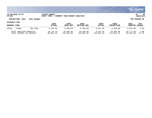

### **11/20/2020 14:07 |YATES COUNTY |P 60 nflynn |NEXT YEAR / CURRENT YEAR BUDGET ANALYSIS |bgnyrpts**

# **PROJECTION: 2021 2021 Budget FOR PERIOD 99**

| <b>GENERAL FUND</b>      |       |          | 2019          | 2020       | 2020        | 2020          | 2020              | 2021      | PCT      |
|--------------------------|-------|----------|---------------|------------|-------------|---------------|-------------------|-----------|----------|
|                          |       |          | <b>ACTUAL</b> | ORIG BUD   | REVISED BUD | <b>ACTUAL</b> | <b>PROJECTION</b> | ADOPTED   | CHANGE   |
| A3510                    | 58304 | INS CO82 | 6.459.60      | 6,460.00   | 6.460.00    | 5,921.30      | 6,460.00          | 6,654.00  | 3.0%     |
| TOTAL EMPLOYEE BENEFITS  |       |          | 10,719.19     | 10,469.00  | 10,469.00   | 9,415.29      | 10,469.00         | 10,777.00 | 2.9%     |
| TOTAL CONTROL OF ANIMALS |       |          | 88,851.40     | 113,984.00 | 113,054.30  | 104,821.03    | 114,913.70        | 85,804.00 | $-24.7%$ |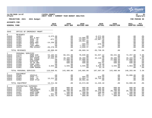|                                                                                            |                                                                                                    |                                                                                                |                                                                                                                 |                                                            |                                                                                                                                          |                                                                                                          |                                                                                                                                       |                                                                                          | <b>munis</b><br>a tyler erp solution                                               |
|--------------------------------------------------------------------------------------------|----------------------------------------------------------------------------------------------------|------------------------------------------------------------------------------------------------|-----------------------------------------------------------------------------------------------------------------|------------------------------------------------------------|------------------------------------------------------------------------------------------------------------------------------------------|----------------------------------------------------------------------------------------------------------|---------------------------------------------------------------------------------------------------------------------------------------|------------------------------------------------------------------------------------------|------------------------------------------------------------------------------------|
| nflynn                                                                                     | 11/20/2020 14:07                                                                                   |                                                                                                | <b>IYATES COUNTY</b><br>NEXT YEAR / CURRENT YEAR BUDGET ANALYSIS                                                |                                                            |                                                                                                                                          |                                                                                                          |                                                                                                                                       |                                                                                          | l P<br>61<br>bgnyrpts                                                              |
|                                                                                            |                                                                                                    | PROJECTION: 2021 2021 Budget                                                                   |                                                                                                                 |                                                            |                                                                                                                                          |                                                                                                          |                                                                                                                                       |                                                                                          | FOR PERIOD 99                                                                      |
| ACCOUNTS FOR:                                                                              |                                                                                                    |                                                                                                |                                                                                                                 |                                                            |                                                                                                                                          |                                                                                                          |                                                                                                                                       |                                                                                          |                                                                                    |
| <b>GENERAL FUND</b>                                                                        |                                                                                                    |                                                                                                | 2019<br><b>ACTUAL</b>                                                                                           | 2020<br>ORIG BUD                                           | 2020<br>REVISED BUD                                                                                                                      | 2020<br><b>ACTUAL</b>                                                                                    | 2020<br><b>PROJECTION</b>                                                                                                             | 2021<br>ADOPTED CHANGE                                                                   | PCT                                                                                |
| 3645                                                                                       |                                                                                                    | OFFICE OF EMERGENCY MNGMT                                                                      |                                                                                                                 |                                                            |                                                                                                                                          |                                                                                                          |                                                                                                                                       |                                                                                          |                                                                                    |
| $\Omega$<br>A3645<br>A3645<br>A3645<br>A3645<br>A3645<br>A3645<br>A3645<br>A3645           | <b>REVENUES</b><br>43407<br>44301<br>44302<br>44304<br>44305<br>44307<br>44309<br>44311            | EMS<br>REC & RET<br>SHSP '18<br>SHSP '15<br>EMPG OEM<br>SHSP '17<br>LEPC-HMEP<br>PRE-DISACT    | $-5,575.00$<br>$-871.23$ $-14,256.00$<br>$\begin{array}{c} . & 0 & 0 \\ . & 0 & 0 \end{array}$<br>$-20, 278.46$ |                                                            | $-13,000.00$<br>$-13,894.77$<br>$-29,991.00$<br>$-29,991.00$<br>$-689.03$<br>$-7,055.17$<br>$-2,039.37$                                  | $-6,572.00$<br>$-3,825.00$<br>$-23,967.18$<br>$-00$<br>$-670.50$<br>$-703.67$                            | $.00\,$<br>.00<br>.00<br>$00.00$<br>$00.00$<br>.00<br>$.00 \,$                                                                        | .00<br>.00<br>.00<br>.00<br>.00<br>.00<br>.00<br>.00                                     | .0 <sub>8</sub><br>.0 <sub>8</sub><br>.0%<br>.0%<br>.0%<br>$.0\%$<br>$.0\%$<br>.0% |
|                                                                                            | TOTAL REVENUES                                                                                     |                                                                                                | $-40,980.69$                                                                                                    | .00                                                        | $-66,669.34$                                                                                                                             | $-35,738.35$                                                                                             | .00                                                                                                                                   | .00                                                                                      | .0 <sup>8</sup>                                                                    |
| $1 \quad$<br>A3645<br>A3645<br>A3645<br>A3645<br>A3645<br>A3645<br>A3645<br>A3645<br>A3645 | PERSONAL SERVICES<br>51070<br>51071<br>51195<br>51300<br>51505<br>51508<br>51509<br>51660<br>51661 | EMS COORD<br>OVERTIME<br>35-40 HRS<br>COMP CSEA<br>INS BUYOUT<br>COMP NONUN                    | EMER DIR<br>EMPG FY19 14,256.00<br>DEP EMERG 47,264.57<br>PER COOPD 47,264.50<br>.00                            | 68,441.00<br>48,400.00<br>48,400.00<br>$\sim$ 00           | $70, 840.00$<br>$0.00$<br>$48, 400.00$<br>$22, 000.00$<br>$200.00$<br>500.00<br>500.00<br>3,945.00<br>$\sim$ 00                          | 61,647.12<br>$42,118.48$<br>00.<br>00.<br>00.<br>263.91<br>$19.40$<br>3,615.70<br>32.78                  | 68,441.00<br>$\sim$ 00<br>$\begin{array}{r} 48,400.00\ 22,000.00\ 200.00\ 500.00\ 5,945.00\ 3,945.00\ \end{array}$<br>3,945.00<br>.00 | 72,257.00<br>00.<br>49,183.00<br>22,000.00<br>200.00<br>500.00<br>.00<br>4,063.00<br>.00 | 5.6%<br>.0%<br>1.6%<br>.0%<br>.0%<br>.0%<br>.0%<br>3.0%<br>.0%                     |
|                                                                                            |                                                                                                    |                                                                                                | TOTAL PERSONAL SERVICES 119,648.91                                                                              | 143,486.00                                                 | 145,885.00                                                                                                                               | 107,697.39                                                                                               | 143,486.00                                                                                                                            | 148,203.00                                                                               | 3.3%                                                                               |
| $\overline{2}$<br>A3645<br>A3645<br>A3645<br>A3645                                         | EQUIPMENT<br>52180<br>52953<br>52955<br>52962                                                      |                                                                                                | VEHICLE .00<br>SHSP '17 .00<br>SHSP '18 .00<br>SHSP FY19 .00<br>.00                                             | .00<br>.00<br>.00<br>.00                                   | $00$<br>689.03<br>13.894                                                                                                                 | $\begin{array}{cc} .00 & .00 \\ 689.03 & 670.50 \\ 13,894.77 & 10,755.60 \\ 29,991.00 & .00 \end{array}$ | .00<br>.00<br>.00<br>.00                                                                                                              | 53,000.00<br>.00<br>.00<br>.00                                                           | .0%<br>.0%<br>$.0\%$<br>.0%                                                        |
|                                                                                            | TOTAL EQUIPMENT                                                                                    |                                                                                                | 13, 211.58                                                                                                      | .00                                                        | 44,574.80                                                                                                                                | 11,426.10                                                                                                | .00                                                                                                                                   | 53,000.00                                                                                | .0%                                                                                |
| $4\degree$<br>A3645<br>A3645<br>A3645<br>A3645<br>A3645<br>A3645                           | 54103<br>54152<br>54156<br>54457<br>54459<br>54470                                                 | CONTRACTUAL EXPENSES<br>EMS EQ<br>CONFERENCE<br>TRAINING<br>SUPP:COMP<br>SUPP: DEP<br>SUPP:OFF | $\begin{array}{r} 190.80\ 300.00\ 7,280.08\ 0.00\ 931.00\ \end{array}$<br>1,261.78                              | $20,700.00$<br>200.00<br>200.00<br>1<br>1,300.00<br>800.00 | $\begin{array}{cc} 800.00 & 0.00 \ 400.00 & 400.00 \ 700.00 & 19,949.37 \ 200.00 & 200.00 \end{array}$<br>$200.00$<br>1,300.00<br>800.00 | 466.00<br>300.00<br>10,370.90<br>200.00<br>897.12<br>452.17                                              | 800.00<br>400.00<br>20,700.00<br>200.00<br>1,300.00<br>800.00                                                                         | 800.00<br>400.00<br>20,700.00<br>200.00<br>1,300.00<br>800.00                            | .0%<br>.0%<br>.0%<br>.0%<br>.0%<br>.0 <sub>8</sub>                                 |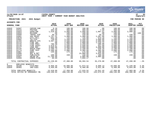

### **11/20/2020 14:07 |YATES COUNTY |P 62 nflynn |NEXT YEAR / CURRENT YEAR BUDGET ANALYSIS |bgnyrpts**

### **PROJECTION: 2021 2021 Budget FOR PERIOD 99**

| <b>GENERAL FUND</b> |                         |                              | 2019<br><b>ACTUAL</b> | 2020<br>ORIG BUD | 2020<br><b>REVISED BUD</b> | 2020<br><b>ACTUAL</b> | 2020<br><b>PROJECTION</b> | 2021<br><b>ADOPTED CHANGE</b> | <b>PCT</b>      |
|---------------------|-------------------------|------------------------------|-----------------------|------------------|----------------------------|-----------------------|---------------------------|-------------------------------|-----------------|
| A3645               | 54507                   | COPIER CHR                   | 8.10                  | 100.00           | 100.00                     | .00                   | 100.00                    | 100.00                        | $.0\%$          |
| A3645               | 54515                   | POSTAGE                      | 303.50                | 400.00           | 400.00                     | 7.60                  | 400.00                    | 400.00                        | $.0\%$          |
| A3645               | 54653                   | GASOLINE                     | 1,518.05              | 2,000.00         | 2,000.00                   | 1,087.61              | 2,000.00                  | 2,000.00                      | $.0\%$          |
| A3645               | 54654                   | MILEAGE                      | .00                   | 100.00           | 100.00                     | .00                   | 100.00                    |                               | $.00 - 100.0$   |
| A3645               | 54660                   | TRAVEL EXP                   | 30.18                 | 150.00           | 150.00                     | 29.16                 | 150.00                    | 150.00                        | . 0%            |
| A3645               | 54661                   | VEH MAINT                    | 1,767.31              | 1,400.00         | 1,400.00                   | 1,207.06              | 1,400.00                  | 1,400.00                      | .0%             |
| A3645               | 54676                   | UTIL: CELL                   | 641.19                | 725.00           | 725.00                     | 573.16                | 725.00                    | 725.00                        | $.0\%$          |
| A3645               | 54682                   | TEL/FAX                      | 739.60                | 1,200.00         | 1,200.00                   | 1,000.00              | 1,200.00                  | 1,200.00                      | .0 <sub>8</sub> |
| A3645               | 54704                   | BREATH SYS                   | 3,507.59              | 3,500.00         | 3,500.00                   | 2,900.00              | 3,500.00                  | 3,500.00                      | .0%             |
| A3645               | 54714                   | FIRE INV                     | .00                   | 1,800.00         | 1,800.00                   | 1,310.12              | 1,800.00                  | 1,800.00                      | .0%             |
| A3645               | 54715                   | FIRE PREV                    | 796.99                | 1,200.00         | 1,200.00                   | 400.00                | 1,200.00                  | 1,200.00                      | .0%             |
| A3645               | 54716                   | FIRE SAFET                   | 1,978.67              | 2,500.00         | 2,500.00                   | 951.08                | 2,500.00                  | 2,500.00                      | .0%             |
| A3645               | 54717                   | CODE ENF.                    | 3,000.00              | 3,000.00         | 3,000.00                   | 3,000.00              | 3,000.00                  | 3,000.00                      | .0%             |
| A3645               | 54734                   | RADIO PART                   | 2,298.74              | 2,100.00         | 2,100.00                   | 649.20                | 2,100.00                  | 2,100.00                      | .0%             |
| A3645               | 54774                   | PUMP TEST                    | 2,490.00              | 2,600.00         | 3,305.00                   | 3,305.00              | 2,600.00                  | 2,600.00                      | .0%             |
| A3645               | 54907                   | <b>DUES</b>                  | 150.00                | 175.00           | 175.00                     | 150.00                | 175.00                    | 175.00                        | .0%             |
| A3645               | 54908                   | REC & RET                    | .00                   | .00              | 13,000.00                  | 3,825.00              | .00                       | .00                           | .0%             |
| A3645               | 54916                   | PUBLICATN                    | 108.90                | 150.00           | 150.00                     | 109.90                | 150.00                    | 150.00                        | .0%             |
| A3645               | 54957                   | HMLND 06                     | 11,766.88             | .00              | 2,085.00                   | 2,085.00              | .00                       | .00                           | .0%             |
| A3645               | 54959                   | <b>EMERG PLNG</b>            | 69.69                 | .00              | 7,055.17                   | .00                   | .00.                      | .00                           | $.0\%$          |
|                     |                         | TOTAL CONTRACTUAL EXPENSES   | 41,139.05             | 47,300.00        | 69,394.54                  | 35,276.08             | 47,300.00                 | 47,200.00                     | $-0.2\%$        |
| 8                   | EMPLOYEE BENEFITS       |                              |                       |                  |                            |                       |                           |                               |                 |
| A3645               | 58100                   | FICA/MED                     | 8,958.49              | 10,890.00        | 11,073.52                  | 8,090.13              | 10,890.00                 | 11,249.00                     | 3.3%            |
| A3645               | 58303                   | INS-CSEA                     | 6,459.60              | 6,460.00         | 6,460.00                   | 5,921.30              | 6,460.00                  | 6,654.00                      | 3.0%            |
|                     | TOTAL EMPLOYEE BENEFITS |                              | 15,418.09             | 17,350.00        | 17,533.52                  | 14,011.43             | 17,350.00                 | 17,903.00                     | 3.2%            |
|                     |                         | TOTAL OFFICE OF EMERGENCY MN | 148,436.94            | 208,136.00       | 210,718.52                 | 132,672.65            | 208,136.00                | 266,306.00                    | 27.9%           |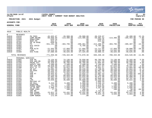|                                                                                                                                                                                                                             |                                                                                                                                                                                                                                  |                                                                                                                                                                                                                                                                |                                                                                                                                                                                                                                                                                   |                                                                                                                                                                                                                                                                                        |                                                                                                                                                                                                                                                                                            |                                                                                                                                                                                                                                                                                             |                                                                                                                                                                                                                                                                                 |                                                                                                                                                                                                                                                                                      | munis <sup>®</sup><br>a tyler erp solution                                                                                                                                                          |
|-----------------------------------------------------------------------------------------------------------------------------------------------------------------------------------------------------------------------------|----------------------------------------------------------------------------------------------------------------------------------------------------------------------------------------------------------------------------------|----------------------------------------------------------------------------------------------------------------------------------------------------------------------------------------------------------------------------------------------------------------|-----------------------------------------------------------------------------------------------------------------------------------------------------------------------------------------------------------------------------------------------------------------------------------|----------------------------------------------------------------------------------------------------------------------------------------------------------------------------------------------------------------------------------------------------------------------------------------|--------------------------------------------------------------------------------------------------------------------------------------------------------------------------------------------------------------------------------------------------------------------------------------------|---------------------------------------------------------------------------------------------------------------------------------------------------------------------------------------------------------------------------------------------------------------------------------------------|---------------------------------------------------------------------------------------------------------------------------------------------------------------------------------------------------------------------------------------------------------------------------------|--------------------------------------------------------------------------------------------------------------------------------------------------------------------------------------------------------------------------------------------------------------------------------------|-----------------------------------------------------------------------------------------------------------------------------------------------------------------------------------------------------|
| nflynn                                                                                                                                                                                                                      | 11/20/2020 14:07                                                                                                                                                                                                                 |                                                                                                                                                                                                                                                                | <b>IYATES COUNTY</b><br>NEXT YEAR / CURRENT YEAR BUDGET ANALYSIS                                                                                                                                                                                                                  |                                                                                                                                                                                                                                                                                        |                                                                                                                                                                                                                                                                                            |                                                                                                                                                                                                                                                                                             |                                                                                                                                                                                                                                                                                 |                                                                                                                                                                                                                                                                                      | ∣ P<br>63<br>bgnyrpts                                                                                                                                                                               |
|                                                                                                                                                                                                                             | PROJECTION: 2021                                                                                                                                                                                                                 | 2021 Budget                                                                                                                                                                                                                                                    |                                                                                                                                                                                                                                                                                   |                                                                                                                                                                                                                                                                                        |                                                                                                                                                                                                                                                                                            |                                                                                                                                                                                                                                                                                             |                                                                                                                                                                                                                                                                                 |                                                                                                                                                                                                                                                                                      | FOR PERIOD 99                                                                                                                                                                                       |
| <b>ACCOUNTS FOR:</b>                                                                                                                                                                                                        |                                                                                                                                                                                                                                  |                                                                                                                                                                                                                                                                |                                                                                                                                                                                                                                                                                   |                                                                                                                                                                                                                                                                                        |                                                                                                                                                                                                                                                                                            |                                                                                                                                                                                                                                                                                             |                                                                                                                                                                                                                                                                                 |                                                                                                                                                                                                                                                                                      |                                                                                                                                                                                                     |
| <b>GENERAL FUND</b>                                                                                                                                                                                                         |                                                                                                                                                                                                                                  |                                                                                                                                                                                                                                                                | 2019<br><b>ACTUAL</b>                                                                                                                                                                                                                                                             | 2020<br>ORIG BUD                                                                                                                                                                                                                                                                       | 2020<br><b>REVISED BUD</b>                                                                                                                                                                                                                                                                 | 2020<br><b>ACTUAL</b>                                                                                                                                                                                                                                                                       | 2020<br><b>PROJECTION</b>                                                                                                                                                                                                                                                       | 2021<br>ADOPTED CHANGE                                                                                                                                                                                                                                                               | PCT                                                                                                                                                                                                 |
| 4010                                                                                                                                                                                                                        | PUBLIC HEALTH                                                                                                                                                                                                                    |                                                                                                                                                                                                                                                                |                                                                                                                                                                                                                                                                                   |                                                                                                                                                                                                                                                                                        |                                                                                                                                                                                                                                                                                            |                                                                                                                                                                                                                                                                                             |                                                                                                                                                                                                                                                                                 |                                                                                                                                                                                                                                                                                      |                                                                                                                                                                                                     |
| $\mathbf 0$<br>A4010<br>A4010<br>A4010<br>A4010<br>A4010<br>A4010<br>A4010<br>A4010                                                                                                                                         | <b>REVENUES</b><br>41610<br>41615<br>41689<br>42411<br>42701<br>43401<br>43402<br>43403                                                                                                                                          | PH FEES<br>COMP REIMB<br><b>DONATIONS</b><br>RENT-PH<br>PR YR RFND<br>РH<br>NYS COVID<br>SAY                                                                                                                                                                   | $-45,925.97$<br>$-88,058.69$<br>$-629.34$<br>$-915.97$<br>$-620.56$<br>$-551, 131.20$<br>.00<br>.02                                                                                                                                                                               | $-28,988.00$<br>$-114, 406.00$<br>.00<br>.00<br>.00<br>$-484, 795.00$<br>.00<br>.00                                                                                                                                                                                                    | $-28,988.00$<br>$-114, 406.00$<br>.00<br>.00<br>.00<br>$-498, 361.00$<br>-6,785.00<br>.00                                                                                                                                                                                                  | $-30,229.97$<br>$-59,401.52$<br>$-550.25$<br>$-916.63$<br>.00<br>$-412, 288.67$<br>-6,785.00<br>.00                                                                                                                                                                                         | $.00 \,$<br>$-114, 406.00$<br>.00<br>.00<br>$.00 \,$<br>$-484, 795.00$<br>.00<br>.00                                                                                                                                                                                            | $-35,400.00$<br>$-105, 464.00$<br>.00<br>.00<br>.00<br>$-409, 487.00$<br>.00<br>.00                                                                                                                                                                                                  | 22.1%<br>$-7.8%$<br>.0%<br>.0%<br>.0%<br>$-15.5%$<br>.0%<br>.0 <sub>8</sub>                                                                                                                         |
| A4010<br>A4010<br>A4010                                                                                                                                                                                                     | 44401<br>44457<br>44489                                                                                                                                                                                                          | PUB HLTH<br>LEAD<br>DIS PLNG                                                                                                                                                                                                                                   | $-21,563.96$<br>$-24,510.32$<br>$-37,680.69$                                                                                                                                                                                                                                      | $-27,956.00$<br>$-23,552.00$<br>$-49,625.00$                                                                                                                                                                                                                                           | $-27,956.00$<br>$-39,057.38$<br>$-57, 325.00$                                                                                                                                                                                                                                              | $-12, 717.85$<br>$-16, 536.90$<br>$-43,909.31$                                                                                                                                                                                                                                              | $-27,956.00$<br>$-23,552.00$<br>$-49,625.00$                                                                                                                                                                                                                                    | $-20,000.00$<br>$-23,552.00$<br>$-49,625.00$                                                                                                                                                                                                                                         | $-28.5%$<br>.0%<br>.0%                                                                                                                                                                              |
|                                                                                                                                                                                                                             | TOTAL REVENUES                                                                                                                                                                                                                   |                                                                                                                                                                                                                                                                | $-771,036.68$                                                                                                                                                                                                                                                                     | $-729, 322.00$                                                                                                                                                                                                                                                                         | $-772,878.38$                                                                                                                                                                                                                                                                              | $-583, 336.10$                                                                                                                                                                                                                                                                              | $-700, 334.00$                                                                                                                                                                                                                                                                  | $-643,528.00$                                                                                                                                                                                                                                                                        | $-11.8%$                                                                                                                                                                                            |
| $\mathbf{1}$<br>A4010<br>A4010<br>A4010<br>A4010<br>A4010<br>A4010<br>A4010<br>A4010<br>A4010<br>A4010<br>A4010<br>A4010<br>A4010<br>A4010<br>A4010<br>A4010<br>A4010<br>A4010<br>A4010<br>A4010<br>A4010<br>A4010<br>A4010 | PERSONAL SERVICES<br>51065<br>51066<br>51150<br>51152<br>51153<br>51200<br>51271<br>51320<br>51329<br>51332<br>51333<br>51334<br>51341<br>51349<br>51502<br>51504<br>51505<br>51506<br>51508<br>51509<br>51520<br>51530<br>51660 | DIR PH<br>DIR ADD-ON<br>PRINC ACT<br>DEPUTY ADD<br>DEP DIR PH<br>ACCT CL TY<br>SR ACT<br>PH EDUC<br>PHN<br>PHN PT<br>PHN<br>PHN<br>RN<br>LPN<br>HOLIDAY OT<br>ON CALL<br>OVERTIME<br>PHONE WORK<br>35-40 HRS<br>COMP CSEA<br>INS BO<br>PRG COORD<br>INS BUYOUT | 74,134.92<br>20,000.00<br>26, 428.62<br>2,500.00<br>66,928.88<br>17,057.69<br>29,085.29<br>58, 153.45<br>50,556.32<br>20,044.92<br>59,249.66<br>42,903.40<br>50,392.69<br>44,049.02<br>.00<br>6,415.56<br>117.84<br>1,179.00<br>1,400.17<br>17.26<br>.00<br>23,811.72<br>3,944.40 | 74,136.00<br>20,000.00<br>36,766.00<br>2,500.00<br>67,616.00<br>33,012.00<br>38,239.00<br>59,550.00<br>52,925.00<br>5,032.00<br>60,669.00<br>53,916.00<br>52,742.00<br>45,099.00<br>.00<br>6,490.00<br>750.00<br>1,500.00<br>1,500.00<br>100.00<br>.00<br>53,431.00<br>3,945.00<br>.00 | 76,650.00<br>20,000.00<br>36,766.00<br>2,500.00<br>68,967.00<br>20,577.00<br>38,239.00<br>59,550.00<br>52,925.00<br>13,632.37<br>60,669.00<br>53,916.00<br>52,742.00<br>45,099.00<br>300.00<br>6,990.00<br>1,250.00<br>4,000.00<br>5,636.27<br>100.00<br>2,635.00<br>53,431.00<br>3,945.00 | 66,703.08<br>17,557.28<br>31,955.94<br>2,194.66<br>60,017.07<br>8,641.57<br>24,798.05<br>43,867.00<br>39, 141. 75<br>15,007.54<br>52,795.68<br>46,872.88<br>45,846.44<br>39,245.68<br>1,056.54<br>5,536.23<br>1,175.87<br>3,958.00<br>4,267.86<br>9.16<br>1,722.61<br>46,387.76<br>3,615.70 | 74,136.00<br>20,000.00<br>36,766.00<br>2,500.00<br>67,616.00<br>33,012.00<br>38,239.00<br>59,550.00<br>52,925.00<br>5,032.00<br>60,669.00<br>53,916.00<br>52,742.00<br>45,099.00<br>.00<br>6,490.00<br>750.00<br>1,500.00<br>1,500.00<br>100.00<br>.00<br>53,431.00<br>3,945.00 | 78,183.00<br>20,000.00<br>38,158.00<br>2,500.00<br>70,347.00<br>13,865.00<br>35,664.00<br>53,970.00<br>54,986.00<br>13,050.00<br>62,483.00<br>55,980.00<br>54,797.00<br>45,822.00<br>.00<br>6,490.00<br>750.00<br>1,500.00<br>1,500.00<br>50.00<br>2,505.00<br>55,472.00<br>4,063.00 | 5.5%<br>.0%<br>3.8%<br>.0%<br>4.0%<br>$-58.0%$<br>$-6.7%$<br>$-9.4%$<br>3.9%<br>159.3%<br>3.0%<br>3.8%<br>3.9%<br>1.6%<br>.0%<br>.0%<br>.0%<br>.0%<br>.0%<br>$-50.0%$<br>.0%<br>3.8%<br>3.0%<br>.0% |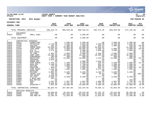

### **11/20/2020 14:07 |YATES COUNTY |P 64 nflynn |NEXT YEAR / CURRENT YEAR BUDGET ANALYSIS |bgnyrpts**

**PROJECTION: 2021 2021 Budget FOR PERIOD 99**

| ACCOUNTS FOR: |  |
|---------------|--|
|               |  |

| <b>GENERAL FUND</b> |                            | 2019<br><b>ACTUAL</b> | 2020<br>ORIG BUD | 2020<br>REVISED BUD | 2020<br><b>ACTUAL</b> | 2020<br><b>PROJECTION</b> | 2021<br><b>ADOPTED CHANGE</b> | <b>PCT</b>      |                 |
|---------------------|----------------------------|-----------------------|------------------|---------------------|-----------------------|---------------------------|-------------------------------|-----------------|-----------------|
|                     | TOTAL PERSONAL SERVICES    |                       | 598,543.75       | 669,918.00          | 680,519.64            | 562,374.35                | 669,918.00                    | 672,135.00      | .3%             |
| 2<br>A4010          | EOUIPMENT<br>52516         | SMALL EQUI            | .00              | .00                 | 5,500.00              | .00                       | .00                           | .00             | .0 <sub>8</sub> |
|                     | TOTAL EQUIPMENT            |                       | .00              | .00                 | 5,500.00              | .00                       | .00                           | .00             | .0%             |
| $4\overline{ }$     | CONTRACTUAL EXPENSES       |                       |                  |                     |                       |                           |                               |                 |                 |
| A4010               | 54011                      | CONSULTANT            | .00              | 2,500.00            | 2,500.00              | .00                       | 2,500.00                      | 2,500.00        | .0 <sub>8</sub> |
| A4010               | 54035                      | PHYSICIAN             | 2,740.00         | 2,640.00            | 2,640.00              | 2,200.00                  | 2,640.00                      | 2,640.00        | .0 <sub>8</sub> |
| A4010               | 54106                      | VACCINE               | 333.35           | 1,000.00            | 1,000.00              | 333.23                    | 1,000.00                      | 500.00          | $-50.0%$        |
| A4010               | 54107                      | IMMUN PROG            | 15,639.52        | 15,000.00           | 15,898.68             | 10,925.61                 | .00                           | 15,500.00       | 3.3%            |
| A4010               | 54109                      | LEAD PROG             | 2,697.66         | 5,000.00            | 20,505.38             | 1,848.79                  | 5,000.00                      | 4,000.00        | $-20.0%$        |
| A4010               | 54113                      | STD TX                | 1,676.53         | 3,000.00            | 3,000.00              | 1,008.69                  | 3,000.00                      | 3,000.00        | .0%             |
| A4010               | 54115                      | NYS COVID             | .00<br>2,465.42  | .00<br>2,000.00     | 6,785.00              | .00<br>2,316.65           | .00<br>2,000.00               | .00<br>2,000.00 | .0%             |
| A4010<br>A4010      | 54116<br>54120             | TB CARE<br>CORP COMP  | 18,500.00        |                     | 3,000.00<br>18,500.00 | 18,500.00                 | 18,500.00                     | 18,500.00       | $.0\%$<br>.0%   |
| A4010               | 54152                      | CONFERENCE            | 105.00           | 18,500.00<br>500.00 | 500.00                |                           | 500.00                        | 500.00          | .0%             |
| A4010               | 54153                      | EDUCATION             | 7,033.34         | 13,000.00           | 10,000.00             | .00<br>1,424.51           | 13,000.00                     | 7,000.00        | $-46.2%$        |
| A4010               | 54156                      | TRAINING              | 3,955.30         | .00                 | .00                   | .00                       | .00                           | .00             | .0 <sub>8</sub> |
| A4010               | 54320                      | EMERG EXP             | .00              | .00                 | 2,000.00              | 2,515.34                  | .00                           | .00             | .0%             |
| A4010               | 54469                      | SUPP: NURSG           | 2,756.14         | 2,400.00            | 3,100.00              | 526.63                    | 2,400.00                      | 2,000.00        | $-16.7%$        |
| A4010               | 54470                      | SUPP:OFF              | 1,200.55         | 1,500.00            | 1,700.00              | 954.41                    | 1,500.00                      | 1,500.00        | .0%             |
| A4010               | 54515                      | POSTAGE               | 773.98           | 1,000.00            | 1,200.00              | 949.65                    | 1,000.00                      | 1,000.00        | $.0\%$          |
| A4010               | 54516                      | PRINTING              | 999.07           | 750.00              | 1,050.00              | 932.41                    | 750.00                        | 1,000.00        | 33.3%           |
| A4010               | 54574                      | COMP MAINT            | 7,219.60         | 7,000.00            | 7,000.00              | 4,472.02                  | 7,000.00                      | 7,000.00        | $.0\%$          |
| A4010               | 54653                      | GASOLINE              | 132.09           | .00                 | .00                   | .00                       | $.00 \ \rm$                   | .00             | .0%             |
| A4010               | 54654                      | MILEAGE               | 6,984.94         | 5,500.00            | 6, 200.00             | 3,629.27                  | 5,500.00                      | 5,500.00        | .0%             |
| A4010               | 54660                      | TRAVEL EXP            | 289.03           | 500.00              | 500.00                | 20.63                     | 500.00                        |                 | $.00 - 100.0$   |
| A4010               | 54661                      | VEH MAINT             | 1,149.68         | .00                 | .00                   | .00                       | .00                           | .00             | .0%             |
| A4010               | 54682                      | TEL/FAX               | 6,960.11         | 8,300.00            | 8,400.00              | 6,777.72                  | 8,300.00                      | 8,300.00        | .0%             |
| A4010               | 54688                      | G ROCH HEA            | 395.27           | .00                 | .00                   | .00                       | .00                           | .00             | .0%             |
| A4010               | 54904                      | BID NOTICE            | .00              | .00                 | .00                   | .00                       | .00                           | 150.00          | .0%             |
| A4010               | 54907                      | <b>DUES</b>           | 1,587.02         | 1,967.00            | 1,967.00              | 1,966.98                  | 1,967.00                      | 1,742.00        | $-11.4%$        |
| A4010               | 54911                      | INS                   | 5,628.03         | 5,797.00            | 5,797.00              | 5,793.19                  | 5,797.00                      | 5,971.00        | 3.0%            |
| A4010               | 54938                      | DISASTER P            | 7,061.80         | 10,000.00           | 10,000.00             | 3,499.39                  | 10,000.00                     | 12,000.00       | 20.0%           |
|                     | TOTAL CONTRACTUAL EXPENSES |                       | 98, 283. 43      | 107,854.00          | 133,243.06            | 70,595.12                 | 92,854.00                     | 102,303.00      | $-5.1%$         |
| 8                   | EMPLOYEE BENEFITS          |                       |                  |                     |                       |                           |                               |                 |                 |
| A4010               | 58100                      | FICA/MED              | 43,659.66        | 49,244.00           | 50,578.40             | 41,221.78                 | 49,244.00                     | 49,458.00       | $.4\%$          |
| A4010               | 58303                      | INS-CSEA              | 79,087.65        | 101,082.00          | 101,082.00            | 71,546.69                 | 101,082.00                    | 96,834.00       | $-4.2%$         |
| A4010               | 58305                      | INS-NON UN            | 13,295.34        | 12,920.00           | 12,920.00             | 11,843.04                 | 12,920.00                     | 13,308.00       | 3.0%            |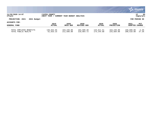|                                                                                         |                         |                          |                          |                          |                          |                          | <b>W. munis</b><br>a tyler erp solution |  |
|-----------------------------------------------------------------------------------------|-------------------------|--------------------------|--------------------------|--------------------------|--------------------------|--------------------------|-----------------------------------------|--|
| 11/20/2020 14:07<br>YATES COUNTY<br>nflynn<br>NEXT YEAR<br>CURRENT YEAR BUDGET ANALYSIS |                         |                          |                          |                          |                          |                          |                                         |  |
| PROJECTION: 2021<br>2021 Budget                                                         |                         |                          |                          |                          |                          |                          | FOR PERIOD 99                           |  |
| ACCOUNTS FOR:                                                                           | 2019                    | 2020                     | 2020                     | 2020                     | 2020                     | 2021                     | PCT                                     |  |
| <b>GENERAL FUND</b>                                                                     | <b>ACTUAL</b>           | ORIG BUD                 | REVISED BUD              | ACTUAL                   | <b>PROJECTION</b>        | ADOPTED CHANGE           |                                         |  |
| TOTAL EMPLOYEE BENEFITS<br>TOTAL PUBLIC HEALTH                                          | 136,042.65<br>61,833.15 | 163,246.00<br>211,696.00 | 164,580.40<br>210,964.72 | 124,611.51<br>174,244.88 | 163,246.00<br>225,684.00 | 159,600.00<br>290,510.00 | $-2.2%$<br>37.2%                        |  |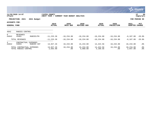|                                             |                                                                             |                               |                             |                              |                       |                       |                           |                        | <b>munis</b><br>a tyler erp solution |
|---------------------------------------------|-----------------------------------------------------------------------------|-------------------------------|-----------------------------|------------------------------|-----------------------|-----------------------|---------------------------|------------------------|--------------------------------------|
| nflynn                                      | 11/20/2020 14:07                                                            |                               | YATES COUNTY<br>NEXT YEAR / | CURRENT YEAR BUDGET ANALYSIS |                       |                       |                           |                        | 66<br>P<br>bgnyrpts                  |
|                                             | PROJECTION: 2021                                                            | 2021 Budget                   |                             |                              |                       |                       |                           |                        | FOR PERIOD 99                        |
| <b>ACCOUNTS FOR:</b><br><b>GENERAL FUND</b> |                                                                             |                               | 2019<br><b>ACTUAL</b>       | 2020<br>ORIG BUD             | 2020<br>REVISED BUD   | 2020<br><b>ACTUAL</b> | 2020<br><b>PROJECTION</b> | 2021<br><b>ADOPTED</b> | PCT<br><b>CHANGE</b>                 |
| 4042                                        | RABIES CONTROL                                                              |                               |                             |                              |                       |                       |                           |                        |                                      |
| $\overline{0}$<br>A4042                     | REVENUES<br>43401                                                           | RABIES/PH                     | $-11, 233.36$               | $-10, 234.00$                | $-10, 234.00$         | $-10, 234.00$         | $-10, 234.00$             | $-8,187.00$            | $-20.0%$                             |
|                                             | TOTAL REVENUES                                                              |                               | $-11, 233.36$               | $-10, 234.00$                | $-10, 234.00$         | $-10, 234.00$         | $-10, 234.00$             | $-8,187.00$            | $-20.0%$                             |
| 4<br>A4042                                  | CONTRACTUAL<br>54855                                                        | <b>EXPENSES</b><br>RABIES CNT | 13,927.26                   | 10,234.00                    | 15,234.00             | 14,424.56             | 10,234.00                 | 10,234.00              | $.0\%$                               |
|                                             | TOTAL CONTRACTUAL EXPENSES<br>13,927.26<br>2,693.90<br>TOTAL RABIES CONTROL |                               |                             | 10,234.00<br>.00             | 15,234.00<br>5,000.00 | 14,424.56<br>4,190.56 | 10,234.00<br>.00          | 10,234.00<br>2,047.00  | $.0\%$<br>$.0\%$                     |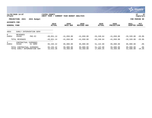|                                      |                                                            |                     |                             |                              |                            |                        |                           |                        | <b>munis</b><br>a tyler erp solution |
|--------------------------------------|------------------------------------------------------------|---------------------|-----------------------------|------------------------------|----------------------------|------------------------|---------------------------|------------------------|--------------------------------------|
| nflynn                               | 11/20/2020 14:07                                           |                     | YATES COUNTY<br>NEXT YEAR / | CURRENT YEAR BUDGET ANALYSIS |                            |                        |                           |                        | 67<br>P<br>  bgnyrpts                |
|                                      | PROJECTION: 2021                                           | 2021 Budget         |                             |                              |                            |                        |                           |                        | FOR PERIOD 99                        |
| ACCOUNTS FOR:<br><b>GENERAL FUND</b> |                                                            |                     | 2019<br><b>ACTUAL</b>       | 2020<br>ORIG BUD             | 2020<br><b>REVISED BUD</b> | 2020<br><b>ACTUAL</b>  | 2020<br><b>PROJECTION</b> | 2021<br><b>ADOPTED</b> | PCT<br><b>CHANGE</b>                 |
| 4054                                 | EARLY INTERVENTION SERV                                    |                     |                             |                              |                            |                        |                           |                        |                                      |
| $\Omega$<br>A4054                    | <b>REVENUES</b><br>43449                                   | PHC-EI              | $-49,651.14$                | $-41,650.00$                 | $-41,650.00$               | $-33, 248.64$          | $-41,650.00$              | $-33,320.00$           | $-20.0%$                             |
|                                      | TOTAL REVENUES                                             |                     | $-49,651.14$                | $-41,650.00$                 | $-41,650.00$               | $-33, 248.64$          | $-41,650.00$              | $-33,320.00$           | $-20.0%$                             |
| $4^{\circ}$<br>A4054                 | CONTRACTUAL<br>54102                                       | EXPENSES<br>EI SERV | 65,194.42                   | 85,000.00                    | 85,000.00                  | 51,142.89              | 85,000.00                 | 85,000.00              | . 0 %                                |
|                                      | TOTAL CONTRACTUAL EXPENSES<br>TOTAL EARLY INTERVENTION SER |                     | 65,194.42<br>15,543.28      | 85,000.00<br>43,350.00       | 85,000.00<br>43,350.00     | 51,142.89<br>17,894.25 | 85,000.00<br>43,350.00    | 85,000.00<br>51,680.00 | .0%<br>19.2%                         |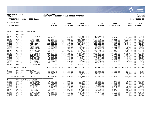|                                                                                                                                                                                     |                                                                                                                                                                                            |                                                                                                                                                                                                                                             |                                                                                                                                                                                                                                                                                                       |                                                                                                                                                                                                                                                                                                  |                                                                                                                                                                                                                                                                                                                  |                                                                                                                                                                                                                                                                                                                |                                                                                                                                                                                                                                                                                                                          |                                                                                                                                                                                                                                                                                               | ः munis<br>a tyler erp solution                                                                                                                                                                                               |
|-------------------------------------------------------------------------------------------------------------------------------------------------------------------------------------|--------------------------------------------------------------------------------------------------------------------------------------------------------------------------------------------|---------------------------------------------------------------------------------------------------------------------------------------------------------------------------------------------------------------------------------------------|-------------------------------------------------------------------------------------------------------------------------------------------------------------------------------------------------------------------------------------------------------------------------------------------------------|--------------------------------------------------------------------------------------------------------------------------------------------------------------------------------------------------------------------------------------------------------------------------------------------------|------------------------------------------------------------------------------------------------------------------------------------------------------------------------------------------------------------------------------------------------------------------------------------------------------------------|----------------------------------------------------------------------------------------------------------------------------------------------------------------------------------------------------------------------------------------------------------------------------------------------------------------|--------------------------------------------------------------------------------------------------------------------------------------------------------------------------------------------------------------------------------------------------------------------------------------------------------------------------|-----------------------------------------------------------------------------------------------------------------------------------------------------------------------------------------------------------------------------------------------------------------------------------------------|-------------------------------------------------------------------------------------------------------------------------------------------------------------------------------------------------------------------------------|
| nflynn                                                                                                                                                                              | 11/20/2020 14:07                                                                                                                                                                           |                                                                                                                                                                                                                                             | YATES COUNTY<br>NEXT YEAR / CURRENT YEAR BUDGET ANALYSIS                                                                                                                                                                                                                                              |                                                                                                                                                                                                                                                                                                  |                                                                                                                                                                                                                                                                                                                  |                                                                                                                                                                                                                                                                                                                |                                                                                                                                                                                                                                                                                                                          |                                                                                                                                                                                                                                                                                               | Þ<br>68<br>  bgnyrpts                                                                                                                                                                                                         |
|                                                                                                                                                                                     | PROJECTION: 2021                                                                                                                                                                           | 2021 Budget                                                                                                                                                                                                                                 |                                                                                                                                                                                                                                                                                                       |                                                                                                                                                                                                                                                                                                  |                                                                                                                                                                                                                                                                                                                  |                                                                                                                                                                                                                                                                                                                |                                                                                                                                                                                                                                                                                                                          |                                                                                                                                                                                                                                                                                               | FOR PERIOD 99                                                                                                                                                                                                                 |
| <b>ACCOUNTS FOR:</b>                                                                                                                                                                |                                                                                                                                                                                            |                                                                                                                                                                                                                                             |                                                                                                                                                                                                                                                                                                       |                                                                                                                                                                                                                                                                                                  |                                                                                                                                                                                                                                                                                                                  |                                                                                                                                                                                                                                                                                                                |                                                                                                                                                                                                                                                                                                                          |                                                                                                                                                                                                                                                                                               |                                                                                                                                                                                                                               |
| <b>GENERAL FUND</b>                                                                                                                                                                 |                                                                                                                                                                                            |                                                                                                                                                                                                                                             | 2019<br><b>ACTUAL</b>                                                                                                                                                                                                                                                                                 | 2020<br>ORIG BUD                                                                                                                                                                                                                                                                                 | 2020<br><b>REVISED BUD</b>                                                                                                                                                                                                                                                                                       | 2020<br><b>ACTUAL</b>                                                                                                                                                                                                                                                                                          | 2020<br><b>PROJECTION</b>                                                                                                                                                                                                                                                                                                | 2021<br><b>ADOPTED CHANGE</b>                                                                                                                                                                                                                                                                 | PCT                                                                                                                                                                                                                           |
| 4320                                                                                                                                                                                | COMMUNITY SERVICES                                                                                                                                                                         |                                                                                                                                                                                                                                             |                                                                                                                                                                                                                                                                                                       |                                                                                                                                                                                                                                                                                                  |                                                                                                                                                                                                                                                                                                                  |                                                                                                                                                                                                                                                                                                                |                                                                                                                                                                                                                                                                                                                          |                                                                                                                                                                                                                                                                                               |                                                                                                                                                                                                                               |
| $\Omega$<br>A4320<br>A4320<br>A4320<br>A4320<br>A4320<br>A4320<br>A4320<br>A4320<br>A4320<br>A4320<br>A4320<br>A4320<br>A4320<br>A4320<br>A4320<br>A4320<br>A4320<br>A4320<br>A4320 | <b>REVENUES</b><br>41688<br>43490<br>43492<br>43493<br>43494<br>43495<br>43496<br>43497<br>43498<br>43500<br>43503<br>43504<br>43507<br>43508<br>43509<br>43511<br>43512<br>44490<br>44491 | COLUMBIA U<br>LGU<br>COMM SUPP<br>PSYCH REHA<br>C&F<br>REINVEST<br>MR LGU<br>KIDS HOME<br>INTEGRATED<br>KENDRAS LW<br>SUPP HSNG<br>SUBS ABUSE<br>CLINICAL I<br>EMERG C&F<br>CLINIC ADU<br>HLTH HOME<br>OMH COLA<br>MH FED SAL<br>SU PREV CO | .00<br>$-48,755.00$<br>$-206, 179.00$<br>$-94, 497.00$<br>$-111, 321.00$<br>$-228, 201.00$<br>$-11, 278.00$<br>$-7,863.00$<br>$-55, 578.00$<br>$-13, 269.00$<br>$-40,080.00$<br>$-394, 188.00$<br>$-61, 332.00$<br>$-167,751.00$<br>$-5,958.00$<br>$-22,776.00$<br>$-8,571.00$<br>$-42,933.00$<br>.00 | .00<br>$-43, 364.00$<br>$-223,884.00$<br>$-125,996.00$<br>$-148, 428.00$<br>$-304, 267.00$<br>$-16, 232.00$<br>$-10, 484.00$<br>$-74, 104.00$<br>$-17,692.00$<br>$-104, 460.00$<br>$-394, 188.00$<br>$-81,776.00$<br>$-223,668.00$<br>$-7,944.00$<br>$-30, 368.00$<br>$-11,428.00$<br>.00<br>.00 | $-39,407.80$<br>$-43, 364.00$<br>$-223,884.00$<br>$-125,996.00$<br>$-148, 428.00$<br>$-304, 267.00$<br>$-16, 232.00$<br>$-10, 484.00$<br>$-74, 104.00$<br>$-17,692.00$<br>$-104.460.00$<br>$-394,188.00$<br>$-81,776.00$<br>$-223,668.00$<br>$-7,944.00$<br>$-30, 368.00$<br>$-18,482.00$<br>.00<br>$-10,957.56$ | $-48,972.80$<br>$-47, 477.00$<br>$-253,082.75$<br>$-125,996.00$<br>$-138,578.50$<br>$-231,992.00$<br>$-11, 278.00$<br>$-10,026.75$<br>$-70, 181.25$<br>$-17,692.00$<br>$-51,031.00$<br>$-327, 150.00$<br>$-74,930.50$<br>$-211, 258.25$<br>$-7,944.00$<br>$-28,876.00$<br>$-39,907.00$<br>$-44, 425.00$<br>.00 | $.00 \ \rm$<br>$-43, 364.00$<br>$-223,884.00$<br>$-125,996.00$<br>$-148, 428.00$<br>$-304, 267.00$<br>$-16, 232.00$<br>$-10, 484.00$<br>$-74, 104.00$<br>$-17,692.00$<br>$-104, 460.00$<br>$-394, 188.00$<br>$-81,776.00$<br>$-223,668.00$<br>$-7,944.00$<br>$-30, 368.00$<br>$-11,428.00$<br>$.00 \ \rm$<br>$.00 \ \rm$ | .00<br>$-34,691.00$<br>$-179, 107.00$<br>$-100,797.00$<br>$-118,742.00$<br>$-243, 414.00$<br>$-17,481.00$<br>$-8,387.00$<br>$-59, 283.00$<br>$-14, 154.00$<br>$-83,773.00$<br>$-328, 471.00$<br>$-65, 421.00$<br>$-178,934.00$<br>$-6, 355.00$<br>$-24, 294.00$<br>$-10,998.00$<br>.00<br>.00 | $.0\%$<br>$-20.0%$<br>$-20.0%$<br>$-20.0%$<br>$-20.0%$<br>$-20.0%$<br>7.7%<br>$-20.0%$<br>$-20.0%$<br>$-20.0%$<br>$-19.8%$<br>$-16.7%$<br>$-20.0%$<br>$-20.0%$<br>$-20.0%$<br>$-20.0%$<br>$-3.8%$<br>.0 <sub>8</sub><br>. 0 % |
|                                                                                                                                                                                     | TOTAL REVENUES                                                                                                                                                                             |                                                                                                                                                                                                                                             | $-1,520,530.00$                                                                                                                                                                                                                                                                                       |                                                                                                                                                                                                                                                                                                  | $-1,818,283.00$ $-1,875,702.36$ $-1,740,798.80$                                                                                                                                                                                                                                                                  |                                                                                                                                                                                                                                                                                                                |                                                                                                                                                                                                                                                                                                                          | $-1,818,283.00 -1,474,302.00$                                                                                                                                                                                                                                                                 | $-18.9%$                                                                                                                                                                                                                      |
| $\mathbf{1}$<br>A4320<br>A4320                                                                                                                                                      | PERSONAL SERVICES<br>51302<br>51605                                                                                                                                                        | SGL PT ACC<br>DIR COMM S                                                                                                                                                                                                                    | 49,146.46<br>76, 515.00                                                                                                                                                                                                                                                                               | 50,854.00<br>76,515.00                                                                                                                                                                                                                                                                           | 50,854.00<br>78,045.00                                                                                                                                                                                                                                                                                           | 44,830.50<br>67,917.09                                                                                                                                                                                                                                                                                         | 50,854.00<br>76,515.00                                                                                                                                                                                                                                                                                                   | 52,909.00<br>79,606.00                                                                                                                                                                                                                                                                        | 4.0%<br>4.0%                                                                                                                                                                                                                  |
|                                                                                                                                                                                     | TOTAL PERSONAL SERVICES                                                                                                                                                                    |                                                                                                                                                                                                                                             | 125,661.46                                                                                                                                                                                                                                                                                            | 127,369.00                                                                                                                                                                                                                                                                                       | 128,899.00                                                                                                                                                                                                                                                                                                       | 112,747.59                                                                                                                                                                                                                                                                                                     | 127,369.00                                                                                                                                                                                                                                                                                                               | 132,515.00                                                                                                                                                                                                                                                                                    | 4.0%                                                                                                                                                                                                                          |
| $\overline{4}$<br>A4320<br>A4320<br>A4320<br>A4320<br>A4320<br>A4320<br>A4320<br>A4320<br>A4320<br>A4320                                                                            | CONTRACTUAL EXPENSES<br>54010<br>54011<br>54015<br>54054<br>54252<br>54257<br>54258<br>54260<br>54261<br>54262                                                                             | CLER HELP<br>CONSULTANT<br>COST ALLOC<br>SP ENTRY<br>CCSI<br>DROP IN<br>FAM SUPP<br>HOME INTER<br>ICM-ADULT<br>KENDRAS LA                                                                                                                   | 4,036.12<br>21,725.00<br>505.70<br>8,574.00<br>11, 412.05<br>25,092.00<br>48,869.00<br>247,110.00<br>6,008.80<br>5,094.02                                                                                                                                                                             | 7,500.00<br>29,510.00<br>506.00<br>8,574.00<br>10,558.00<br>25,092.00<br>48,869.00<br>247,112.00<br>6,736.00<br>17,692.00                                                                                                                                                                        | 7,500.00<br>29,510.00<br>506.00<br>8,610.00<br>90,013.00<br>25,342.00<br>49,887.00<br>218,209.00<br>6,736.00<br>17,692.00                                                                                                                                                                                        | 2,300.57<br>10,316.00<br>505.70<br>7,731.00<br>29,906.04<br>22,682.00<br>34, 411.50<br>180,943.00<br>.00<br>.00                                                                                                                                                                                                | 7,500.00<br>29,510.00<br>506.00<br>8,574.00<br>10,558.00<br>25,092.00<br>48,869.00<br>247,112.00<br>6,736.00<br>17,692.00                                                                                                                                                                                                | 6,000.00<br>20,000.00<br>506.00<br>6,888.00<br>56,304.00<br>20, 274.00<br>39,910.00<br>198,568.00<br>4,194.00<br>12,500.00                                                                                                                                                                    | $-20.0%$<br>$-32.2$<br>.0%<br>$-19.7%$<br>433.3%<br>$-19.2%$<br>$-18.3%$<br>$-19.6%$<br>$-37.7%$<br>$-29.3%$                                                                                                                  |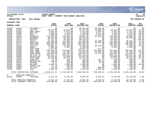

### **11/20/2020 14:07 |YATES COUNTY |P 69 nflynn |NEXT YEAR / CURRENT YEAR BUDGET ANALYSIS |bgnyrpts**

### **PROJECTION: 2021 2021 Budget FOR PERIOD 99**

| <b>GENERAL FUND</b>      |                         |                            | 2019<br><b>ACTUAL</b> | 2020<br>ORIG BUD | 2020<br><b>REVISED BUD</b> | 2020<br><b>ACTUAL</b> | 2020<br><b>PROJECTION</b> | 2021<br>ADOPTED CHANGE | <b>PCT</b>      |
|--------------------------|-------------------------|----------------------------|-----------------------|------------------|----------------------------|-----------------------|---------------------------|------------------------|-----------------|
| A4320                    | 54263                   | COLUMBIA U                 | .00                   | .00              | 39,407.80                  | 28,782.58             | .00                       | .00                    | .0%             |
| A4320                    | 54264                   | LOC-YTH                    | 29,529.00             | 29,529.00        | 16,757.00                  | 15,080.50             | 29,529.00                 | 13,405.00              | $-54.6%$        |
| A4320                    | 54265                   | EMPL-ADULT                 | 2,021.80              | 3,014.00         | 3,014.00                   | 2,607.84              | 3,014.00                  | 2,411.00               | $-20.0%$        |
| A4320                    | 54266                   | EMP-YTH                    | 7,693.94              | 7,218.00         | 7,218.00                   | 5,521.85              | 7,218.00                  | 5,775.00               | $-20.0%$        |
| A4320                    | 54267                   | MICA                       | 5,866.00              | 3,352.00         | 3,352.00                   | 2,514.00              | 3,352.00                  | 2,682.00               | $-20.0%$        |
| A4320                    | 54268                   | OUTREACH                   | 112,028.00            | 129,569.00       | 99,987.00                  | 87,249.00             | 129,569.00                | 79,857.00              | $-38.4%$        |
| A4320                    | 54270                   | RECREATN                   | 38,414.00             | 38,366.00        | 38,678.00                  | .00                   | 38,366.00                 | 30,980.00              | $-19.3%$        |
| A4320                    | 54272                   | RESPITE                    | 31,732.94             | 30,240.00        | 30,240.00                  | .00                   | 30,240.00                 |                        | $.00 - 100.0$   |
| A4320                    | 54274                   | SOCIAL                     | 61,048.00             | 61,048.00        | 61,048.00                  | 55,700.00             | 61,048.00                 | 50,351.00              | $-17.5%$        |
| A4320                    | 54276                   | SUPP HSG                   | 104,460.00            | 104,460.00       | 104,460.00                 | 61,487.00             | 104,460.00                | 85,629.00              | $-18.0%$        |
| A4320                    | 54277                   | VOCATION                   | 386,693.50            | 259,150.00       | 262,382.00                 | .00                   | 259,150.00                | 209,906.00             | $-19.0$ %       |
| A4320                    | 54279                   | ICM-YTH                    | 10,481.57             | 10,484.00        | 10,484.00                  | 38, 225. 44           | 10,484.00                 | 8,388.00               | $-20.0%$        |
| A4320                    | 54280                   | <b>DRUGS</b>               | 1,000.00              | 1,352.00         | 1,352.00                   | .00                   | 1,352.00                  | 1,352.00               | $.0\%$          |
| A4320                    | 54282                   | SUIC PREV                  | 2,372.85              | .00              | 10,957.56                  | 172.82                | $.00 \,$                  | .00                    | $.0\%$          |
| A4320                    | 54283                   | PREV SUBS                  | 244,643.25            | 244,644.00       | 244,644.00                 | 223,604.60            | 244,644.00                | 186,052.00             | $-23.9%$        |
| A4320                    | 54284                   | SCHL PROG                  | 51,480.00             | 51,480.00        | 45,100.00                  | 42,845.00             | 51,480.00                 | 41,184.00              | $-20.0$ .       |
| A4320                    | 54288                   | SUBS ABUSE                 | 149,544.00            | 149,544.00       | 149,544.00                 | 74,772.00             | 149,544.00                | 142,419.00             | $-4.8%$         |
| A4320                    | 54289                   | MH CLIN TX                 | 161,832.16            | 164,233.00       | 164, 233.00                | .00                   | 164,233.00                | 131,387.00             | $-20.0%$        |
| A4320                    | 54293                   | CRISIS OUT                 | 26, 418.84            | 23,899.00        | 24,287.00                  | .00                   | 23,899.00                 | 19,525.00              | $-18.3%$        |
| A4320                    | 54294                   | HLTH HOME                  | 23,633.00             | 23,770.00        | 23,770.00                  | .00                   | 23,770.00                 | 20,101.00              | $-15.4%$        |
| A4320                    | 54470                   | SUPP:OFF                   | 71.33                 | 350.00           | 350.00                     | 207.14                | 350.00                    | 350.00                 | .0%             |
| A4320                    | 54507                   | COPIER CHR                 | 398.15                | 350.00           | 350.00                     | 90.65                 | 350.00                    | 350.00                 | .0 <sub>8</sub> |
| A4320                    | 54515                   | POSTAGE                    | 76.51                 | 100.00           | 100.00                     | 27.80                 | 100.00                    | 100.00                 | .0%             |
| A4320                    | 54654                   | MILEAGE                    | 1,883.26              | 2,200.00         | 2,200.00                   | .00                   | 2,200.00                  | 1,100.00               | $-50.0%$        |
| A4320                    | 54660                   | TRAVEL EXP                 | 81.32                 | 300.00           | 300.00                     | .00                   | 300.00                    | 300.00                 | .0 <sub>8</sub> |
| A4320                    | 54682                   | TEL/FAX                    | 111.30                | 720.00           | 720.00                     | 600.00                | 720.00                    | 720.00                 | $.0\%$          |
| A4320                    | 54907                   | <b>DUES</b>                | 1,600.00              | 1,648.00         | 1,648.00                   | 1,648.00              | 1,648.00                  | 1,648.00               | $.0\%$          |
|                          |                         | TOTAL CONTRACTUAL EXPENSES | 1,833,541.41          | 1,743,169.00     | 1,800,588.36               | 929,932.03            | 1,743,169.00              | 1,401,116.00           | $-19.6%$        |
| 8                        | EMPLOYEE BENEFITS       |                            |                       |                  |                            |                       |                           |                        |                 |
| A4320                    | 58100                   | FICA/MED                   | 9,613.18              | 9,744.00         | 9,861.05                   | 8,625.24              | 9,744.00                  | 10,138.00              | 4.0%            |
|                          | TOTAL EMPLOYEE BENEFITS |                            | 9,613.18              | 9,744.00         | 9,861.05                   | 8,625.24              | 9,744.00                  | 10,138.00              | 4.0%            |
| TOTAL COMMUNITY SERVICES |                         | 448,286.05                 | 61,999.00             | 63,646.05        | $-689, 493.94$             | 61,999.00             | 69,467.00                 | 12.0%                  |                 |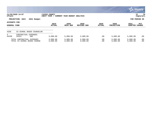|                                                                                           |                                                |                       |                      |                      |                |                           |                                         | $\mathbb{C}$ munis<br>a tyler erp solution |  |
|-------------------------------------------------------------------------------------------|------------------------------------------------|-----------------------|----------------------|----------------------|----------------|---------------------------|-----------------------------------------|--------------------------------------------|--|
| 11/20/2020 14:07<br>YATES COUNTY<br>nflynn<br>CURRENT YEAR BUDGET ANALYSIS<br>NEXT YEAR / |                                                |                       |                      |                      |                |                           |                                         | 70<br>l P<br>  bgnyrpts                    |  |
|                                                                                           | PROJECTION: 2021<br>2021 Budget                |                       |                      |                      |                |                           | FOR PERIOD 99                           |                                            |  |
| ACCOUNTS FOR:<br>GENERAL FUND                                                             |                                                | 2019<br><b>ACTUAL</b> | 2020<br>ORIG BUD     | 2020<br>REVISED BUD  | 2020<br>ACTUAL | 2020<br><b>PROJECTION</b> | 2021<br>PCT<br><b>ADOPTED</b><br>CHANGE |                                            |  |
| 4330                                                                                      | CS SCHOOL BASED COUNSELOR                      |                       |                      |                      |                |                           |                                         |                                            |  |
| 4<br>A4330                                                                                | <b>EXPENSES</b><br>CONTRACTUAL<br>54251<br>ARC | 5,000.00              | 5,000.00             | 5,000.00             | .00            | 5,000.00                  | 5,000.00                                | .0%                                        |  |
| TOTAL CONTRACTUAL EXPENSES<br>TOTAL CS SCHOOL BASED COUNSE                                |                                                | 5,000.00<br>5,000.00  | 5,000.00<br>5,000.00 | 5,000.00<br>5,000.00 | .00<br>.00     | 5,000.00<br>5,000.00      | 5,000.00<br>5,000.00                    | $.0\%$<br>.0%                              |  |

**SOF**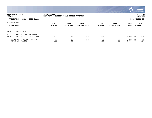|            |                                               |                        |                             |                              |                            |                       |                           |                        | munis '<br>a tyler erp solution |
|------------|-----------------------------------------------|------------------------|-----------------------------|------------------------------|----------------------------|-----------------------|---------------------------|------------------------|---------------------------------|
| nflynn     | 11/20/2020 14:07                              |                        | YATES COUNTY<br>NEXT YEAR / | CURRENT YEAR BUDGET ANALYSIS |                            |                       |                           |                        | 71<br>l P<br>  bgnyrpts         |
|            | PROJECTION: 2021                              | 2021 Budget            |                             |                              |                            |                       |                           |                        | FOR PERIOD 99                   |
|            | ACCOUNTS FOR:<br><b>GENERAL FUND</b>          |                        | 2019<br><b>ACTUAL</b>       | 2020<br>ORIG BUD             | 2020<br><b>REVISED BUD</b> | 2020<br><b>ACTUAL</b> | 2020<br><b>PROJECTION</b> | 2021<br><b>ADOPTED</b> | PCT<br><b>CHANGE</b>            |
| 4540       | AMBULANCE                                     |                        |                             |                              |                            |                       |                           |                        |                                 |
| 4<br>A4540 | CONTRACTUAL<br>54219                          | EXPENSES<br>MERCY FLGT | .00                         | .00                          | .00                        | .00                   | .00                       | 5,000.00               | .0%                             |
|            | TOTAL CONTRACTUAL EXPENSES<br>TOTAL AMBULANCE |                        | .00<br>.00                  | .00<br>.00                   | .00<br>.00                 | .00<br>.00            | .00<br>.00                | 5,000.00<br>5,000.00   | $.0\%$<br>.0 <sup>°</sup>       |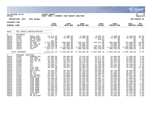|                                                                                                                                                                                                                   |                                                                                                                                                                                                                         |                                                                                                                                                                                                                                                                      |                                                                                                                                                                                                                                                                                                 |                                                                                                                                                                                                                                                                                      |                                                                                                                                                                                                                                                                                               |                                                                                                                                                                                                                                                                                                |                                                                                                                                                                                                                                                                                         |                                                                                                                                                                                                                                                                                      | munis<br>a tyler erp solution                                                                                                                                                                |
|-------------------------------------------------------------------------------------------------------------------------------------------------------------------------------------------------------------------|-------------------------------------------------------------------------------------------------------------------------------------------------------------------------------------------------------------------------|----------------------------------------------------------------------------------------------------------------------------------------------------------------------------------------------------------------------------------------------------------------------|-------------------------------------------------------------------------------------------------------------------------------------------------------------------------------------------------------------------------------------------------------------------------------------------------|--------------------------------------------------------------------------------------------------------------------------------------------------------------------------------------------------------------------------------------------------------------------------------------|-----------------------------------------------------------------------------------------------------------------------------------------------------------------------------------------------------------------------------------------------------------------------------------------------|------------------------------------------------------------------------------------------------------------------------------------------------------------------------------------------------------------------------------------------------------------------------------------------------|-----------------------------------------------------------------------------------------------------------------------------------------------------------------------------------------------------------------------------------------------------------------------------------------|--------------------------------------------------------------------------------------------------------------------------------------------------------------------------------------------------------------------------------------------------------------------------------------|----------------------------------------------------------------------------------------------------------------------------------------------------------------------------------------------|
| nflynn                                                                                                                                                                                                            | 11/20/2020 14:07                                                                                                                                                                                                        |                                                                                                                                                                                                                                                                      | <b>IYATES COUNTY</b><br>NEXT YEAR / CURRENT YEAR BUDGET ANALYSIS                                                                                                                                                                                                                                |                                                                                                                                                                                                                                                                                      |                                                                                                                                                                                                                                                                                               |                                                                                                                                                                                                                                                                                                |                                                                                                                                                                                                                                                                                         |                                                                                                                                                                                                                                                                                      | l P<br>72<br>  bgnyrpts                                                                                                                                                                      |
|                                                                                                                                                                                                                   | PROJECTION: 2021                                                                                                                                                                                                        | 2021 Budget                                                                                                                                                                                                                                                          |                                                                                                                                                                                                                                                                                                 |                                                                                                                                                                                                                                                                                      |                                                                                                                                                                                                                                                                                               |                                                                                                                                                                                                                                                                                                |                                                                                                                                                                                                                                                                                         |                                                                                                                                                                                                                                                                                      | FOR PERIOD 99                                                                                                                                                                                |
| <b>ACCOUNTS FOR:</b>                                                                                                                                                                                              |                                                                                                                                                                                                                         |                                                                                                                                                                                                                                                                      |                                                                                                                                                                                                                                                                                                 |                                                                                                                                                                                                                                                                                      |                                                                                                                                                                                                                                                                                               |                                                                                                                                                                                                                                                                                                |                                                                                                                                                                                                                                                                                         |                                                                                                                                                                                                                                                                                      |                                                                                                                                                                                              |
| <b>GENERAL FUND</b>                                                                                                                                                                                               |                                                                                                                                                                                                                         |                                                                                                                                                                                                                                                                      | 2019<br><b>ACTUAL</b>                                                                                                                                                                                                                                                                           | 2020<br>ORIG BUD                                                                                                                                                                                                                                                                     | 2020<br><b>REVISED BUD</b>                                                                                                                                                                                                                                                                    | 2020<br><b>ACTUAL</b>                                                                                                                                                                                                                                                                          | 2020<br><b>PROJECTION</b>                                                                                                                                                                                                                                                               | 2021<br><b>ADOPTED CHANGE</b>                                                                                                                                                                                                                                                        | PCT                                                                                                                                                                                          |
| 6010                                                                                                                                                                                                              |                                                                                                                                                                                                                         | SOC SERVCS ADMINISTRATION                                                                                                                                                                                                                                            |                                                                                                                                                                                                                                                                                                 |                                                                                                                                                                                                                                                                                      |                                                                                                                                                                                                                                                                                               |                                                                                                                                                                                                                                                                                                |                                                                                                                                                                                                                                                                                         |                                                                                                                                                                                                                                                                                      |                                                                                                                                                                                              |
| $\Omega$<br>A6010<br>A6010<br>A6010<br>A6010<br>A6010<br>A6010<br>A6010<br>A6010<br>A6010                                                                                                                         | REVENUES<br>41810<br>41811<br>42701<br>42770<br>43610<br>43654<br>43655<br>44610<br>44615                                                                                                                               | REPAY ADM<br>INCENTIVES<br>PR YR RFND<br>ADMIN FEES<br>SS ADM<br>CH CARE RE<br>DAY CARE<br>SS ADM<br>FFFS                                                                                                                                                            | $-14, 475.59$<br>$-5, 545.06$<br>$-100$<br>$-189.02$<br>$-1, 241, 502.00$<br>$-30,000.00$<br>$-98,328.00$<br>$-1,444,973.70$<br>$-516, 117.77$                                                                                                                                                  | $-5,500.00$<br>$-12,000.00$<br>.00<br>.00<br>$-900,000.00$<br>$-30,000.00$<br>$-72,000.00$<br>$-1, 136, 663.00$<br>$-400,780.00$                                                                                                                                                     | $-5,500.00$<br>$-12,000.00$<br>.00<br>.00<br>$-989,078.00$<br>$-30,000.00$<br>$-72,000.00$<br>$-1, 196, 503.00$<br>$-400,780.00$                                                                                                                                                              | -8,928.87<br>$-23, 362.63$<br>$-320.63$<br>.00<br>$-344, 265.00$<br>.00<br>$-38,471.00$<br>$-867, 915.00$<br>$-383,746.00$                                                                                                                                                                     | -5,500.00<br>12,000.00<br>.00<br>.00<br>$-900,000.00$<br>$-30,000.00$<br>$-72,000.00$<br>$-1,136,663.00$<br>$-400,780.00$                                                                                                                                                               | $-9,100.00$<br>$-10, 400.00$<br>.00<br>.00<br>$-720,000.00$<br>$-24,000.00$<br>$-47, 200.00$<br>$-1, 200, 000.00$<br>$-375,000.00$                                                                                                                                                   | 65.5%<br>$-13.3%$<br>.0%<br>.0%<br>$-20.0%$<br>$-20.0%$<br>$-34.4%$<br>5.6%<br>$-6.4%$                                                                                                       |
|                                                                                                                                                                                                                   | TOTAL REVENUES                                                                                                                                                                                                          |                                                                                                                                                                                                                                                                      |                                                                                                                                                                                                                                                                                                 |                                                                                                                                                                                                                                                                                      | $-3,351,131.14$ $-2,556,943.00$ $-2,705,861.00$ $-1,667,009.13$ $-2,556,943.00$ $-2,385,700.00$                                                                                                                                                                                               |                                                                                                                                                                                                                                                                                                |                                                                                                                                                                                                                                                                                         |                                                                                                                                                                                                                                                                                      | $-6.7%$                                                                                                                                                                                      |
| $\mathbf 1$<br>A6010<br>A6010<br>A6010<br>A6010<br>A6010<br>A6010<br>A6010<br>A6010<br>A6010<br>A6010<br>A6010<br>A6010<br>A6010<br>A6010<br>A6010<br>A6010<br>A6010<br>A6010<br>A6010<br>A6010<br>A6010<br>A6010 | PERSONAL SERVICES<br>51052<br>51102<br>51125<br>51200<br>51201<br>51202<br>51203<br>51212<br>51213<br>51247<br>51270<br>51271<br>51301<br>51351<br>51352<br>51353<br>51354<br>51355<br>51356<br>51357<br>51359<br>51360 | COMMISS-DS<br>DIR SERV<br>DIR INC MA<br>ACCT CL TY<br>ACT<br>ACT<br>ACT<br>FISC ADM<br>FISC ADM<br>REC/TYPIST<br>SR ACT<br>SR ACT<br>E&T SUPERV<br>SENIOR CW<br>CASE WORK<br>CASE WORK<br>CASE WORK<br>CASE WORK<br>CASE WORK<br>CASE WORK<br>CASE WORK<br>CASE WORK | 69,600.00<br>61,481.00<br>61,481.00<br>32, 383.13<br>35,425.64<br>32,949.57<br>33, 295.65<br>48,269.40<br>$\sim 00$<br>34, 164.93<br>33,468.97<br>36,236.91<br>54,460.42<br>55, 236.14<br>51,959.88<br>46,720.05<br>42,425.65<br>45, 343.62<br>49,524.34<br>51,959.88<br>51,959.88<br>48,598.20 | 69,600.00<br>61,481.00<br>61,481.00<br>33,759.00<br>36,277.00<br>35,125.00<br>34,664.00<br>49,427.00<br>.00<br>35,793.00<br>35,103.00<br>37,868.00<br>56,883.00<br>56,506.00<br>53,932.00<br>49,739.00<br>50,581.00<br>49,761.00<br>51,886.00<br>53,205.00<br>53,205.00<br>49,896.00 | 72,024.00<br>62,710.00<br>62,710.00<br>33,759.00<br>36, 277.00<br>29,625.00<br>34,664.00<br>36,409.48<br>36, 317.52<br>35,793.00<br>35,103.00<br>33,968.00<br>56,883.00<br>56, 506.00<br>53,932.00<br>49,739.00<br>50,581.00<br>48,623.97<br>51,886.00<br>53,205.00<br>53,205.00<br>49,896.00 | 62,677.48<br>54, 572.04<br>54, 572.03<br>29, 334.33<br>31,568.88<br>21,816.50<br>30,148.49<br>36,409.48<br>30,853.76<br>30, 435.80<br>30,599.80<br>24,926.94<br>49,397.12<br>49,172.79<br>46,896.72<br>43,281.59<br>42,358.73<br>33,562.84<br>45,121.76<br>46,299.99<br>46,299.98<br>43,299.54 | 69,600.00<br>61,481.00<br>61,481.00<br>33,759.00<br>36, 277.00<br>35,125.00<br>34,664.00<br>49,427.00<br>.00<br>35,793.00<br>35,103.00<br>37,868.00<br>56,883.00<br>56,506.00<br>53,932.00<br>49,739.00<br>50, 581.00<br>49,761.00<br>51,886.00<br>53, 205.00<br>53,205.00<br>49,896.00 | 73,465.00<br>63,965.00<br>63,965.00<br>34,810.00<br>37,217.00<br>34,389.00<br>35,798.00<br>43,220.00<br>.00<br>36,595.00<br>36,665.00<br>38,861.00<br>58,611.00<br>57,423.00<br>55,085.00<br>51,741.00<br>50,808.00<br>50,359.00<br>53,847.00<br>54,061.00<br>54,061.00<br>51,903.00 | 5.6%<br>4.0%<br>4.0%<br>3.1%<br>2.6%<br>$-2.1%$<br>3.3%<br>$-12.6%$<br>.0%<br>2.2%<br>$\frac{4.48}{2.68}$<br>3.0%<br>1.6%<br>2.1%<br>4.0%<br>.4%<br>$1.2%$<br>$3.8%$<br>1.6%<br>1.6%<br>4.0% |
| A6010<br>A6010<br>A6010<br>A6010                                                                                                                                                                                  | 51361<br>51362<br>51365<br>51370                                                                                                                                                                                        | CASE WORK<br>CASE WORK<br>CW ASST<br>PR SW EXAM                                                                                                                                                                                                                      | 48,929.00<br>47,451.64<br>44,999.15<br>43,994.17                                                                                                                                                                                                                                                | 51,272.00<br>49,761.00<br>46,183.00<br>45,044.00                                                                                                                                                                                                                                     | 40,372.00<br>49,761.00<br>46,183.00<br>45,044.00                                                                                                                                                                                                                                              | 27, 374.93<br>43,299.54<br>40,091.52<br>39,197.76                                                                                                                                                                                                                                              | 51, 272.00<br>49, 761.00<br>46,183.00<br>45,044.00                                                                                                                                                                                                                                      | 49,366.00<br>51,764.00<br>47,777.00<br>45,767.00                                                                                                                                                                                                                                     | $-3.7%$<br>4.0%<br>3.5%<br>1.6%                                                                                                                                                              |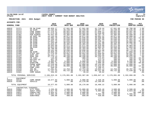

## **11/20/2020 14:07 |YATES COUNTY |P 73 nflynn |NEXT YEAR / CURRENT YEAR BUDGET ANALYSIS |bgnyrpts**

## **PROJECTION: 2021 2021 Budget FOR PERIOD 99**

**ACCOUNTS FOR:**

| <b>GENERAL FUND</b>                                                                                                                                                                                         |                                                                                                                                                                                                             |                                                                                                                                                                                                                                                                                 | 2019<br><b>ACTUAL</b>                                                                                                                                                                                                                                                                                   | 2020<br>ORIG BUD                                                                                                                                                                                                                                                                                 | 2020<br><b>REVISED BUD</b>                                                                                                                                                                                                                                                                       | 2020<br><b>ACTUAL</b>                                                                                                                                                                                                                                                                             | 2020<br><b>PROJECTION</b>                                                                                                                                                                                                                                                                        | 2021<br><b>ADOPTED CHANGE</b>                                                                                                                                                                                                                                                                   | PCT                                                                                                                                                                                                          |
|-------------------------------------------------------------------------------------------------------------------------------------------------------------------------------------------------------------|-------------------------------------------------------------------------------------------------------------------------------------------------------------------------------------------------------------|---------------------------------------------------------------------------------------------------------------------------------------------------------------------------------------------------------------------------------------------------------------------------------|---------------------------------------------------------------------------------------------------------------------------------------------------------------------------------------------------------------------------------------------------------------------------------------------------------|--------------------------------------------------------------------------------------------------------------------------------------------------------------------------------------------------------------------------------------------------------------------------------------------------|--------------------------------------------------------------------------------------------------------------------------------------------------------------------------------------------------------------------------------------------------------------------------------------------------|---------------------------------------------------------------------------------------------------------------------------------------------------------------------------------------------------------------------------------------------------------------------------------------------------|--------------------------------------------------------------------------------------------------------------------------------------------------------------------------------------------------------------------------------------------------------------------------------------------------|-------------------------------------------------------------------------------------------------------------------------------------------------------------------------------------------------------------------------------------------------------------------------------------------------|--------------------------------------------------------------------------------------------------------------------------------------------------------------------------------------------------------------|
| A6010<br>A6010<br>A6010<br>A6010<br>A6010<br>A6010<br>A6010<br>A6010<br>A6010<br>A6010<br>A6010<br>A6010<br>A6010<br>A6010<br>A6010<br>A6010<br>A6010<br>A6010<br>A6010<br>A6010<br>A6010<br>A6010<br>A6010 | 51371<br>51372<br>51375<br>51376<br>51381<br>51385<br>51390<br>51391<br>51392<br>51393<br>51394<br>51395<br>51396<br>51397<br>51398<br>51399<br>51405<br>51410<br>51411<br>51500<br>51502<br>51504<br>51505 | PR SW EXAM<br>SW EXAM<br>CASE SUPRV<br>CASE SUPRV<br><b>PSW EXAMIN</b><br>SR SUPP IN<br>SW EXAM<br>SW EXAM<br>SW EXAM<br>SW EXAM<br>SW EXAM<br>SW EXAM<br>SW EXAM<br>SWE<br>SWE<br>SW EXAM<br>STAFF DEV<br>SUPP INV<br>SUPP INV<br>CB CSEA<br>HOLIDAY OT<br>ON CALL<br>OVERTIME | 46,826.17<br>31,245.06<br>57, 276.51<br>57,276.48<br>45,631.69<br>44, 144. 36<br>32,985.78<br>30,436.36<br>41,052.76<br>37, 343.88<br>34,816.61<br>39,563.90<br>34,912.09<br>30,799.98<br>38, 332.90<br>34,929.10<br>57,276.56<br>35, 143. 71<br>37,776.24<br>146.98<br>651.26<br>6,083.87<br>14,966.78 | 47,941.00<br>38,239.00<br>58,652.00<br>58,652.00<br>44,365.00<br>46,071.00<br>42,036.00<br>35,648.00<br>42,036.00<br>38,519.00<br>36,465.00<br>35,571.00<br>36,569.00<br>35,103.00<br>39,830.00<br>36,575.00<br>58,652.00<br>40,330.00<br>40,330.00<br>300.00<br>300.00<br>6,000.00<br>15,000.00 | 47,941.00<br>38,239.00<br>58,652.00<br>58,652.00<br>44,365.00<br>46,071.00<br>42,036.00<br>35,648.00<br>39,036.00<br>38,519.00<br>36,465.00<br>35,571.00<br>36,569.00<br>35,103.00<br>39,830.00<br>36,575.00<br>58,652.00<br>40,330.00<br>40,330.00<br>300.00<br>775.00<br>6,000.00<br>14,525.00 | 41,719.44<br>30,547.44<br>51,040.11<br>51,040.09<br>39,197.76<br>40,091.52<br>30,556.68<br>30,987.89<br>32,040.12<br>33,427.88<br>31,696.99<br>30,910.88<br>31,802.29<br>30,707.61<br>34,622.08<br>31,807.27<br>51,040.09<br>35,096.06<br>34, 234. 22<br>115.63<br>413.19<br>5,303.20<br>1,680.39 | 47,941.00<br>38,239.00<br>58,652.00<br>58,652.00<br>44,365.00<br>46,071.00<br>42,036.00<br>35,648.00<br>42,036.00<br>38,519.00<br>36,465.00<br>35,571.00<br>36,569.00<br>35,103.00<br>39,830.00<br>36,575.00<br>58,652.00<br>40,330.00<br>40,330.00<br>300.00<br>300.00<br>6,000.00<br>15,000.00 | 48,708.00<br>36,535.00<br>59,597.00<br>59,597.00<br>46,589.00<br>46,808.00<br>36,621.00<br>37,062.00<br>35,664.00<br>39,866.00<br>37,770.00<br>36,983.00<br>37,853.00<br>36,775.00<br>40,779.00<br>37,858.00<br>59,597.00<br>40,980.00<br>39,975.00<br>200.00<br>400.00<br>6,500.00<br>7,500.00 | 1.6%<br>$-4.5%$<br>1.6%<br>1.6%<br>5.0%<br>1.6%<br>$-12.9%$<br>4.0%<br>$-15.2%$<br>3.5%<br>3.6%<br>4.0%<br>3.5%<br>4.8%<br>2.4%<br>3.5%<br>1.6%<br>1.6%<br>$-.9$ $%$<br>$-33.3$<br>33.3%<br>8.3%<br>$-50.0%$ |
| A6010<br>A6010<br>A6010<br>A6010<br>A6010<br>A6010                                                                                                                                                          | 51506<br>51508<br>51509<br>51520<br>51645<br>51661                                                                                                                                                          | PHONE WORK<br>35-40 HRS<br>COMP CSEA<br>INS BO<br>DSS ATTY<br>COMP NONUN                                                                                                                                                                                                        | 12,518.00<br>52,673.39<br>630.56<br>17,581.81<br>71,137.23<br>436.92                                                                                                                                                                                                                                    | 12,000.00<br>40,000.00<br>.00<br>12,753.00<br>69,722.00<br>.00                                                                                                                                                                                                                                   | 12,000.00<br>40,000.00<br>1,108.41<br>12,753.00<br>71,116.00<br>28.62                                                                                                                                                                                                                            | 10,144.00<br>12,519.92<br>1,108.41<br>13,045.14<br>60,151.86<br>28.62                                                                                                                                                                                                                             | 12,000.00<br>40,000.00<br>.00<br>12,753.00<br>69,722.00<br>.00                                                                                                                                                                                                                                   | 12,000.00<br>35,000.00<br>.00<br>10,787.00<br>72,539.00<br>.00                                                                                                                                                                                                                                  | .0%<br>$-12.5%$<br>.0%<br>$-15.4%$<br>4.0%<br>.0%                                                                                                                                                            |
|                                                                                                                                                                                                             | TOTAL PERSONAL SERVICES                                                                                                                                                                                     |                                                                                                                                                                                                                                                                                 | 2,106,915.16                                                                                                                                                                                                                                                                                            | 2,176,091.00                                                                                                                                                                                                                                                                                     | 2,182,367.00                                                                                                                                                                                                                                                                                     | 1,830,647.12                                                                                                                                                                                                                                                                                      | 2,176,091.00                                                                                                                                                                                                                                                                                     | 2,192,066.00                                                                                                                                                                                                                                                                                    | .7%                                                                                                                                                                                                          |
| 2<br>A6010<br>A6010                                                                                                                                                                                         | EOUIPMENT<br>52115<br>52180                                                                                                                                                                                 | COMP HRDWR<br>VEHICLE                                                                                                                                                                                                                                                           | 10,577.93<br>.00                                                                                                                                                                                                                                                                                        | 5,000.00<br>.00                                                                                                                                                                                                                                                                                  | 5,000.00<br>15,170.00                                                                                                                                                                                                                                                                            | 3,328.38<br>15,169.84                                                                                                                                                                                                                                                                             | 5,000.00<br>.00                                                                                                                                                                                                                                                                                  | 5,000.00<br>.00                                                                                                                                                                                                                                                                                 | .0%<br>.0%                                                                                                                                                                                                   |
|                                                                                                                                                                                                             | TOTAL EOUIPMENT                                                                                                                                                                                             |                                                                                                                                                                                                                                                                                 | 10,577.93                                                                                                                                                                                                                                                                                               | 5,000.00                                                                                                                                                                                                                                                                                         | 20,170.00                                                                                                                                                                                                                                                                                        | 18,498.22                                                                                                                                                                                                                                                                                         | 5,000.00                                                                                                                                                                                                                                                                                         | 5,000.00                                                                                                                                                                                                                                                                                        | .0%                                                                                                                                                                                                          |
| $4\overline{ }$<br>A6010<br>A6010<br>A6010<br>A6010<br>A6010                                                                                                                                                | CONTRACTUAL EXPENSES<br>54004<br>54005<br>54011<br>54015<br>54021                                                                                                                                           | ATTY FEES<br><b>AUDIT FEES</b><br>CONSULTANT<br>COST ALLOC<br>SUBSTANCE                                                                                                                                                                                                         | 2,335.89<br>6,617.40<br>6,054.42<br>5,994.30<br>290.00                                                                                                                                                                                                                                                  | 3,500.00<br>6,756.00<br>4,000.00<br>5,995.00<br>400.00                                                                                                                                                                                                                                           | 15,800.00<br>6,756.00<br>4,000.00<br>5,995.00<br>600.00                                                                                                                                                                                                                                          | 15,635.48<br>6,683.60<br>.00<br>5,994.30<br>430.00                                                                                                                                                                                                                                                | 3,500.00<br>6,756.00<br>4,000.00<br>5,995.00<br>400.00                                                                                                                                                                                                                                           | 3,500.00<br>6,823.00<br>5,995.00<br>400.00                                                                                                                                                                                                                                                      | .0%<br>1.0%<br>$.00 - 100.0$<br>.0%<br>.0%                                                                                                                                                                   |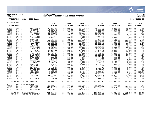

## **11/20/2020 14:07 |YATES COUNTY |P 74 nflynn |NEXT YEAR / CURRENT YEAR BUDGET ANALYSIS |bgnyrpts**

**PROJECTION: 2021 2021 Budget FOR PERIOD 99**

**ACCOUNTS FOR:**

| <b>GENERAL FUND</b> |                         |                              | 2019<br><b>ACTUAL</b> | 2020<br>ORIG BUD | 2020<br><b>REVISED BUD</b> | 2020<br><b>ACTUAL</b> | 2020<br><b>PROJECTION</b> | 2021<br>ADOPTED CHANGE | <b>PCT</b>      |
|---------------------|-------------------------|------------------------------|-----------------------|------------------|----------------------------|-----------------------|---------------------------|------------------------|-----------------|
| A6010               | 54027                   | MISC CONTR                   | 61,485.77             | 40,000.00        | 85,728.00                  | 112,456.20            | 40,000.00                 | 40,000.00              | $.0\%$          |
| A6010               | 54048                   | WD CONTR                     | 12,104.45             | 13,200.00        | 13,200.00                  | 8,983.80              | 13,200.00                 | 13,600.00              | 3.0%            |
| A6010               | 54052                   | BLOOD TEST                   | 2,475.00              | 1,800.00         | 1,800.00                   | 605.00                | 1,800.00                  | 1,800.00               | .0%             |
| A6010               | 54065                   | FAM COUNCL                   | 55,671.00             | .00              | 50,000.00                  | 41,670.00             | .00                       | $.00 \ \,$             | $.0\%$          |
| A6010               | 54079                   | COMP TECH                    | 34, 434. 75           | 36,380.00        | 36,380.00                  | 26,726.36             | 36,380.00                 | 36,165.00              | $-.6%$          |
| A6010               | 54135                   | N CUST EMP                   | 1,980.00              | .00              | 3,200.00                   | 2,120.00              | .00                       | .00                    | .0%             |
| A6010               | 54152                   | CONFERENCE                   | 2,475.00              | 3,000.00         | 2,800.00                   | 567.00                | 3,000.00                  | 4,000.00               | 33.3%           |
| A6010               | 54156                   | TRAINING                     | 95.00                 | 250.00           | 750.00                     | 700.00                | 250.00                    | 250.00                 | $.0\%$          |
| A6010               | 54299                   | EMPL PROJ                    | 102,658.27            | 115,687.00       | 115,687.00                 | 80,745.88             | 115,687.00                | 121,118.00             | 4.7%            |
| A6010               | 54301                   | LOC CHRGBK                   | 27,699.00             | 22,000.00        | 22,000.00                  | 12,222.00             | 22,000.00                 | 22,000.00              | $.0\%$          |
| A6010               | 54309                   | HEAP ADM                     | 26,389.16             | 52,832.00        | 52,832.00                  | 33,989.19             | 52,832.00                 | 53,950.00              | 2.1%            |
| A6010               | 54313                   | DOM VIOL                     | 5,765.08              | 4,750.00         | 4,750.00                   | .00                   | 4,750.00                  | 4,750.00               | .0%             |
| A6010               | 54321                   | SAFE HARBR                   | 29,618.11             | 25,000.00        | 25,000.00                  | 14,513.88             | 25,000.00                 | 25,000.00              | . 0 %           |
| A6010               | 54322                   | CLIENT EXP                   | 3,654.18              | 2,500.00         | 2,500.00                   | 1,026.85              | 2,500.00                  | 2,500.00               | .0%             |
| A6010               | 54329                   | PUB HLTH                     | 30,475.24             | 25,000.00        | 25,000.00                  | 23,401.74             | 25,000.00                 | 25,000.00              | .0 <sub>8</sub> |
| A6010               | 54337                   | LIFE SKILL                   | 35, 145.00            | 33,878.00        | 33,878.00                  | 10,122.11             | 33,878.00                 | 33,878.00              | .0%             |
| A6010               | 54381                   | SUMM YTH E                   | 66,623.98             | 62,000.00        | 70,040.00                  | 50,309.20             | 62,000.00                 | 62,000.00              | $.0\%$          |
| A6010               | 54384                   | CHLD REGIS                   | 37,026.80             | 28,502.00        | 28,502.00                  | 18,557.59             | 28,502.00                 | 28,502.00              | $.0\%$          |
| A6010               | 54387                   | EXPL YOUTH                   | .00                   | .00              | 43,350.00                  | 14,239.81             | .00                       | .00                    | .0%             |
| A6010               | 54457                   | SUPP:COMP                    | 377.89                | 500.00           | 500.00                     | .00                   | 500.00                    | 500.00                 | $.0\%$          |
| A6010               | 54470                   | SUPP:OFF                     | 10,794.23             | 15,000.00        | 14,654.74                  | 8,293.69              | 15,000.00                 | 15,000.00              | .0%             |
| A6010               | 54507                   | COPIER CHR                   | 4,398.15              | 5,200.00         | 5,200.00                   | 2,695.10              | 5,200.00                  | 5,200.00               | .0%             |
| A6010               | 54515                   | POSTAGE                      | 9,215.94              | 9,500.00         | 11,650.00                  | 9,946.70              | 9,500.00                  | 9,500.00               | .0%             |
| A6010               | 54516                   | PRINTING                     | 1,959.06              | 2,000.00         | 2,000.00                   | 1,531.61              | 2,000.00                  | 2,000.00               | .0 <sub>8</sub> |
| A6010               | 54653                   | GASOLINE                     | 42.34                 | .00              | .00                        | .00                   | .00                       | .00                    | $.0\%$          |
| A6010               | 54654                   | MILEAGE                      | 27,557.27             | 30,000.00        | 12,850.00                  | 5,633.90              | 30,000.00                 | 30,000.00              | .0%             |
| A6010               | 54660                   | TRAVEL EXP                   | 13,416.71             | 8,000.00         | 5,850.00                   | 2,461.17              | 8,000.00                  | 8,000.00               | .0 <sub>8</sub> |
| A6010               | 54661                   | VEH MAINT                    | 25.90                 | .00              | .00                        | .00                   | .00                       | .00                    | $.0\%$          |
| A6010               | 54676                   | UTIL: CELL                   | 2,519.23              | 2,200.00         | 5,450.00                   | 4,928.31              | 2,200.00                  | 8,000.00               | 263.6%          |
| A6010               | 54682                   | TEL/FAX                      | 12,469.30             | 13,680.00        | 13,680.00                  | 11,580.00             | 13,680.00                 | 13,920.00              | 1.8%            |
| A6010               | 54721                   | FRAUD ACT                    | 64, 383. 45           | 56,627.00        | 56,627.00                  | 46,219.32             | 56,627.00                 | 57,305.00              | 1.2%            |
| A6010               | 54907                   | DUES                         | 1,669.00              | 1,700.00         | 1,703.00                   | 1,703.00              | 1,700.00                  | 1,775.00               | 4.4%            |
| A6010               | 54916                   | PUBLICATN                    | 31.29                 | 250.00           | 292.26                     | 292.12                | 250.00                    | 250.00                 | $.0\%$          |
|                     |                         |                              |                       |                  |                            |                       |                           |                        |                 |
|                     |                         | TOTAL CONTRACTUAL EXPENSES   | 705,927.56            | 632,087.00       | 781,005.00                 | 576,984.91            | 632,087.00                | 642,681.00             | 1.7%            |
| 8                   | EMPLOYEE BENEFITS       |                              |                       |                  |                            |                       |                           |                        |                 |
| A6010               | 58100                   | FICA/MED                     | 153,470.44            | 159,777.00       | 160,257.12                 | 133,199.36            | 159,777.00                | 161,002.00             | .8%             |
| A6010               | 58303                   | INS-CSEA                     | 286,430.71            | 320,364.00       | 320,364.00                 | 250,376.97            | 320,364.00                | 313,160.00             | $-2.2$          |
| A6010               | 58305                   | INS-NON UN                   | 64,254.00             | 72,216.00        | 72,216.00                  | 63,660.77             | 72,216.00                 | 71,858.00              | $-.5%$          |
|                     | TOTAL EMPLOYEE BENEFITS |                              | 504, 155. 15          | 552,357.00       | 552,837.12                 | 447,237.10            | 552,357.00                | 546,020.00             | $-1.1$ %        |
|                     |                         | TOTAL SOC SERVCS ADMINISTRAT | $-23, 555.34$         | 808,592.00       | 830,518.12                 | 1,206,358.22          | 808,592.00                | 1,000,067.00           | 23.7%           |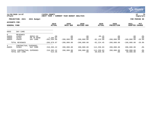|                                             |                                            |                                    |                                      |                              |                             |                                  |                             |                             | <b>munis</b><br>a tyler erp solution |
|---------------------------------------------|--------------------------------------------|------------------------------------|--------------------------------------|------------------------------|-----------------------------|----------------------------------|-----------------------------|-----------------------------|--------------------------------------|
| nflynn                                      | 11/20/2020 14:07                           |                                    | <b>IYATES COUNTY</b><br>NEXT YEAR /  | CURRENT YEAR BUDGET ANALYSIS |                             |                                  |                             |                             | 75<br> P<br>  bgnyrpts               |
|                                             | 2021<br>PROJECTION:                        | 2021 Budget                        |                                      |                              |                             |                                  |                             | FOR                         | PERIOD 99                            |
| <b>ACCOUNTS FOR:</b><br><b>GENERAL FUND</b> |                                            |                                    | 2019<br><b>ACTUAL</b>                | 2020<br>ORIG BUD             | 2020<br>REVISED BUD         | 2020<br><b>ACTUAL</b>            | 2020<br><b>PROJECTION</b>   | 2021<br><b>ADOPTED</b>      | PCT<br><b>CHANGE</b>                 |
| 6055                                        | DAY CARE                                   |                                    |                                      |                              |                             |                                  |                             |                             |                                      |
| $\Omega$<br>A6055<br>A6055<br>A6055         | <b>REVENUES</b><br>41855<br>42701<br>43655 | REPAY-DC<br>PR YR RFND<br>DAY CARE | .00<br>$-7, 284.87$<br>$-202,594.00$ | .00<br>.00<br>$-200,000.00$  | .00<br>.00<br>$-200,000.00$ | $-95.45$<br>.00<br>$-92, 129.00$ | .00<br>.00<br>$-200,000.00$ | .00<br>.00<br>$-160,000.00$ | .0%<br>.0%<br>$-20.0%$               |
|                                             | TOTAL REVENUES                             |                                    | $-209,878.87$                        | $-200,000.00$                | $-200,000.00$               | $-92, 224.45$                    | $-200,000.00$               | $-160,000.00$               | $-20.0%$                             |
| 4<br>A6055                                  | CONTRACTUAL<br>54303                       | <b>EXPENSES</b><br>DAY CARE        | 210,393.22                           | 200,000.00                   | 200,000.00                  | 112,250.83                       | 200,000.00                  | 200,000.00                  | $.0\%$                               |
|                                             | TOTAL CONTRACTUAL<br>TOTAL DAY CARE        | EXPENSES                           | 210,393.22<br>514.35                 | 200,000.00<br>.00            | 200,000.00<br>.00           | 112,250.83<br>20,026.38          | 200,000.00<br>.00           | 200,000.00<br>40,000.00     | .0%<br>.0 <sub>8</sub>               |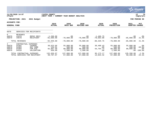|                                       |                                                 |                                                          |                                            |                                              |                                              |                                      |                                              |                                         | <b>munis</b><br>a tyler erp solution   |
|---------------------------------------|-------------------------------------------------|----------------------------------------------------------|--------------------------------------------|----------------------------------------------|----------------------------------------------|--------------------------------------|----------------------------------------------|-----------------------------------------|----------------------------------------|
| nflynn                                | 11/20/2020 14:07                                |                                                          | YATES COUNTY<br>NEXT YEAR /                | CURRENT YEAR BUDGET ANALYSIS                 |                                              |                                      |                                              |                                         | 76<br>P<br>bgnyrpts                    |
|                                       | PROJECTION: 2021                                | 2021 Budget                                              |                                            |                                              |                                              |                                      |                                              |                                         | FOR PERIOD 99                          |
| ACCOUNTS FOR:<br><b>GENERAL FUND</b>  |                                                 |                                                          | 2019<br><b>ACTUAL</b>                      | 2020<br>ORIG BUD                             | 2020<br>REVISED BUD                          | 2020<br><b>ACTUAL</b>                | 2020<br><b>PROJECTION</b>                    | 2021<br><b>ADOPTED</b>                  | <b>PCT</b><br><b>CHANGE</b>            |
| 6070                                  |                                                 | SERVICES FOR RECIPIENTS                                  |                                            |                                              |                                              |                                      |                                              |                                         |                                        |
| $\overline{0}$<br>A6070<br>A6070      | <b>REVENUES</b><br>41870<br>44670               | REPAY RECI<br>RECIPIENT                                  | $-1, 260.00$<br>$-91,689.00$               | .00<br>$-70,000.00$                          | $.00 \,$<br>$-70,000.00$                     | $-1,466.75$<br>$-78,863,00$          | .00<br>$-70,000.00$                          | .00<br>$-85,000.00$                     | $.0\%$<br>21.4%                        |
|                                       | TOTAL REVENUES                                  |                                                          | $-92,949.00$                               | $-70,000.00$                                 | $-70,000.00$                                 | $-80, 329.75$                        | $-70,000.00$                                 | $-85,000.00$                            | 21.4%                                  |
| 4<br>A6070<br>A6070<br>A6070<br>A6070 | CONTRACTUAL<br>54302<br>54303<br>54304<br>54318 | EXPENSES<br>COUNSEL<br>DAY CARE<br>FAM AID<br>VALIDATION | 38,623.66<br>134.91<br>92,967.50<br>930.00 | 55,000.00<br>500.00<br>80,000.00<br>1,500.00 | 55,000.00<br>500.00<br>80,000.00<br>1,500.00 | 30,408.43<br>.00<br>64,764.74<br>.00 | 55,000.00<br>500.00<br>80,000.00<br>1,500.00 | 55,000.00<br>200.00<br>80,000.00<br>.00 | .0%<br>$-60.0%$<br>$.0\%$<br>$-100.0%$ |
|                                       | TOTAL CONTRACTUAL EXPENSES                      | TOTAL SERVICES FOR RECIPIENT                             | 132,656.07<br>39,707.07                    | 137,000.00<br>67,000.00                      | 137,000.00<br>67,000.00                      | 95,173.17<br>14,843.42               | 137,000.00<br>67,000.00                      | 135,200.00<br>50,200.00                 | $-1.3%$<br>$-25.1%$                    |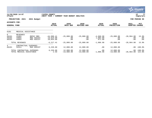|                                           |                                                        |                                       |                                        |                              |                                 |                                   |                            |                                 | munis<br>a tyler erp solution      |
|-------------------------------------------|--------------------------------------------------------|---------------------------------------|----------------------------------------|------------------------------|---------------------------------|-----------------------------------|----------------------------|---------------------------------|------------------------------------|
| nflynn                                    | 11/20/2020 14:07                                       |                                       | YATES COUNTY<br>NEXT YEAR /            | CURRENT YEAR BUDGET ANALYSIS |                                 |                                   |                            |                                 | 77<br>l P<br>  bgnyrpts            |
|                                           | PROJECTION: 2021                                       | 2021 Budget                           |                                        |                              |                                 |                                   |                            |                                 | FOR PERIOD 99                      |
| ACCOUNTS FOR:<br><b>GENERAL FUND</b>      |                                                        |                                       | 2019<br><b>ACTUAL</b>                  | 2020<br>ORIG BUD             | 2020<br><b>REVISED BUD</b>      | 2020<br><b>ACTUAL</b>             | 2020<br><b>PROJECTION</b>  | 2021<br><b>ADOPTED</b>          | PCT<br><b>CHANGE</b>               |
| 6101                                      | MEDICAL ASSISTANCE                                     |                                       |                                        |                              |                                 |                                   |                            |                                 |                                    |
| $\overline{0}$<br>A6101<br>A6101<br>A6101 | <b>REVENUES</b><br>41801<br>43601<br>44601             | REPAY MED<br>MED ASSIST<br>MED ASSIST | $-44,990.41$<br>19,919.00<br>18,854.00 | $-25,000.00$<br>.00<br>.00   | $-25,000.00$<br>$.00 \,$<br>.00 | $-4,660.98$<br>1,903.00<br>871.00 | $-25,000.00$<br>.00<br>.00 | $-28,964.00$<br>$.00 \,$<br>.00 | 15.9%<br>$.0\%$<br>.0 <sub>8</sub> |
|                                           | TOTAL REVENUES                                         |                                       | $-6, 217.41$                           | $-25,000.00$                 | $-25,000.00$                    | $-1,886.98$                       | $-25,000.00$               | $-28,964.00$                    | 15.9%                              |
| $4\overline{ }$<br>A6101                  | CONTRACTUAL<br>54311                                   | EXPENSES<br>MED ASSIST                | 6, 220.00                              | 12,000.00                    | 12,000.00                       | .00                               | 12,000.00                  | $.00\,$                         | $-100.0$ %                         |
|                                           | TOTAL CONTRACTUAL EXPENSES<br>TOTAL MEDICAL ASSISTANCE |                                       | 6, 220.00<br>2.59                      | 12,000.00<br>$-13,000.00$    | 12,000.00<br>$-13,000.00$       | .00<br>$-1,886.98$                | 12,000.00<br>$-13,000.00$  | $-28,964.00$ 122.8%             | $.00 - 100.0$                      |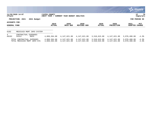|                                      |                                                            |             |                              |                              |                              |                              |                              |                              | $\mathbb{S}$ . Munis i<br>a tyler erp solution |
|--------------------------------------|------------------------------------------------------------|-------------|------------------------------|------------------------------|------------------------------|------------------------------|------------------------------|------------------------------|------------------------------------------------|
| nflynn                               | 11/20/2020 14:07                                           |             | YATES COUNTY<br>NEXT YEAR /  | CURRENT YEAR BUDGET ANALYSIS |                              |                              |                              |                              | 78<br>P<br>  bgnyrpts                          |
|                                      | PROJECTION: 2021                                           | 2021 Budget |                              |                              |                              |                              |                              |                              | FOR PERIOD 99                                  |
| ACCOUNTS FOR:<br><b>GENERAL FUND</b> |                                                            |             | 2019<br><b>ACTUAL</b>        | 2020<br>ORIG BUD             | 2020<br>REVISED BUD          | 2020<br>ACTUAL               | 2020<br><b>PROJECTION</b>    | 2021<br>ADOPTED              | PCT<br><b>CHANGE</b>                           |
| 6102                                 | MEDICAID MGMT                                              | INFO SYSTEM |                              |                              |                              |                              |                              |                              |                                                |
| 4<br>A6102                           | CONTRACTUAL EXPENSES<br>54312                              | MMIS        | 4,069,364.00                 | 4,147,621.00                 | 4,147,621.00                 | 3,510,615.00                 | 4,147,621.00                 | 3,970,400.00                 | $-4.3%$                                        |
|                                      | TOTAL CONTRACTUAL EXPENSES<br>TOTAL MEDICAID MGMT INFO SYS |             | 4,069,364.00<br>4,069,364.00 | 4,147,621.00<br>4,147,621.00 | 4,147,621.00<br>4,147,621.00 | 3,510,615.00<br>3,510,615.00 | 4,147,621.00<br>4,147,621.00 | 3,970,400.00<br>3,970,400.00 | $-4.3%$<br>$-4.3%$                             |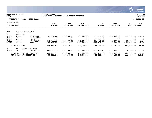|                                                           |                                                              |                                                                    |                                                                     |                                                               |                                                               |                                                                         |                                                              |                                                                   | munis'<br>a tyler erp solution                         |
|-----------------------------------------------------------|--------------------------------------------------------------|--------------------------------------------------------------------|---------------------------------------------------------------------|---------------------------------------------------------------|---------------------------------------------------------------|-------------------------------------------------------------------------|--------------------------------------------------------------|-------------------------------------------------------------------|--------------------------------------------------------|
| nflynn                                                    | 11/20/2020 14:07                                             |                                                                    | YATES COUNTY<br>NEXT YEAR / CURRENT YEAR BUDGET ANALYSIS            |                                                               |                                                               |                                                                         |                                                              |                                                                   | 79<br>P<br>bgnyrpts                                    |
|                                                           | PROJECTION: 2021                                             | 2021 Budget                                                        |                                                                     |                                                               |                                                               |                                                                         |                                                              |                                                                   | FOR PERIOD 99                                          |
| <b>ACCOUNTS FOR:</b><br><b>GENERAL FUND</b>               |                                                              |                                                                    | 2019<br><b>ACTUAL</b>                                               | 2020<br>ORIG BUD                                              | 2020<br>REVISED BUD                                           | 2020<br><b>ACTUAL</b>                                                   | 2020<br><b>PROJECTION</b>                                    | 2021<br><b>ADOPTED</b>                                            | <b>PCT</b><br><b>CHANGE</b>                            |
| 6109                                                      | FAMILY ASSISTANCE                                            |                                                                    |                                                                     |                                                               |                                                               |                                                                         |                                                              |                                                                   |                                                        |
| $\mathbf{0}$<br>A6109<br>A6109<br>A6109<br>A6109<br>A6109 | <b>REVENUES</b><br>41809<br>42701<br>43609<br>44609<br>44615 | REPAY-FAM<br>PR YR RFND<br>FAM ASSIST<br>FAM ASSIST<br><b>FFFS</b> | $-55, 232.22$<br>$-267.30$<br>.00<br>$-452,730.00$<br>$-96, 408.00$ | $-60,000.00$<br>.00<br>.00<br>$-441, 297.00$<br>$-201,843.00$ | $-60,000.00$<br>.00<br>.00<br>$-441, 297.00$<br>$-201,843.00$ | $-80, 209.99$<br>.00<br>$-27,895.00$<br>$-395,781.00$<br>$-244, 358.00$ | $-60,000.00$<br>.00<br>.00<br>$-441,297.00$<br>$-201,843.00$ | $-52,900.00$<br>$.00 \,$<br>.00<br>$-480,000.00$<br>$-350,000.00$ | $-11.8%$<br>$.0\%$<br>.0 <sub>8</sub><br>8.8%<br>73.4% |
|                                                           | TOTAL REVENUES                                               |                                                                    | $-604, 637.52$                                                      | $-703, 140.00$                                                | $-703, 140.00$                                                | $-748, 243.99$                                                          | $-703,140.00$                                                | $-882,900.00$                                                     | 25.6%                                                  |
| 4<br>A6109                                                | CONTRACTUAL<br>54305                                         | EXPENSES<br>FAM ASSIST                                             | 548,308.68                                                          | 650,000.00                                                    | 950,000.00                                                    | 837,180.43                                                              | 650,000.00                                                   | 994,500.00                                                        | 53.0%                                                  |
|                                                           | TOTAL CONTRACTUAL EXPENSES<br>TOTAL FAMILY ASSISTANCE        |                                                                    | 548,308.68<br>$-56,328.84$                                          | 650,000.00<br>$-53, 140, 00$                                  | 950,000.00<br>246,860.00                                      | 837,180.43<br>88,936.44                                                 | 650,000.00<br>$-53,140.00$                                   | 994,500.00<br>$111,600.00 -310.0$                                 | 53.0%                                                  |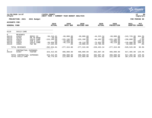|                                                                      |                                                                       |                                                                            |                                                                                     |                                                                               |                                                                               |                                                                              |                                                                               |                                                                        | <b>munis</b><br>a tyler erp solution                             |
|----------------------------------------------------------------------|-----------------------------------------------------------------------|----------------------------------------------------------------------------|-------------------------------------------------------------------------------------|-------------------------------------------------------------------------------|-------------------------------------------------------------------------------|------------------------------------------------------------------------------|-------------------------------------------------------------------------------|------------------------------------------------------------------------|------------------------------------------------------------------|
| nflynn                                                               | 11/20/2020 14:07                                                      |                                                                            | YATES COUNTY<br>NEXT YEAR /                                                         | CURRENT YEAR BUDGET ANALYSIS                                                  |                                                                               |                                                                              |                                                                               |                                                                        | 80<br>ΙP<br>bgnyrpts                                             |
|                                                                      | PROJECTION: 2021                                                      | 2021 Budget                                                                |                                                                                     |                                                                               |                                                                               |                                                                              |                                                                               |                                                                        | FOR PERIOD 99                                                    |
| <b>ACCOUNTS FOR:</b><br><b>GENERAL FUND</b>                          |                                                                       |                                                                            | 2019<br><b>ACTUAL</b>                                                               | 2020<br>ORIG BUD                                                              | 2020<br><b>REVISED BUD</b>                                                    | 2020<br><b>ACTUAL</b>                                                        | 2020<br><b>PROJECTION</b>                                                     | 2021<br><b>ADOPTED</b>                                                 | PCT<br><b>CHANGE</b>                                             |
| 6119                                                                 | CHILD CARE                                                            |                                                                            |                                                                                     |                                                                               |                                                                               |                                                                              |                                                                               |                                                                        |                                                                  |
| $\overline{0}$<br>A6119<br>A6119<br>A6119<br>A6119<br>A6119<br>A6119 | <b>REVENUES</b><br>41819<br>42701<br>43619<br>43661<br>44619<br>44661 | REPAY CC<br>PR YR RFND<br>CHILD CARE<br>FAM & CHIL<br>CHILD CARE<br>F&C BG | $-56, 216.01$<br>$-30.00$<br>$-153, 246.00$<br>.00<br>$-56,038.00$<br>$-17, 104.00$ | $-60,000.00$<br>.00<br>$-155, 196.00$<br>$-16,000.00$<br>$-46, 119.00$<br>.00 | $-60,000.00$<br>.00<br>$-155, 196.00$<br>.00<br>$-46, 119.00$<br>$-16,000.00$ | $-44, 323.34$<br>.00<br>$-84, 492.00$<br>.00<br>$-75,853.00$<br>$-15,785.00$ | $-60,000.00$<br>.00<br>$-155, 196.00$<br>$-16,000.00$<br>$-46, 119.00$<br>.00 | $-242,729.00$<br>.00<br>$-150,800.00$<br>$-120,000.00$<br>$-16,000.00$ | 304.5%<br>$.0\%$<br>$-2.8%$<br>$.00 - 100.0$<br>160.2%<br>$.0\%$ |
|                                                                      | TOTAL REVENUES                                                        |                                                                            | $-282,634.01$                                                                       | $-277, 315.00$                                                                | $-277, 315.00$                                                                | $-220, 453.34$                                                               | $-277, 315.00$                                                                | $-529, 529.00$                                                         | 90.9%                                                            |
| 4<br>A6119                                                           | CONTRACTUAL<br>54307<br>TOTAL CONTRACTUAL EXPENSES                    | EXPENSES<br>FOSTER                                                         | 323, 413.85<br>323, 413.85<br>40,779.84                                             | 400,000.00<br>400,000.00<br>122,685.00                                        | 400,000.00<br>400,000.00                                                      | 382,807.36<br>382,807.36<br>162,354.02                                       | 400,000.00<br>400,000.00                                                      | 917,405.00<br>917,405.00                                               | 129.4%<br>129.4%<br>216.2%                                       |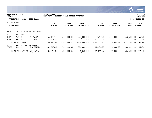|                                           |                                            |                                |                                              |                                     |                                          |                                              |                                     |                                          | munis <sup>®</sup><br>a tyler erp solution |
|-------------------------------------------|--------------------------------------------|--------------------------------|----------------------------------------------|-------------------------------------|------------------------------------------|----------------------------------------------|-------------------------------------|------------------------------------------|--------------------------------------------|
| nflynn                                    | 11/20/2020 14:07                           |                                | YATES COUNTY<br>NEXT YEAR /                  | CURRENT YEAR BUDGET ANALYSIS        |                                          |                                              |                                     |                                          | 81<br>  P<br>  bgnyrpts                    |
|                                           | PROJECTION: 2021                           | 2021 Budget                    |                                              |                                     |                                          |                                              |                                     |                                          | FOR PERIOD 99                              |
| ACCOUNTS FOR:<br><b>GENERAL FUND</b>      |                                            |                                | 2019<br><b>ACTUAL</b>                        | 2020<br>ORIG BUD                    | 2020<br><b>REVISED BUD</b>               | 2020<br><b>ACTUAL</b>                        | 2020<br><b>PROJECTION</b>           | 2021<br>ADOPTED                          | PCT<br><b>CHANGE</b>                       |
| 6123                                      |                                            | JUVENILE DELINQUENT CARE       |                                              |                                     |                                          |                                              |                                     |                                          |                                            |
| $\overline{0}$<br>A6123<br>A6123<br>A6123 | <b>REVENUES</b><br>41823<br>43623<br>44623 | REPAY JD<br>JD CARE<br>JD CARE | $-2,125.00$<br>$-102, 122.00$<br>$-1,737.00$ | $-1,000.00$<br>$-144,000.00$<br>.00 | $-1,000.00$<br>$-144,000.00$<br>$.00 \,$ | $-2,825.00$<br>$-102, 155.53$<br>$-5,565.00$ | $-1,000.00$<br>$-144,000.00$<br>.00 | $-3,200.00$<br>$-208,000.00$<br>$.00 \,$ | 220.0%<br>44.4%<br>$.0\%$                  |
|                                           | TOTAL REVENUES                             |                                | $-105,984.00$                                | $-145,000.00$                       | $-145.000.00$                            | $-110, 545.53$                               | $-145,000.00$                       | $-211, 200.00$                           | 45.7%                                      |
| $4\overline{ }$<br>A6123                  | CONTRACTUAL<br>54310                       | EXPENSES<br>JUV DELINQ         | 202, 240.46                                  | 700,000.00                          | 384,830.00                               | 14,424.57                                    | 700,000.00                          | 109,900.00                               | $-84.3%$                                   |
|                                           | TOTAL CONTRACTUAL EXPENSES                 | TOTAL JUVENILE DELINQUENT CA   | 202, 240.46<br>96,256.46                     | 700,000.00<br>555,000.00            | 384,830.00<br>239,830.00                 | 14,424.57<br>$-96,120.96$                    | 700,000.00<br>555,000.00            | 109,900.00<br>$-101, 300.00 - 118.3$     | $-84.3%$                                   |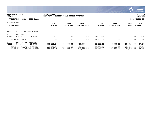|                                      |                            |                             |                             |     |                              |                            |                         |                           |                          | <b>munis</b><br>a tyler erp solution |
|--------------------------------------|----------------------------|-----------------------------|-----------------------------|-----|------------------------------|----------------------------|-------------------------|---------------------------|--------------------------|--------------------------------------|
| nflynn                               | 11/20/2020 14:07           |                             | YATES COUNTY<br>NEXT YEAR / |     | CURRENT YEAR BUDGET ANALYSIS |                            |                         |                           |                          | 82<br>P<br>  bgnyrpts                |
|                                      | PROJECTION: 2021           | 2021 Budget                 |                             |     |                              |                            |                         |                           |                          | FOR PERIOD 99                        |
| ACCOUNTS FOR:<br><b>GENERAL FUND</b> |                            |                             | 2019<br><b>ACTUAL</b>       |     | 2020<br>ORIG BUD             | 2020<br><b>REVISED BUD</b> | 2020<br><b>ACTUAL</b>   | 2020<br><b>PROJECTION</b> | 2021<br><b>ADOPTED</b>   | PCT<br><b>CHANGE</b>                 |
| 6129                                 |                            | STATE TRAINING SCHOOL       |                             |     |                              |                            |                         |                           |                          |                                      |
| $\Omega$<br>A6129                    | <b>REVENUES</b><br>41829   | ST TRNG                     |                             | .00 | .00                          | .00                        | $-1,063.00$             | .00                       | .00                      | $.0\%$                               |
|                                      | TOTAL REVENUES             |                             |                             | .00 | .00                          | .00                        | $-1,063.00$             | .00                       | .00                      | $.0\%$                               |
| 4<br>A6129                           | CONTRACTUAL<br>54316       | <b>EXPENSES</b><br>ST TRNG  | 388, 181.94                 |     | 406,000.00                   | 406,000.00                 | 56,381.32               | 406,000.00                | 254,510.00               | $-37.3%$                             |
|                                      | TOTAL CONTRACTUAL EXPENSES | TOTAL STATE TRAINING SCHOOL | 388,181.94<br>388,181.94    |     | 406,000.00<br>406,000.00     | 406,000.00<br>406,000.00   | 56,381.32<br>55, 318.32 | 406,000.00<br>406,000.00  | 254,510.00<br>254,510.00 | $-37.3%$<br>$-37.3%$                 |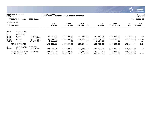|                                              |                                                |                                                    |                                                     |                                              |                                              |                                                          |                                              |                                             | <u>munis l</u><br>a tyler erp solution |
|----------------------------------------------|------------------------------------------------|----------------------------------------------------|-----------------------------------------------------|----------------------------------------------|----------------------------------------------|----------------------------------------------------------|----------------------------------------------|---------------------------------------------|----------------------------------------|
| nflynn                                       | 11/20/2020 14:07                               |                                                    | YATES COUNTY<br>NEXT YEAR /                         | CURRENT YEAR BUDGET ANALYSIS                 |                                              |                                                          |                                              |                                             | 83<br>ΙP<br>  bgnyrpts                 |
|                                              | PROJECTION: 2021                               | 2021 Budget                                        |                                                     |                                              |                                              |                                                          |                                              |                                             | FOR PERIOD 99                          |
| ACCOUNTS FOR:<br><b>GENERAL FUND</b>         |                                                |                                                    | 2019<br><b>ACTUAL</b>                               | 2020<br>ORIG BUD                             | 2020<br><b>REVISED BUD</b>                   | 2020<br><b>ACTUAL</b>                                    | 2020<br><b>PROJECTION</b>                    | 2021<br><b>ADOPTED</b>                      | PCT<br><b>CHANGE</b>                   |
| 6140                                         | SAFETY NET                                     |                                                    |                                                     |                                              |                                              |                                                          |                                              |                                             |                                        |
| $\Omega$<br>A6140<br>A6140<br>A6140<br>A6140 | REVENUES<br>41840<br>42701<br>43640<br>44640   | REPAY-SN<br>PR YR RFND<br>SAFETY NET<br>SAFETY NET | $-90, 298.11$<br>.00<br>$-99,747.00$<br>$-4,158.00$ | $-75,000.00$<br>.00<br>$-112, 230.00$<br>.00 | $-75,000.00$<br>.00<br>$-112, 230.00$<br>.00 | $-48,476.82$<br>$-85.50$<br>$-102,614.00$<br>$-2,314.00$ | $-75,000.00$<br>.00<br>$-112, 230.00$<br>.00 | $-75,000.00$<br>.00<br>$-97, 200.00$<br>.00 | .0%<br>.0%<br>$-13.4%$<br>$.0\%$       |
|                                              | TOTAL REVENUES                                 |                                                    | $-194, 203.11$                                      | $-187, 230.00$                               | $-187, 230.00$                               | $-153, 490.32$                                           | $-187,230.00$                                | $-172, 200.00$                              | $-8.0%$                                |
| 4<br>A6140                                   | CONTRACTUAL<br>54314                           | EXPENSES<br>SAFETY NET                             | 484,966.64                                          | 525,000.00                                   | 525,000.00                                   | 543,507.14                                               | 525,000.00                                   | 525,000.00                                  | $.0\%$                                 |
|                                              | TOTAL CONTRACTUAL EXPENSES<br>TOTAL SAFETY NET |                                                    | 484,966.64<br>290,763.53                            | 525,000.00<br>337,770.00                     | 525,000.00<br>337,770.00                     | 543,507.14<br>390,016.82                                 | 525,000.00<br>337,770.00                     | 525,000.00<br>352,800.00                    | $.0\%$<br>4.4%                         |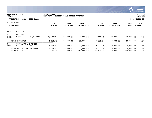|                                      |                                    |                         |                             |                              |                           |                            |                           |                           | <b>munis</b><br>a tyler erp solution |
|--------------------------------------|------------------------------------|-------------------------|-----------------------------|------------------------------|---------------------------|----------------------------|---------------------------|---------------------------|--------------------------------------|
| nflynn                               | 11/20/2020 14:07                   |                         | YATES COUNTY<br>NEXT YEAR / | CURRENT YEAR BUDGET ANALYSIS |                           |                            |                           |                           | 84<br> P<br>  bgnyrpts               |
|                                      | PROJECTION: 2021                   | 2021 Budget             |                             |                              |                           |                            |                           |                           | FOR PERIOD 99                        |
| ACCOUNTS FOR:<br><b>GENERAL FUND</b> |                                    | 2019<br><b>ACTUAL</b>   | 2020<br>ORIG BUD            | 2020<br><b>REVISED BUD</b>   | 2020<br><b>ACTUAL</b>     | 2020<br><b>PROJECTION</b>  | 2021<br><b>ADOPTED</b>    | PCT<br><b>CHANGE</b>      |                                      |
| 6141                                 | H E A P                            |                         |                             |                              |                           |                            |                           |                           |                                      |
| $\overline{0}$<br>A6141<br>A6141     | <b>REVENUES</b><br>41841<br>44641  | REPAY HEAP<br>HEAP      | $-63,644.43$<br>58,683.00   | $-30,000.00$<br>.00          | $-30,000.00$<br>.00       | $-35, 474.54$<br>28,083.00 | $-30,000.00$<br>.00       | $-30,000.00$<br>.00       | .0%<br>$.0\%$                        |
|                                      | TOTAL REVENUES                     |                         | $-4,961.43$                 | $-30,000.00$                 | $-30,000.00$              | $-7,391.54$                | $-30,000.00$              | $-30,000.00$              | $.0\%$                               |
| $4\overline{ }$<br>A6141             | CONTRACTUAL<br>54308               | <b>EXPENSES</b><br>HEAP | 5,041.32                    | 10,000.00                    | 10,000.00                 | 5,229.95                   | 10,000.00                 | 10,000.00                 | .0%                                  |
|                                      | TOTAL CONTRACTUAL<br>TOTAL H E A P | EXPENSES                | 5,041.32<br>79.89           | 10,000.00<br>$-20,000.00$    | 10,000.00<br>$-20,000.00$ | 5,229.95<br>$-2,161.59$    | 10,000.00<br>$-20,000.00$ | 10,000.00<br>$-20,000.00$ | $.0\%$<br>$.0\%$                     |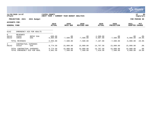|                                             |                                   |                              |                             |                              |                            |                            |                           |                       | <b>munis</b><br>a tyler erp solution |
|---------------------------------------------|-----------------------------------|------------------------------|-----------------------------|------------------------------|----------------------------|----------------------------|---------------------------|-----------------------|--------------------------------------|
| nflynn                                      | 11/20/2020 14:07                  |                              | YATES COUNTY<br>NEXT YEAR / | CURRENT YEAR BUDGET ANALYSIS |                            |                            |                           |                       | 85<br>P<br>  bgnyrpts                |
|                                             | PROJECTION: 2021                  | 2021 Budget                  |                             |                              |                            |                            |                           |                       | FOR PERIOD 99                        |
| <b>ACCOUNTS FOR:</b><br><b>GENERAL FUND</b> |                                   |                              | 2019<br><b>ACTUAL</b>       | 2020<br>ORIG BUD             | 2020<br><b>REVISED BUD</b> | 2020<br><b>ACTUAL</b>      | 2020<br><b>PROJECTION</b> | 2021<br>ADOPTED       | PCT<br><b>CHANGE</b>                 |
| 6142                                        |                                   | EMERGENCY AID FOR ADULTS     |                             |                              |                            |                            |                           |                       |                                      |
| $\overline{0}$<br>A6142<br>A6142            | <b>REVENUES</b><br>41842<br>43642 | REPAY EAA<br>EAA             | $-609.00$<br>$-4,084.00$    | .00<br>$-7,500.00$           | .00<br>$-7,500.00$         | $-1,580.00$<br>$-5,607.00$ | .00<br>$-7,500.00$        | .00<br>$-6,000.00$    | $.0\%$<br>$-20.0%$                   |
|                                             | TOTAL REVENUES                    |                              | $-4,693.00$                 | $-7,500.00$                  | $-7,500.00$                | $-7,187.00$                | $-7,500.00$               | $-6,000.00$           | $-20.0%$                             |
| $4\overline{ }$<br>A6142                    | CONTRACTUAL<br>54319              | <b>EXPENSES</b><br>EAA       | 8,774.50                    | 15,000.00                    | 15,000.00                  | 14,797.58                  | 15,000.00                 | 15,000.00             | .0 <sub>8</sub>                      |
|                                             | TOTAL CONTRACTUAL EXPENSES        | TOTAL EMERGENCY AID FOR ADUL | 8,774.50<br>4,081.50        | 15,000.00<br>7,500.00        | 15,000.00<br>7,500.00      | 14,797.58<br>7,610.58      | 15,000.00<br>7,500.00     | 15,000.00<br>9,000.00 | .0%<br>20.0%                         |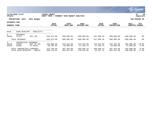|                                      |                               |                                              |                              |                              |                              |                         |                             |                             | <b>munis</b><br>a tyler erp solution |
|--------------------------------------|-------------------------------|----------------------------------------------|------------------------------|------------------------------|------------------------------|-------------------------|-----------------------------|-----------------------------|--------------------------------------|
| nflynn                               | 11/20/2020 14:07              |                                              | YATES COUNTY<br>NEXT YEAR /  | CURRENT YEAR BUDGET ANALYSIS |                              |                         |                             |                             | 86<br>P<br>bgnyrpts                  |
|                                      | PROJECTION: 2021              | 2021 Budget                                  |                              |                              |                              |                         |                             |                             | FOR PERIOD 99                        |
| ACCOUNTS FOR:<br><b>GENERAL FUND</b> |                               |                                              | 2019<br><b>ACTUAL</b>        | 2020<br>ORIG BUD             | 2020<br><b>REVISED BUD</b>   | 2020<br><b>ACTUAL</b>   | 2020<br><b>PROJECTION</b>   | 2021<br><b>ADOPTED</b>      | PCT<br><b>CHANGE</b>                 |
| 6410                                 | ECON DEVELPMT                 | PUBLICITY<br>$\hspace{0.1mm}-\hspace{0.1mm}$ |                              |                              |                              |                         |                             |                             |                                      |
| $\Omega$<br>A6410                    | REVENUES<br>41113             | OCC TAX                                      | $-635,975.90$                | $-600,000.00$                | $-600,000.00$                | $-437,090.38$           | $-600,000.00$               | $-600,000.00$               | $.0\%$                               |
|                                      | TOTAL REVENUES                |                                              | $-635,975.90$                | $-600,000.00$                | $-600,000.00$                | $-437,090.38$           | $-600,000.00$               | $-600,000.00$               | $.0\%$                               |
| 4<br>A6410<br>A6410                  | CONTRACTUAL<br>54203<br>54205 | <b>EXPENSES</b><br>OCC TX TAC<br>PY HOTEL    | 325,000.00<br>50,796.89      | 342,443.00<br>55,000.00      | 412,443.00<br>57,205.14      | 412,443.00<br>57,205.14 | 342,443.00<br>55,000.00     | 305,000.00<br>57,000.00     | $-10.9%$<br>3.6%                     |
|                                      | TOTAL CONTRACTUAL EXPENSES    | TOTAL ECON DEVELPMT - PUBLIC                 | 375,796.89<br>$-260, 179.01$ | 397,443.00<br>$-202,557.00$  | 469,648.14<br>$-130, 351.86$ | 469,648.14<br>32,557.76 | 397,443.00<br>$-202,557.00$ | 362,000.00<br>$-238,000.00$ | $-8.9%$<br>17.5%                     |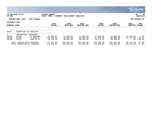|                                      |                                                           |                                                   |                                      |                                     |                                     |                                     |                                     |                        | <b>munis</b><br>a tyler erp solution    |
|--------------------------------------|-----------------------------------------------------------|---------------------------------------------------|--------------------------------------|-------------------------------------|-------------------------------------|-------------------------------------|-------------------------------------|------------------------|-----------------------------------------|
| nflynn                               | 11/20/2020 14:07                                          |                                                   | YATES COUNTY<br>NEXT YEAR /          | CURRENT YEAR BUDGET ANALYSIS        |                                     |                                     |                                     |                        | 87<br>ΙP<br>bgnyrpts                    |
|                                      | PROJECTION: 2021                                          | 2021 Budget                                       |                                      |                                     |                                     |                                     |                                     |                        | FOR PERIOD 99                           |
| ACCOUNTS FOR:<br><b>GENERAL FUND</b> |                                                           |                                                   | 2019<br><b>ACTUAL</b>                | 2020<br>ORIG BUD                    | 2020<br><b>REVISED BUD</b>          | 2020<br><b>ACTUAL</b>               | 2020<br><b>PROJECTION</b>           | 2021<br><b>ADOPTED</b> | PCT<br><b>CHANGE</b>                    |
| 6420                                 | PROMOTION OF INDUSTRY                                     |                                                   |                                      |                                     |                                     |                                     |                                     |                        |                                         |
| 4<br>A6420<br>A6420<br>A6420         | CONTRACTUAL<br>54216<br>54220<br>54222                    | EXPENSES<br>YC-HORIZON<br>PY-HOTELS<br>LAKE ST PL | 28,388.61<br>106,798.84<br>36,129.20 | 27,956.00<br>98,000.00<br>38,000.00 | 27,956.00<br>98,000.00<br>38,000.00 | 27,955.28<br>81,962.89<br>35,570.68 | 27,956.00<br>98,000.00<br>38,000.00 | 27,422.00<br>58,700.00 | $-1.9%$<br>$-40.1$ %<br>$.00 - 100.0$ % |
|                                      | TOTAL CONTRACTUAL EXPENSES<br>TOTAL PROMOTION OF INDUSTRY |                                                   | 171,316.65<br>171,316.65             | 163,956.00<br>163,956.00            | 163,956.00<br>163,956.00            | 145,488.85<br>145,488.85            | 163,956.00<br>163,956.00            | 86,122.00<br>86,122.00 | $-47.5%$<br>$-47.5%$                    |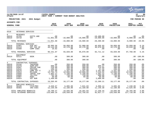|                                                                                                          |                                                                                        |                                                                                                                                                   |                                                                                                       |                                                                                                     |                                                                                                     |                                                                                                     |                                                                                                     |                                                                                                     | nis<br>a tyler erp solution                                                                               |
|----------------------------------------------------------------------------------------------------------|----------------------------------------------------------------------------------------|---------------------------------------------------------------------------------------------------------------------------------------------------|-------------------------------------------------------------------------------------------------------|-----------------------------------------------------------------------------------------------------|-----------------------------------------------------------------------------------------------------|-----------------------------------------------------------------------------------------------------|-----------------------------------------------------------------------------------------------------|-----------------------------------------------------------------------------------------------------|-----------------------------------------------------------------------------------------------------------|
| nflynn                                                                                                   | 11/20/2020 14:07                                                                       |                                                                                                                                                   | <b> YATES COUNTY</b><br> NEXT YEAR / CURRENT YEAR BUDGET ANALYSIS                                     |                                                                                                     |                                                                                                     |                                                                                                     |                                                                                                     |                                                                                                     | l P<br>88<br>  bgnyrpts                                                                                   |
|                                                                                                          | PROJECTION: 2021                                                                       | 2021 Budget                                                                                                                                       |                                                                                                       |                                                                                                     |                                                                                                     |                                                                                                     |                                                                                                     |                                                                                                     | FOR PERIOD 99                                                                                             |
| ACCOUNTS FOR:                                                                                            |                                                                                        |                                                                                                                                                   |                                                                                                       |                                                                                                     |                                                                                                     |                                                                                                     |                                                                                                     |                                                                                                     |                                                                                                           |
| <b>GENERAL FUND</b>                                                                                      |                                                                                        |                                                                                                                                                   | 2019<br><b>ACTUAL</b>                                                                                 | 2020<br>ORIG BUD                                                                                    | 2020<br><b>REVISED BUD</b>                                                                          | 2020<br><b>ACTUAL</b>                                                                               | 2020<br><b>PROJECTION</b>                                                                           | 2021<br><b>ADOPTED CHANGE</b>                                                                       | PCT                                                                                                       |
| 6510                                                                                                     | VETERANS SERVICES                                                                      |                                                                                                                                                   |                                                                                                       |                                                                                                     |                                                                                                     |                                                                                                     |                                                                                                     |                                                                                                     |                                                                                                           |
| $\Omega$<br>A6510<br>A6510                                                                               | <b>REVENUES</b><br>42705<br>43710                                                      | GIFTS AND<br><b>VET</b>                                                                                                                           | .00<br>$-11,851.00$                                                                                   | .00<br>$-10,000.00$                                                                                 | .00<br>$-10,000.00$                                                                                 | $-10, 400.00$<br>$-10,000.00$                                                                       | .00<br>$-10,000.00$                                                                                 | .00<br>$-8,000.00$                                                                                  | . 0 %<br>$-20.0%$                                                                                         |
|                                                                                                          | TOTAL REVENUES                                                                         |                                                                                                                                                   | $-11,851.00$                                                                                          | $-10,000.00$                                                                                        | $-10,000.00$                                                                                        | $-20, 400.00$                                                                                       | $-10,000.00$                                                                                        | $-8,000.00$                                                                                         | $-20.0%$                                                                                                  |
| $\mathbf{1}$<br>A6510<br>A6510<br>A6510                                                                  | PERSONAL SERVICES<br>51061<br>51214<br>51509                                           | DIR VET<br>VET SVC OF<br>COMP CSEA                                                                                                                | 49,995.56<br>40,144.69<br>10.82                                                                       | 50,850.00<br>42,178.00<br>.00                                                                       | 52,900.00<br>42,178.00<br>.00                                                                       | 46,035.03<br>36,676.09<br>.00                                                                       | 50,850.00<br>42,178.00<br>$.00 \ \rm$                                                               | 53,958.00<br>43,810.00<br>.00                                                                       | 6.1%<br>3.9%<br>$.0\%$                                                                                    |
|                                                                                                          | TOTAL PERSONAL SERVICES                                                                |                                                                                                                                                   | 90,151.07                                                                                             | 93,028.00                                                                                           | 95,078.00                                                                                           | 82,711.12                                                                                           | 93,028.00                                                                                           | 97,768.00                                                                                           | 5.1%                                                                                                      |
| $\overline{a}$<br>A6510                                                                                  | EQUIPMENT<br>52111                                                                     | <b>DESK</b>                                                                                                                                       | .00                                                                                                   | 300.00                                                                                              | 300.00                                                                                              | .00                                                                                                 | 300.00                                                                                              |                                                                                                     | $.00 - 100.08$                                                                                            |
|                                                                                                          | TOTAL EQUIPMENT                                                                        |                                                                                                                                                   | .00                                                                                                   | 300.00                                                                                              | 300.00                                                                                              | .00                                                                                                 | 300.00                                                                                              |                                                                                                     | $.00 - 100.0%$                                                                                            |
| $\overline{4}$<br>A6510<br>A6510<br>A6510<br>A6510<br>A6510<br>A6510<br>A6510<br>A6510<br>A6510<br>A6510 | 54156<br>54470<br>54507<br>54515<br>54576<br>54654<br>54660<br>54682<br>54907<br>54924 | CONTRACTUAL EXPENSES<br>TRAINING<br>SUPP:OFF<br>COPIER CHR<br>POSTAGE<br>COMP SFT A<br>MILEAGE<br>TRAVEL EXP<br>TEL/FAX<br><b>DUES</b><br>VET BUR | .00<br>890.41<br>228.80<br>189.34<br>1,347.00<br>12,795.73<br>1,802.27<br>792.30<br>60.00<br>1,490.00 | 350.00<br>500.00<br>300.00<br>200.00<br>1,347.00<br>12,600.00<br>2,100.00<br>720.00<br>60.00<br>.00 | 350.00<br>500.00<br>300.00<br>200.00<br>1,347.00<br>12,600.00<br>2,100.00<br>720.00<br>60.00<br>.00 | .00<br>209.37<br>114.85<br>57.55<br>1,347.00<br>7,429.02<br>1,462.42<br>600.00<br>60.00<br>2,000.00 | 350.00<br>500.00<br>300.00<br>200.00<br>1,347.00<br>12,600.00<br>2,100.00<br>720.00<br>60.00<br>.00 | 350.00<br>500.00<br>300.00<br>200.00<br>1,347.00<br>12,600.00<br>2,100.00<br>720.00<br>60.00<br>.00 | $.0\%$<br>.0%<br>.0%<br>.0%<br>.0%<br>.0 <sub>8</sub><br>.0 <sub>8</sub><br>.0%<br>.0%<br>.0 <sub>8</sub> |
|                                                                                                          | TOTAL CONTRACTUAL EXPENSES                                                             |                                                                                                                                                   | 19,595.85                                                                                             | 18,177.00                                                                                           | 18,177.00                                                                                           | 13,280.21                                                                                           | 18,177.00                                                                                           | 18,177.00                                                                                           | .0%                                                                                                       |
| 8<br>A6510<br>A6510                                                                                      | EMPLOYEE BENEFITS<br>58100<br>58303                                                    | FICA/MED<br>INS-CSEA                                                                                                                              | 6,630.67<br>12,159.60                                                                                 | 6,885.00<br>12,160.00                                                                               | 7,041.83<br>12,160.00                                                                               | 6,090.14<br>11,146.30                                                                               | 6,885.00<br>12,160.00                                                                               | 7,240.00<br>12,525.00                                                                               | 5.2%<br>3.0%                                                                                              |
|                                                                                                          | TOTAL EMPLOYEE BENEFITS<br>TOTAL VETERANS SERVICES                                     |                                                                                                                                                   | 18,790.27<br>116,686.19                                                                               | 19,045.00<br>120,550.00                                                                             | 19,201.83<br>122,756.83                                                                             | 17,236.44<br>92,827.77                                                                              | 19,045.00<br>120,550.00                                                                             | 19,765.00<br>127,710.00                                                                             | 3.8%<br>5.9%                                                                                              |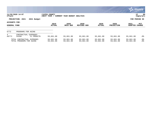|                                      |                                                        |                             |                              |                        |                        |                           |                        | <u>ርጉ munis l</u><br>a tyler erp solution |  |
|--------------------------------------|--------------------------------------------------------|-----------------------------|------------------------------|------------------------|------------------------|---------------------------|------------------------|-------------------------------------------|--|
| nflynn                               | 11/20/2020 14:07                                       | YATES COUNTY<br>NEXT YEAR / | CURRENT YEAR BUDGET ANALYSIS |                        |                        |                           |                        | 89<br>P<br>  bgnyrpts                     |  |
|                                      | PROJECTION: 2021<br>2021 Budget                        |                             |                              |                        |                        |                           |                        | FOR PERIOD 99                             |  |
| ACCOUNTS FOR:<br><b>GENERAL FUND</b> |                                                        | 2019<br><b>ACTUAL</b>       | 2020<br>ORIG BUD             | 2020<br>REVISED BUD    | 2020<br><b>ACTUAL</b>  | 2020<br><b>PROJECTION</b> | 2021<br><b>ADOPTED</b> | PCT<br><b>CHANGE</b>                      |  |
| 6772                                 | PROGRAMS FOR AGING                                     |                             |                              |                        |                        |                           |                        |                                           |  |
| 4<br>A6772                           | CONTRACTUAL EXPENSES<br>54208<br>YC PROACTN            | 93,661.00                   | 93,661.00                    | 93,661.00              | 93,661.00              | 93,661.00                 | 93,661.00              | $.0\%$                                    |  |
|                                      | TOTAL CONTRACTUAL EXPENSES<br>TOTAL PROGRAMS FOR AGING | 93,661.00<br>93,661.00      | 93,661.00<br>93,661.00       | 93,661.00<br>93,661.00 | 93,661.00<br>93,661.00 | 93,661.00<br>93,661.00    | 93,661.00<br>93,661.00 | $.0\%$<br>.0%                             |  |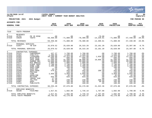|                                                                                                                                                                                                |                                                                                                                                                                                                          |                                                                                                                                                                                                                                                                       |                                                                                                                                                                                                                                                            |                                                                                                                                                                                                                      |                                                                                                                                                                                                                      |                                                                                                                                                                         |                                                                                                                                                                                                                      |                                                                                                                                                                                                                      | munis<br>a tyler erp solution                                                                                                                                       |
|------------------------------------------------------------------------------------------------------------------------------------------------------------------------------------------------|----------------------------------------------------------------------------------------------------------------------------------------------------------------------------------------------------------|-----------------------------------------------------------------------------------------------------------------------------------------------------------------------------------------------------------------------------------------------------------------------|------------------------------------------------------------------------------------------------------------------------------------------------------------------------------------------------------------------------------------------------------------|----------------------------------------------------------------------------------------------------------------------------------------------------------------------------------------------------------------------|----------------------------------------------------------------------------------------------------------------------------------------------------------------------------------------------------------------------|-------------------------------------------------------------------------------------------------------------------------------------------------------------------------|----------------------------------------------------------------------------------------------------------------------------------------------------------------------------------------------------------------------|----------------------------------------------------------------------------------------------------------------------------------------------------------------------------------------------------------------------|---------------------------------------------------------------------------------------------------------------------------------------------------------------------|
| nflynn                                                                                                                                                                                         | 11/20/2020 14:07                                                                                                                                                                                         |                                                                                                                                                                                                                                                                       | <b>YATES COUNTY</b><br>NEXT YEAR / CURRENT YEAR BUDGET ANALYSIS                                                                                                                                                                                            |                                                                                                                                                                                                                      |                                                                                                                                                                                                                      |                                                                                                                                                                         |                                                                                                                                                                                                                      |                                                                                                                                                                                                                      | l P<br>90<br>  bgnyrpts                                                                                                                                             |
|                                                                                                                                                                                                | PROJECTION: 2021                                                                                                                                                                                         | 2021 Budget                                                                                                                                                                                                                                                           |                                                                                                                                                                                                                                                            |                                                                                                                                                                                                                      |                                                                                                                                                                                                                      |                                                                                                                                                                         |                                                                                                                                                                                                                      |                                                                                                                                                                                                                      | FOR PERIOD 99                                                                                                                                                       |
| ACCOUNTS FOR:                                                                                                                                                                                  |                                                                                                                                                                                                          |                                                                                                                                                                                                                                                                       | 2019                                                                                                                                                                                                                                                       | 2020                                                                                                                                                                                                                 | 2020                                                                                                                                                                                                                 | 2020                                                                                                                                                                    | 2020                                                                                                                                                                                                                 | 2021                                                                                                                                                                                                                 | PCT                                                                                                                                                                 |
| <b>GENERAL FUND</b>                                                                                                                                                                            |                                                                                                                                                                                                          |                                                                                                                                                                                                                                                                       | <b>ACTUAL</b>                                                                                                                                                                                                                                              | ORIG BUD                                                                                                                                                                                                             | <b>REVISED BUD</b>                                                                                                                                                                                                   | <b>ACTUAL</b>                                                                                                                                                           | <b>PROJECTION</b>                                                                                                                                                                                                    | <b>ADOPTED CHANGE</b>                                                                                                                                                                                                |                                                                                                                                                                     |
| 7310                                                                                                                                                                                           | YOUTH PROGRAM                                                                                                                                                                                            |                                                                                                                                                                                                                                                                       |                                                                                                                                                                                                                                                            |                                                                                                                                                                                                                      |                                                                                                                                                                                                                      |                                                                                                                                                                         |                                                                                                                                                                                                                      |                                                                                                                                                                                                                      |                                                                                                                                                                     |
| $\overline{0}$<br>A7310<br>A7310                                                                                                                                                               | <b>REVENUES</b><br>42701<br>43820                                                                                                                                                                        | PR YR RFND<br>YOUTH                                                                                                                                                                                                                                                   | .00<br>$-58,450.00$                                                                                                                                                                                                                                        | .00<br>$-71,800.00$                                                                                                                                                                                                  | $\overline{0}$ .<br>$-78,300.00$                                                                                                                                                                                     |                                                                                                                                                                         | $-70.00$ .00<br>-14,239.81 -71,800.00                                                                                                                                                                                | .00<br>$-57,440.00$                                                                                                                                                                                                  | .0%<br>$-20.0%$                                                                                                                                                     |
|                                                                                                                                                                                                | TOTAL REVENUES                                                                                                                                                                                           |                                                                                                                                                                                                                                                                       | $-58,450.00$                                                                                                                                                                                                                                               | $-71,800.00$                                                                                                                                                                                                         | $-78,300.00$                                                                                                                                                                                                         | $-14, 309.81$                                                                                                                                                           | $-71,800.00$                                                                                                                                                                                                         | $-57,440.00$                                                                                                                                                                                                         | $-20.0%$                                                                                                                                                            |
| $\mathbf{1}$<br>A7310                                                                                                                                                                          | PERSONAL SERVICES<br>51657                                                                                                                                                                               | YB DIR                                                                                                                                                                                                                                                                | 25,070.52                                                                                                                                                                                                                                                  | 25,620.00                                                                                                                                                                                                            | 26, 315.28                                                                                                                                                                                                           | 23,101.20                                                                                                                                                               | 25,620.00                                                                                                                                                                                                            | 23,397.00                                                                                                                                                                                                            | $-8.7%$                                                                                                                                                             |
|                                                                                                                                                                                                | TOTAL PERSONAL SERVICES                                                                                                                                                                                  |                                                                                                                                                                                                                                                                       | 25,070.52                                                                                                                                                                                                                                                  | 25,620.00                                                                                                                                                                                                            | 26, 315.28                                                                                                                                                                                                           | 23,101.20                                                                                                                                                               | 25,620.00                                                                                                                                                                                                            | 23,397.00                                                                                                                                                                                                            | $-8.7%$                                                                                                                                                             |
| $4\degree$<br>A7310<br>A7310<br>A7310<br>A7310<br>A7310<br>A7310<br>A7310<br>A7310<br>A7310<br>A7310<br>A7310<br>A7310<br>A7310<br>A7310<br>A7310<br>A7310<br>A7310<br>A7310<br>A7310<br>A7310 | CONTRACTUAL EXPENSES<br>54152<br>54352<br>54355<br>54356<br>54365<br>54368<br>54371<br>54372<br>54373<br>54457<br>54470<br>54480<br>54515<br>54579<br>54653<br>54654<br>54660<br>54682<br>54907<br>54916 | CONFERENCE<br>CFRC/FLS<br>LIFEGUARD<br>RUSH READ<br>SAFE HARB<br>SUMMER REC<br>BIG BR&SIS<br>KINSP SDPP<br>DUND LIBR<br>SUPP:COMP<br>$\texttt{SUPP:OFF}$<br>SUPP: PROG<br>POSTAGE<br>YCRR<br>GASOLINE<br>MILEAGE<br>TRAVEL EXP<br>TEL/FAX<br><b>DUES</b><br>PUBLICATN | 437.37<br>1,300.00<br>10, 260.00<br>800.00<br>27,500.00<br>10,600.00<br>1,000.00<br>1,700.00<br>1,400.00<br>$\begin{array}{c} .00 \\ .00 \\ 12.99 \\ 579.67 \end{array}$<br>.00<br>3,850.00<br>$\overline{00}$<br>655.98<br>17.58<br>91.90<br>50.00<br>.00 | 1,700.00<br>1,500.00<br>12,312.00<br>800.00<br>31,500.00<br>29,800.00<br>1,000.00<br>1,700.00<br>1,400.00<br>100.00<br>50.00<br>444.00<br>140.00<br>3,850.00<br>42.00<br>833.00<br>.00<br>240.00<br>165.00<br>100.00 | 1,700.00<br>1,500.00<br>12,312.00<br>800.00<br>38,000.00<br>29,800.00<br>1,000.00<br>1,700.00<br>1,400.00<br>100.00<br>50.00<br>444.00<br>140.00<br>3,850.00<br>42.00<br>833.00<br>.00<br>240.00<br>165.00<br>100.00 | .00<br>.00<br>1,026.00<br>.00<br>19,856.96<br>$\frac{1}{200}$<br>.00<br>.00<br>.00<br>.00<br>.00<br>189.40<br>.00<br>.00<br>.00<br>.00<br>.00<br>200.00<br>50.00<br>.00 | 1,700.00<br>1,500.00<br>12,312.00<br>800.00<br>31,500.00<br>29,800.00<br>1,000.00<br>1,700.00<br>1,400.00<br>100.00<br>50.00<br>444.00<br>140.00<br>3,850.00<br>42.00<br>833.00<br>.00<br>240.00<br>165.00<br>100.00 | 1,700.00<br>1,500.00<br>12,312.00<br>800.00<br>31,500.00<br>29,800.00<br>1,000.00<br>1,700.00<br>1,400.00<br>100.00<br>50.00<br>444.00<br>140.00<br>3,850.00<br>42.00<br>833.00<br>.00<br>240.00<br>165.00<br>100.00 | .0 <sub>8</sub><br>.0%<br>.0%<br>.0%<br>.0%<br>.0%<br>.0%<br>.0%<br>.0%<br>.0%<br>.0%<br>.0 <sub>8</sub><br>.0%<br>.0%<br>.0%<br>.0%<br>.0%<br>.0%<br>$.0\%$<br>.0% |
|                                                                                                                                                                                                | TOTAL CONTRACTUAL EXPENSES                                                                                                                                                                               |                                                                                                                                                                                                                                                                       | 60,255.49                                                                                                                                                                                                                                                  | 87,676.00                                                                                                                                                                                                            | 94,176.00                                                                                                                                                                                                            | 21,322.36                                                                                                                                                               | 87,676.00                                                                                                                                                                                                            | 87,676.00                                                                                                                                                                                                            | .0%                                                                                                                                                                 |
| 8<br>A7310                                                                                                                                                                                     | EMPLOYEE BENEFITS<br>58100                                                                                                                                                                               | FICA/MED                                                                                                                                                                                                                                                              | 1,917.81                                                                                                                                                                                                                                                   | 1,682.00                                                                                                                                                                                                             | 1,735.19                                                                                                                                                                                                             | 1,767.09                                                                                                                                                                | 1,682.00                                                                                                                                                                                                             | 1,790.00                                                                                                                                                                                                             | 6.4%                                                                                                                                                                |
|                                                                                                                                                                                                | TOTAL EMPLOYEE BENEFITS<br>TOTAL YOUTH PROGRAM                                                                                                                                                           |                                                                                                                                                                                                                                                                       | 1,917.81<br>28,793.82                                                                                                                                                                                                                                      | 1,682.00<br>43,178.00                                                                                                                                                                                                | 1,735.19<br>43,926.47                                                                                                                                                                                                | 1,767.09<br>31,880.84                                                                                                                                                   | 1,682.00<br>43,178.00                                                                                                                                                                                                | 1,790.00<br>55,423.00                                                                                                                                                                                                | 6.4%<br>28.4%                                                                                                                                                       |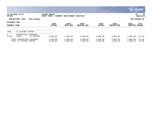|                                      |                                                       |                             |                              |                      |                       |                           |                        | <b>WE MUNIS</b><br>a tyler erp solution |
|--------------------------------------|-------------------------------------------------------|-----------------------------|------------------------------|----------------------|-----------------------|---------------------------|------------------------|-----------------------------------------|
| nflynn                               | 11/20/2020 14:07                                      | YATES COUNTY<br>NEXT YEAR / | CURRENT YEAR BUDGET ANALYSIS |                      |                       |                           |                        | 91<br>∣P<br>  bgnyrpts                  |
|                                      | PROJECTION: 2021<br>2021 Budget                       |                             |                              |                      |                       |                           |                        | FOR PERIOD 99                           |
| ACCOUNTS FOR:<br><b>GENERAL FUND</b> |                                                       | 2019<br><b>ACTUAL</b>       | 2020<br>ORIG BUD             | 2020<br>REVISED BUD  | 2020<br><b>ACTUAL</b> | 2020<br><b>PROJECTION</b> | 2021<br><b>ADOPTED</b> | PCT<br><b>CHANGE</b>                    |
| 7450                                 | YC HISTORY CENTER                                     |                             |                              |                      |                       |                           |                        |                                         |
| 4<br>A7450                           | CONTRACTUAL<br><b>EXPENSES</b><br>54206<br>YC HISTORY | 3,583.80                    | 4,000.00                     | 4,000.00             | 4,000.00              | 4,000.00                  | 3,000.00               | $-25.0%$                                |
|                                      | TOTAL CONTRACTUAL EXPENSES<br>TOTAL YC HISTORY CENTER | 3,583.80<br>3,583.80        | 4,000.00<br>4,000.00         | 4,000.00<br>4,000.00 | 4,000.00<br>4,000.00  | 4,000.00<br>4,000.00      | 3,000.00<br>3,000.00   | $-25.0%$<br>$-25.0%$                    |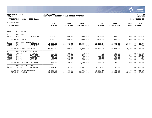|                                                |                                            |                                                                                  |                                                          |                                                |                                                |                                         |                                                |                                      | munis<br>a tyler erp solution                                    |
|------------------------------------------------|--------------------------------------------|----------------------------------------------------------------------------------|----------------------------------------------------------|------------------------------------------------|------------------------------------------------|-----------------------------------------|------------------------------------------------|--------------------------------------|------------------------------------------------------------------|
| nflynn                                         | 11/20/2020 14:07                           |                                                                                  | YATES COUNTY<br>NEXT YEAR / CURRENT YEAR BUDGET ANALYSIS |                                                |                                                |                                         |                                                |                                      | lР<br>92<br>  bgnyrpts                                           |
|                                                | PROJECTION: 2021                           | 2021 Budget                                                                      |                                                          |                                                |                                                |                                         |                                                |                                      | FOR PERIOD 99                                                    |
| <b>ACCOUNTS FOR:</b>                           |                                            |                                                                                  |                                                          |                                                |                                                |                                         |                                                |                                      |                                                                  |
| <b>GENERAL FUND</b>                            |                                            |                                                                                  | 2019<br><b>ACTUAL</b>                                    | 2020<br>ORIG BUD                               | 2020<br><b>REVISED BUD</b>                     | 2020<br><b>ACTUAL</b>                   | 2020<br><b>PROJECTION</b>                      | 2021<br>ADOPTED CHANGE               | <b>PCT</b>                                                       |
| 7510                                           | HISTORIAN                                  |                                                                                  |                                                          |                                                |                                                |                                         |                                                |                                      |                                                                  |
| $\mathbf 0$<br>A7510                           | <b>REVENUES</b><br>42091                   | HISTORIAN                                                                        | $-590.68$                                                | $-800.00$                                      | $-800.00$                                      | $-109.60$                               | $-800.00$                                      | $-400.00 - 50.08$                    |                                                                  |
|                                                | TOTAL REVENUES                             |                                                                                  | $-590.68$                                                | $-800.00$                                      | $-800.00$                                      | $-109.60$                               | $-800.00$                                      |                                      | $-400.00 - 50.0$                                                 |
| $\mathbf{1}$<br>A7510<br>A7510                 | PERSONAL SERVICES<br>51075<br>51641        | HISTORIAN<br>RCRDS PT                                                            | 14,289.00<br>13,200.19                                   | 22,902.00<br>.00                               | 26,686.40<br>.00                               | 15,107.34<br>.00                        | 22,902.00<br>.00                               | 16,395.00<br>.00                     | $-28.4%$<br>.0 <sub>8</sub>                                      |
|                                                | TOTAL PERSONAL SERVICES                    |                                                                                  | 27,489.19                                                | 22,902.00                                      | 26,686.40                                      | 15,107.34                               | 22,902.00                                      | 16,395.00                            | $-28.4%$                                                         |
| 4<br>A7510<br>A7510<br>A7510<br>A7510<br>A7510 | 54408<br>54470<br>54507<br>54515<br>54682  | CONTRACTUAL EXPENSES<br>EQ MAINT<br>SUPP:OFF<br>COPIER CHR<br>POSTAGE<br>TEL/FAX | .00<br>104.09<br>211.40<br>30.77<br>100.90               | 150.00<br>200.00<br>250.00<br>100.00<br>480.00 | 150.00<br>200.00<br>250.00<br>100.00<br>480.00 | .00<br>.00<br>138.95<br>17.30<br>400.00 | 150.00<br>200.00<br>250.00<br>100.00<br>480.00 | 100.00<br>200.00<br>100.00<br>480.00 | $.00 - 100.0%$<br>$-50.0%$<br>$-20.0%$<br>.0 <sub>8</sub><br>.0% |
|                                                | TOTAL CONTRACTUAL EXPENSES                 |                                                                                  | 447.16                                                   | 1,180.00                                       | 1,180.00                                       | 556.25                                  | 1,180.00                                       | 880.00                               | $-25.4%$                                                         |
| 8<br>A7510                                     | EMPLOYEE BENEFITS<br>58100                 | FICA/MED                                                                         | 2,102.93                                                 | 1,752.00                                       | 2,041.51                                       | 1,662.85                                | 1,752.00                                       | 1,255.00                             | $-28.4%$                                                         |
|                                                | TOTAL EMPLOYEE BENEFITS<br>TOTAL HISTORIAN |                                                                                  | 2,102.93<br>29,448.60                                    | 1,752.00<br>25,034.00                          | 2,041.51<br>29,107.91                          | 1,662.85<br>17,216.84                   | 1,752.00<br>25,034.00                          | 1,255.00<br>18,130.00                | $-28.4%$<br>$-27.6%$                                             |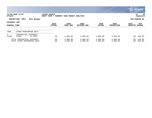|                                      |                                                           |                              |                                         |                      |                      |                           | <b>munis</b><br>a tyler erp solution |                             |
|--------------------------------------|-----------------------------------------------------------|------------------------------|-----------------------------------------|----------------------|----------------------|---------------------------|--------------------------------------|-----------------------------|
| nflynn                               | 11/20/2020 14:07                                          | YATES COUNTY<br> NEXT YEAR / | CURRENT YEAR BUDGET ANALYSIS            |                      |                      |                           | P                                    | 93<br>  bgnyrpts            |
|                                      | PROJECTION: 2021<br>2021 Budget                           |                              |                                         |                      |                      |                           | FOR PERIOD 99                        |                             |
| ACCOUNTS FOR:<br><b>GENERAL FUND</b> |                                                           | 2019<br><b>ACTUAL</b>        | 2020<br>2020<br>ORIG BUD<br>REVISED BUD |                      | 2020<br>ACTUAL       | 2020<br><b>PROJECTION</b> | 2021<br><b>ADOPTED</b>               | <b>PCT</b><br><b>CHANGE</b> |
| 7560                                 | OTHER PERFORMING ARTS                                     |                              |                                         |                      |                      |                           |                                      |                             |
| 4<br>A7560                           | CONTRACTUAL EXPENSES<br>54202<br>YC ARTS                  | .00                          | 4,000.00                                | 4,000.00             | 4,000.00             | 4,000.00                  | $.00 - 100.0$                        |                             |
|                                      | TOTAL CONTRACTUAL EXPENSES<br>TOTAL OTHER PERFORMING ARTS | .00<br>.00                   | 4,000.00<br>4,000.00                    | 4,000.00<br>4,000.00 | 4,000.00<br>4,000.00 | 4,000.00<br>4,000.00      | $.00 - 100.0%$<br>$.00 - 100.0$      |                             |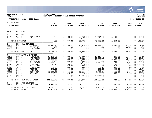|                                                                                                                                              |                                                                                                                                                    |                                                                                                                                                                                            |                                                                                                                                                               |                                                                                                                                                               |                                                                                                                                                                      |                                                                                                                                                            |                                                                                                                                                                    |                                                                                                                             | a tyler erp solution                                                                                                                                         |
|----------------------------------------------------------------------------------------------------------------------------------------------|----------------------------------------------------------------------------------------------------------------------------------------------------|--------------------------------------------------------------------------------------------------------------------------------------------------------------------------------------------|---------------------------------------------------------------------------------------------------------------------------------------------------------------|---------------------------------------------------------------------------------------------------------------------------------------------------------------|----------------------------------------------------------------------------------------------------------------------------------------------------------------------|------------------------------------------------------------------------------------------------------------------------------------------------------------|--------------------------------------------------------------------------------------------------------------------------------------------------------------------|-----------------------------------------------------------------------------------------------------------------------------|--------------------------------------------------------------------------------------------------------------------------------------------------------------|
| nflynn                                                                                                                                       | 11/20/2020 14:07                                                                                                                                   |                                                                                                                                                                                            | YATES COUNTY<br>NEXT YEAR / CURRENT YEAR BUDGET ANALYSIS                                                                                                      |                                                                                                                                                               |                                                                                                                                                                      |                                                                                                                                                            |                                                                                                                                                                    |                                                                                                                             | lР<br>94<br>  bgnyrpts                                                                                                                                       |
|                                                                                                                                              | PROJECTION: 2021                                                                                                                                   | 2021 Budget                                                                                                                                                                                |                                                                                                                                                               |                                                                                                                                                               |                                                                                                                                                                      |                                                                                                                                                            |                                                                                                                                                                    |                                                                                                                             | FOR PERIOD 99                                                                                                                                                |
| <b>ACCOUNTS FOR:</b>                                                                                                                         |                                                                                                                                                    |                                                                                                                                                                                            |                                                                                                                                                               |                                                                                                                                                               |                                                                                                                                                                      |                                                                                                                                                            |                                                                                                                                                                    |                                                                                                                             |                                                                                                                                                              |
| <b>GENERAL FUND</b>                                                                                                                          |                                                                                                                                                    |                                                                                                                                                                                            | 2019<br><b>ACTUAL</b>                                                                                                                                         | 2020<br>ORIG BUD                                                                                                                                              | 2020<br>REVISED BUD                                                                                                                                                  | 2020<br><b>ACTUAL</b>                                                                                                                                      | 2020<br><b>PROJECTION</b>                                                                                                                                          | 2021<br>ADOPTED CHANGE                                                                                                      | PCT                                                                                                                                                          |
| 8020                                                                                                                                         | PLANNING                                                                                                                                           |                                                                                                                                                                                            |                                                                                                                                                               |                                                                                                                                                               |                                                                                                                                                                      |                                                                                                                                                            |                                                                                                                                                                    |                                                                                                                             |                                                                                                                                                              |
| $\mathbf 0$<br>A8020<br>A8020                                                                                                                | <b>REVENUES</b><br>42770<br>43089                                                                                                                  | WATER REIM<br>OTHER                                                                                                                                                                        | .00<br>.00                                                                                                                                                    | $-11, 250.00$<br>$-22,500.00$                                                                                                                                 | $-11,250.00$<br>$-44, 451.00$                                                                                                                                        | $-10,227.30$<br>$-63,548.00$                                                                                                                               | 11,250.00<br>$-22,500.00$                                                                                                                                          |                                                                                                                             | $.00 - 100.0$<br>$.00 - 100.0$                                                                                                                               |
|                                                                                                                                              | TOTAL REVENUES                                                                                                                                     |                                                                                                                                                                                            | .00                                                                                                                                                           | $-33,750.00$                                                                                                                                                  | $-55,701.00$                                                                                                                                                         | $-73, 775.30$                                                                                                                                              | $-11,250.00$                                                                                                                                                       |                                                                                                                             | $.00 - 100.0$                                                                                                                                                |
| $\mathbf{1}$<br>A8020<br>A8020<br>A8020                                                                                                      | PERSONAL SERVICES<br>51085<br>51651<br>51661                                                                                                       | PLANNER<br>SR ACT PT<br>COMP NONUN                                                                                                                                                         | 59,572.82<br>.00<br>71.72                                                                                                                                     | 59,690.00<br>.00<br>.00                                                                                                                                       | 61,915.00<br>.00<br>.00                                                                                                                                              | 53,880.33<br>.00<br>.00                                                                                                                                    | 59,690.00<br>.00<br>.00                                                                                                                                            | 63,154.00<br>26,520.00<br>.00                                                                                               | 5.8%<br>$.0\%$<br>.0 <sub>8</sub>                                                                                                                            |
|                                                                                                                                              | TOTAL PERSONAL SERVICES                                                                                                                            |                                                                                                                                                                                            | 59,644.54                                                                                                                                                     | 59,690.00                                                                                                                                                     | 61,915.00                                                                                                                                                            | 53,880.33                                                                                                                                                  | 59,690.00                                                                                                                                                          | 89,674.00                                                                                                                   | 50.2%                                                                                                                                                        |
| $\overline{4}$<br>A8020<br>A8020<br>A8020<br>A8020<br>A8020<br>A8020<br>A8020<br>A8020<br>A8020<br>A8020<br>A8020<br>A8020<br>A8020<br>A8020 | CONTRACTUAL EXPENSES<br>54011<br>54067<br>54068<br>54207<br>54210<br>54470<br>54501<br>54507<br>54515<br>54571<br>54580<br>54682<br>54898<br>54907 | CONSULTANT<br>NAT RESOUR<br>FIBER SUST<br>YC PLNG BD<br>YC GFL PLG<br>SUPP:OFF<br>ADVERTISNG<br>COPIER CHR<br>POSTAGE<br>COMP SOFT<br>GIS MAINT<br>TEL/FAX<br><b>CENSUS</b><br><b>DUES</b> | 57, 352.40<br>45,369.38<br>99,800.00<br>75.00<br>6,647.00<br>45.23<br>27.25<br>680.15<br>342.79<br>.00<br>23,400.00<br>224.20<br>.00<br>320.00<br>234, 283.40 | 98,500.00<br>49,922.00<br>112,000.00<br>500.00<br>6,647.00<br>50.00<br>250.00<br>1,000.00<br>600.00<br>.00<br>50,000.00<br>240.00<br>.00<br>.00<br>319,709.00 | 61,000.00<br>49,922.00<br>112,000.00<br>500.00<br>6,647.00<br>50.00<br>250.00<br>886.80<br>600.00<br>113.20<br>50,000.00<br>240.00<br>21,951.00<br>.00<br>304,160.00 | 26,035.17<br>63,525.18<br>78,420.97<br>.00<br>6,647.00<br>.00<br>.00<br>430.90<br>270.80<br>113.20<br>8,426.71<br>200.00<br>10,212.30<br>.00<br>194,282.23 | 141,000.00<br>94,736.62<br>90,000.00<br>500.00<br>6,647.00<br>50.00<br>250.00<br>1,000.00<br>600.00<br>$.00 \,$<br>50,000.00<br>240.00<br>.00<br>.00<br>385,023.62 | 72,000.00<br>85,240.00<br>6,647.00<br>250.00<br>1,000.00<br>500.00<br>.00<br>8,100.00<br>480.00<br>.00<br>.00<br>174,217.00 | $.00 - 100.0$<br>44.2%<br>$-23.9%$<br>$.00 - 100.0$<br>.0%<br>$.00 - 100.0$<br>.0%<br>.0%<br>$-16.7%$<br>.0%<br>$-83.8%$<br>100.0%<br>.0%<br>.0%<br>$-45.5%$ |
| 8<br>A8020                                                                                                                                   |                                                                                                                                                    | FICA/MED                                                                                                                                                                                   | 4,562.73                                                                                                                                                      | 4,567.00                                                                                                                                                      | 4,737.21                                                                                                                                                             | 4,122.01                                                                                                                                                   | 4,567.00                                                                                                                                                           | 6,860.00                                                                                                                    | 50.2%                                                                                                                                                        |
|                                                                                                                                              | TOTAL CONTRACTUAL EXPENSES<br>EMPLOYEE BENEFITS<br>58100<br>TOTAL EMPLOYEE BENEFITS<br>TOTAL PLANNING                                              |                                                                                                                                                                                            | 4,562.73<br>298,490.67                                                                                                                                        | 4,567.00<br>350,216.00                                                                                                                                        | 4,737.21<br>315, 111. 21                                                                                                                                             | 4,122.01<br>178,509.27                                                                                                                                     | 4,567.00<br>438,030.62                                                                                                                                             | 6,860.00<br>270,751.00                                                                                                      | 50.2%<br>$-22.7%$                                                                                                                                            |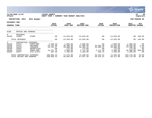|                                                                       |                                                                            |                                                                             |                                                                  |                                                                      |                                                                      |                                                            |                                                                      |                                                                       | munis <sup>.</sup><br>a tyler erp solution        |
|-----------------------------------------------------------------------|----------------------------------------------------------------------------|-----------------------------------------------------------------------------|------------------------------------------------------------------|----------------------------------------------------------------------|----------------------------------------------------------------------|------------------------------------------------------------|----------------------------------------------------------------------|-----------------------------------------------------------------------|---------------------------------------------------|
| nflynn                                                                | 11/20/2020 14:07                                                           |                                                                             | YATES COUNTY<br>NEXT YEAR /                                      | CURRENT YEAR BUDGET ANALYSIS                                         |                                                                      |                                                            |                                                                      |                                                                       | 95<br>P<br>  bgnyrpts                             |
|                                                                       | PROJECTION: 2021                                                           | 2021 Budget                                                                 |                                                                  |                                                                      |                                                                      |                                                            |                                                                      |                                                                       | FOR PERIOD 99                                     |
| ACCOUNTS FOR:<br><b>GENERAL FUND</b>                                  |                                                                            |                                                                             | 2019<br><b>ACTUAL</b>                                            | 2020<br>ORIG BUD                                                     | 2020<br><b>REVISED BUD</b>                                           | 2020<br><b>ACTUAL</b>                                      | 2020<br><b>PROJECTION</b>                                            | 2021<br><b>ADOPTED</b>                                                | <b>PCT</b><br><b>CHANGE</b>                       |
| 8160                                                                  | REFUSE AND GARBAGE                                                         |                                                                             |                                                                  |                                                                      |                                                                      |                                                            |                                                                      |                                                                       |                                                   |
| 0<br>A8160                                                            | <b>REVENUES</b><br>43089                                                   | OTHER                                                                       | .00                                                              | $-14,629.00$                                                         | $-14,629.00$                                                         | .00                                                        | $-14,629.00$                                                         |                                                                       | $.00 - 100.0%$                                    |
|                                                                       | TOTAL REVENUES                                                             |                                                                             | .00                                                              | $-14,629.00$                                                         | $-14,629.00$                                                         | .00                                                        | $-14,629.00$                                                         |                                                                       | $.00 - 100.0%$                                    |
| $4\overline{ }$<br>A8160<br>A8160<br>A8160<br>A8160<br>A8160<br>A8160 | CONTRACTUAL EXPENSES<br>54411<br>54412<br>54413<br>54501<br>54521<br>54677 | PARTS/REP<br>ENGINEER<br>LEACHATE<br>ADVERTISIN<br>TRASH REM<br>UTIL: ELECT | 2,403.40<br>53,235.00<br>16,701.47<br>.00<br>34,757.75<br>907.60 | 1,000.00<br>48,200.00<br>16,000.00<br>175.00<br>5,000.00<br>1,200.00 | 1,000.00<br>47,896.68<br>16,303.32<br>175.00<br>5,711.58<br>1,200.00 | .00<br>26,565.00<br>16,303.32<br>.00<br>5,711.58<br>845.41 | 1,000.00<br>49,565.00<br>16,000.00<br>175.00<br>5,000.00<br>1,200.00 | 1,000.00<br>49,600.00<br>17,200.00<br>175.00<br>35,000.00<br>1,200.00 | $.0\%$<br>2.9%<br>7.5%<br>.0%<br>600.0%<br>$.0\%$ |
|                                                                       | TOTAL CONTRACTUAL EXPENSES<br>TOTAL REFUSE AND GARBAGE                     |                                                                             | 108,005.22<br>108,005.22                                         | 71,575.00<br>56,946.00                                               | 72,286.58<br>57,657.58                                               | 49,425.31<br>49,425.31                                     | 72,940.00<br>58,311.00                                               | 104,175.00<br>104,175.00                                              | 45.5%<br>82.9%                                    |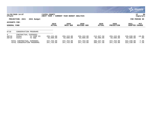|                                      |                                                           |                                  |                             |                              |                          |                           |                           |                          | <b>munis</b><br>a tyler erp solution |
|--------------------------------------|-----------------------------------------------------------|----------------------------------|-----------------------------|------------------------------|--------------------------|---------------------------|---------------------------|--------------------------|--------------------------------------|
| nflynn                               | 11/20/2020 14:07                                          |                                  | YATES COUNTY<br>NEXT YEAR / | CURRENT YEAR BUDGET ANALYSIS |                          |                           |                           |                          | 96<br>P<br>bgnyrpts                  |
|                                      | PROJECTION: 2021                                          | 2021 Budget                      |                             |                              |                          |                           |                           |                          | FOR PERIOD 99                        |
| ACCOUNTS FOR:<br><b>GENERAL FUND</b> |                                                           |                                  | 2019<br><b>ACTUAL</b>       | 2020<br>ORIG BUD             | 2020<br>REVISED BUD      | 2020<br><b>ACTUAL</b>     | 2020<br><b>PROJECTION</b> | 2021<br><b>ADOPTED</b>   | <b>PCT</b><br><b>CHANGE</b>          |
| 8710                                 |                                                           | CONSERVATION PROGRAMS            |                             |                              |                          |                           |                           |                          |                                      |
| 4<br>A8710<br>A8710                  | CONTRACTUAL<br>54204<br>54212                             | EXPENSES<br>YC COOP EX<br>YC S&W | 255, 153.00<br>92,600.00    | 255,153.00<br>92,600.00      | 255,153.00<br>92,600.00  | 212,627.50<br>92,600.00   | 255,153.00<br>92,600.00   | 229,638.00<br>92,600.00  | $-10.0%$<br>$.0\%$                   |
|                                      | TOTAL CONTRACTUAL EXPENSES<br>TOTAL CONSERVATION PROGRAMS |                                  | 347,753.00<br>347,753.00    | 347,753.00<br>347,753.00     | 347,753.00<br>347,753.00 | 305,227.50<br>305, 227.50 | 347,753.00<br>347,753.00  | 322,238.00<br>322,238.00 | $-7.3%$<br>$-7.3%$                   |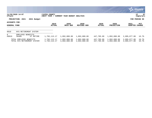|                                      |                                                        |                              |                              |                              |                          |                              |                              | $\mathbb{C}$ . munis $\mathbb{C}$<br>a tyler erp solution |
|--------------------------------------|--------------------------------------------------------|------------------------------|------------------------------|------------------------------|--------------------------|------------------------------|------------------------------|-----------------------------------------------------------|
| nflynn                               | 11/20/2020 14:07                                       | YATES COUNTY<br> NEXT YEAR / | CURRENT YEAR BUDGET ANALYSIS |                              |                          |                              |                              | 97<br>ΙP<br>  bgnyrpts                                    |
|                                      | PROJECTION: 2021<br>2021 Budget                        |                              |                              |                              |                          |                              |                              | FOR PERIOD 99                                             |
| ACCOUNTS FOR:<br><b>GENERAL FUND</b> |                                                        | 2019<br><b>ACTUAL</b>        | 2020<br>ORIG BUD             | 2020<br>REVISED BUD          | 2020<br><b>ACTUAL</b>    | 2020<br><b>PROJECTION</b>    | 2021<br>ADOPTED              | PCT<br><b>CHANGE</b>                                      |
| 9010                                 | NYS RETIREMENT SYSTEM                                  |                              |                              |                              |                          |                              |                              |                                                           |
| 8<br>A9010                           | EMPLOYEE BENEFITS<br>58400<br>ST RETIRE                | 1,792,113.17                 | 1,892,000.00                 | 1,892,000.00                 | 447,785.09               | 1,892,000.00                 | 2,095,077.00                 | 10.7%                                                     |
|                                      | TOTAL EMPLOYEE BENEFITS<br>TOTAL NYS RETIREMENT SYSTEM | 1,792,113.17<br>1,792,113.17 | 1,892,000.00<br>1,892,000.00 | 1,892,000.00<br>1,892,000.00 | 447,785.09<br>447,785.09 | 1,892,000.00<br>1,892,000.00 | 2,095,077.00<br>2,095,077.00 | 10.7%<br>10.7%                                            |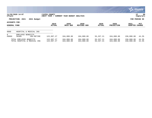|                               |                                                         |                             |                              |                            |                        |                           |                          | <b>munis</b><br>a tyler erp solution |
|-------------------------------|---------------------------------------------------------|-----------------------------|------------------------------|----------------------------|------------------------|---------------------------|--------------------------|--------------------------------------|
| nflynn                        | 11/20/2020 14:07                                        | YATES COUNTY<br>NEXT YEAR / | CURRENT YEAR BUDGET ANALYSIS |                            |                        |                           |                          | 98<br>ΙP<br>  bgnyrpts               |
|                               | PROJECTION: 2021<br>2021 Budget                         |                             |                              |                            |                        |                           |                          | FOR PERIOD 99                        |
| ACCOUNTS FOR:<br>GENERAL FUND |                                                         | 2019<br><b>ACTUAL</b>       | 2020<br>ORIG BUD             | 2020<br><b>REVISED BUD</b> | 2020<br><b>ACTUAL</b>  | 2020<br><b>PROJECTION</b> | 2021<br><b>ADOPTED</b>   | <b>PCT</b><br>CHANGE                 |
| 9060                          | HOSPITAL & MEDICAL INS                                  |                             |                              |                            |                        |                           |                          |                                      |
| 8<br>A9060                    | EMPLOYEE BENEFITS<br>58306<br>INS-RETIRE                | 122,997.27                  | 104,000.00                   | 104,000.00                 | 55,337.21              | 104,000.00                | 150,000.00               | 44.2%                                |
|                               | TOTAL EMPLOYEE BENEFITS<br>TOTAL HOSPITAL & MEDICAL INS | 122,997.27<br>122,997.27    | 104,000.00<br>104,000.00     | 104,000.00<br>104,000.00   | 55,337.21<br>55,337.21 | 104,000.00<br>104,000.00  | 150,000.00<br>150,000.00 | 44.2%<br>44.2%                       |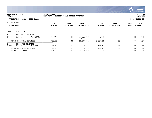|                                      |                                            |                         |                             |                              |                     |                       |                           |                        | <b>munis</b><br>a tyler erp solution |
|--------------------------------------|--------------------------------------------|-------------------------|-----------------------------|------------------------------|---------------------|-----------------------|---------------------------|------------------------|--------------------------------------|
| nflynn                               | 11/20/2020 14:07                           |                         | YATES COUNTY<br>NEXT YEAR / | CURRENT YEAR BUDGET ANALYSIS |                     |                       |                           |                        | 99<br> P<br>  bgnyrpts               |
|                                      | PROJECTION: 2021                           | 2021 Budget             |                             |                              |                     |                       |                           |                        | FOR PERIOD 99                        |
| ACCOUNTS FOR:<br><b>GENERAL FUND</b> |                                            |                         | 2019<br><b>ACTUAL</b>       | 2020<br>ORIG BUD             | 2020<br>REVISED BUD | 2020<br><b>ACTUAL</b> | 2020<br><b>PROJECTION</b> | 2021<br>ADOPTED CHANGE | PCT                                  |
| 9080                                 | SICK BANK                                  |                         |                             |                              |                     |                       |                           |                        |                                      |
| A9080<br>A9080                       | PERSONAL SERVICES<br>51507<br>51673        | SICK BANK<br>SCK BNK LE | 708.79<br>.00               | .00<br>.00                   | .00<br>10,190.71    | .00<br>8,004.83       | .00<br>.00                | .00<br>.00             | $.0\%$<br>.0%                        |
|                                      | TOTAL PERSONAL SERVICES                    |                         | 708.79                      | .00                          | 10,190.71           | 8,004.83              | .00                       | .00                    | .0%                                  |
| 8<br>A9080                           | EMPLOYEE BENEFITS<br>58100                 | FICA/MED                | 48.89                       | .00                          | 735.32              | 578.47                | .00                       | .00                    | .0%                                  |
|                                      | TOTAL EMPLOYEE BENEFITS<br>TOTAL SICK BANK |                         | 48.89<br>757.68             | .00<br>.00                   | 735.32<br>10,926.03 | 578.47<br>8,583.30    | .00<br>.00                | .00<br>.00             | $.0\%$<br>.0%                        |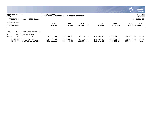|                                      |                                                         |                              |                              |                          |                          |                             |                          | $\sim$ munis $\sim$<br>a tyler erp solution |
|--------------------------------------|---------------------------------------------------------|------------------------------|------------------------------|--------------------------|--------------------------|-----------------------------|--------------------------|---------------------------------------------|
| nflynn                               | 11/20/2020 14:07                                        | YATES COUNTY<br> NEXT YEAR / | CURRENT YEAR BUDGET ANALYSIS |                          |                          |                             |                          | 100<br>P<br>  bgnyrpts                      |
|                                      | PROJECTION: 2021<br>2021 Budget                         |                              |                              |                          |                          |                             |                          | FOR PERIOD 99                               |
| ACCOUNTS FOR:<br><b>GENERAL FUND</b> |                                                         | 2019<br><b>ACTUAL</b>        | 2020<br>ORIG BUD             | 2020<br>REVISED BUD      | 2020<br>ACTUAL           | 2020<br><b>PROJECTION</b>   | 2021<br><b>ADOPTED</b>   | PCT<br><b>CHANGE</b>                        |
| 9089                                 | OTHER EMPLOYEE BENEFITS                                 |                              |                              |                          |                          |                             |                          |                                             |
| 8<br>A9089                           | EMPLOYEE BENEFITS<br>58600<br><b>HRA</b>                | 241,560.22                   | 323,554.00                   | 323,554.00               | 451,249.21               | 522, 284. 27                | 306,800.00               | $-5.2%$                                     |
|                                      | TOTAL EMPLOYEE BENEFITS<br>TOTAL OTHER EMPLOYEE BENEFIT | 241,560.22<br>241,560.22     | 323,554.00<br>323,554.00     | 323,554.00<br>323,554.00 | 451,249.21<br>451,249.21 | 522, 284. 27<br>522, 284.27 | 306,800.00<br>306,800.00 | $-5.2%$<br>$-5.2%$                          |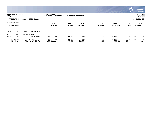|                               |                                                         |                             |                              |                        |                       |                           |                        | $\mathbb{C}$ munis $\mathbb{C}$<br>a tyler erp solution |
|-------------------------------|---------------------------------------------------------|-----------------------------|------------------------------|------------------------|-----------------------|---------------------------|------------------------|---------------------------------------------------------|
| nflynn                        | 11/20/2020 14:07                                        | YATES COUNTY<br>NEXT YEAR / | CURRENT YEAR BUDGET ANALYSIS |                        |                       |                           |                        | 101<br>P<br>  bgnyrpts                                  |
|                               | PROJECTION: 2021<br>2021 Budget                         |                             |                              |                        |                       |                           |                        | FOR PERIOD 99                                           |
| ACCOUNTS FOR:<br>GENERAL FUND |                                                         | 2019<br><b>ACTUAL</b>       | 2020<br>ORIG BUD             | 2020<br>REVISED BUD    | 2020<br><b>ACTUAL</b> | 2020<br><b>PROJECTION</b> | 2021<br><b>ADOPTED</b> | PCT<br><b>CHANGE</b>                                    |
| 9090                          | ADJUST DUE TO EMPLS VAC                                 |                             |                              |                        |                       |                           |                        |                                                         |
| 8<br>A9090                    | EMPLOYEE BENEFITS<br>58000<br>D/T VC/CMP                | 189,633.74                  | 15,000.00                    | 15,000.00              | .00                   | 15,000.00                 | 15,000.00              | $.0\%$                                                  |
|                               | TOTAL EMPLOYEE BENEFITS<br>TOTAL ADJUST DUE TO EMPLS VA | 189,633.74<br>189,633.74    | 15,000.00<br>15,000.00       | 15,000.00<br>15,000.00 | .00<br>.00            | 15,000.00<br>15,000.00    | 15,000.00<br>15,000.00 | $.0\%$<br>.0%                                           |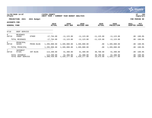|                                      |                                      |             |                             |                              |                            |                        |                           | <b>munis</b><br>a tyler erp solution |
|--------------------------------------|--------------------------------------|-------------|-----------------------------|------------------------------|----------------------------|------------------------|---------------------------|--------------------------------------|
| nflynn                               | 11/20/2020 14:07                     |             | YATES COUNTY<br>NEXT YEAR / | CURRENT YEAR BUDGET ANALYSIS |                            |                        |                           | 102<br>P<br>  bgnyrpts               |
|                                      | PROJECTION: 2021                     | 2021 Budget |                             |                              |                            |                        |                           | FOR PERIOD 99                        |
| ACCOUNTS FOR:<br><b>GENERAL FUND</b> |                                      |             | 2019<br><b>ACTUAL</b>       | 2020<br>ORIG BUD             | 2020<br><b>REVISED BUD</b> | 2020<br><b>ACTUAL</b>  | 2020<br><b>PROJECTION</b> | 2021<br><b>PCT</b><br>ADOPTED CHANGE |
| 9710                                 | DEBT SERVICE                         |             |                             |                              |                            |                        |                           |                                      |
| $\Omega$<br>A9710                    | <b>REVENUES</b><br>43089             | OTHER       | $-17,764.00$                | $-11, 123.00$                | $-11, 123.00$              | $-11, 125.00$          | $-11, 123.00$             | $.00 - 100.0$                        |
|                                      | TOTAL REVENUES                       |             | $-17,764.00$                | $-11, 123.00$                | $-11, 123.00$              | $-11, 125.00$          | $-11, 123.00$             | $.00 - 100.0$                        |
| 6<br>A9710                           | PRINCIPAL<br>56101                   | PRINC-BLDG  | 1,295,000.00                | 1,285,000.00                 | 1,285,000.00               | .00                    | 1,285,000.00              | $.00 - 100.0$                        |
|                                      | TOTAL PRINCIPAL                      |             | 1,295,000.00                | 1,285,000.00                 | 1,285,000.00               | .00                    | 1,285,000.00              | $.00 - 100.0$                        |
| $7\overline{ }$<br>A9710             | INTEREST<br>57101                    | INT-BLDG    | 113,200.00                  | 61,400.00                    | 61,400.00                  | 30,700.00              | 61,400.00                 | $.00 - 100.0$                        |
|                                      | TOTAL INTEREST<br>TOTAL DEBT SERVICE |             | 113,200.00<br>1,390,436.00  | 61,400.00<br>1,335,277.00    | 61,400.00<br>1,335,277.00  | 30,700.00<br>19,575.00 | 61,400.00<br>1,335,277.00 | $.00 - 100.0$<br>$.00 - 100.0$       |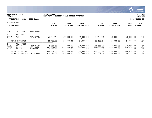|                                             |                                      |                                     |                                      |                                |                                |                                |                                |                                | a tyler erp solution   |
|---------------------------------------------|--------------------------------------|-------------------------------------|--------------------------------------|--------------------------------|--------------------------------|--------------------------------|--------------------------------|--------------------------------|------------------------|
| nflynn                                      | 11/20/2020 14:07                     |                                     | YATES COUNTY<br> NEXT YEAR /         | CURRENT YEAR BUDGET ANALYSIS   |                                |                                |                                |                                | 103<br>P<br>  bgnyrpts |
|                                             | PROJECTION: 2021                     | 2021 Budget                         |                                      |                                |                                |                                |                                |                                | FOR PERIOD 99          |
| <b>ACCOUNTS FOR:</b><br><b>GENERAL FUND</b> |                                      |                                     | 2019<br><b>ACTUAL</b>                | 2020<br>ORIG BUD               | 2020<br><b>REVISED BUD</b>     | 2020<br><b>ACTUAL</b>          | 2020<br><b>PROJECTION</b>      | 2021<br><b>ADOPTED</b>         | PCT<br><b>CHANGE</b>   |
| 9902                                        |                                      | TRANSFER TO OTHER FUNDS             |                                      |                                |                                |                                |                                |                                |                        |
| $\overline{0}$<br>A9902<br>A9902            | <b>REVENUES</b><br>42801<br>45031    | INTERFUND<br>UNEMPL INS             | $-3,703,70$<br>$-20,000.00$          | $-4,000.00$<br>$-20,000.00$    | $-4,000.00$<br>$-20,000.00$    | $-3,150.94$<br>$-20,000.00$    | $-4,000.00$<br>$-20,000.00$    | $-4,000.00$<br>$-20,000.00$    | .0%<br>$.0\%$          |
|                                             | TOTAL REVENUES                       |                                     | $-23,703.70$                         | $-24,000.00$                   | $-24,000.00$                   | $-23,150.94$                   | $-24,000.00$                   | $-24,000.00$                   | $.0\%$                 |
| 9<br>A9902<br>A9902<br>A9902                | TRANSFERS<br>59130<br>59140<br>59150 | UNEMPL INS<br>WORK COMP<br>TRANSFER | 18,000.00<br>307,261.00<br>15,033.00 | 18,000.00<br>311,008.00<br>.00 | 18,000.00<br>311,008.00<br>.00 | 18,000.00<br>311,008.00<br>.00 | 18,000.00<br>311,008.00<br>.00 | 18,000.00<br>310,973.00<br>.00 | .0%<br>.0%<br>$.0\%$   |
|                                             | TOTAL TRANSFERS                      | TOTAL TRANSFER TO OTHER FUND        | 340,294.00<br>316,590.30             | 329,008.00<br>305,008.00       | 329,008.00<br>305,008.00       | 329,008.00<br>305,857.06       | 329,008.00<br>305,008.00       | 328,973.00<br>304,973.00       | . 0%<br>. 0%           |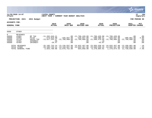|                                                             |                                                       |                                                      |                                                  |                                                                                                                                                                                                                                                                                                                                     |                     |                                                                                                                                        |                           |                                         | <b>munis</b><br>a tyler erp solution        |
|-------------------------------------------------------------|-------------------------------------------------------|------------------------------------------------------|--------------------------------------------------|-------------------------------------------------------------------------------------------------------------------------------------------------------------------------------------------------------------------------------------------------------------------------------------------------------------------------------------|---------------------|----------------------------------------------------------------------------------------------------------------------------------------|---------------------------|-----------------------------------------|---------------------------------------------|
| nflynn                                                      | 11/20/2020 14:07                                      |                                                      | YATES COUNTY                                     | NEXT YEAR / CURRENT YEAR BUDGET ANALYSIS                                                                                                                                                                                                                                                                                            |                     |                                                                                                                                        |                           |                                         | 104<br>l P<br>bgnyrpts                      |
|                                                             | PROJECTION: 2021                                      | 2021 Budget                                          |                                                  |                                                                                                                                                                                                                                                                                                                                     |                     |                                                                                                                                        |                           |                                         | FOR PERIOD 99                               |
| ACCOUNTS FOR:<br>GENERAL FUND                               |                                                       |                                                      | 2019<br><b>ACTUAL</b>                            | 2020<br>ORIG BUD                                                                                                                                                                                                                                                                                                                    | 2020<br>REVISED BUD | 2020<br><b>ACTUAL</b>                                                                                                                  | 2020<br><b>PROJECTION</b> | 2021<br>ADOPTED                         | PCT<br>CHANGE                               |
| 9999                                                        | OTHER                                                 |                                                      |                                                  |                                                                                                                                                                                                                                                                                                                                     |                     |                                                                                                                                        |                           |                                         |                                             |
| $\overline{0}$<br>A9999<br>A9999<br>A9999<br>A9999<br>A9999 | REVENUES<br>41001<br>41081<br>41110<br>42401<br>42402 | RP TAX<br>PILOT<br>SALES TAX<br>INTEREST<br>INTEREST | -11,283,649.21<br>-274,810.09<br>.00<br>$-20.47$ | $-13,627,253.47$ $-12,700,000.00$ $-12,700,000.00$ $-11,588,478.66$ $-12,700,000.00$ $-12,700,000.00$<br>$.00 \,$<br>.00                                                                                                                                                                                                            | .00<br>.00          | $.00 - 11,706,420.00 - 11,706,420.00 - 11,706,420.00$<br>$-426,037.00$ $-426,037.00$ $-398,588.51$ $-426,037.00$<br>$-.19$<br>$-43.07$ | $.00 \ \rm$<br>.00        | $.00 \,$<br>$-409,861.00$<br>.00<br>.00 | $.0\%$<br>$-3.8%$<br>.0%<br>$.0\%$<br>.0%   |
|                                                             | TOTAL REVENUES<br>TOTAL OTHER<br>TOTAL GENERAL FUND   |                                                      |                                                  | $-25, 185, 733.24$ $-13, 126, 037.00$ $-24, 832, 457.00$ $-23, 693, 530.43$ $-24, 832, 457.00$ $-13, 109, 861.00$<br>$-25, 185, 733, 24$ $-13, 126, 037, 00$ $-24, 832, 457, 00$ $-23, 693, 530, 43$ $-24, 832, 457, 00$ $-13, 109, 861, 00$<br>$-2,925,798.08$ 12,676,752.00 854,058.90 $-6,270,894.01$ 1,279,874.53 11,739,039.00 |                     |                                                                                                                                        |                           |                                         | $-1$ $\frac{1}{6}$<br>$-.1$ $%$<br>$-7.4\%$ |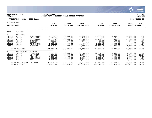|                                                                         |                                                                                |                                                                                                |                                                                                                |                                                                                            |                                                                                            |                                                                                          |                                                                                            |                                                                                            | munis<br>a tyler erp solution                   |
|-------------------------------------------------------------------------|--------------------------------------------------------------------------------|------------------------------------------------------------------------------------------------|------------------------------------------------------------------------------------------------|--------------------------------------------------------------------------------------------|--------------------------------------------------------------------------------------------|------------------------------------------------------------------------------------------|--------------------------------------------------------------------------------------------|--------------------------------------------------------------------------------------------|-------------------------------------------------|
| nflynn                                                                  | 11/20/2020 14:07                                                               |                                                                                                | YATES COUNTY<br>NEXT YEAR / CURRENT YEAR BUDGET ANALYSIS                                       |                                                                                            |                                                                                            |                                                                                          |                                                                                            |                                                                                            | ΙP<br>105<br>bgnyrpts                           |
|                                                                         | PROJECTION: 2021                                                               | 2021 Budget                                                                                    |                                                                                                |                                                                                            |                                                                                            |                                                                                          |                                                                                            |                                                                                            | FOR PERIOD 99                                   |
| <b>ACCOUNTS FOR:</b><br><b>AIRPORT FUND</b>                             |                                                                                |                                                                                                | 2019<br><b>ACTUAL</b>                                                                          | 2020<br>ORIG BUD                                                                           | 2020<br><b>REVISED BUD</b>                                                                 | 2020<br><b>ACTUAL</b>                                                                    | 2020<br>PROJECTION                                                                         | 2021<br>ADOPTED CHANGE                                                                     | PCT                                             |
| 5610                                                                    | AIRPORT                                                                        |                                                                                                |                                                                                                |                                                                                            |                                                                                            |                                                                                          |                                                                                            |                                                                                            |                                                 |
| 0<br>CT5610<br>CT5610<br>CT5610<br>CT5610<br>CT5610<br>CT5610<br>CT5610 | <b>REVENUES</b><br>41771<br>41772<br>41773<br>42401<br>42402<br>42414<br>42417 | <b>REV-INFRAS</b><br>OTHER REV<br>FUEL FLOWG<br>INTEREST<br>INTEREST<br>RENT-HANGR<br>T HANGAR | $-5,350.00$<br>$-645.13$<br>$-9,550.78$<br>$-102.94$<br>$-7.27$<br>$-4,426.80$<br>$-24,591.82$ | $-5,350.00$<br>$-645.00$<br>$-7,500.00$<br>$-100.00$<br>.00<br>$-4,400.00$<br>$-21,000.00$ | $-5,350.00$<br>$-645.00$<br>$-7,500.00$<br>$-100.00$<br>.00<br>$-4,400.00$<br>$-21,000.00$ | $-5,350.00$<br>.00<br>$-7, 409.75$<br>$-96.58$<br>$-6.66$<br>$-3,320.10$<br>$-23,600.25$ | $-5,350.00$<br>$-645.00$<br>$-7,500.00$<br>$-100.00$<br>.00<br>$-4,400.00$<br>$-21,000.00$ | $-5,350.00$<br>$-645.00$<br>$-7,500.00$<br>$-100.00$<br>.00<br>$-4,400.00$<br>$-25,000.00$ | .0%<br>.0%<br>.0%<br>.0%<br>.0%<br>.0%<br>19.0% |
|                                                                         | TOTAL REVENUES                                                                 |                                                                                                | $-44,674.74$                                                                                   | $-38,995.00$                                                                               | $-38,995.00$                                                                               | $-39,783.34$                                                                             | $-38,995.00$                                                                               | $-42,995.00$                                                                               | 10.3%                                           |
| 4<br>CT5610<br>CT5610<br>CT5610<br>CT5610<br>CT5610                     | CONTRACTUAL EXPENSES<br>54100<br>54661<br>54684<br>54686<br>54911              | CONTR EXP<br>VEH MAINT<br>UTIL: WAT/S<br>UTIL: HNGAR<br><b>INS</b>                             | 12,008.01<br>954.08<br>2,201.43<br>1,681.35<br>4,541.38                                        | 10,500.00<br>2,000.00<br>2,300.00<br>2,000.00<br>4,677.00                                  | 10,500.00<br>2,000.00<br>2,300.00<br>2,000.00<br>4,677.00                                  | 11,652.33<br>478.75<br>1,660.18<br>1,267.54<br>4,354.04                                  | 10,500.00<br>2,000.00<br>2,300.00<br>2,000.00<br>4,677.00                                  | 10,500.00<br>1,500.00<br>2,400.00<br>2,000.00<br>4,770.00                                  | .0%<br>$-25.0%$<br>4.3%<br>.0%<br>2.0%          |
|                                                                         | TOTAL CONTRACTUAL<br>TOTAL AIRPORT                                             | EXPENSES                                                                                       | 21,386.25<br>$-23, 288, 49$                                                                    | 21,477.00<br>$-17,518.00$                                                                  | 21,477.00<br>$-17,518.00$                                                                  | 19,412.84<br>$-20, 370, 50$                                                              | 21,477.00<br>$-17,518.00$                                                                  | 21,170.00<br>$-21,825.00$                                                                  | $-1.4%$<br>24.6%                                |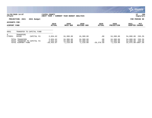|               |                                                                       |                          |                                       |                                       |                                       |                            |                                       | <b>munis</b><br>a tyler erp solution                            |
|---------------|-----------------------------------------------------------------------|--------------------------|---------------------------------------|---------------------------------------|---------------------------------------|----------------------------|---------------------------------------|-----------------------------------------------------------------|
| nflynn        | 11/20/2020 14:07                                                      |                          | YATES COUNTY<br>NEXT YEAR /           | CURRENT YEAR BUDGET ANALYSIS          |                                       |                            |                                       | 106<br>IΡ<br>  bgnyrpts                                         |
|               | PROJECTION: 2021                                                      | 2021 Budget              |                                       |                                       |                                       |                            |                                       | FOR PERIOD 99                                                   |
| ACCOUNTS FOR: |                                                                       |                          | 2019                                  | 2020                                  | 2020                                  | 2020                       | 2020                                  | 2021<br><b>PCT</b>                                              |
| AIRPORT FUND  |                                                                       |                          | <b>ACTUAL</b>                         | ORIG BUD                              | <b>REVISED BUD</b>                    | <b>ACTUAL</b>              | <b>PROJECTION</b>                     | <b>ADOPTED</b><br><b>CHANGE</b>                                 |
| 9951          |                                                                       | TRANSFER TO CAPITAL FUND |                                       |                                       |                                       |                            |                                       |                                                                 |
| 9<br>CT9951   | TRANSFERS<br>59106                                                    | CAPITAL FU               | 2,834.62                              | 16,300.00                             | 16,300.00                             | .00                        | 16,300.00                             | 236.2%<br>54,800.00                                             |
|               | TOTAL TRANSFERS<br>TOTAL TRANSFER TO CAPITAL FU<br>TOTAL AIRPORT FUND |                          | 2,834.62<br>2,834.62<br>$-20, 453.87$ | 16,300.00<br>16,300.00<br>$-1,218.00$ | 16,300.00<br>16,300.00<br>$-1,218.00$ | .00<br>.00<br>$-20,370.50$ | 16,300.00<br>16,300.00<br>$-1,218.00$ | 236.2%<br>54,800.00<br>54,800.00<br>236.2%<br>32,975.00-2807.3% |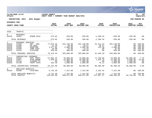|                                                           |                                                                |                                                                              |                                                                 |                                                    |                                                    |                                             |                                                    |                                               | <b>munis</b><br>a tyler erp solution                                               |
|-----------------------------------------------------------|----------------------------------------------------------------|------------------------------------------------------------------------------|-----------------------------------------------------------------|----------------------------------------------------|----------------------------------------------------|---------------------------------------------|----------------------------------------------------|-----------------------------------------------|------------------------------------------------------------------------------------|
| nflynn                                                    | 11/20/2020 14:07                                               |                                                                              | <b>YATES COUNTY</b><br>NEXT YEAR / CURRENT YEAR BUDGET ANALYSIS |                                                    |                                                    |                                             |                                                    |                                               | l P<br>107<br>  bgnyrpts                                                           |
|                                                           | PROJECTION: 2021                                               | 2021 Budget                                                                  |                                                                 |                                                    |                                                    |                                             |                                                    |                                               | FOR PERIOD 99                                                                      |
| <b>ACCOUNTS FOR:</b>                                      |                                                                |                                                                              |                                                                 |                                                    |                                                    |                                             |                                                    |                                               |                                                                                    |
|                                                           | COUNTY ROAD FUND                                               |                                                                              | 2019<br><b>ACTUAL</b>                                           | 2020<br>ORIG BUD                                   | 2020<br><b>REVISED BUD</b>                         | 2020<br><b>ACTUAL</b>                       | 2020<br><b>PROJECTION</b>                          | 2021<br>ADOPTED CHANGE                        | <b>PCT</b>                                                                         |
| 3310                                                      | TRAFFIC                                                        |                                                                              |                                                                 |                                                    |                                                    |                                             |                                                    |                                               |                                                                                    |
| 0<br>D3310                                                | <b>REVENUES</b><br>42655                                       | MINOR SALE                                                                   | $-275.82$                                                       | $-250.00$                                          | $-250.00$                                          | $-1, 299.34$                                | $-250.00$                                          | $-250.00$                                     | .0%                                                                                |
|                                                           | TOTAL REVENUES                                                 |                                                                              | $-275.82$                                                       | $-250.00$                                          | $-250.00$                                          | $-1, 299.34$                                | $-250.00$                                          | $-250.00$                                     | .0%                                                                                |
| $\mathbf{1}$<br>D3310<br>D3310<br>D3310<br>D3310<br>D3310 | PERSONAL SERVICES<br>51450<br>51500<br>51505<br>51509<br>51510 | $HWY - REG$<br>CB CSEA<br>OVERTIME<br>COMP CSEA<br>CLOTHING                  | 77,015.36<br>11.36<br>1,877.82<br>20.90<br>550.00               | 101,148.00<br>30.00<br>2,006.00<br>25.00<br>600.00 | 101,148.00<br>40.57<br>2,006.00<br>14.43<br>600.00 | 31, 211.34<br>40.57<br>143.38<br>.00<br>.00 | 101,148.00<br>30.00<br>2,006.00<br>25.00<br>600.00 |                                               | $.00 - 100.0$<br>$.00 - 100.0$<br>$.00 - 100.0$<br>$.00 - 100.0%$<br>$.00 - 100.0$ |
|                                                           | TOTAL PERSONAL SERVICES                                        |                                                                              | 79,475.44                                                       | 103,809.00                                         | 103,809.00                                         | 31,395.29                                   | 103,809.00                                         |                                               | $.00 - 100.0%$                                                                     |
| 4<br>D3310<br>D3310<br>D3310<br>D3310                     | 54601<br>54627<br>54718<br>54748                               | CONTRACTUAL EXPENSES<br>APPL TRAFF<br>SIGN HRDWR<br>FLASHER PT<br>TRAFF CNTR | 57,091.25<br>7,028.24<br>.00<br>204.49                          | 78,000.00<br>10,000.00<br>1,000.00<br>1,000.00     | 78,000.00<br>10,000.00<br>1,000.00<br>1,000.00     | 77,703.00<br>7,819.79<br>.00<br>76.11       | 78,000.00<br>15,488.50<br>1,000.00<br>1,000.00     | 84,000.00<br>9,000.00<br>1,000.00<br>1,000.00 | 7.7%<br>$-10.0%$<br>.0%<br>.0%                                                     |
|                                                           | TOTAL CONTRACTUAL EXPENSES                                     |                                                                              | 64, 323.98                                                      | 90,000.00                                          | 90,000.00                                          | 85,598.90                                   | 95,488.50                                          | 95,000.00                                     | 5.6%                                                                               |
| 8<br>D3310                                                | EMPLOYEE BENEFITS<br>58100                                     | FICA/MED                                                                     | 5,731.30                                                        | 7,412.00                                           | 7,412.00                                           | 2,162.42                                    | 7,412.00                                           |                                               | $.00 - 100.0$                                                                      |
|                                                           | TOTAL EMPLOYEE BENEFITS<br>TOTAL TRAFFIC                       |                                                                              | 5,731.30<br>149,254.90                                          | 7,412.00<br>200,971.00                             | 7,412.00<br>200,971.00                             | 2,162.42<br>117,857.27                      | 7,412.00<br>206,459.50                             | $94,750.00 -52.9$                             | $.00 - 100.0$                                                                      |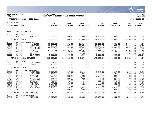|                                                                                                                            |                                                                                                                                  |                                                                                                                                                           |                                                                                                                                   |                                                                                                                         |                                                                                                                           |                                                                                                                     |                                                                                                                         |                                                                                                                         | munis<br>a tyler erp solution                                                                                          |
|----------------------------------------------------------------------------------------------------------------------------|----------------------------------------------------------------------------------------------------------------------------------|-----------------------------------------------------------------------------------------------------------------------------------------------------------|-----------------------------------------------------------------------------------------------------------------------------------|-------------------------------------------------------------------------------------------------------------------------|---------------------------------------------------------------------------------------------------------------------------|---------------------------------------------------------------------------------------------------------------------|-------------------------------------------------------------------------------------------------------------------------|-------------------------------------------------------------------------------------------------------------------------|------------------------------------------------------------------------------------------------------------------------|
| nflynn                                                                                                                     | 11/20/2020 14:07                                                                                                                 |                                                                                                                                                           | <b>YATES COUNTY</b><br>NEXT YEAR / CURRENT YEAR BUDGET ANALYSIS                                                                   |                                                                                                                         |                                                                                                                           |                                                                                                                     |                                                                                                                         |                                                                                                                         | ∣ P<br>108<br>  bgnyrpts                                                                                               |
|                                                                                                                            | PROJECTION: 2021                                                                                                                 | 2021 Budget                                                                                                                                               |                                                                                                                                   |                                                                                                                         |                                                                                                                           |                                                                                                                     |                                                                                                                         |                                                                                                                         | FOR PERIOD 99                                                                                                          |
| ACCOUNTS FOR:                                                                                                              |                                                                                                                                  |                                                                                                                                                           | 2019                                                                                                                              | 2020                                                                                                                    | 2020                                                                                                                      | 2020                                                                                                                | 2020                                                                                                                    | 2021                                                                                                                    | PCT                                                                                                                    |
|                                                                                                                            | COUNTY ROAD FUND                                                                                                                 |                                                                                                                                                           | <b>ACTUAL</b>                                                                                                                     | ORIG BUD                                                                                                                | <b>REVISED BUD</b>                                                                                                        | <b>ACTUAL</b>                                                                                                       | <b>PROJECTION</b>                                                                                                       | ADOPTED CHANGE                                                                                                          |                                                                                                                        |
| 5010                                                                                                                       | ADMINISTRATION                                                                                                                   |                                                                                                                                                           |                                                                                                                                   |                                                                                                                         |                                                                                                                           |                                                                                                                     |                                                                                                                         |                                                                                                                         |                                                                                                                        |
| $\mathbf 0$<br>D5010                                                                                                       | <b>REVENUES</b><br>42401                                                                                                         | INTEREST                                                                                                                                                  | $-1, 253.56$                                                                                                                      | $-1,000.00$                                                                                                             | $-1,000.00$                                                                                                               | $-1, 261.70$                                                                                                        | $-1,000.00$                                                                                                             | $-1,000.00$                                                                                                             | .0%                                                                                                                    |
|                                                                                                                            | TOTAL REVENUES                                                                                                                   |                                                                                                                                                           | $-1, 253.56$                                                                                                                      | $-1,000.00$                                                                                                             | $-1,000.00$                                                                                                               | $-1, 261.70$                                                                                                        | $-1,000.00$                                                                                                             | $-1,000.00$                                                                                                             | .0%                                                                                                                    |
| $\mathbf{1}$<br>D5010<br>D5010<br>D5010<br>D5010<br>D5010<br>D5010<br>D5010<br>D5010                                       | PERSONAL SERVICES<br>51074<br>51100<br>51119<br>51124<br>51270<br>51509<br>51520<br>51661                                        | HWY SUPER<br>ADMIN ASST<br>DEP HWY SU<br>DEPUTY ADD<br>SR ACT<br>COMP CSEA<br>INS BO<br>COMP NONUN                                                        | 85,050.09<br>45,894.26<br>65,960.99<br>.00<br>42,678.72<br>.00<br>.00<br>3,936.72                                                 | 85,051.00<br>46,993.00<br>65,961.00<br>.00<br>44,281.00<br>100.00<br>$\cdot$ 00<br>4,000.00                             | 81,616.59<br>46,993.00<br>65,961.00<br>3,434.41<br>44,281.00<br>100.00<br>2,584.00<br>4,000.00                            | 58,100.58<br>40,894.08<br>35,981.13<br>2,860.12<br>32,427.09<br>5.50<br>2,368.52<br>3,258.62                        | 85,051.00<br>46,993.00<br>65,961.00<br>.00<br>44,281.00<br>100.00<br>.00<br>4,000.00                                    | 84,660.00<br>47,753.00<br>69,679.00<br>.00<br>41,432.00<br>100.00<br>2,662.00                                           | $-.5%$<br>1.6%<br>5.6%<br>.0%<br>$-6.4%$<br>.0 <sub>8</sub><br>.0%<br>$.00 - 100.0$                                    |
|                                                                                                                            | TOTAL PERSONAL SERVICES                                                                                                          |                                                                                                                                                           | 243,520.78                                                                                                                        | 246,386.00                                                                                                              | 248,970.00                                                                                                                | 175,895.64                                                                                                          | 246,386.00                                                                                                              | 246,286.00                                                                                                              | .0%                                                                                                                    |
| $\overline{a}$<br>D5010<br>D5010                                                                                           | EQUIPMENT<br>52115<br>52120                                                                                                      | COMP HRDWR<br>COPIER                                                                                                                                      | 201.50<br>6, 136.00                                                                                                               | .00<br>.00                                                                                                              | .00<br>.00                                                                                                                | .00<br>.00                                                                                                          | .00<br>.00                                                                                                              | .00<br>.00                                                                                                              | .0%<br>.0 <sub>8</sub>                                                                                                 |
|                                                                                                                            | TOTAL EQUIPMENT                                                                                                                  |                                                                                                                                                           | 6,337.50                                                                                                                          | .00                                                                                                                     | .00                                                                                                                       | .00                                                                                                                 | .00                                                                                                                     | .00                                                                                                                     | .0 <sub>8</sub>                                                                                                        |
| $\overline{4}$<br>D5010<br>D5010<br>D5010<br>D5010<br>D5010<br>D5010<br>D5010<br>D5010<br>D5010<br>D5010<br>D5010<br>D5010 | CONTRACTUAL EXPENSES<br>54005<br>54152<br>54156<br>54470<br>54501<br>54507<br>54515<br>54516<br>54574<br>54635<br>54660<br>54907 | AUDIT FEES<br>CONFERENCE<br>TRAINING<br>SUPP:OFF<br>ADVERTISIN<br>COPIER CHR<br>POSTAGE<br>PRINTING<br>COMP MAINT<br>RD MAPS<br>TRAVEL EXP<br><b>DUES</b> | 2,617.00<br>445.00<br>2,235.06<br>1,175.15<br>242.40<br>692.33<br>99.31<br>1,767.77<br>3,622.86<br>6,983.00<br>1,434.27<br>300.00 | 2,617.00<br>625.00<br>300.00<br>800.00<br>800.00<br>865.00<br>125.00<br>450.00<br>3,865.00<br>.00<br>2,250.00<br>300.00 | 2,643.00<br>582.35<br>300.00<br>1,189.14<br>800.00<br>763.84<br>191.10<br>450.00<br>3,865.00<br>.00<br>1,912.57<br>300.00 | 2,643.00<br>380.00<br>.00<br>1,157.77<br>361.19<br>336.85<br>199.35<br>.00<br>3,586.00<br>.00<br>1,490.62<br>300.00 | 2,617.00<br>625.00<br>300.00<br>800.00<br>800.00<br>865.00<br>125.00<br>450.00<br>3,865.00<br>.00<br>2,250.00<br>300.00 | 2,670.00<br>800.00<br>300.00<br>800.00<br>800.00<br>700.00<br>150.00<br>450.00<br>3,995.00<br>.00<br>2,250.00<br>300.00 | 2.0%<br>28.0%<br>.0%<br>.0%<br>.0%<br>$-19.1%$<br>20.0%<br>$.0\%$<br>3.4%<br>.0 <sub>8</sub><br>.0%<br>.0 <sub>8</sub> |
|                                                                                                                            | TOTAL CONTRACTUAL EXPENSES                                                                                                       |                                                                                                                                                           | 21,614.15                                                                                                                         | 12,997.00                                                                                                               | 12,997.00                                                                                                                 | 10,454.78                                                                                                           | 12,997.00                                                                                                               | 13,215.00                                                                                                               | 1.7%                                                                                                                   |
| 8<br>D5010                                                                                                                 | EMPLOYEE BENEFITS<br>58100                                                                                                       | FICA/MED                                                                                                                                                  | 17,816.62                                                                                                                         | 18,055.00                                                                                                               | 18,055.00                                                                                                                 | 13,125.68                                                                                                           | 18,055.00                                                                                                               | 18,111.00                                                                                                               | .3%                                                                                                                    |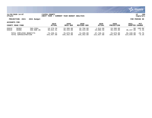

### **11/20/2020 14:07 |YATES COUNTY |P 109 nflynn |NEXT YEAR / CURRENT YEAR BUDGET ANALYSIS |bgnyrpts**

# **PROJECTION: 2021 2021 Budget FOR PERIOD 99**

### **ACCOUNTS FOR:**

| COUNTY ROAD FUND        |       |             | 2019          | 2020       | 2020        | 2020          | 2020              | 2021      | PCT           |
|-------------------------|-------|-------------|---------------|------------|-------------|---------------|-------------------|-----------|---------------|
|                         |       |             | <b>ACTUAL</b> | ORIG BUD   | REVISED BUD | <b>ACTUAL</b> | <b>PROJECTION</b> | ADOPTED   | CHANGE        |
| D5010                   | 58303 | INS-CSEA    | 19,379.28     | 19,380.00  | 16,796.00   | 1,614.90      | 19,380.00         | 38,237.00 | $.00 - 100.0$ |
| D5010                   | 58305 | INS-NON UN  | 36,042.31     | 39,444.00  | 39,444.00   | 23,008.58     | 39,444.00         |           | $-3.1%$       |
| TOTAL EMPLOYEE BENEFITS |       | 73, 238. 21 | 76,879.00     | 74,295.00  | 37,749.16   | 76,879.00     | 56,348.00         | $-26.7%$  |               |
| TOTAL ADMINISTRATION    |       | 343,457.08  | 335,262.00    | 335,262.00 | 222,837.88  | 335,262.00    | 314,849.00        | $-6.1%$   |               |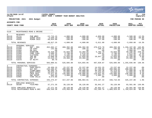|                                                                                               |                                                                                                    |                                                                                                                   |                                                                                                     |                                                                                                   |                                                                                                   |                                                                                     |                                                                                                             |                                                                                                                             | <b>munis</b><br>a tyler erp solution                             |
|-----------------------------------------------------------------------------------------------|----------------------------------------------------------------------------------------------------|-------------------------------------------------------------------------------------------------------------------|-----------------------------------------------------------------------------------------------------|---------------------------------------------------------------------------------------------------|---------------------------------------------------------------------------------------------------|-------------------------------------------------------------------------------------|-------------------------------------------------------------------------------------------------------------|-----------------------------------------------------------------------------------------------------------------------------|------------------------------------------------------------------|
| nflynn                                                                                        | 11/20/2020 14:07                                                                                   |                                                                                                                   | <b>IYATES COUNTY</b><br> NEXT YEAR / CURRENT YEAR BUDGET ANALYSIS                                   |                                                                                                   |                                                                                                   |                                                                                     |                                                                                                             |                                                                                                                             | l P<br>110<br>  bgnyrpts                                         |
|                                                                                               | PROJECTION: 2021                                                                                   | 2021 Budget                                                                                                       |                                                                                                     |                                                                                                   |                                                                                                   |                                                                                     |                                                                                                             |                                                                                                                             | FOR PERIOD 99                                                    |
| ACCOUNTS FOR:                                                                                 |                                                                                                    |                                                                                                                   | 2019                                                                                                | 2020                                                                                              | 2020                                                                                              | 2020                                                                                | 2020                                                                                                        | 2021                                                                                                                        | <b>PCT</b>                                                       |
|                                                                                               | COUNTY ROAD FUND                                                                                   |                                                                                                                   | <b>ACTUAL</b>                                                                                       | ORIG BUD                                                                                          | <b>REVISED BUD</b>                                                                                | <b>ACTUAL</b>                                                                       | <b>PROJECTION</b>                                                                                           | <b>ADOPTED CHANGE</b>                                                                                                       |                                                                  |
| 5110                                                                                          |                                                                                                    | MAINTENANCE-ROAD & BRIDGE                                                                                         |                                                                                                     |                                                                                                   |                                                                                                   |                                                                                     |                                                                                                             |                                                                                                                             |                                                                  |
|                                                                                               |                                                                                                    |                                                                                                                   |                                                                                                     |                                                                                                   |                                                                                                   |                                                                                     |                                                                                                             |                                                                                                                             |                                                                  |
| $\overline{0}$<br>D5110<br>D5110<br>D5110                                                     | <b>REVENUES</b><br>41711<br>42650<br>42655                                                         | PUB WRKS<br><b>SCRAP SALE</b><br>MINOR SALE                                                                       | $-12, 715.15$<br>-4,648.10<br>$-30,654.00$                                                          | $-4,000.00$<br>$-500.00$<br>$-100.00$                                                             | $-4,000.00$<br>$-500.00$<br>$-100.00$                                                             | $-4,850.00$<br>$-724.80$<br>$-37.00$                                                | $-4,000.00$<br>$-500.00$<br>$-100.00$                                                                       | $-3,500.00$<br>$-250.00$<br>$-100.00$                                                                                       | $-12.5%$<br>$-50.0%$<br>$.0\%$                                   |
|                                                                                               | TOTAL REVENUES                                                                                     |                                                                                                                   | $-48,017.25$                                                                                        | $-4,600.00$                                                                                       | $-4,600.00$                                                                                       | $-5,611.80$                                                                         | $-4,600.00$                                                                                                 | $-3,850.00$                                                                                                                 | $-16.3%$                                                         |
| $\mathbf{1}$<br>D5110<br>D5110<br>D5110<br>D5110<br>D5110<br>D5110<br>D5110<br>D5110<br>D5110 | PERSONAL SERVICES<br>51450<br>51500<br>51504<br>51505<br>51509<br>51510<br>51520<br>51636<br>51670 | HWY - REG<br>CB CSEA<br>ON CALL<br>OVERTIME<br>COMP CSEA<br>CLOTHING<br>INS BO<br>HWY PT<br>OT NU/PT              | 452,662.17<br>142.60<br>.00<br>16,410.20<br>2,699.35<br>3,575.00<br>13,608.36<br>14,619.15<br>89.78 | 468,392.00<br>165.00<br>.00<br>15,034.00<br>2,700.00<br>5,100.00<br>11,834.00<br>23,460.00<br>.00 | 468,392.00<br>188.42<br>.00<br>13,204.95<br>2,676.58<br>5,100.00<br>11,834.00<br>23,460.00<br>.00 | 470,673.78<br>188.42<br>.00<br>5,792.76<br>326.81<br>.00<br>10,847.10<br>.00<br>.00 | 468,392.00<br>165.00<br>$.00 \,$<br>15,034.00<br>2,700.00<br>5,100.00<br>11,834.00<br>23,460.00<br>$.00 \,$ | 1, 156, 197.00 146.8%<br>2,185.00 1224.2%<br>1,900.00<br>49,330.00<br>2,875.00<br>6,900.00<br>12,189.00<br>23,460.00<br>.00 | .0%<br>228.1%<br>6.5%<br>35.3%<br>3.0%<br>.0%<br>.0 <sub>8</sub> |
|                                                                                               | TOTAL PERSONAL SERVICES                                                                            |                                                                                                                   | 503,806.61                                                                                          | 526,685.00                                                                                        | 524,855.95                                                                                        | 487,828.87                                                                          | 526,685.00                                                                                                  | 1,255,036.00                                                                                                                | 138.3%                                                           |
| $4\overline{ }$<br>D5110<br>D5110<br>D5110<br>D5110<br>D5110<br>D5110<br>D5110                | 54032<br>54602<br>54629<br>54632<br>54636<br>54638<br>54992                                        | CONTRACTUAL EXPENSES<br>PERS-GOVTS<br>BIT MAT<br>STONE/GRAV<br>WEED SPRAY<br>CRCK SEAL<br>HWY MAINT<br>VINE VALLE | 16,450.15<br>243,300.67<br>96,366.76<br>10,919.22<br>73,971.65<br>693.34<br>3,573.88                | 22, 237.00<br>200,000.00<br>60,000.00<br>12,000.00<br>120,000.00<br>3,000.00<br>.00.              | 22, 237.00<br>179,726.01<br>60,000.00<br>12,000.00<br>120,000.00<br>3,000.00<br>.00.              | 14,531.25<br>87,198.06<br>40,164.38<br>11,316.93<br>118,021.65<br>1,905.17<br>.00   | 22, 237.00<br>200,000.00<br>91,479.03<br>12,000.00<br>120,000.00<br>3,000.00<br>$.00 \,$                    | 22, 237.00<br>200,000.00<br>57,000.00<br>13,000.00<br>130,000.00<br>3,000.00<br>.00                                         | .0%<br>. 0 %<br>$-5.0%$<br>8.3%<br>8.3%<br>.0%<br>. 0 %          |
|                                                                                               | TOTAL CONTRACTUAL EXPENSES                                                                         |                                                                                                                   | 445, 275.67                                                                                         | 417,237.00                                                                                        | 396,963.01                                                                                        | 273,137.44                                                                          | 448,716.03                                                                                                  | 425,237.00                                                                                                                  | 1.9%                                                             |
| 8<br>D5110                                                                                    | EMPLOYEE BENEFITS<br>58100                                                                         | FICA/MED                                                                                                          | 37, 271.35                                                                                          | 39,128.00                                                                                         | 39,128.00                                                                                         | 35,941.27                                                                           | 39,128.00                                                                                                   | 93,501.00                                                                                                                   | 139.0%                                                           |
|                                                                                               | TOTAL EMPLOYEE BENEFITS                                                                            | TOTAL MAINTENANCE-ROAD & BRI                                                                                      | 37, 271.35<br>938, 336. 38                                                                          | 39,128.00<br>978,450.00                                                                           | 39,128.00<br>956,346.96                                                                           | 35,941.27<br>791,295.78                                                             | 39,128.00<br>1,009,929.03                                                                                   | 93,501.00<br>1,769,924.00                                                                                                   | 139.0%<br>80.9%                                                  |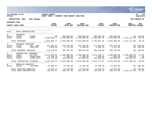|                                                                                        |                                                    |                                      |                                        |                                                |                                                                 |                                        |                                        |                                        | munis <sup>.</sup><br>a tyler erp solution |
|----------------------------------------------------------------------------------------|----------------------------------------------------|--------------------------------------|----------------------------------------|------------------------------------------------|-----------------------------------------------------------------|----------------------------------------|----------------------------------------|----------------------------------------|--------------------------------------------|
| 11/20/2020 14:07<br>YATES COUNTY<br>NEXT YEAR / CURRENT YEAR BUDGET ANALYSIS<br>nflynn |                                                    |                                      |                                        |                                                |                                                                 |                                        |                                        |                                        | 111<br>l P<br>  bgnyrpts                   |
|                                                                                        | PROJECTION: 2021                                   | 2021 Budget                          |                                        |                                                |                                                                 |                                        |                                        |                                        | FOR PERIOD 99                              |
| <b>ACCOUNTS FOR:</b>                                                                   |                                                    |                                      |                                        |                                                |                                                                 |                                        |                                        |                                        |                                            |
|                                                                                        | COUNTY ROAD FUND                                   |                                      | 2019<br><b>ACTUAL</b>                  | 2020<br>ORIG BUD                               | 2020<br><b>REVISED BUD</b>                                      | 2020<br><b>ACTUAL</b>                  | 2020<br><b>PROJECTION</b>              | 2021<br>ADOPTED CHANGE                 | <b>PCT</b>                                 |
| 5112                                                                                   | ROAD CONSTRUCTION                                  |                                      |                                        |                                                |                                                                 |                                        |                                        |                                        |                                            |
| $\Omega$<br>D5112<br>D5112                                                             | <b>REVENUES</b><br>43089<br>43510                  | OTHER<br>CHIPS                       | .00                                    | $-500.000.00$<br>$-1.604.858.77 -1.433.908.00$ | $-500.000.00$<br>$-1.433.908.00$                                | $-500.000.00$<br>$-1.283.887.02$       | $-500.000.00$                          | $-1,433,908.00 -1,147,127.00 -20.08$   | $.00 - 100.0$                              |
|                                                                                        | TOTAL REVENUES                                     |                                      |                                        |                                                | $-1,604,858.77$ $-1,933,908.00$ $-1,933,908.00$ $-1,783,887.02$ |                                        | $-1,933,908.00 -1,147,127.00 -40.78$   |                                        |                                            |
| 1<br>D5112<br>D5112                                                                    | PERSONAL SERVICES<br>51450<br>51505                | $HWY - REG$<br>OVERTIME              | 167,683.42<br>4,886.60                 | 192,434.00<br>3,761.00                         | 192,434.00<br>5,590.05                                          | 177,829.63<br>5,590.05                 | 192,434.00<br>3,761.00                 |                                        | $.00 - 100.0$<br>$.00 - 100.0$             |
|                                                                                        | TOTAL PERSONAL SERVICES                            |                                      | 172,570.02                             | 196,195.00                                     | 198,024.05                                                      | 183,419.68                             | 196,195.00                             |                                        | $.00 - 100.0%$                             |
| $4\overline{ }$<br>D5112<br>D5112<br>D5112                                             | CONTRACTUAL EXPENSES<br>54602<br>54634<br>54962    | BIT MAT<br>HYDRO-SEED<br>LEASE: OUTS | 2,013,959.95<br>8,100.20<br>133,723.20 | 2,380,000.00<br>7,500.00<br>145,000.00         | 2,380,000.00<br>7,500.00<br>145,000.00                          | 1,871,448.77<br>7,488.50<br>132,809.80 | 2,380,000.00<br>7,500.00<br>145,000.00 | 2,100,000.00<br>7,500.00<br>150,000.00 | $-11.8%$<br>$.0\%$<br>3.4%                 |
|                                                                                        | TOTAL CONTRACTUAL EXPENSES                         |                                      | 2, 155, 783.35                         | 2,532,500.00                                   | 2,532,500.00                                                    | 2,011,747.07                           | 2,532,500.00                           | 2,257,500.00                           | $-10.9%$                                   |
| 8<br>D5112                                                                             | EMPLOYEE BENEFITS<br>58100                         | FICA/MED                             | 12,686.47                              | 14,530.00                                      | 14,530.00                                                       | 13,559.40                              | 14,530.00                              |                                        | $.00 - 100.0$                              |
|                                                                                        | TOTAL EMPLOYEE BENEFITS<br>TOTAL ROAD CONSTRUCTION |                                      | 12,686.47<br>736,181.07                | 14,530.00<br>809, 317, 00                      | 14,530.00<br>811, 146.05                                        | 13,559.40<br>424,839.13                | 14,530.00<br>809, 317.00               | 1,110,373.00                           | $.00 - 100.0$<br>37.2%                     |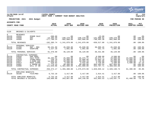|                                                                  |                                                             |                                                                                                                     |                                                                               |                                                                                     |                                                                                       |                                                                                         |                                                                                           |                                                       | munis <sup>®</sup><br>a tyler erp solution                                         |
|------------------------------------------------------------------|-------------------------------------------------------------|---------------------------------------------------------------------------------------------------------------------|-------------------------------------------------------------------------------|-------------------------------------------------------------------------------------|---------------------------------------------------------------------------------------|-----------------------------------------------------------------------------------------|-------------------------------------------------------------------------------------------|-------------------------------------------------------|------------------------------------------------------------------------------------|
| nflynn                                                           | 11/20/2020 14:07                                            |                                                                                                                     | YATES COUNTY<br>NEXT YEAR / CURRENT YEAR BUDGET ANALYSIS                      |                                                                                     |                                                                                       |                                                                                         |                                                                                           |                                                       | l P<br>112<br>  bgnyrpts                                                           |
|                                                                  | PROJECTION: 2021                                            | 2021 Budget                                                                                                         |                                                                               |                                                                                     |                                                                                       |                                                                                         |                                                                                           |                                                       | FOR PERIOD 99                                                                      |
| <b>ACCOUNTS FOR:</b>                                             |                                                             |                                                                                                                     |                                                                               |                                                                                     |                                                                                       |                                                                                         |                                                                                           |                                                       |                                                                                    |
|                                                                  | COUNTY ROAD FUND                                            |                                                                                                                     | 2019<br><b>ACTUAL</b>                                                         | 2020<br>ORIG BUD                                                                    | 2020<br><b>REVISED BUD</b>                                                            | 2020<br><b>ACTUAL</b>                                                                   | 2020<br><b>PROJECTION</b>                                                                 | 2021<br><b>ADOPTED CHANGE</b>                         | <b>PCT</b>                                                                         |
| 5120                                                             | BRIDGES & CULVERTS                                          |                                                                                                                     |                                                                               |                                                                                     |                                                                                       |                                                                                         |                                                                                           |                                                       |                                                                                    |
| $\mathbf{0}$<br>D5120<br>D5120<br>D5120                          | <b>REVENUES</b><br>42655<br>43589<br>44589                  | MINOR SALE<br><b>DOT</b><br><b>DOT</b>                                                                              | $-300.00$<br>$-14, 395.50$<br>$-177.700.24$                                   | .00<br>$-248, 279.00$<br>$-992,800.00$                                              | .00<br>$-248, 279.00$<br>$-992.800.00$                                                | $-23.00$<br>$-141,088.62$<br>$-798.405.38$                                              | .00<br>$-248, 279.00$<br>$-992,800.00$                                                    | .00                                                   | $.0\%$<br>$.00 - 100.0%$<br>$.00 - 100.0$                                          |
|                                                                  | TOTAL REVENUES                                              |                                                                                                                     |                                                                               | $-192, 395.74$ $-1, 241, 079.00$ $-1, 241, 079.00$                                  |                                                                                       | $-939,517.00$                                                                           | $-1, 241, 079.00$                                                                         |                                                       | $.00 - 100.0$                                                                      |
| $\mathbf{1}$<br>D5120<br>D5120                                   | PERSONAL SERVICES<br>51450<br>51505                         | $HWY - REG$<br>OVERTIME                                                                                             | 90,151.89<br>1,227.10                                                         | 45,038.00<br>1,091.00                                                               | 45,038.00<br>1,091.00                                                                 | 38,989.26<br>441.74                                                                     | 45,038.00<br>1,091.00                                                                     |                                                       | $.00 - 100.0$<br>$.00 - 100.0%$                                                    |
|                                                                  | TOTAL PERSONAL SERVICES                                     |                                                                                                                     | 91,378.99                                                                     | 46,129.00                                                                           | 46,129.00                                                                             | 39,431.00                                                                               | 46,129.00                                                                                 |                                                       | $.00 - 100.0%$                                                                     |
| 4<br>D5120<br>D5120<br>D5120<br>D5120<br>D5120<br>D5120<br>D5120 | 54020<br>54606<br>54629<br>54637<br>54913<br>54991<br>54998 | CONTRACTUAL EXPENSES<br>ENG SERV<br>CULV PIPE<br>STONE/GRAV<br>X-OVER ASP<br>MISC ITEMS<br>E SHERM HO<br>WILL ST BR | .00<br>36, 295.51<br>230.10<br>14,503.32<br>520.02<br>77.776.14<br>121,049.08 | .00<br>25,000.00<br>25,000.00<br>10,500.00<br>3,500.00<br>90,400.00<br>1,301,000.00 | .00<br>45, 375. 71<br>25,000.00<br>10,356.19<br>3,542.09<br>90,400.00<br>1,301,000.00 | 8,500.00<br>45,375.71<br>19,864.18<br>2,285.89<br>3,728.09<br>804, 483.54<br>944,797.71 | 8,500.00<br>25,000.00<br>25,000.00<br>10,500.00<br>3,500.00<br>887,064.86<br>1,360,565.88 | .00<br>23,000.00<br>23,000.00<br>9,900.00<br>5,500.00 | .0%<br>$-8.0$ .<br>$-8.0%$<br>$-5.7%$<br>57.1%<br>$.00 - 100.0%$<br>$.00 - 100.0%$ |
|                                                                  |                                                             | TOTAL CONTRACTUAL EXPENSES                                                                                          | 250, 374. 17                                                                  | 1,455,400.00                                                                        | 1,475,673.99                                                                          | 1,829,035.12                                                                            | 2,320,130.74                                                                              | $61,400.00 -95.8$                                     |                                                                                    |
| 8<br>D5120                                                       | EMPLOYEE BENEFITS<br>58100                                  | FICA/MED                                                                                                            | 6,732.18                                                                      | 3,417.00                                                                            | 3,417.00                                                                              | 2,914.41                                                                                | 3,417.00                                                                                  |                                                       | $.00 - 100.0%$                                                                     |
|                                                                  | TOTAL EMPLOYEE BENEFITS<br>TOTAL BRIDGES & CULVERTS         |                                                                                                                     | 6,732.18<br>156,089.60                                                        | 3,417.00<br>263,867.00                                                              | 3,417.00<br>284,140.99                                                                | 2,914.41<br>931,863.53                                                                  | 3,417.00<br>1,128,597.74                                                                  | $61,400.00 -76.7$                                     | $.00 - 100.0$                                                                      |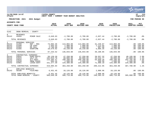|                                                  |                                                       |                                                                                        |                                                                 |                                                                |                                                                |                                                              |                                                                |                                                                | <b>munis</b><br>a tyler erp solution                              |
|--------------------------------------------------|-------------------------------------------------------|----------------------------------------------------------------------------------------|-----------------------------------------------------------------|----------------------------------------------------------------|----------------------------------------------------------------|--------------------------------------------------------------|----------------------------------------------------------------|----------------------------------------------------------------|-------------------------------------------------------------------|
| nflynn                                           | 11/20/2020 14:07                                      |                                                                                        | <b>YATES COUNTY</b><br>NEXT YEAR / CURRENT YEAR BUDGET ANALYSIS |                                                                |                                                                |                                                              |                                                                |                                                                | l P<br>113<br>  bgnyrpts                                          |
|                                                  | PROJECTION: 2021                                      | 2021 Budget                                                                            |                                                                 |                                                                |                                                                |                                                              |                                                                |                                                                | FOR PERIOD 99                                                     |
| <b>ACCOUNTS FOR:</b>                             |                                                       |                                                                                        |                                                                 |                                                                |                                                                |                                                              |                                                                |                                                                |                                                                   |
|                                                  | COUNTY ROAD FUND                                      |                                                                                        | 2019<br><b>ACTUAL</b>                                           | 2020<br>ORIG BUD                                               | 2020<br><b>REVISED BUD</b>                                     | 2020<br><b>ACTUAL</b>                                        | 2020<br><b>PROJECTION</b>                                      | 2021<br>ADOPTED CHANGE                                         | PCT                                                               |
| 5142                                             |                                                       | SNOW REMOVAL - COUNTY                                                                  |                                                                 |                                                                |                                                                |                                                              |                                                                |                                                                |                                                                   |
| $\mathbf 0$<br>D5142                             | <b>REVENUES</b><br>42655                              | MINOR SALE                                                                             | $-3,649.63$                                                     | $-2,700.00$                                                    | $-2,700.00$                                                    | $-2,837.44$                                                  | $-2,700.00$                                                    | $-2,700.00$                                                    | .0%                                                               |
|                                                  | TOTAL REVENUES                                        |                                                                                        | $-3,649.63$                                                     | $-2,700.00$                                                    | $-2,700.00$                                                    | $-2,837.44$                                                  | $-2,700.00$                                                    | $-2,700.00$                                                    | .0%                                                               |
| $\mathbf{1}$<br>D5142<br>D5142<br>D5142<br>D5142 | PERSONAL SERVICES<br>51450<br>51500<br>51504<br>51505 | $HWY - REG$<br>CB CSEA<br>ON CALL<br>OVERTIME                                          | 73,092.36<br>1,693.54<br>1,768.60<br>10,679.02                  | 113,004.00<br>1,900.00<br>1,900.00<br>19,239.00                | 113,004.00<br>1,900.00<br>1,900.00<br>19,239.00                | 31,220.87<br>1,113.65<br>907.98<br>5,866.35                  | 113,004.00<br>1,900.00<br>1,900.00<br>19,239.00                |                                                                | $.00 - 100.0$<br>$.00 - 100.0$<br>$.00 - 100.0%$<br>$.00 - 100.0$ |
|                                                  | TOTAL PERSONAL SERVICES                               |                                                                                        | 87, 233.52                                                      | 136,043.00                                                     | 136,043.00                                                     | 39,108.85                                                    | 136,043.00                                                     |                                                                | $.00 - 100.0$                                                     |
| 4<br>D5142<br>D5142<br>D5142<br>D5142<br>D5142   | 54032<br>54624<br>54625<br>54639<br>54961             | CONTRACTUAL EXPENSES<br>PERS-GOVTS<br>SALT-CO<br>SLT-GOVT<br>SNOW FENCE<br>LEASE: GOVT | 50,139.20<br>102,010.78<br>115,384.47<br>693.20<br>151, 377.39  | 47,250.00<br>80,000.00<br>100,200.00<br>1,500.00<br>134,300.00 | 47,250.00<br>80,000.00<br>100,200.00<br>1,500.00<br>134,300.00 | 28,557.32<br>43, 316. 77<br>64,840.26<br>508.50<br>71,990.10 | 47,250.00<br>80,000.00<br>100,200.00<br>1,500.00<br>134,300.00 | 48,195.00<br>81,000.00<br>102,705.00<br>1,500.00<br>134,300.00 | 2.0%<br>1.3%<br>2.5%<br>$.0\%$<br>.0%                             |
|                                                  |                                                       | TOTAL CONTRACTUAL EXPENSES                                                             | 419,605.04                                                      | 363,250.00                                                     | 363,250.00                                                     | 209, 212.95                                                  | 363,250.00                                                     | 367,700.00                                                     | 1.2%                                                              |
| 8<br>D5142                                       | EMPLOYEE BENEFITS<br>58100                            | FICA/MED                                                                               | 6,451.45                                                        | 10,126.00                                                      | 10,126.00                                                      | 2,908.96                                                     | 10,126.00                                                      |                                                                | $.00 - 100.0%$                                                    |
|                                                  | TOTAL EMPLOYEE BENEFITS                               | TOTAL SNOW REMOVAL - COUNTY                                                            | 6,451.45<br>509,640.38                                          | 10,126.00<br>506,719.00                                        | 10,126.00<br>506,719.00                                        | 2,908.96<br>248,393.32                                       | 10,126.00<br>506,719.00                                        | $365,000.00 - 28.0$                                            | $.00 - 100.0$                                                     |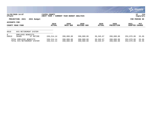|                                   |                                                        |                                             |                          |                            |                        |                           |                          | <b>munis</b><br>a tyler erp solution |
|-----------------------------------|--------------------------------------------------------|---------------------------------------------|--------------------------|----------------------------|------------------------|---------------------------|--------------------------|--------------------------------------|
| nflynn                            | 11/20/2020 14:07                                       | YATES COUNTY<br><b>NEXT YEAR</b><br>CURRENT | YEAR BUDGET ANALYSIS     |                            |                        |                           |                          | 114<br>ΙP<br>  bgnyrpts              |
|                                   | 2021 Budget<br>PROJECTION: 2021                        |                                             |                          |                            |                        |                           |                          | FOR PERIOD 99                        |
| ACCOUNTS FOR:<br>COUNTY ROAD FUND |                                                        | 2019<br><b>ACTUAL</b>                       | 2020<br>ORIG BUD         | 2020<br><b>REVISED BUD</b> | 2020<br><b>ACTUAL</b>  | 2020<br><b>PROJECTION</b> | 2021<br>ADOPTED CHANGE   | <b>PCT</b>                           |
| 9010                              | NYS RETIREMENT SYSTEM                                  |                                             |                          |                            |                        |                           |                          |                                      |
| 8<br>D9010                        | EMPLOYEE<br>BENEFITS<br>58400<br>ST RETIRE             | 159,214.14                                  | 200,000.00               | 200,000.00                 | 39,345.67              | 200,000.00                | 252,879.00               | 26.4%                                |
|                                   | TOTAL EMPLOYEE BENEFITS<br>TOTAL NYS RETIREMENT SYSTEM | 159, 214.14<br>159,214.14                   | 200,000.00<br>200,000.00 | 200,000.00<br>200,000.00   | 39,345.67<br>39,345.67 | 200,000.00<br>200,000.00  | 252,879.00<br>252,879.00 | 26.4%<br>26.4%                       |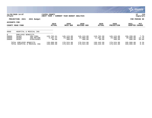|                              |                                                                                      |                                       |                                   |                                   |                                  |                                   |                                   | <b>munis</b><br>a tyler erp solution |
|------------------------------|--------------------------------------------------------------------------------------|---------------------------------------|-----------------------------------|-----------------------------------|----------------------------------|-----------------------------------|-----------------------------------|--------------------------------------|
| nflynn                       | 11/20/2020 14:07                                                                     | YATES COUNTY<br>YEAR /<br><b>NEXT</b> | CURRENT YEAR BUDGET ANALYSIS      |                                   |                                  |                                   |                                   | 115<br>∣P<br>  bgnyrpts              |
|                              | PROJECTION: 2021<br>2021 Budget                                                      |                                       |                                   |                                   |                                  |                                   |                                   | FOR PERIOD 99                        |
| ACCOUNTS FOR:                | COUNTY ROAD FUND                                                                     | 2019<br><b>ACTUAL</b>                 | 2020<br>ORIG BUD                  | 2020<br><b>REVISED BUD</b>        | 2020<br><b>ACTUAL</b>            | 2020<br><b>PROJECTION</b>         | 2021<br><b>ADOPTED</b>            | PCT<br><b>CHANGE</b>                 |
| 9060                         | HOSPITAL & MEDICAL INS                                                               |                                       |                                   |                                   |                                  |                                   |                                   |                                      |
| 8<br>D9060<br>D9060<br>D9060 | EMPLOYEE BENEFITS<br>58303<br>INS-CSEA<br>58306<br>INS-RETIRE<br>58307<br>EYEGLASSES | 133,702.61<br>5,307.47<br>80.00       | 145,124.00<br>34,000.00<br>400.00 | 145,124.00<br>34,000.00<br>400.00 | 118,762.99<br>11,601.00<br>80.00 | 145,124.00<br>34,000.00<br>400.00 | 156,299.00<br>39,000.00<br>600.00 | 7.7%<br>14.7%<br>50.0%               |
|                              | TOTAL EMPLOYEE BENEFITS<br>TOTAL HOSPITAL & MEDICAL INS                              | 139,090.08<br>139,090.08              | 179,524.00<br>179,524.00          | 179,524.00<br>179,524.00          | 130,443.99<br>130,443.99         | 179,524.00<br>179,524.00          | 195,899.00<br>195,899.00          | 9.1%<br>9.1%                         |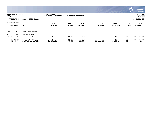|                                   |                                                         |                              |                              |                        |                        |                           |                        | $\sim$ munis $\sim$<br>a tyler erp solution |
|-----------------------------------|---------------------------------------------------------|------------------------------|------------------------------|------------------------|------------------------|---------------------------|------------------------|---------------------------------------------|
| nflynn                            | 11/20/2020 14:07                                        | YATES COUNTY<br> NEXT YEAR / | CURRENT YEAR BUDGET ANALYSIS |                        |                        |                           |                        | 116<br>P<br>  bgnyrpts                      |
|                                   | PROJECTION: 2021<br>2021 Budget                         |                              |                              |                        |                        |                           |                        | FOR PERIOD 99                               |
| ACCOUNTS FOR:<br>COUNTY ROAD FUND |                                                         | 2019<br><b>ACTUAL</b>        | 2020<br>ORIG BUD             | 2020<br>REVISED BUD    | 2020<br><b>ACTUAL</b>  | 2020<br><b>PROJECTION</b> | 2021<br><b>ADOPTED</b> | PCT<br><b>CHANGE</b>                        |
| 9089                              | OTHER EMPLOYEE BENEFITS                                 |                              |                              |                        |                        |                           |                        |                                             |
| 8<br>D9089                        | EMPLOYEE BENEFITS<br>58600<br><b>HRA</b>                | 21,646.13                    | 33,393.00                    | 33,393.00              | 30,808.33              | 52, 148.57                | 32,500.00              | $-2.7%$                                     |
|                                   | TOTAL EMPLOYEE BENEFITS<br>TOTAL OTHER EMPLOYEE BENEFIT | 21,646.13<br>21,646.13       | 33,393.00<br>33,393.00       | 33,393.00<br>33,393.00 | 30,808.33<br>30,808.33 | 52, 148.57<br>52, 148.57  | 32,500.00<br>32,500.00 | $-2.7%$<br>$-2.7%$                          |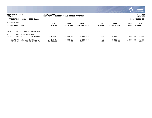|                                   |                                                         |                             |                              |                      |                |                           |                        | $\mathbb{C}$ munis<br>a tyler erp solution |
|-----------------------------------|---------------------------------------------------------|-----------------------------|------------------------------|----------------------|----------------|---------------------------|------------------------|--------------------------------------------|
| nflynn                            | 11/20/2020 14:07                                        | YATES COUNTY<br>NEXT YEAR / | CURRENT YEAR BUDGET ANALYSIS |                      |                |                           |                        | 117<br>P<br>  bgnyrpts                     |
|                                   | PROJECTION: 2021<br>2021 Budget                         |                             |                              |                      |                |                           |                        | FOR PERIOD 99                              |
| ACCOUNTS FOR:<br>COUNTY ROAD FUND |                                                         | 2019<br><b>ACTUAL</b>       | 2020<br>ORIG BUD             | 2020<br>REVISED BUD  | 2020<br>ACTUAL | 2020<br><b>PROJECTION</b> | 2021<br><b>ADOPTED</b> | PCT<br><b>CHANGE</b>                       |
| 9090                              | ADJUST DUE TO EMPLS VAC                                 |                             |                              |                      |                |                           |                        |                                            |
| 8<br>D9090                        | EMPLOYEE BENEFITS<br>58000<br>D/T VC/CMP                | 21,462.25                   | 6,000.00                     | 6,000.00             | .00            | 6,000.00                  | 7,000.00               | 16.7%                                      |
|                                   | TOTAL EMPLOYEE BENEFITS<br>TOTAL ADJUST DUE TO EMPLS VA | 21,462.25<br>21,462.25      | 6,000.00<br>6,000.00         | 6,000.00<br>6,000.00 | .00<br>.00     | 6,000.00<br>6,000.00      | 7,000.00<br>7,000.00   | 16.7%<br>16.7%                             |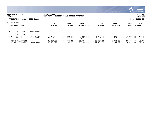|                     |                                                 |                         |                             |                              |                        |                        |                           |                        | , munis <sup>.</sup><br>a tyler erp solution |
|---------------------|-------------------------------------------------|-------------------------|-----------------------------|------------------------------|------------------------|------------------------|---------------------------|------------------------|----------------------------------------------|
| nflynn              | 11/20/2020 14:07                                |                         | YATES COUNTY<br>NEXT YEAR / | CURRENT YEAR BUDGET ANALYSIS |                        |                        |                           |                        | 118<br> P<br>bgnyrpts                        |
|                     | PROJECTION: 2021                                | 2021 Budget             |                             |                              |                        |                        |                           |                        | FOR PERIOD 99                                |
| ACCOUNTS FOR:       | COUNTY ROAD FUND                                |                         | 2019<br><b>ACTUAL</b>       | 2020<br>ORIG BUD             | 2020<br>REVISED BUD    | 2020<br><b>ACTUAL</b>  | 2020<br><b>PROJECTION</b> | 2021<br><b>ADOPTED</b> | PCT<br><b>CHANGE</b>                         |
| 9902                |                                                 | TRANSFER TO OTHER FUNDS |                             |                              |                        |                        |                           |                        |                                              |
| 9<br>D9902<br>D9902 | TRANSFERS<br>59130<br>59140                     | UNEMPL INS<br>WORK COMP | 1,400.00<br>30,554.00       | 1,400.00<br>31,354.00        | 1,400.00<br>31,354.00  | 1,400.00<br>31,354.00  | 1,400.00<br>31,354.00     | 2,000.00<br>34,477.00  | 42.9%<br>10.0%                               |
|                     | TOTAL TRANSFERS<br>TOTAL TRANSFER TO OTHER FUND |                         | 31,954.00<br>31,954.00      | 32,754.00<br>32,754.00       | 32,754.00<br>32,754.00 | 32,754.00<br>32,754.00 | 32,754.00<br>32,754.00    | 36,477.00<br>36,477.00 | 11.4%<br>11.4%                               |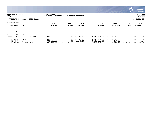|                                                                                           |                   |                                                     |                                     |                             |                                                                 |                                                |                                                |                          | <b>munis</b><br>a tyler erp solution |
|-------------------------------------------------------------------------------------------|-------------------|-----------------------------------------------------|-------------------------------------|-----------------------------|-----------------------------------------------------------------|------------------------------------------------|------------------------------------------------|--------------------------|--------------------------------------|
| 11/20/2020 14:07<br>YATES COUNTY<br>nflynn<br>NEXT YEAR /<br>CURRENT YEAR BUDGET ANALYSIS |                   |                                                     |                                     |                             |                                                                 |                                                | 119<br>P<br>  bgnyrpts                         |                          |                                      |
| PROJECTION: 2021<br>2021 Budget                                                           |                   |                                                     |                                     |                             | FOR PERIOD 99                                                   |                                                |                                                |                          |                                      |
| ACCOUNTS FOR:<br>COUNTY ROAD FUND                                                         |                   | 2019<br><b>ACTUAL</b>                               | 2020<br>ORIG BUD                    | 2020<br>REVISED BUD         | 2020<br><b>ACTUAL</b>                                           | 2020<br><b>PROJECTION</b>                      | 2021<br>PCT<br><b>CHANGE</b><br><b>ADOPTED</b> |                          |                                      |
| 9999                                                                                      | OTHER             |                                                     |                                     |                             |                                                                 |                                                |                                                |                          |                                      |
| $\overline{0}$<br>D9999                                                                   | REVENUES<br>41001 | RP TAX                                              | $-3,903,598.00$                     |                             | $.00 - 3,546,257.00$                                            | $-3,546,257.00$                                | $-3.546.257.00$                                | .00                      | .0%                                  |
| TOTAL REVENUES<br>TOTAL OTHER<br>TOTAL COUNTY ROAD FUND                                   |                   | $-3,903,598.00$<br>$-3,903,598.00$<br>$-697.271.99$ | $.00 \,$<br>$.00\,$<br>3,546,257.00 | $-3,546,257.00$<br>$.00 \,$ | $-3,546,257.00$<br>$-3,546,257.00 -3,546,257.00$<br>-575,818.10 | $-3,546,257.00$<br>-3,546,257.00<br>920,453.84 | .00<br>.00<br>4,241,051.00                     | $.0\%$<br>. 0 %<br>19.6% |                                      |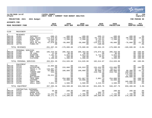|                                                                                      |                                                                          |                                                                               |                                                                                              |                                                                              |                                                                                    |                                                                                        |                                                                                            |                                                                        | munis<br>a tyler erp solution                                                       |  |  |
|--------------------------------------------------------------------------------------|--------------------------------------------------------------------------|-------------------------------------------------------------------------------|----------------------------------------------------------------------------------------------|------------------------------------------------------------------------------|------------------------------------------------------------------------------------|----------------------------------------------------------------------------------------|--------------------------------------------------------------------------------------------|------------------------------------------------------------------------|-------------------------------------------------------------------------------------|--|--|
| nflynn                                                                               | 11/20/2020 14:07                                                         |                                                                               | <b>YATES COUNTY</b><br>NEXT YEAR / CURRENT YEAR BUDGET ANALYSIS                              |                                                                              |                                                                                    |                                                                                        |                                                                                            |                                                                        | Þ<br>120<br>bgnyrpts                                                                |  |  |
|                                                                                      | PROJECTION: 2021                                                         | 2021 Budget                                                                   |                                                                                              |                                                                              |                                                                                    |                                                                                        |                                                                                            |                                                                        | FOR PERIOD 99                                                                       |  |  |
| ACCOUNTS FOR:                                                                        |                                                                          |                                                                               |                                                                                              |                                                                              |                                                                                    |                                                                                        |                                                                                            |                                                                        |                                                                                     |  |  |
| ROAD MACHINERY FUND                                                                  |                                                                          |                                                                               | 2019<br><b>ACTUAL</b>                                                                        | 2020<br>ORIG BUD                                                             | 2020<br><b>REVISED BUD</b>                                                         | 2020<br><b>ACTUAL</b>                                                                  | 2020<br><b>PROJECTION</b>                                                                  | 2021<br><b>ADOPTED CHANGE</b>                                          | PCT                                                                                 |  |  |
| 5130                                                                                 | MACHINERY                                                                |                                                                               |                                                                                              |                                                                              |                                                                                    |                                                                                        |                                                                                            |                                                                        |                                                                                     |  |  |
| $\mathbf 0$<br>DM5130<br>DM5130<br>DM5130<br>DM5130<br>DM5130<br>DM5130              | REVENUES<br>42401<br>42655<br>42656<br>42657<br>42665<br>42770           | INTEREST<br>FUEL SALES<br>MINOR SALE<br>FUEL SYS<br>SALE OF EQ<br>FINES-PR    | $-688.15$<br>$-172,979.83$<br>$-14,838.18$<br>$-6,022.57$<br>$-67,078.60$<br>$\overline{00}$ | $-400.00$<br>$-79,000.00$<br>$-1,200.00$<br>$\sim$ 00<br>$-99,000.00$<br>.00 | $-400.00$<br>$-79,000.00$<br>$-1,200.00$<br>$\overline{00}$<br>$-99,000.00$<br>.00 | $-696.13$<br>$-55,719.64$<br>$-9,755.61$<br>$-2,021.62$<br>$-124, 371.25$<br>$-100.00$ | $-400.00$<br>$-79,000.00$<br>$-1,200.00$<br>.00<br>$-99,000.00$<br>.00                     | $-400.00$<br>$-90,000.00$<br>$-1,200.00$<br>.00<br>$-78,000.00$<br>.00 | .0%<br>13.9%<br>$.0\%$<br>.0%<br>$-21.2%$<br>.0%                                    |  |  |
|                                                                                      | TOTAL REVENUES                                                           |                                                                               | $-261,607.33$                                                                                | $-179,600.00$                                                                | $-179,600.00$                                                                      | $-192,664.25$                                                                          | $-179,600.00$                                                                              | $-169,600.00$                                                          | $-5.6%$                                                                             |  |  |
| $\mathbf{1}$<br>DM5130<br>DM5130<br>DM5130<br>DM5130<br>DM5130                       | PERSONAL SERVICES<br>51450<br>51500<br>51505<br>51509<br>51510           | $HWY - REG$<br>CB CSEA<br>OVERTIME<br>COMP CSEA<br>CLOTHING                   | 195,534.04<br>12.06<br>7,181.81<br>23.44<br>1,100.00                                         | 206, 263.00<br>90.00<br>6,923.00<br>150.00<br>1,200.00                       | 206, 263.00<br>90.00<br>6,923.00<br>150.00<br>1,200.00                             | 176,874.02<br>$.00 \,$<br>5,724.84<br>16.01<br>.00                                     | 206, 263.00<br>90.00<br>6,923.00<br>150.00<br>1,200.00                                     |                                                                        | $.00 - 100.0$<br>$.00 - 100.0%$<br>$.00 - 100.0$<br>$.00 - 100.0%$<br>$.00 - 100.0$ |  |  |
|                                                                                      | TOTAL PERSONAL SERVICES                                                  |                                                                               | 203,851.35                                                                                   | 214,626.00                                                                   | 214,626.00                                                                         | 182,614.87                                                                             | 214,626.00                                                                                 |                                                                        | $.00 - 100.0$                                                                       |  |  |
| $\overline{2}$<br>DM5130<br>DM5130<br>DM5130<br>DM5130<br>DM5130<br>DM5130<br>DM5130 | EOUIPMENT<br>52218<br>52310<br>52313<br>52314<br>52319<br>52320<br>52321 | TRAILER<br>EXCAVATOR<br>TRUCK-1 TN<br>TRUCK<br>TANDEM DMP<br>LOADER<br>SANDER | 22,994.00<br>$\sim 00$<br>143,997.24<br>62,886.62<br>254.68<br>.00<br>29,521.40              | .00<br>233,000.00<br>.00<br>100,000.00<br>.00<br>.00<br>.00                  | .00<br>235,933.00<br>.00<br>100,000.00<br>.00<br>.00<br>.00                        | $.00 \,$<br>235,933.00<br>94, 177.33<br>99,968.70<br>219,730.46<br>$\sim$ 00<br>.00    | $.00 \,$<br>233,000.00<br>94,177.33<br>100,000.00<br>219,730.46<br>$.00 \,$<br>$.00 \ \rm$ | .00<br>.00<br>68,300.00<br>189,000.00<br>175,000.00<br>17,600.00       | . 0%<br>$.00 - 100.0$<br>$.0\%$<br>$-31.7%$<br>.0%<br>.0%<br>.0%                    |  |  |
| DM5130<br>DM5130<br>DM5130<br>DM5130<br>DM5130                                       | 52324<br>52330<br>52332<br>52336<br>52516                                | <b>BULLDOZER</b><br>TRCK-SNGL<br>CHIPPER<br>TRACT MOW<br>SMALL EOUI           | $\sim$ 00<br>.00<br>.00<br>.00<br>7,651.42                                                   | .00<br>254,000.00<br>43,000.00<br>.00<br>4,500.00                            | .00<br>251,067.00<br>43,000.00<br>.00<br>4,500.00                                  | .00<br>2,801.74<br>.00<br>.00<br>2,215.53                                              | $.00 \,$<br>254,000.00<br>43,000.00<br>.00<br>4,500.00                                     | 100,000.00<br>105,000.00<br>4,500.00                                   | .0%<br>$.00 - 100.0$ %<br>$.00 - 100.0%$<br>.0 <sub>8</sub><br>.0 <sub>8</sub>      |  |  |
|                                                                                      | TOTAL EQUIPMENT                                                          |                                                                               | 267,305.36                                                                                   | 634,500.00                                                                   | 634,500.00                                                                         | 654,826.76                                                                             | 948,407.79                                                                                 | 659,400.00                                                             | 3.9%                                                                                |  |  |
| $\overline{4}$<br>DM5130<br>DM5130<br>DM5130<br>DM5130                               | CONTRACTUAL EXPENSES<br>54156<br>54320<br>54404<br>54411                 | TRAINING<br>EMERG EXP<br>BLDG MAINT<br>PARTS/REP                              | 50.00<br>.00<br>11,232.37<br>89,171.41                                                       | 200.00<br>$\ddotsc$ 00<br>7,725.00<br>176,200.00                             | 200.00<br>.00<br>7,705.00<br>176, 200.00                                           | .00<br>505.75<br>4,074.23<br>100,089.94                                                | 200.00<br>$\ddot{\phantom{0}}$ .00<br>7,725.00<br>176,200.00                               | 200.00<br>.00<br>7,700.00<br>176,200.00                                | .0%<br>.0%<br>$- . 3$ %<br>.0 <sub>8</sub>                                          |  |  |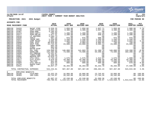

#### **11/20/2020 14:07 |YATES COUNTY |P 121 nflynn |NEXT YEAR / CURRENT YEAR BUDGET ANALYSIS |bgnyrpts**

## **PROJECTION: 2021 2021 Budget FOR PERIOD 99**

**ACCOUNTS FOR:**

|                 | ROAD MACHINERY FUND     |                            | 2019<br><b>ACTUAL</b> | 2020<br>ORIG BUD | 2020<br><b>REVISED BUD</b> | 2020<br><b>ACTUAL</b> | 2020<br><b>PROJECTION</b> | 2021<br>ADOPTED CHANGE | <b>PCT</b>      |
|-----------------|-------------------------|----------------------------|-----------------------|------------------|----------------------------|-----------------------|---------------------------|------------------------|-----------------|
| DM5130          | 54433                   | MAINT STRP                 | 6,526.25              | 1,850.00         | 1,850.00                   | 1,837.71              | 1,850.00                  | 1,900.00               | 2.7%            |
| DM5130          | 54456                   | SUPP : CLEAN               | 3,353.16              | 4,300.00         | 4,300.00                   | 1,937.24              | 4,300.00                  | 4,300.00               | $.0\%$          |
| DM5130          | 54467                   | SUPP: MOW                  | 4,105.63              | .00              | .00                        | .00                   | $.00 \,$                  | .00                    | $.0\%$          |
| DM5130          | 54474                   | SUPP: SAFTY                | 783.95                | 1,200.00         | 1,200.00                   | 432.28                | 1,200.00                  | 1,200.00               | .0 <sub>8</sub> |
| DM5130          | 54477                   | SUPP: WELDG                | 1,077.31              | 2,200.00         | 2,200.00                   | 648.63                | 2,200.00                  | 2,200.00               | .0 <sub>8</sub> |
| DM5130          | 54510                   | LP HEATERS                 | 1,285.73              | .00              | .00                        | .00                   | $.00 \,$                  | .00                    | .0 <sub>8</sub> |
| DM5130          | 54520                   | TOOLS                      | 607.16                | 875.00           | 875.00                     | 600.40                | 875.00                    | 875.00                 | $.0\%$          |
| DM5130          | 54521                   | TRASH REM                  | 1,320.00              | 1,440.00         | 1,440.00                   | 1,200.00              | 1,440.00                  | 1,440.00               | .0%             |
| DM5130          | 54574                   | COMP MAINT                 | 3,685.00              | 4,609.00         | 4,609.00                   | 2,620.00              | 4,609.00                  | 4,850.00               | 5.2%            |
| DM5130          | 54609                   | FUEL DIST                  | 30,919.84             | 750.00           | 4,904.65                   | 4,904.65              | 750.00                    | 750.00                 | $.0\%$          |
| DM5130          | 54618                   | HEAT FUEL                  | 22,715.05             | 24,000.00        | 24,000.00                  | 9,585.14              | 24,000.00                 | 24,000.00              | .0%             |
| DM5130          | 54621                   | OVRHD DOOR                 | 964.40                | .00              | .00                        | .00                   | $.00 \,$                  | .00                    | . 0 %           |
| DM5130          | 54628                   | <b>STEEL</b>               | 963.60                | .00              | .00                        | .00                   | .00                       | .00                    | .0 <sub>8</sub> |
| DM5130          | 54640                   | WATER DISP                 | 270.50                | .00              | .00                        | .00                   | $.00 \ \rm$               | .00                    | .0 <sub>8</sub> |
| DM5130          | 54652                   | <b>DSL FUEL</b>            | 128,890.65            | 146,000.00       | 141,865.35                 | 51,200.78             | 146,000.00                | 133,200.00             | $-8.8%$         |
| DM5130          | 54653                   | GASOLINE                   | 141,483.98            | 74,500.00        | 74,500.00                  | 54,299.84             | 74,500.00                 | 102,200.00             | 37.2%           |
| DM5130          | 54656                   | OIL/GREASE                 | 12,431.07             | .00              | .00                        | .00                   | $.00 \,$                  | .00                    | .0%             |
| DM5130          | 54657                   | TIRES/TUBE                 | 8,460.56              | .00              | .00                        | .00                   | .00                       | .00                    | $.0\%$          |
| DM5130          | 54662                   | REPAIR-OUT                 | 15,019.73             | .00              | .00                        | .00                   | $.00 \,$                  | .00                    | .0 <sub>8</sub> |
| DM5130          | 54676                   | UTIL: CELL                 | 1,734.18              | 1,575.00         | 1,575.00                   | 1,512.97              | 1,575.00                  | 1,600.00               | 1.6%            |
| DM5130          | 54677                   | UTIL: ELECT                | 9,978.59              | 10,300.00        | 10,300.00                  | 6,890.99              | 10,300.00                 | 10,300.00              | .0%             |
| DM5130          | 54682                   | TEL/FAX                    | 951.80                | 2,640.00         | 2,640.00                   | 2,200.00              | 2,640.00                  | 2,640.00               | $.0\%$          |
| DM5130          | 54684                   | UTIL:WAT/S                 | 823.53                | 800.00           | 800.00                     | 689.98                | 800.00                    | 870.00                 | 8.8%            |
| DM5130          | 54734                   | RADIO PART                 | 571.39                | .00              | .00                        | $.00 \,$              | $.00 \,$                  | .00                    | $.0\%$          |
| DM5130          | 54911                   | INS                        | 44,857.17             | 46,203.00        | 46,203.00                  | 45,232.70             | 46,203.00                 | 47,590.00              | 3.0%            |
|                 |                         | TOTAL CONTRACTUAL EXPENSES | 544,234.01            | 507,367.00       | 507,367.00                 | 290,463.23            | 507,367.00                | 524,015.00             | 3.3%            |
| 8               | EMPLOYEE BENEFITS       |                            |                       |                  |                            |                       |                           |                        |                 |
| DM5130          | 58100                   | FICA/MED                   | 15,252.25             | 16,066.00        | 16,066.00                  | 13,745.02             | 16,066.00                 |                        | $.00 - 100.0$   |
| DM5130          | 58303                   | INS-CSEA                   | 26,744.97             | 26,182.00        | 26,182.00                  | 17,764.34             | 26,182.00                 |                        | $.00 - 100.0$   |
|                 | TOTAL EMPLOYEE BENEFITS |                            | 41,997.22             | 42,248.00        | 42,248.00                  | 31,509.36             | 42,248.00                 |                        | $.00 - 100.0$   |
| TOTAL MACHINERY |                         | 795,780.61                 | 1,219,141.00          | 1,219,141.00     | 966,749.97                 | 1,533,048.79          | $1.013.815.00 - 16.88$    |                        |                 |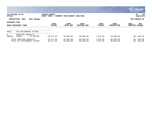|               |                                                        |                             |                              |                        |                       |                           |                        | $\overline{\mathsf{m} \mathsf{u}}$ nıs'<br>a tyler erp solution |
|---------------|--------------------------------------------------------|-----------------------------|------------------------------|------------------------|-----------------------|---------------------------|------------------------|-----------------------------------------------------------------|
| nflynn        | 11/20/2020 14:07                                       | YATES COUNTY<br>NEXT YEAR / | CURRENT YEAR BUDGET ANALYSIS |                        |                       |                           |                        |                                                                 |
|               | PROJECTION: 2021<br>2021 Budget                        |                             |                              |                        |                       |                           | FOR PERIOD 99          |                                                                 |
| ACCOUNTS FOR: | ROAD MACHINERY FUND                                    | 2019<br>ACTUAL              | 2020<br>ORIG BUD             | 2020<br>REVISED BUD    | 2020<br><b>ACTUAL</b> | 2020<br><b>PROJECTION</b> | 2021<br>ADOPTED CHANGE | <b>PCT</b>                                                      |
| 9010          | NYS RETIREMENT SYSTEM                                  |                             |                              |                        |                       |                           |                        |                                                                 |
| 8<br>DM9010   | BENEFITS<br>EMPLOYEE<br>58400<br>ST RETIRE             | 28, 271.05                  | 36,000.00                    | 36,000.00              | 7,079.95              | 36,000.00                 |                        | $.00 - 100.0$                                                   |
|               | TOTAL EMPLOYEE BENEFITS<br>TOTAL NYS RETIREMENT SYSTEM | 28, 271.05<br>28, 271.05    | 36,000.00<br>36,000.00       | 36,000.00<br>36,000.00 | 7,079.95<br>7,079.95  | 36,000.00<br>36,000.00    | $.00 \,$<br>.00        | $-100.0\%$<br>$-100.0%$                                         |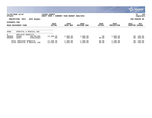|                                      |                                                                    |                                |                              |                            |                       |                           |                        | munis<br>a tyler erp solution   |
|--------------------------------------|--------------------------------------------------------------------|--------------------------------|------------------------------|----------------------------|-----------------------|---------------------------|------------------------|---------------------------------|
| nflynn                               | 11/20/2020 14:07                                                   | YATES COUNTY<br>NEXT<br>YEAR / | CURRENT YEAR BUDGET ANALYSIS |                            |                       |                           |                        | 123<br>P<br>  bgnyrpts          |
|                                      | PROJECTION: 2021<br>2021 Budget                                    |                                |                              |                            |                       |                           | FOR                    | PERIOD 99                       |
| ACCOUNTS FOR:<br>ROAD MACHINERY FUND |                                                                    | 2019<br><b>ACTUAL</b>          | 2020<br>ORIG BUD             | 2020<br><b>REVISED BUD</b> | 2020<br><b>ACTUAL</b> | 2020<br><b>PROJECTION</b> | 2021<br><b>ADOPTED</b> | PCT<br><b>CHANGE</b>            |
| 9060                                 | HOSPITAL & MEDICAL INS                                             |                                |                              |                            |                       |                           |                        |                                 |
| 8<br>DM9060<br>DM9060                | EMPLOYEE<br>BENEFITS<br>58306<br>INS-RETIRE<br>58307<br>EYEGLASSES | $-11, 288.39$<br>.00           | 1,000.00<br>200.00           | 1,000.00<br>200.00         | .00<br>80.00          | 1,000.00<br>200.00        |                        | $.00 - 100.0$<br>.00 -100.0%    |
|                                      | TOTAL EMPLOYEE BENEFITS<br>TOTAL HOSPITAL & MEDICAL INS            | $-11, 288.39$<br>$-11, 288.39$ | 1,200.00<br>1,200.00         | 1,200.00<br>1,200.00       | 80.00<br>80.00        | 1,200.00<br>1,200.00      |                        | $.00 - 100.0$<br>$.00 - 100.08$ |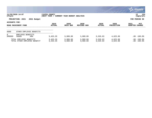|                                                         |                                   |                             |                              |                            |                       |                           |                        | $\sim$ munis $\sim$<br>a tyler erp solution |  |  |
|---------------------------------------------------------|-----------------------------------|-----------------------------|------------------------------|----------------------------|-----------------------|---------------------------|------------------------|---------------------------------------------|--|--|
| nflynn                                                  | 11/20/2020 14:07                  | YATES COUNTY<br>NEXT YEAR / | CURRENT YEAR BUDGET ANALYSIS |                            |                       |                           |                        | 124<br>P<br>  bgnyrpts                      |  |  |
|                                                         | PROJECTION: 2021<br>2021 Budget   |                             |                              |                            |                       |                           | FOR PERIOD 99          |                                             |  |  |
| ACCOUNTS FOR:<br>ROAD MACHINERY FUND                    |                                   | 2019<br><b>ACTUAL</b>       | 2020<br>ORIG BUD             | 2020<br><b>REVISED BUD</b> | 2020<br><b>ACTUAL</b> | 2020<br><b>PROJECTION</b> | 2021<br><b>ADOPTED</b> | PCT<br><b>CHANGE</b>                        |  |  |
| 9089                                                    | OTHER EMPLOYEE BENEFITS           |                             |                              |                            |                       |                           |                        |                                             |  |  |
| 8<br>DM9089                                             | EMPLOYEE BENEFITS<br>58600<br>HRA | 3,453.35                    | 3,900.00                     | 3,900.00                   | 3,526.63              | 4,623.88                  |                        | $.00 - 100.0$                               |  |  |
| TOTAL EMPLOYEE BENEFITS<br>TOTAL OTHER EMPLOYEE BENEFIT |                                   | 3,453.35<br>3,453.35        | 3,900.00<br>3,900.00         | 3,900.00<br>3,900.00       | 3,526.63<br>3,526.63  | 4,623.88<br>4,623.88      |                        | $.00 - 100.0$<br>$.00 - 100.0$              |  |  |

 $\sim$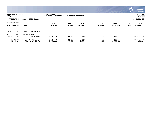|                                      |                                                         |                             |                              |                            |                       |                           |                        | $\sim$ munis $\sim$<br>a tyler erp solution |
|--------------------------------------|---------------------------------------------------------|-----------------------------|------------------------------|----------------------------|-----------------------|---------------------------|------------------------|---------------------------------------------|
| nflynn                               | 11/20/2020 14:07                                        | YATES COUNTY<br>NEXT YEAR / | CURRENT YEAR BUDGET ANALYSIS |                            |                       |                           |                        | 125<br>P<br>  bgnyrpts                      |
|                                      | PROJECTION: 2021<br>2021 Budget                         |                             |                              |                            |                       |                           | FOR PERIOD 99          |                                             |
| ACCOUNTS FOR:<br>ROAD MACHINERY FUND |                                                         | 2019<br><b>ACTUAL</b>       | 2020<br>ORIG BUD             | 2020<br><b>REVISED BUD</b> | 2020<br><b>ACTUAL</b> | 2020<br><b>PROJECTION</b> | 2021<br><b>ADOPTED</b> | PCT<br><b>CHANGE</b>                        |
| 9090                                 | ADJUST DUE TO EMPLS VAC                                 |                             |                              |                            |                       |                           |                        |                                             |
| 8<br>DM9090                          | EMPLOYEE BENEFITS<br>58000<br>D/T VC/CMP                | 3,745.02                    | 1,000.00                     | 1,000.00                   | .00                   | 1,000.00                  |                        | $.00 - 100.0$                               |
|                                      | TOTAL EMPLOYEE BENEFITS<br>TOTAL ADJUST DUE TO EMPLS VA | 3,745.02<br>3,745.02        | 1,000.00<br>1,000.00         | 1,000.00<br>1,000.00       | .00<br>.00            | 1,000.00<br>1,000.00      |                        | $.00 - 100.0$<br>$.00 - 100.0$              |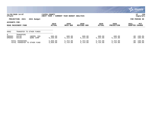|                                                 |                             |                         |                             |                              |                            |                       |                           |                        | $\mathbb{C}$ munis $\mathbb{C}$<br>a tyler erp solution |
|-------------------------------------------------|-----------------------------|-------------------------|-----------------------------|------------------------------|----------------------------|-----------------------|---------------------------|------------------------|---------------------------------------------------------|
| nflynn                                          | 11/20/2020 14:07            |                         | YATES COUNTY<br>NEXT YEAR / | CURRENT YEAR BUDGET ANALYSIS |                            |                       |                           |                        | 126<br>P<br>bgnyrpts                                    |
|                                                 | PROJECTION: 2021            | 2021 Budget             |                             |                              |                            |                       |                           |                        | FOR PERIOD 99                                           |
| ACCOUNTS FOR:<br>ROAD MACHINERY FUND            |                             |                         | 2019<br><b>ACTUAL</b>       | 2020<br>ORIG BUD             | 2020<br><b>REVISED BUD</b> | 2020<br><b>ACTUAL</b> | 2020<br><b>PROJECTION</b> | 2021<br><b>ADOPTED</b> | PCT<br><b>CHANGE</b>                                    |
| 9902                                            |                             | TRANSFER TO OTHER FUNDS |                             |                              |                            |                       |                           |                        |                                                         |
| 9<br>DM9902<br>DM9902                           | TRANSFERS<br>59130<br>59140 | UNEMPL INS<br>WORK COMP | 600.00<br>5,250.00          | 600.00<br>5,154.00           | 600.00<br>5,154.00         | 600.00<br>5,154.00    | 600.00<br>5,154.00        |                        | $.00 - 100.0$<br>$.00 - 100.0$                          |
| TOTAL TRANSFERS<br>TOTAL TRANSFER TO OTHER FUND |                             |                         | 5,850.00<br>5,850.00        | 5,754.00<br>5,754.00         | 5,754.00<br>5,754.00       | 5,754.00<br>5,754.00  | 5,754.00<br>5,754.00      |                        | $.00 - 100.0%$<br>$.00 - 100.0$                         |